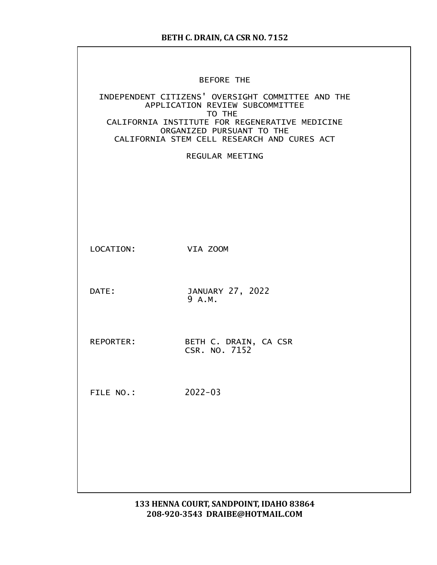|           | <b>BEFORE THE</b>                                                                                                                                                                                                            |
|-----------|------------------------------------------------------------------------------------------------------------------------------------------------------------------------------------------------------------------------------|
|           | INDEPENDENT CITIZENS' OVERSIGHT COMMITTEE AND THE<br>APPLICATION REVIEW SUBCOMMITTEE<br>TO THE<br>CALIFORNIA INSTITUTE FOR REGENERATIVE MEDICINE<br>ORGANIZED PURSUANT TO THE<br>CALIFORNIA STEM CELL RESEARCH AND CURES ACT |
|           | <b>REGULAR MEETING</b>                                                                                                                                                                                                       |
|           |                                                                                                                                                                                                                              |
| LOCATION: | VIA ZOOM                                                                                                                                                                                                                     |
| DATE:     | JANUARY 27, 2022<br>9 A.M.                                                                                                                                                                                                   |
| REPORTER: | BETH C. DRAIN, CA CSR<br>CSR. NO. 7152                                                                                                                                                                                       |
| FILE NO.: | $2022 - 03$                                                                                                                                                                                                                  |
|           |                                                                                                                                                                                                                              |
|           |                                                                                                                                                                                                                              |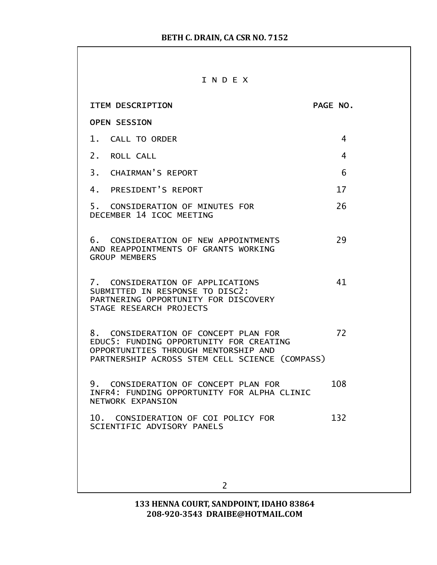#### I N D E X

| <b>ITEM DESCRIPTION</b>                                                                                                                                                   | PAGE NO. |
|---------------------------------------------------------------------------------------------------------------------------------------------------------------------------|----------|
| <b>OPEN SESSION</b>                                                                                                                                                       |          |
| 1. CALL TO ORDER                                                                                                                                                          | 4        |
| 2. ROLL CALL                                                                                                                                                              | 4        |
| 3. CHAIRMAN'S REPORT                                                                                                                                                      | 6        |
| 4. PRESIDENT'S REPORT                                                                                                                                                     | 17       |
| 5. CONSIDERATION OF MINUTES FOR<br>DECEMBER 14 ICOC MEETING                                                                                                               | 26       |
| 6. CONSIDERATION OF NEW APPOINTMENTS<br>AND REAPPOINTMENTS OF GRANTS WORKING<br><b>GROUP MEMBERS</b>                                                                      | 29       |
| 7. CONSIDERATION OF APPLICATIONS<br>SUBMITTED IN RESPONSE TO DISC2:<br>PARTNERING OPPORTUNITY FOR DISCOVERY<br>STAGE RESEARCH PROJECTS                                    | 41       |
| 8. CONSIDERATION OF CONCEPT PLAN FOR<br>EDUC5: FUNDING OPPORTUNITY FOR CREATING<br>OPPORTUNITIES THROUGH MENTORSHIP AND<br>PARTNERSHIP ACROSS STEM CELL SCIENCE (COMPASS) | 72       |
| 9. CONSIDERATION OF CONCEPT PLAN FOR<br>INFR4: FUNDING OPPORTUNITY FOR ALPHA CLINIC<br>NETWORK EXPANSION                                                                  | 108      |
| 10. CONSIDERATION OF COI POLICY FOR<br>SCIENTIFIC ADVISORY PANELS                                                                                                         | 132      |
|                                                                                                                                                                           |          |
| $\overline{2}$                                                                                                                                                            |          |
|                                                                                                                                                                           |          |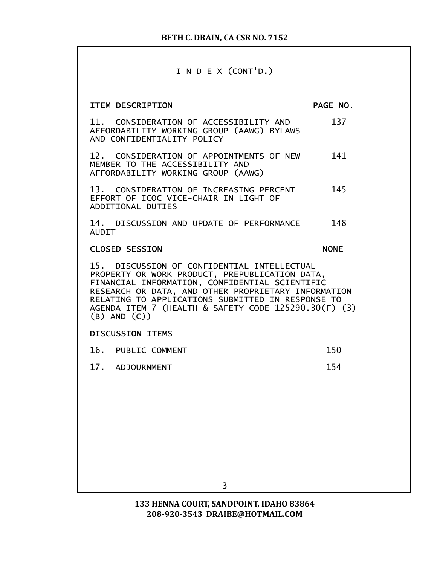### I N D E X (CONT'D.)

| <b>ITEM DESCRIPTION</b>                                                                                                                                                                                                                                                                                                                  | PAGE NO.    |  |
|------------------------------------------------------------------------------------------------------------------------------------------------------------------------------------------------------------------------------------------------------------------------------------------------------------------------------------------|-------------|--|
| 11. CONSIDERATION OF ACCESSIBILITY AND<br>AFFORDABILITY WORKING GROUP (AAWG) BYLAWS<br>AND CONFIDENTIALITY POLICY                                                                                                                                                                                                                        | 137         |  |
| 12. CONSIDERATION OF APPOINTMENTS OF NEW<br>MEMBER TO THE ACCESSIBILITY AND<br>AFFORDABILITY WORKING GROUP (AAWG)                                                                                                                                                                                                                        | 141         |  |
| 13. CONSIDERATION OF INCREASING PERCENT<br>EFFORT OF ICOC VICE-CHAIR IN LIGHT OF<br>ADDITIONAL DUTIES                                                                                                                                                                                                                                    | 145         |  |
| 14. DISCUSSION AND UPDATE OF PERFORMANCE<br><b>AUDIT</b>                                                                                                                                                                                                                                                                                 | 148         |  |
| <b>CLOSED SESSION</b>                                                                                                                                                                                                                                                                                                                    | <b>NONE</b> |  |
| 15. DISCUSSION OF CONFIDENTIAL INTELLECTUAL<br>PROPERTY OR WORK PRODUCT, PREPUBLICATION DATA,<br>FINANCIAL INFORMATION, CONFIDENTIAL SCIENTIFIC<br>RESEARCH OR DATA, AND OTHER PROPRIETARY INFORMATION<br>RELATING TO APPLICATIONS SUBMITTED IN RESPONSE TO<br>AGENDA ITEM 7 (HEALTH & SAFETY CODE 125290.30(F) (3)<br>$(B)$ AND $(C)$ ) |             |  |
| <b>DISCUSSION ITEMS</b>                                                                                                                                                                                                                                                                                                                  |             |  |
| 16. PUBLIC COMMENT                                                                                                                                                                                                                                                                                                                       | 150         |  |
| 17. ADJOURNMENT                                                                                                                                                                                                                                                                                                                          | 154         |  |
|                                                                                                                                                                                                                                                                                                                                          |             |  |
|                                                                                                                                                                                                                                                                                                                                          |             |  |
|                                                                                                                                                                                                                                                                                                                                          |             |  |
|                                                                                                                                                                                                                                                                                                                                          |             |  |
|                                                                                                                                                                                                                                                                                                                                          |             |  |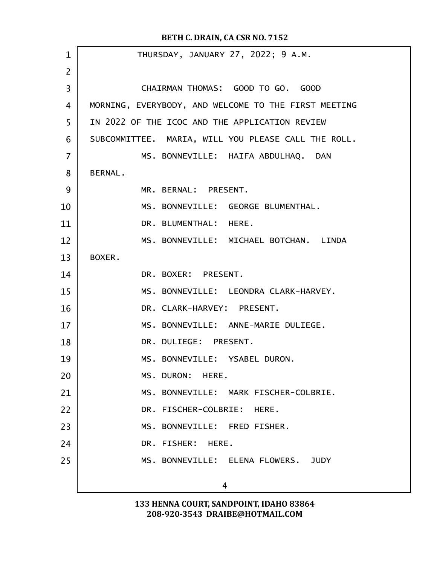| $\mathbf 1$    | THURSDAY, JANUARY 27, 2022; 9 A.M.                   |
|----------------|------------------------------------------------------|
| $\overline{2}$ |                                                      |
| 3              | CHAIRMAN THOMAS: GOOD TO GO. GOOD                    |
| 4              | MORNING, EVERYBODY, AND WELCOME TO THE FIRST MEETING |
| 5              | IN 2022 OF THE ICOC AND THE APPLICATION REVIEW       |
| 6              | SUBCOMMITTEE. MARIA, WILL YOU PLEASE CALL THE ROLL.  |
| $\overline{7}$ | MS. BONNEVILLE: HAIFA ABDULHAQ. DAN                  |
| 8              | <b>BERNAL.</b>                                       |
| 9              | MR. BERNAL: PRESENT.                                 |
| 10             | MS. BONNEVILLE: GEORGE BLUMENTHAL.                   |
| 11             | DR. BLUMENTHAL: HERE.                                |
| 12             | MS. BONNEVILLE: MICHAEL BOTCHAN. LINDA               |
| 13             | BOXER.                                               |
| 14             | DR. BOXER: PRESENT.                                  |
| 15             | MS. BONNEVILLE: LEONDRA CLARK-HARVEY.                |
| 16             | DR. CLARK-HARVEY: PRESENT.                           |
| 17             | MS. BONNEVILLE: ANNE-MARIE DULIEGE.                  |
| 18             | DR. DULIEGE: PRESENT.                                |
| 19             | MS. BONNEVILLE: YSABEL DURON.                        |
| 20             | MS. DURON: HERE.                                     |
| 21             | MS. BONNEVILLE: MARK FISCHER-COLBRIE.                |
| 22             | DR. FISCHER-COLBRIE: HERE.                           |
| 23             | MS. BONNEVILLE: FRED FISHER.                         |
| 24             | DR. FISHER: HERE.                                    |
| 25             | MS. BONNEVILLE: ELENA FLOWERS. JUDY                  |
|                | 4                                                    |
|                |                                                      |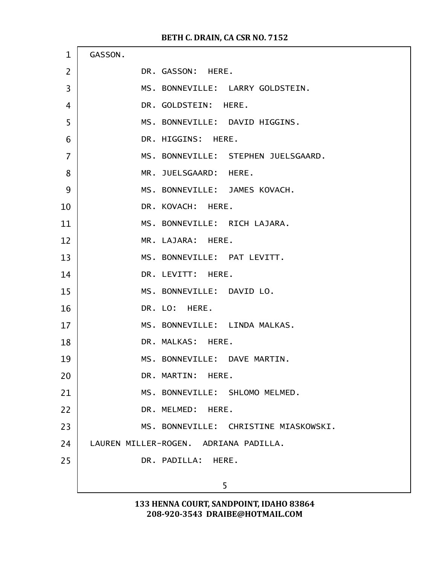| $\mathbf{1}$   | GASSON.                               |
|----------------|---------------------------------------|
| $\overline{2}$ | DR. GASSON: HERE.                     |
| 3              | MS. BONNEVILLE: LARRY GOLDSTEIN.      |
| 4              | DR. GOLDSTEIN: HERE.                  |
| 5              | MS. BONNEVILLE: DAVID HIGGINS.        |
| 6              | DR. HIGGINS: HERE.                    |
| $\overline{7}$ | MS. BONNEVILLE: STEPHEN JUELSGAARD.   |
| 8              | MR. JUELSGAARD: HERE.                 |
| 9              | MS. BONNEVILLE: JAMES KOVACH.         |
| 10             | DR. KOVACH: HERE.                     |
| 11             | MS. BONNEVILLE: RICH LAJARA.          |
| 12             | MR. LAJARA: HERE.                     |
| 13             | MS. BONNEVILLE: PAT LEVITT.           |
| 14             | DR. LEVITT: HERE.                     |
| 15             | MS. BONNEVILLE: DAVID LO.             |
| 16             | DR. LO: HERE.                         |
| 17             | MS. BONNEVILLE: LINDA MALKAS.         |
| 18             | DR. MALKAS: HERE.                     |
| 19             | MS. BONNEVILLE: DAVE MARTIN.          |
| 20             | DR. MARTIN: HERE.                     |
| 21             | MS. BONNEVILLE: SHLOMO MELMED.        |
| 22             | DR. MELMED: HERE.                     |
| 23             | MS. BONNEVILLE: CHRISTINE MIASKOWSKI. |
| 24             | LAUREN MILLER-ROGEN. ADRIANA PADILLA. |
| 25             | DR. PADILLA: HERE.                    |
|                | 5                                     |
|                |                                       |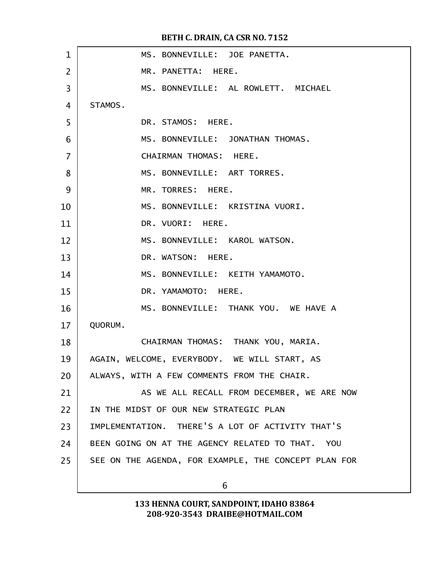| $\mathbf{1}$   | MS. BONNEVILLE: JOE PANETTA.                         |
|----------------|------------------------------------------------------|
| $\overline{2}$ | MR. PANETTA: HERE.                                   |
| 3              | MS. BONNEVILLE: AL ROWLETT. MICHAEL                  |
| 4              | STAMOS.                                              |
| 5              | DR. STAMOS: HERE.                                    |
| 6              | MS. BONNEVILLE: JONATHAN THOMAS.                     |
| $\overline{7}$ | CHAIRMAN THOMAS: HERE.                               |
| 8              | MS. BONNEVILLE: ART TORRES.                          |
| 9              | MR. TORRES: HERE.                                    |
| 10             | MS. BONNEVILLE: KRISTINA VUORI.                      |
| 11             | DR. VUORI: HERE.                                     |
| 12             | MS. BONNEVILLE: KAROL WATSON.                        |
| 13             | DR. WATSON: HERE.                                    |
| 14             | MS. BONNEVILLE: KEITH YAMAMOTO.                      |
| 15             | DR. YAMAMOTO: HERE.                                  |
| 16             | MS. BONNEVILLE: THANK YOU. WE HAVE A                 |
| 17             | QUORUM.                                              |
| 18             | CHAIRMAN THOMAS: THANK YOU, MARIA.                   |
| 19             | AGAIN, WELCOME, EVERYBODY. WE WILL START, AS         |
| 20             | ALWAYS, WITH A FEW COMMENTS FROM THE CHAIR.          |
| 21             | AS WE ALL RECALL FROM DECEMBER, WE ARE NOW           |
| 22             | IN THE MIDST OF OUR NEW STRATEGIC PLAN               |
| 23             | IMPLEMENTATION, THERE'S A LOT OF ACTIVITY THAT'S     |
| 24             | BEEN GOING ON AT THE AGENCY RELATED TO THAT. YOU     |
| 25             | SEE ON THE AGENDA, FOR EXAMPLE, THE CONCEPT PLAN FOR |
|                | 6                                                    |
|                |                                                      |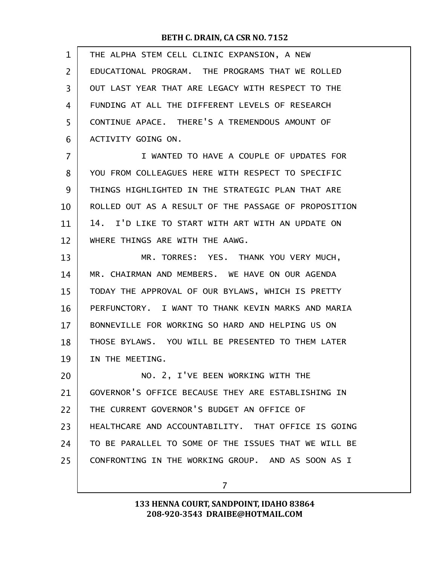| $\mathbf{1}$ | THE ALPHA STEM CELL CLINIC EXPANSION, A NEW          |
|--------------|------------------------------------------------------|
| 2            | EDUCATIONAL PROGRAM. THE PROGRAMS THAT WE ROLLED     |
| 3            | OUT LAST YEAR THAT ARE LEGACY WITH RESPECT TO THE    |
| 4            | FUNDING AT ALL THE DIFFERENT LEVELS OF RESEARCH      |
| 5            | CONTINUE APACE. THERE'S A TREMENDOUS AMOUNT OF       |
| 6            | ACTIVITY GOING ON.                                   |
| 7            | I WANTED TO HAVE A COUPLE OF UPDATES FOR             |
| 8            | YOU FROM COLLEAGUES HERE WITH RESPECT TO SPECIFIC    |
| 9            | THINGS HIGHLIGHTED IN THE STRATEGIC PLAN THAT ARE    |
| 10           | ROLLED OUT AS A RESULT OF THE PASSAGE OF PROPOSITION |
| 11           | I'D LIKE TO START WITH ART WITH AN UPDATE ON<br>14.  |
| 12           | WHERE THINGS ARE WITH THE AAWG.                      |
| 13           | MR. TORRES: YES. THANK YOU VERY MUCH,                |
| 14           | MR. CHAIRMAN AND MEMBERS. WE HAVE ON OUR AGENDA      |
| 15           | TODAY THE APPROVAL OF OUR BYLAWS, WHICH IS PRETTY    |
| 16           | PERFUNCTORY. I WANT TO THANK KEVIN MARKS AND MARIA   |
| 17           | BONNEVILLE FOR WORKING SO HARD AND HELPING US ON     |
| 18           | THOSE BYLAWS. YOU WILL BE PRESENTED TO THEM LATER    |
| 19           | IN THE MEETING.                                      |
| 20           | NO. 2, I'VE BEEN WORKING WITH THE                    |
| 21           | GOVERNOR'S OFFICE BECAUSE THEY ARE ESTABLISHING IN   |
| 22           | THE CURRENT GOVERNOR'S BUDGET AN OFFICE OF           |
| 23           | HEALTHCARE AND ACCOUNTABILITY. THAT OFFICE IS GOING  |
| 24           | TO BE PARALLEL TO SOME OF THE ISSUES THAT WE WILL BE |
| 25           | CONFRONTING IN THE WORKING GROUP. AND AS SOON AS I   |
|              | 7                                                    |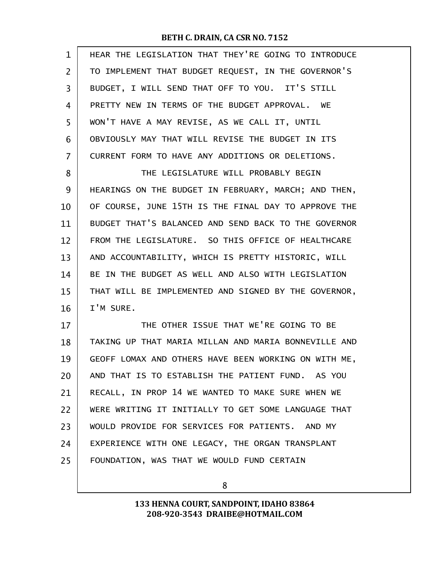| 1  | HEAR THE LEGISLATION THAT THEY'RE GOING TO INTRODUCE |
|----|------------------------------------------------------|
| 2  | TO IMPLEMENT THAT BUDGET REQUEST, IN THE GOVERNOR'S  |
| 3  | BUDGET, I WILL SEND THAT OFF TO YOU. IT'S STILL      |
| 4  | PRETTY NEW IN TERMS OF THE BUDGET APPROVAL. WE       |
| 5  | WON'T HAVE A MAY REVISE, AS WE CALL IT, UNTIL        |
| 6  | OBVIOUSLY MAY THAT WILL REVISE THE BUDGET IN ITS     |
| 7  | CURRENT FORM TO HAVE ANY ADDITIONS OR DELETIONS.     |
| 8  | THE LEGISLATURE WILL PROBABLY BEGIN                  |
| 9  | HEARINGS ON THE BUDGET IN FEBRUARY, MARCH; AND THEN, |
| 10 | OF COURSE, JUNE 15TH IS THE FINAL DAY TO APPROVE THE |
| 11 | BUDGET THAT'S BALANCED AND SEND BACK TO THE GOVERNOR |
| 12 | FROM THE LEGISLATURE. SO THIS OFFICE OF HEALTHCARE   |
| 13 | AND ACCOUNTABILITY, WHICH IS PRETTY HISTORIC, WILL   |
| 14 | BE IN THE BUDGET AS WELL AND ALSO WITH LEGISLATION   |
| 15 | THAT WILL BE IMPLEMENTED AND SIGNED BY THE GOVERNOR, |
| 16 | I'M SURE.                                            |
| 17 | THE OTHER ISSUE THAT WE'RE GOING TO BE               |
| 18 | TAKING UP THAT MARIA MILLAN AND MARIA BONNEVILLE AND |
| 19 | GEOFF LOMAX AND OTHERS HAVE BEEN WORKING ON WITH ME, |
| 20 | AND THAT IS TO ESTABLISH THE PATIENT FUND. AS YOU    |
| 21 | RECALL, IN PROP 14 WE WANTED TO MAKE SURE WHEN WE    |
| 22 | WERE WRITING IT INITIALLY TO GET SOME LANGUAGE THAT  |
| 23 | WOULD PROVIDE FOR SERVICES FOR PATIENTS. AND MY      |
| 24 | EXPERIENCE WITH ONE LEGACY, THE ORGAN TRANSPLANT     |
| 25 | FOUNDATION, WAS THAT WE WOULD FUND CERTAIN           |
|    |                                                      |

8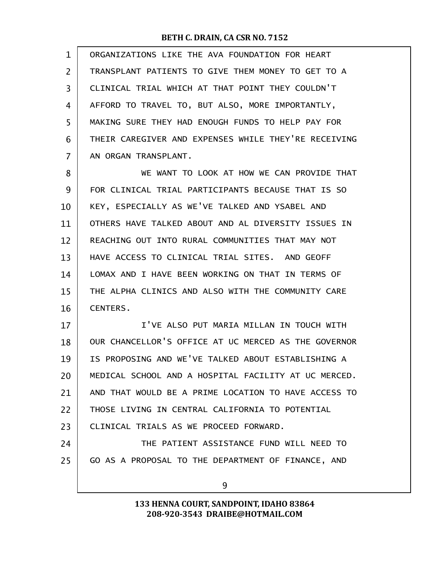| 1  | ORGANIZATIONS LIKE THE AVA FOUNDATION FOR HEART      |
|----|------------------------------------------------------|
| 2  | TRANSPLANT PATIENTS TO GIVE THEM MONEY TO GET TO A   |
| 3  | CLINICAL TRIAL WHICH AT THAT POINT THEY COULDN'T     |
| 4  | AFFORD TO TRAVEL TO, BUT ALSO, MORE IMPORTANTLY,     |
| 5  | MAKING SURE THEY HAD ENOUGH FUNDS TO HELP PAY FOR    |
| 6  | THEIR CAREGIVER AND EXPENSES WHILE THEY'RE RECEIVING |
| 7  | AN ORGAN TRANSPLANT.                                 |
| 8  | WE WANT TO LOOK AT HOW WE CAN PROVIDE THAT           |
| 9  | FOR CLINICAL TRIAL PARTICIPANTS BECAUSE THAT IS SO   |
| 10 | KEY, ESPECIALLY AS WE'VE TALKED AND YSABEL AND       |
| 11 | OTHERS HAVE TALKED ABOUT AND AL DIVERSITY ISSUES IN  |
| 12 | REACHING OUT INTO RURAL COMMUNITIES THAT MAY NOT     |
| 13 | HAVE ACCESS TO CLINICAL TRIAL SITES. AND GEOFF       |
| 14 | LOMAX AND I HAVE BEEN WORKING ON THAT IN TERMS OF    |
| 15 | THE ALPHA CLINICS AND ALSO WITH THE COMMUNITY CARE   |
| 16 | <b>CENTERS.</b>                                      |
| 17 | I'VE ALSO PUT MARIA MILLAN IN TOUCH WITH             |
| 18 | OUR CHANCELLOR'S OFFICE AT UC MERCED AS THE GOVERNOR |
| 19 | IS PROPOSING AND WE'VE TALKED ABOUT ESTABLISHING A   |
| 20 | MEDICAL SCHOOL AND A HOSPITAL FACILITY AT UC MERCED. |
| 21 | AND THAT WOULD BE A PRIME LOCATION TO HAVE ACCESS TO |
| 22 | THOSE LIVING IN CENTRAL CALIFORNIA TO POTENTIAL      |
| 23 | CLINICAL TRIALS AS WE PROCEED FORWARD.               |
| 24 | THE PATIENT ASSISTANCE FUND WILL NEED TO             |
| 25 | GO AS A PROPOSAL TO THE DEPARTMENT OF FINANCE, AND   |
|    | 9                                                    |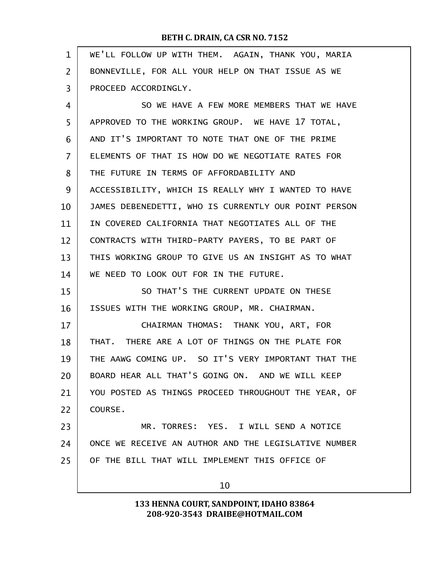| $\mathbf 1$    | WE'LL FOLLOW UP WITH THEM. AGAIN, THANK YOU, MARIA   |
|----------------|------------------------------------------------------|
| 2              | BONNEVILLE, FOR ALL YOUR HELP ON THAT ISSUE AS WE    |
| 3              | PROCEED ACCORDINGLY.                                 |
| 4              | SO WE HAVE A FEW MORE MEMBERS THAT WE HAVE           |
| 5              | APPROVED TO THE WORKING GROUP. WE HAVE 17 TOTAL,     |
| 6              | AND IT'S IMPORTANT TO NOTE THAT ONE OF THE PRIME     |
| $\overline{7}$ | ELEMENTS OF THAT IS HOW DO WE NEGOTIATE RATES FOR    |
| 8              | THE FUTURE IN TERMS OF AFFORDABILITY AND             |
| 9              | ACCESSIBILITY, WHICH IS REALLY WHY I WANTED TO HAVE  |
| 10             | JAMES DEBENEDETTI, WHO IS CURRENTLY OUR POINT PERSON |
| 11             | IN COVERED CALIFORNIA THAT NEGOTIATES ALL OF THE     |
| 12             | CONTRACTS WITH THIRD-PARTY PAYERS, TO BE PART OF     |
| 13             | THIS WORKING GROUP TO GIVE US AN INSIGHT AS TO WHAT  |
| 14             | WE NEED TO LOOK OUT FOR IN THE FUTURE.               |
| 15             | SO THAT'S THE CURRENT UPDATE ON THESE                |
| 16             | ISSUES WITH THE WORKING GROUP, MR. CHAIRMAN.         |
| 17             | CHAIRMAN THOMAS: THANK YOU, ART, FOR                 |
| 18             | THAT. THERE ARE A LOT OF THINGS ON THE PLATE FOR     |
| 19             | THE AAWG COMING UP. SO IT'S VERY IMPORTANT THAT THE  |
| 20             | BOARD HEAR ALL THAT'S GOING ON. AND WE WILL KEEP     |
| 21             | YOU POSTED AS THINGS PROCEED THROUGHOUT THE YEAR, OF |
| 22             | COURSE.                                              |
| 23             | MR. TORRES: YES. I WILL SEND A NOTICE                |
| 24             | ONCE WE RECEIVE AN AUTHOR AND THE LEGISLATIVE NUMBER |
| 25             | OF THE BILL THAT WILL IMPLEMENT THIS OFFICE OF       |
|                | 10                                                   |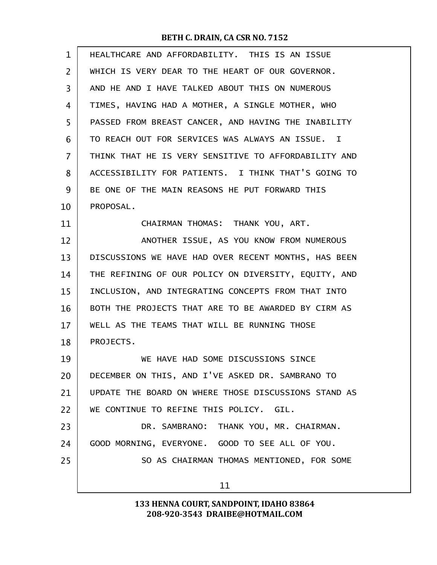| $\mathbf{1}$   | HEALTHCARE AND AFFORDABILITY. THIS IS AN ISSUE       |
|----------------|------------------------------------------------------|
| $\overline{2}$ | WHICH IS VERY DEAR TO THE HEART OF OUR GOVERNOR.     |
| 3              | AND HE AND I HAVE TALKED ABOUT THIS ON NUMEROUS      |
| 4              | TIMES, HAVING HAD A MOTHER, A SINGLE MOTHER, WHO     |
| 5              | PASSED FROM BREAST CANCER, AND HAVING THE INABILITY  |
| 6              | TO REACH OUT FOR SERVICES WAS ALWAYS AN ISSUE. I     |
| 7              | THINK THAT HE IS VERY SENSITIVE TO AFFORDABILITY AND |
| 8              | ACCESSIBILITY FOR PATIENTS. I THINK THAT'S GOING TO  |
| 9              | BE ONE OF THE MAIN REASONS HE PUT FORWARD THIS       |
| 10             | PROPOSAL.                                            |
| 11             | CHAIRMAN THOMAS: THANK YOU, ART.                     |
| 12             | ANOTHER ISSUE, AS YOU KNOW FROM NUMEROUS             |
| 13             | DISCUSSIONS WE HAVE HAD OVER RECENT MONTHS, HAS BEEN |
| 14             | THE REFINING OF OUR POLICY ON DIVERSITY, EQUITY, AND |
| 15             | INCLUSION, AND INTEGRATING CONCEPTS FROM THAT INTO   |
| 16             | BOTH THE PROJECTS THAT ARE TO BE AWARDED BY CIRM AS  |
| 17             | WELL AS THE TEAMS THAT WILL BE RUNNING THOSE         |
| 18             | PROJECTS.                                            |
| 19             | WE HAVE HAD SOME DISCUSSIONS SINCE                   |
| 20             | DECEMBER ON THIS, AND I'VE ASKED DR. SAMBRANO TO     |
| 21             | UPDATE THE BOARD ON WHERE THOSE DISCUSSIONS STAND AS |
| 22             | WE CONTINUE TO REFINE THIS POLICY. GIL.              |
| 23             | DR. SAMBRANO: THANK YOU, MR. CHAIRMAN.               |
| 24             | GOOD MORNING, EVERYONE. GOOD TO SEE ALL OF YOU.      |
| 25             | SO AS CHAIRMAN THOMAS MENTIONED, FOR SOME            |
|                | 11                                                   |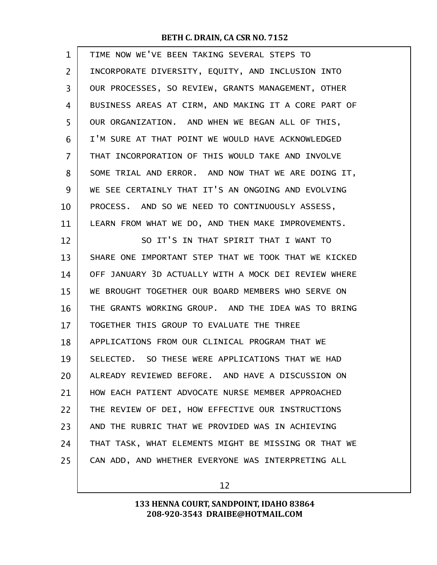| $\mathbf 1$ | TIME NOW WE'VE BEEN TAKING SEVERAL STEPS TO          |
|-------------|------------------------------------------------------|
| 2           | INCORPORATE DIVERSITY, EQUITY, AND INCLUSION INTO    |
| 3           | OUR PROCESSES, SO REVIEW, GRANTS MANAGEMENT, OTHER   |
| 4           | BUSINESS AREAS AT CIRM, AND MAKING IT A CORE PART OF |
| 5           | OUR ORGANIZATION. AND WHEN WE BEGAN ALL OF THIS,     |
| 6           | I'M SURE AT THAT POINT WE WOULD HAVE ACKNOWLEDGED    |
| 7           | THAT INCORPORATION OF THIS WOULD TAKE AND INVOLVE    |
| 8           | SOME TRIAL AND ERROR. AND NOW THAT WE ARE DOING IT,  |
| 9           | WE SEE CERTAINLY THAT IT'S AN ONGOING AND EVOLVING   |
| 10          | PROCESS. AND SO WE NEED TO CONTINUOUSLY ASSESS,      |
| 11          | LEARN FROM WHAT WE DO, AND THEN MAKE IMPROVEMENTS.   |
| 12          | SO IT'S IN THAT SPIRIT THAT I WANT TO                |
| 13          | SHARE ONE IMPORTANT STEP THAT WE TOOK THAT WE KICKED |
| 14          | OFF JANUARY 3D ACTUALLY WITH A MOCK DEI REVIEW WHERE |
| 15          | WE BROUGHT TOGETHER OUR BOARD MEMBERS WHO SERVE ON   |
| 16          | THE GRANTS WORKING GROUP. AND THE IDEA WAS TO BRING  |
| 17          | TOGETHER THIS GROUP TO EVALUATE THE THREE            |
| 18          | APPLICATIONS FROM OUR CLINICAL PROGRAM THAT WE       |
| 19          | SELECTED. SO THESE WERE APPLICATIONS THAT WE HAD     |
| 20          | ALREADY REVIEWED BEFORE. AND HAVE A DISCUSSION ON    |
| 21          | HOW EACH PATIENT ADVOCATE NURSE MEMBER APPROACHED    |
| 22          | THE REVIEW OF DEI, HOW EFFECTIVE OUR INSTRUCTIONS    |
| 23          | AND THE RUBRIC THAT WE PROVIDED WAS IN ACHIEVING     |
| 24          | THAT TASK, WHAT ELEMENTS MIGHT BE MISSING OR THAT WE |
| 25          | CAN ADD, AND WHETHER EVERYONE WAS INTERPRETING ALL   |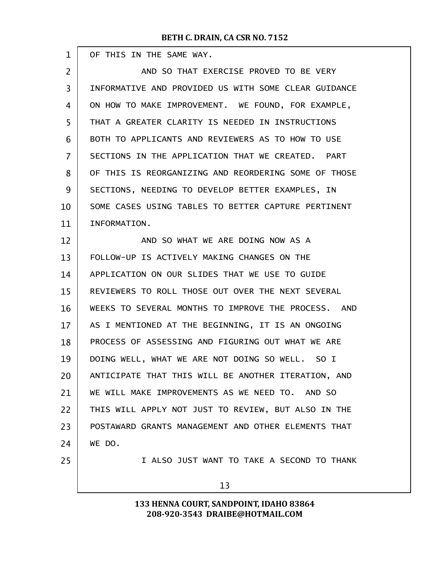г

| 1              | OF THIS IN THE SAME WAY.                             |
|----------------|------------------------------------------------------|
| $\overline{2}$ | AND SO THAT EXERCISE PROVED TO BE VERY               |
| 3              | INFORMATIVE AND PROVIDED US WITH SOME CLEAR GUIDANCE |
| 4              | ON HOW TO MAKE IMPROVEMENT. WE FOUND, FOR EXAMPLE,   |
| 5              | THAT A GREATER CLARITY IS NEEDED IN INSTRUCTIONS     |
| 6              | BOTH TO APPLICANTS AND REVIEWERS AS TO HOW TO USE    |
| $\overline{7}$ | SECTIONS IN THE APPLICATION THAT WE CREATED. PART    |
| 8              | OF THIS IS REORGANIZING AND REORDERING SOME OF THOSE |
| 9              | SECTIONS, NEEDING TO DEVELOP BETTER EXAMPLES, IN     |
| 10             | SOME CASES USING TABLES TO BETTER CAPTURE PERTINENT  |
| 11             | INFORMATION.                                         |
| 12             | AND SO WHAT WE ARE DOING NOW AS A                    |
| 13             | FOLLOW-UP IS ACTIVELY MAKING CHANGES ON THE          |
| 14             | APPLICATION ON OUR SLIDES THAT WE USE TO GUIDE       |
| 15             | REVIEWERS TO ROLL THOSE OUT OVER THE NEXT SEVERAL    |
| 16             | WEEKS TO SEVERAL MONTHS TO IMPROVE THE PROCESS. AND  |
| 17             | AS I MENTIONED AT THE BEGINNING, IT IS AN ONGOING    |
| 18             | PROCESS OF ASSESSING AND FIGURING OUT WHAT WE ARE    |
| 19             | DOING WELL, WHAT WE ARE NOT DOING SO WELL. SO I      |
| 20             | ANTICIPATE THAT THIS WILL BE ANOTHER ITERATION, AND  |
| 21             | WE WILL MAKE IMPROVEMENTS AS WE NEED TO. AND SO      |
| 22             | THIS WILL APPLY NOT JUST TO REVIEW, BUT ALSO IN THE  |
| 23             | POSTAWARD GRANTS MANAGEMENT AND OTHER ELEMENTS THAT  |
| 24             | WE DO.                                               |
| 25             | I ALSO JUST WANT TO TAKE A SECOND TO THANK           |
|                | 13                                                   |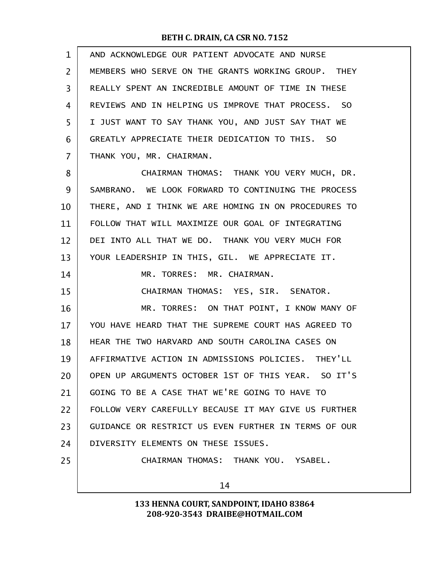| $\mathbf{1}$   | AND ACKNOWLEDGE OUR PATIENT ADVOCATE AND NURSE       |
|----------------|------------------------------------------------------|
| $\overline{2}$ | MEMBERS WHO SERVE ON THE GRANTS WORKING GROUP. THEY  |
| 3              | REALLY SPENT AN INCREDIBLE AMOUNT OF TIME IN THESE   |
| 4              | REVIEWS AND IN HELPING US IMPROVE THAT PROCESS. SO   |
| 5              | I JUST WANT TO SAY THANK YOU, AND JUST SAY THAT WE   |
| 6              | GREATLY APPRECIATE THEIR DEDICATION TO THIS. SO      |
| $\overline{7}$ | THANK YOU, MR. CHAIRMAN.                             |
| 8              | CHAIRMAN THOMAS: THANK YOU VERY MUCH, DR.            |
| 9              | SAMBRANO. WE LOOK FORWARD TO CONTINUING THE PROCESS  |
| 10             | THERE, AND I THINK WE ARE HOMING IN ON PROCEDURES TO |
| 11             | FOLLOW THAT WILL MAXIMIZE OUR GOAL OF INTEGRATING    |
| 12             | DEI INTO ALL THAT WE DO. THANK YOU VERY MUCH FOR     |
| 13             | YOUR LEADERSHIP IN THIS, GIL. WE APPRECIATE IT.      |
| 14             | MR. TORRES: MR. CHAIRMAN.                            |
| 15             | CHAIRMAN THOMAS: YES, SIR. SENATOR.                  |
| 16             | MR. TORRES: ON THAT POINT, I KNOW MANY OF            |
| 17             | YOU HAVE HEARD THAT THE SUPREME COURT HAS AGREED TO  |
| 18             | HEAR THE TWO HARVARD AND SOUTH CAROLINA CASES ON     |
| 19             | AFFIRMATIVE ACTION IN ADMISSIONS POLICIES. THEY'LL   |
| 20             | OPEN UP ARGUMENTS OCTOBER 1ST OF THIS YEAR. SO IT'S  |
| 21             | GOING TO BE A CASE THAT WE'RE GOING TO HAVE TO       |
| 22             | FOLLOW VERY CAREFULLY BECAUSE IT MAY GIVE US FURTHER |
| 23             | GUIDANCE OR RESTRICT US EVEN FURTHER IN TERMS OF OUR |
| 24             | DIVERSITY ELEMENTS ON THESE ISSUES.                  |
| 25             | CHAIRMAN THOMAS: THANK YOU. YSABEL.                  |
|                | 14                                                   |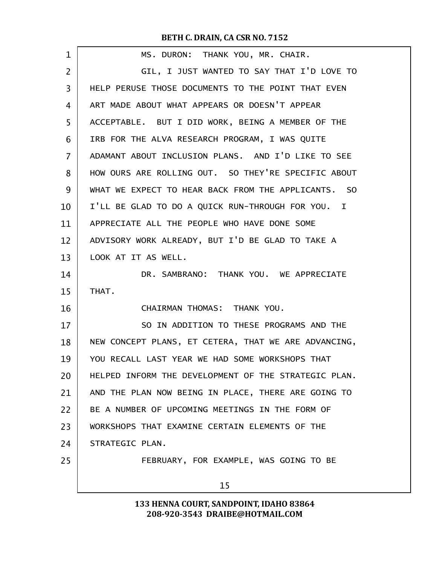| 1  | MS. DURON: THANK YOU, MR. CHAIR.                     |
|----|------------------------------------------------------|
| 2  | GIL, I JUST WANTED TO SAY THAT I'D LOVE TO           |
| 3  | HELP PERUSE THOSE DOCUMENTS TO THE POINT THAT EVEN   |
| 4  | ART MADE ABOUT WHAT APPEARS OR DOESN'T APPEAR        |
| 5  | ACCEPTABLE. BUT I DID WORK, BEING A MEMBER OF THE    |
| 6  | IRB FOR THE ALVA RESEARCH PROGRAM, I WAS QUITE       |
| 7  | ADAMANT ABOUT INCLUSION PLANS. AND I'D LIKE TO SEE   |
| 8  | HOW OURS ARE ROLLING OUT. SO THEY'RE SPECIFIC ABOUT  |
| 9  | WHAT WE EXPECT TO HEAR BACK FROM THE APPLICANTS. SO  |
| 10 | I'LL BE GLAD TO DO A QUICK RUN-THROUGH FOR YOU. I    |
| 11 | APPRECIATE ALL THE PEOPLE WHO HAVE DONE SOME         |
| 12 | ADVISORY WORK ALREADY, BUT I'D BE GLAD TO TAKE A     |
| 13 | LOOK AT IT AS WELL.                                  |
| 14 | DR. SAMBRANO: THANK YOU. WE APPRECIATE               |
| 15 | THAT.                                                |
| 16 | CHAIRMAN THOMAS: THANK YOU.                          |
| 17 | SO IN ADDITION TO THESE PROGRAMS AND THE             |
| 18 | NEW CONCEPT PLANS, ET CETERA, THAT WE ARE ADVANCING, |
| 19 | YOU RECALL LAST YEAR WE HAD SOME WORKSHOPS THAT      |
| 20 | HELPED INFORM THE DEVELOPMENT OF THE STRATEGIC PLAN. |
| 21 | AND THE PLAN NOW BEING IN PLACE, THERE ARE GOING TO  |
| 22 | BE A NUMBER OF UPCOMING MEETINGS IN THE FORM OF      |
| 23 | WORKSHOPS THAT EXAMINE CERTAIN ELEMENTS OF THE       |
| 24 | STRATEGIC PLAN.                                      |
| 25 | FEBRUARY, FOR EXAMPLE, WAS GOING TO BE               |
|    | 15                                                   |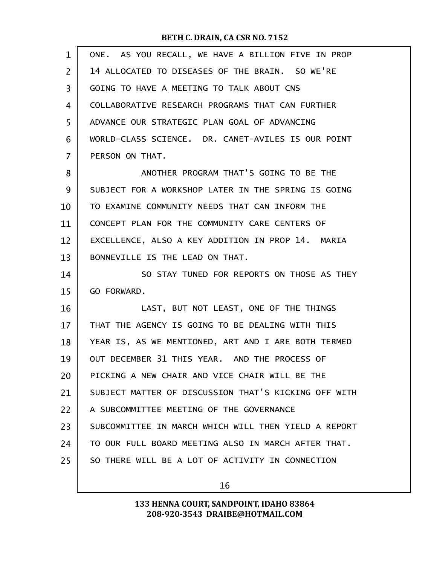| $\mathbf{1}$ | ONE. AS YOU RECALL, WE HAVE A BILLION FIVE IN PROP   |
|--------------|------------------------------------------------------|
| 2            | 14 ALLOCATED TO DISEASES OF THE BRAIN. SO WE'RE      |
| 3            | GOING TO HAVE A MEETING TO TALK ABOUT CNS            |
| 4            | COLLABORATIVE RESEARCH PROGRAMS THAT CAN FURTHER     |
| 5            | ADVANCE OUR STRATEGIC PLAN GOAL OF ADVANCING         |
| 6            | WORLD-CLASS SCIENCE. DR. CANET-AVILES IS OUR POINT   |
| 7            | PERSON ON THAT.                                      |
| 8            | ANOTHER PROGRAM THAT'S GOING TO BE THE               |
| 9            | SUBJECT FOR A WORKSHOP LATER IN THE SPRING IS GOING  |
| 10           | TO EXAMINE COMMUNITY NEEDS THAT CAN INFORM THE       |
| 11           | CONCEPT PLAN FOR THE COMMUNITY CARE CENTERS OF       |
| 12           | EXCELLENCE, ALSO A KEY ADDITION IN PROP 14. MARIA    |
| 13           | BONNEVILLE IS THE LEAD ON THAT.                      |
| 14           | SO STAY TUNED FOR REPORTS ON THOSE AS THEY           |
|              |                                                      |
| 15           | GO FORWARD.                                          |
| 16           | LAST, BUT NOT LEAST, ONE OF THE THINGS               |
| 17           | THAT THE AGENCY IS GOING TO BE DEALING WITH THIS     |
| 18           | YEAR IS, AS WE MENTIONED, ART AND I ARE BOTH TERMED  |
| 19           | OUT DECEMBER 31 THIS YEAR. AND THE PROCESS OF        |
| 20           | PICKING A NEW CHAIR AND VICE CHAIR WILL BE THE       |
| 21           | SUBJECT MATTER OF DISCUSSION THAT'S KICKING OFF WITH |
| 22           | A SUBCOMMITTEE MEETING OF THE GOVERNANCE             |
| 23           | SUBCOMMITTEE IN MARCH WHICH WILL THEN YIELD A REPORT |
| 24           | TO OUR FULL BOARD MEETING ALSO IN MARCH AFTER THAT.  |
| 25           | SO THERE WILL BE A LOT OF ACTIVITY IN CONNECTION     |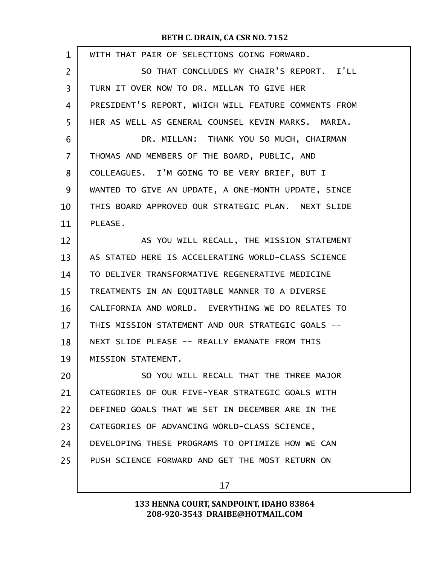| $\mathbf{1}$   | WITH THAT PAIR OF SELECTIONS GOING FORWARD.          |
|----------------|------------------------------------------------------|
| $\overline{2}$ | SO THAT CONCLUDES MY CHAIR'S REPORT. I'LL            |
| 3              | TURN IT OVER NOW TO DR. MILLAN TO GIVE HER           |
| 4              | PRESIDENT'S REPORT, WHICH WILL FEATURE COMMENTS FROM |
| 5              | HER AS WELL AS GENERAL COUNSEL KEVIN MARKS. MARIA.   |
| 6              | DR. MILLAN: THANK YOU SO MUCH, CHAIRMAN              |
| $\overline{7}$ | THOMAS AND MEMBERS OF THE BOARD, PUBLIC, AND         |
| 8              | COLLEAGUES. I'M GOING TO BE VERY BRIEF, BUT I        |
| 9              | WANTED TO GIVE AN UPDATE, A ONE-MONTH UPDATE, SINCE  |
| 10             | THIS BOARD APPROVED OUR STRATEGIC PLAN. NEXT SLIDE   |
| 11             | PLEASE.                                              |
| 12             | AS YOU WILL RECALL, THE MISSION STATEMENT            |
| 13             | AS STATED HERE IS ACCELERATING WORLD-CLASS SCIENCE   |
| 14             | TO DELIVER TRANSFORMATIVE REGENERATIVE MEDICINE      |
| 15             | TREATMENTS IN AN EQUITABLE MANNER TO A DIVERSE       |
| 16             | CALIFORNIA AND WORLD. EVERYTHING WE DO RELATES TO    |
| 17             | THIS MISSION STATEMENT AND OUR STRATEGIC GOALS --    |
| 18             | NEXT SLIDE PLEASE -- REALLY EMANATE FROM THIS        |
| 19             | MISSION STATEMENT.                                   |
| 20             | SO YOU WILL RECALL THAT THE THREE MAJOR              |
| 21             | CATEGORIES OF OUR FIVE-YEAR STRATEGIC GOALS WITH     |
| 22             | DEFINED GOALS THAT WE SET IN DECEMBER ARE IN THE     |
| 23             | CATEGORIES OF ADVANCING WORLD-CLASS SCIENCE,         |
| 24             | DEVELOPING THESE PROGRAMS TO OPTIMIZE HOW WE CAN     |
| 25             | PUSH SCIENCE FORWARD AND GET THE MOST RETURN ON      |
|                |                                                      |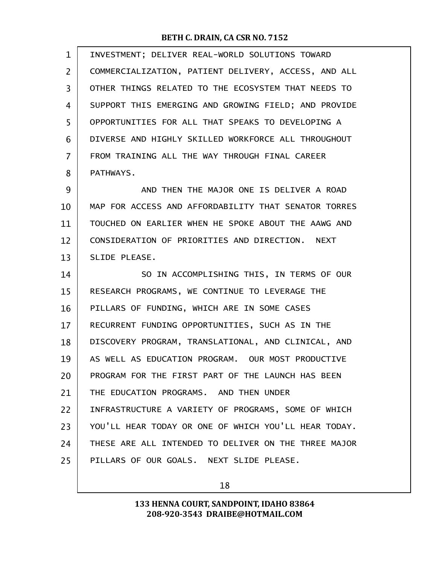| $\mathbf{1}$   | INVESTMENT; DELIVER REAL-WORLD SOLUTIONS TOWARD      |
|----------------|------------------------------------------------------|
| $\overline{2}$ | COMMERCIALIZATION, PATIENT DELIVERY, ACCESS, AND ALL |
| 3              | OTHER THINGS RELATED TO THE ECOSYSTEM THAT NEEDS TO  |
| 4              | SUPPORT THIS EMERGING AND GROWING FIELD; AND PROVIDE |
| 5              | OPPORTUNITIES FOR ALL THAT SPEAKS TO DEVELOPING A    |
| 6              | DIVERSE AND HIGHLY SKILLED WORKFORCE ALL THROUGHOUT  |
| $\overline{7}$ | FROM TRAINING ALL THE WAY THROUGH FINAL CAREER       |
| 8              | PATHWAYS.                                            |
| 9              | AND THEN THE MAJOR ONE IS DELIVER A ROAD             |
| 10             | MAP FOR ACCESS AND AFFORDABILITY THAT SENATOR TORRES |
| 11             | TOUCHED ON EARLIER WHEN HE SPOKE ABOUT THE AAWG AND  |
| 12             | CONSIDERATION OF PRIORITIES AND DIRECTION. NEXT      |
| 13             | SLIDE PLEASE.                                        |
| 14             | SO IN ACCOMPLISHING THIS, IN TERMS OF OUR            |
| 15             | RESEARCH PROGRAMS, WE CONTINUE TO LEVERAGE THE       |
| 16             | PILLARS OF FUNDING, WHICH ARE IN SOME CASES          |
| 17             | RECURRENT FUNDING OPPORTUNITIES, SUCH AS IN THE      |
| 18             | DISCOVERY PROGRAM, TRANSLATIONAL, AND CLINICAL, AND  |
| 19             | AS WELL AS EDUCATION PROGRAM. OUR MOST PRODUCTIVE    |
| 20             | PROGRAM FOR THE FIRST PART OF THE LAUNCH HAS BEEN    |
| 21             | THE EDUCATION PROGRAMS. AND THEN UNDER               |
| 22             | INFRASTRUCTURE A VARIETY OF PROGRAMS, SOME OF WHICH  |
| 23             | YOU'LL HEAR TODAY OR ONE OF WHICH YOU'LL HEAR TODAY. |
| 24             | THESE ARE ALL INTENDED TO DELIVER ON THE THREE MAJOR |
| 25             | PILLARS OF OUR GOALS. NEXT SLIDE PLEASE.             |
|                |                                                      |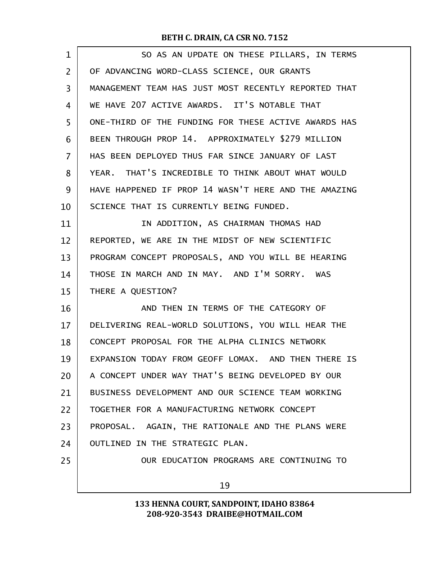| $\mathbf 1$    | SO AS AN UPDATE ON THESE PILLARS, IN TERMS           |
|----------------|------------------------------------------------------|
| $\overline{2}$ | OF ADVANCING WORD-CLASS SCIENCE, OUR GRANTS          |
| 3              | MANAGEMENT TEAM HAS JUST MOST RECENTLY REPORTED THAT |
| 4              | WE HAVE 207 ACTIVE AWARDS. IT'S NOTABLE THAT         |
| 5              | ONE-THIRD OF THE FUNDING FOR THESE ACTIVE AWARDS HAS |
| 6              | BEEN THROUGH PROP 14. APPROXIMATELY \$279 MILLION    |
| $\overline{7}$ | HAS BEEN DEPLOYED THUS FAR SINCE JANUARY OF LAST     |
| 8              | YEAR. THAT'S INCREDIBLE TO THINK ABOUT WHAT WOULD    |
| 9              | HAVE HAPPENED IF PROP 14 WASN'T HERE AND THE AMAZING |
| 10             | SCIENCE THAT IS CURRENTLY BEING FUNDED.              |
| 11             | IN ADDITION, AS CHAIRMAN THOMAS HAD                  |
| 12             | REPORTED, WE ARE IN THE MIDST OF NEW SCIENTIFIC      |
| 13             | PROGRAM CONCEPT PROPOSALS, AND YOU WILL BE HEARING   |
| 14             | THOSE IN MARCH AND IN MAY. AND I'M SORRY. WAS        |
| 15             | THERE A QUESTION?                                    |
| 16             | AND THEN IN TERMS OF THE CATEGORY OF                 |
| 17             | DELIVERING REAL-WORLD SOLUTIONS, YOU WILL HEAR THE   |
| 18             | CONCEPT PROPOSAL FOR THE ALPHA CLINICS NETWORK       |
| 19             | EXPANSION TODAY FROM GEOFF LOMAX. AND THEN THERE IS  |
| 20             | A CONCEPT UNDER WAY THAT'S BEING DEVELOPED BY OUR    |
| 21             | BUSINESS DEVELOPMENT AND OUR SCIENCE TEAM WORKING    |
| 22             | TOGETHER FOR A MANUFACTURING NETWORK CONCEPT         |
| 23             | PROPOSAL. AGAIN, THE RATIONALE AND THE PLANS WERE    |
| 24             | OUTLINED IN THE STRATEGIC PLAN.                      |
| 25             | OUR EDUCATION PROGRAMS ARE CONTINUING TO             |
|                | 19                                                   |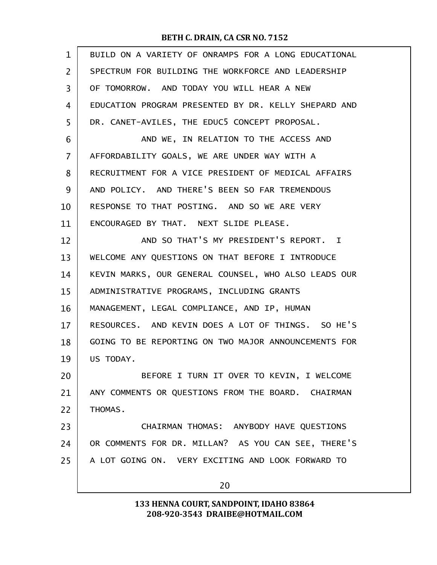| BUILD ON A VARIETY OF ONRAMPS FOR A LONG EDUCATIONAL |
|------------------------------------------------------|
| SPECTRUM FOR BUILDING THE WORKFORCE AND LEADERSHIP   |
| OF TOMORROW. AND TODAY YOU WILL HEAR A NEW           |
| EDUCATION PROGRAM PRESENTED BY DR. KELLY SHEPARD AND |
| DR. CANET-AVILES, THE EDUC5 CONCEPT PROPOSAL.        |
| AND WE, IN RELATION TO THE ACCESS AND                |
| AFFORDABILITY GOALS, WE ARE UNDER WAY WITH A         |
| RECRUITMENT FOR A VICE PRESIDENT OF MEDICAL AFFAIRS  |
| AND POLICY. AND THERE'S BEEN SO FAR TREMENDOUS       |
| RESPONSE TO THAT POSTING. AND SO WE ARE VERY         |
| ENCOURAGED BY THAT. NEXT SLIDE PLEASE.               |
| AND SO THAT'S MY PRESIDENT'S REPORT. I               |
| WELCOME ANY QUESTIONS ON THAT BEFORE I INTRODUCE     |
| KEVIN MARKS, OUR GENERAL COUNSEL, WHO ALSO LEADS OUR |
| ADMINISTRATIVE PROGRAMS, INCLUDING GRANTS            |
| MANAGEMENT, LEGAL COMPLIANCE, AND IP, HUMAN          |
| RESOURCES. AND KEVIN DOES A LOT OF THINGS. SO HE'S   |
| GOING TO BE REPORTING ON TWO MAJOR ANNOUNCEMENTS FOR |
| US TODAY.                                            |
| BEFORE I TURN IT OVER TO KEVIN, I WELCOME            |
| ANY COMMENTS OR QUESTIONS FROM THE BOARD. CHAIRMAN   |
| THOMAS.                                              |
| CHAIRMAN THOMAS: ANYBODY HAVE QUESTIONS              |
| OR COMMENTS FOR DR. MILLAN? AS YOU CAN SEE, THERE'S  |
| A LOT GOING ON. VERY EXCITING AND LOOK FORWARD TO    |
| 20                                                   |
|                                                      |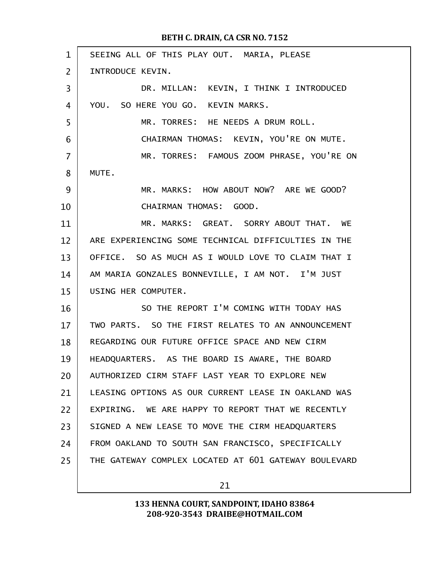| $\mathbf{1}$   | SEEING ALL OF THIS PLAY OUT. MARIA, PLEASE           |
|----------------|------------------------------------------------------|
| $\overline{2}$ | INTRODUCE KEVIN.                                     |
| 3              | DR. MILLAN: KEVIN, I THINK I INTRODUCED              |
| 4              | YOU. SO HERE YOU GO. KEVIN MARKS.                    |
| 5              | MR. TORRES: HE NEEDS A DRUM ROLL.                    |
| 6              | CHAIRMAN THOMAS: KEVIN, YOU'RE ON MUTE.              |
| 7              | MR. TORRES: FAMOUS ZOOM PHRASE, YOU'RE ON            |
| 8              | MUTE.                                                |
| 9              | MR. MARKS: HOW ABOUT NOW? ARE WE GOOD?               |
| 10             | CHAIRMAN THOMAS: GOOD.                               |
| 11             | MR. MARKS: GREAT. SORRY ABOUT THAT. WE               |
| 12             | ARE EXPERIENCING SOME TECHNICAL DIFFICULTIES IN THE  |
| 13             | OFFICE. SO AS MUCH AS I WOULD LOVE TO CLAIM THAT I   |
| 14             | AM MARIA GONZALES BONNEVILLE, I AM NOT. I'M JUST     |
| 15             | USING HER COMPUTER.                                  |
| 16             | SO THE REPORT I'M COMING WITH TODAY HAS              |
| 17             | TWO PARTS. SO THE FIRST RELATES TO AN ANNOUNCEMENT   |
| 18             | REGARDING OUR FUTURE OFFICE SPACE AND NEW CIRM       |
| 19             | HEADQUARTERS. AS THE BOARD IS AWARE, THE BOARD       |
| 20             | AUTHORIZED CIRM STAFF LAST YEAR TO EXPLORE NEW       |
| 21             | LEASING OPTIONS AS OUR CURRENT LEASE IN OAKLAND WAS  |
| 22             | EXPIRING. WE ARE HAPPY TO REPORT THAT WE RECENTLY    |
| 23             | SIGNED A NEW LEASE TO MOVE THE CIRM HEADQUARTERS     |
| 24             | FROM OAKLAND TO SOUTH SAN FRANCISCO, SPECIFICALLY    |
| 25             | THE GATEWAY COMPLEX LOCATED AT 601 GATEWAY BOULEVARD |
|                |                                                      |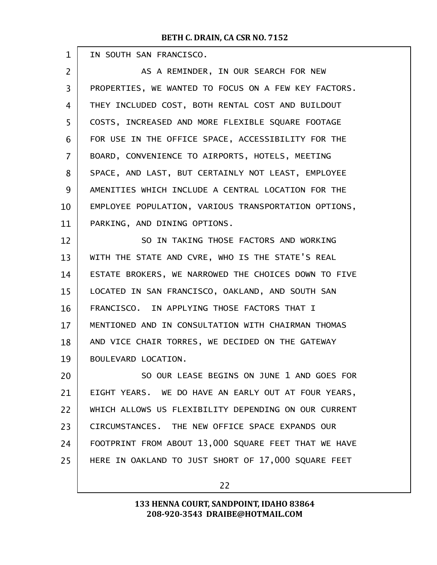г

| $\mathbf 1$    | IN SOUTH SAN FRANCISCO.                              |
|----------------|------------------------------------------------------|
| $\overline{2}$ | AS A REMINDER, IN OUR SEARCH FOR NEW                 |
| 3              | PROPERTIES, WE WANTED TO FOCUS ON A FEW KEY FACTORS. |
| $\overline{4}$ | THEY INCLUDED COST, BOTH RENTAL COST AND BUILDOUT    |
| 5              | COSTS, INCREASED AND MORE FLEXIBLE SQUARE FOOTAGE    |
| 6              | FOR USE IN THE OFFICE SPACE, ACCESSIBILITY FOR THE   |
| $\overline{7}$ | BOARD, CONVENIENCE TO AIRPORTS, HOTELS, MEETING      |
| 8              | SPACE, AND LAST, BUT CERTAINLY NOT LEAST, EMPLOYEE   |
| 9              | AMENITIES WHICH INCLUDE A CENTRAL LOCATION FOR THE   |
| 10             | EMPLOYEE POPULATION, VARIOUS TRANSPORTATION OPTIONS, |
| 11             | PARKING, AND DINING OPTIONS.                         |
| 12             | SO IN TAKING THOSE FACTORS AND WORKING               |
| 13             | WITH THE STATE AND CVRE, WHO IS THE STATE'S REAL     |
| 14             | ESTATE BROKERS, WE NARROWED THE CHOICES DOWN TO FIVE |
| 15             | LOCATED IN SAN FRANCISCO, OAKLAND, AND SOUTH SAN     |
| 16             | FRANCISCO. IN APPLYING THOSE FACTORS THAT I          |
| 17             | MENTIONED AND IN CONSULTATION WITH CHAIRMAN THOMAS   |
| 18             | AND VICE CHAIR TORRES, WE DECIDED ON THE GATEWAY     |
| 19             | BOULEVARD LOCATION.                                  |
| 20             | SO OUR LEASE BEGINS ON JUNE 1 AND GOES FOR           |
| 21             | EIGHT YEARS. WE DO HAVE AN EARLY OUT AT FOUR YEARS,  |
| 22             | WHICH ALLOWS US FLEXIBILITY DEPENDING ON OUR CURRENT |
| 23             | CIRCUMSTANCES. THE NEW OFFICE SPACE EXPANDS OUR      |
| 24             | FOOTPRINT FROM ABOUT 13,000 SQUARE FEET THAT WE HAVE |
| 25             | HERE IN OAKLAND TO JUST SHORT OF 17,000 SQUARE FEET  |
|                |                                                      |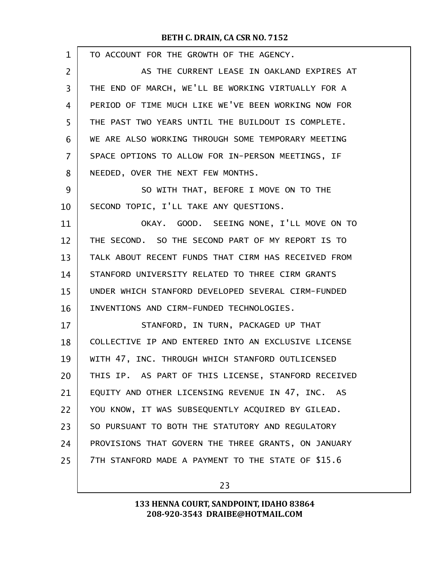| 1  | TO ACCOUNT FOR THE GROWTH OF THE AGENCY.            |
|----|-----------------------------------------------------|
| 2  | AS THE CURRENT LEASE IN OAKLAND EXPIRES AT          |
| 3  | THE END OF MARCH, WE'LL BE WORKING VIRTUALLY FOR A  |
| 4  | PERIOD OF TIME MUCH LIKE WE'VE BEEN WORKING NOW FOR |
| 5  | THE PAST TWO YEARS UNTIL THE BUILDOUT IS COMPLETE.  |
| 6  | WE ARE ALSO WORKING THROUGH SOME TEMPORARY MEETING  |
| 7  | SPACE OPTIONS TO ALLOW FOR IN-PERSON MEETINGS, IF   |
| 8  | NEEDED, OVER THE NEXT FEW MONTHS.                   |
| 9  | SO WITH THAT, BEFORE I MOVE ON TO THE               |
| 10 | SECOND TOPIC, I'LL TAKE ANY QUESTIONS.              |
| 11 | OKAY. GOOD. SEEING NONE, I'LL MOVE ON TO            |
| 12 | THE SECOND. SO THE SECOND PART OF MY REPORT IS TO   |
| 13 | TALK ABOUT RECENT FUNDS THAT CIRM HAS RECEIVED FROM |
| 14 | STANFORD UNIVERSITY RELATED TO THREE CIRM GRANTS    |
| 15 | UNDER WHICH STANFORD DEVELOPED SEVERAL CIRM-FUNDED  |
| 16 | INVENTIONS AND CIRM-FUNDED TECHNOLOGIES.            |
| 17 | STANFORD, IN TURN, PACKAGED UP THAT                 |
| 18 | COLLECTIVE IP AND ENTERED INTO AN EXCLUSIVE LICENSE |
| 19 | WITH 47, INC. THROUGH WHICH STANFORD OUTLICENSED    |
| 20 | THIS IP. AS PART OF THIS LICENSE, STANFORD RECEIVED |
| 21 | EQUITY AND OTHER LICENSING REVENUE IN 47, INC. AS   |
| 22 | YOU KNOW, IT WAS SUBSEQUENTLY ACQUIRED BY GILEAD.   |
| 23 | SO PURSUANT TO BOTH THE STATUTORY AND REGULATORY    |
| 24 | PROVISIONS THAT GOVERN THE THREE GRANTS, ON JANUARY |
| 25 | 7TH STANFORD MADE A PAYMENT TO THE STATE OF \$15.6  |
|    |                                                     |

23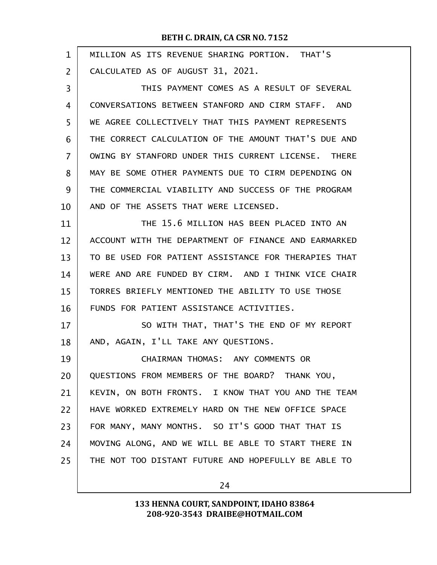| $\mathbf 1$ | MILLION AS ITS REVENUE SHARING PORTION. THAT'S       |
|-------------|------------------------------------------------------|
| 2           | CALCULATED AS OF AUGUST 31, 2021.                    |
| 3           | THIS PAYMENT COMES AS A RESULT OF SEVERAL            |
| 4           | CONVERSATIONS BETWEEN STANFORD AND CIRM STAFF. AND   |
| 5           | WE AGREE COLLECTIVELY THAT THIS PAYMENT REPRESENTS   |
| 6           | THE CORRECT CALCULATION OF THE AMOUNT THAT'S DUE AND |
| 7           | OWING BY STANFORD UNDER THIS CURRENT LICENSE. THERE  |
| 8           | MAY BE SOME OTHER PAYMENTS DUE TO CIRM DEPENDING ON  |
| 9           | THE COMMERCIAL VIABILITY AND SUCCESS OF THE PROGRAM  |
| 10          | AND OF THE ASSETS THAT WERE LICENSED.                |
| 11          | THE 15.6 MILLION HAS BEEN PLACED INTO AN             |
| 12          | ACCOUNT WITH THE DEPARTMENT OF FINANCE AND EARMARKED |
| 13          | TO BE USED FOR PATIENT ASSISTANCE FOR THERAPIES THAT |
| 14          | WERE AND ARE FUNDED BY CIRM. AND I THINK VICE CHAIR  |
| 15          | TORRES BRIEFLY MENTIONED THE ABILITY TO USE THOSE    |
| 16          | FUNDS FOR PATIENT ASSISTANCE ACTIVITIES.             |
| 17          | SO WITH THAT, THAT'S THE END OF MY REPORT            |
| 18          | AND, AGAIN, I'LL TAKE ANY QUESTIONS.                 |
| 19          | CHAIRMAN THOMAS: ANY COMMENTS OR                     |
| 20          | QUESTIONS FROM MEMBERS OF THE BOARD? THANK YOU,      |
| 21          | KEVIN, ON BOTH FRONTS. I KNOW THAT YOU AND THE TEAM  |
| 22          | HAVE WORKED EXTREMELY HARD ON THE NEW OFFICE SPACE   |
| 23          | FOR MANY, MANY MONTHS. SO IT'S GOOD THAT THAT IS     |
| 24          | MOVING ALONG, AND WE WILL BE ABLE TO START THERE IN  |
| 25          | THE NOT TOO DISTANT FUTURE AND HOPEFULLY BE ABLE TO  |
|             |                                                      |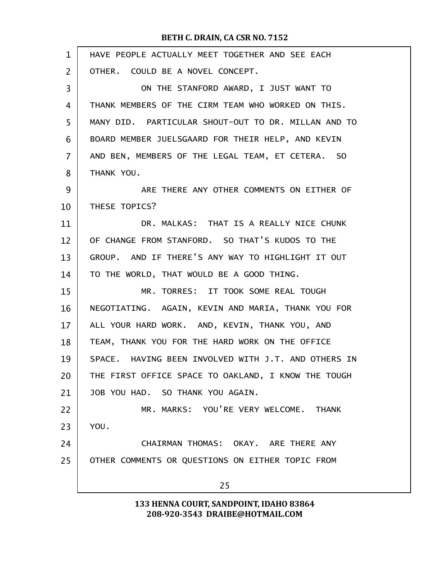| $\mathbf{1}$ | HAVE PEOPLE ACTUALLY MEET TOGETHER AND SEE EACH     |
|--------------|-----------------------------------------------------|
| 2            | OTHER. COULD BE A NOVEL CONCEPT.                    |
| 3            | ON THE STANFORD AWARD, I JUST WANT TO               |
| 4            | THANK MEMBERS OF THE CIRM TEAM WHO WORKED ON THIS.  |
| 5            | MANY DID. PARTICULAR SHOUT-OUT TO DR. MILLAN AND TO |
| 6            | BOARD MEMBER JUELSGAARD FOR THEIR HELP, AND KEVIN   |
| 7            | AND BEN, MEMBERS OF THE LEGAL TEAM, ET CETERA. SO   |
| 8            | THANK YOU.                                          |
| 9            | ARE THERE ANY OTHER COMMENTS ON EITHER OF           |
| 10           | THESE TOPICS?                                       |
| 11           | DR. MALKAS: THAT IS A REALLY NICE CHUNK             |
| 12           | OF CHANGE FROM STANFORD. SO THAT'S KUDOS TO THE     |
| 13           | GROUP. AND IF THERE'S ANY WAY TO HIGHLIGHT IT OUT   |
| 14           | TO THE WORLD, THAT WOULD BE A GOOD THING.           |
| 15           | MR. TORRES: IT TOOK SOME REAL TOUGH                 |
| 16           | NEGOTIATING. AGAIN, KEVIN AND MARIA, THANK YOU FOR  |
| 17           | ALL YOUR HARD WORK. AND, KEVIN, THANK YOU, AND      |
| 18           | TEAM, THANK YOU FOR THE HARD WORK ON THE OFFICE     |
| 19           | SPACE. HAVING BEEN INVOLVED WITH J.T. AND OTHERS IN |
| 20           | THE FIRST OFFICE SPACE TO OAKLAND, I KNOW THE TOUGH |
| 21           | JOB YOU HAD. SO THANK YOU AGAIN.                    |
| 22           | MR. MARKS: YOU'RE VERY WELCOME. THANK               |
| 23           | YOU.                                                |
| 24           | CHAIRMAN THOMAS: OKAY. ARE THERE ANY                |
| 25           | OTHER COMMENTS OR QUESTIONS ON EITHER TOPIC FROM    |
|              | 25                                                  |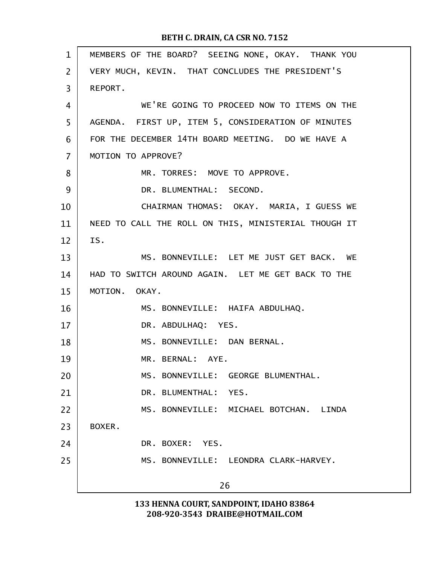| MEMBERS OF THE BOARD? SEEING NONE, OKAY. THANK YOU   |
|------------------------------------------------------|
| VERY MUCH, KEVIN. THAT CONCLUDES THE PRESIDENT'S     |
| REPORT.                                              |
| WE'RE GOING TO PROCEED NOW TO ITEMS ON THE           |
| AGENDA. FIRST UP, ITEM 5, CONSIDERATION OF MINUTES   |
| FOR THE DECEMBER 14TH BOARD MEETING. DO WE HAVE A    |
| MOTION TO APPROVE?                                   |
| MR. TORRES: MOVE TO APPROVE.                         |
| DR. BLUMENTHAL: SECOND.                              |
| CHAIRMAN THOMAS: OKAY. MARIA, I GUESS WE             |
| NEED TO CALL THE ROLL ON THIS, MINISTERIAL THOUGH IT |
| IS.                                                  |
| MS. BONNEVILLE: LET ME JUST GET BACK. WE             |
| HAD TO SWITCH AROUND AGAIN. LET ME GET BACK TO THE   |
| MOTION. OKAY.                                        |
| MS. BONNEVILLE: HAIFA ABDULHAQ.                      |
| DR. ABDULHAQ: YES.                                   |
| MS. BONNEVILLE: DAN BERNAL.                          |
| MR. BERNAL: AYE.                                     |
| MS. BONNEVILLE: GEORGE BLUMENTHAL.                   |
| DR. BLUMENTHAL: YES.                                 |
| MS. BONNEVILLE: MICHAEL BOTCHAN. LINDA               |
| BOXER.                                               |
| DR. BOXER: YES.                                      |
|                                                      |
| MS. BONNEVILLE: LEONDRA CLARK-HARVEY.                |
|                                                      |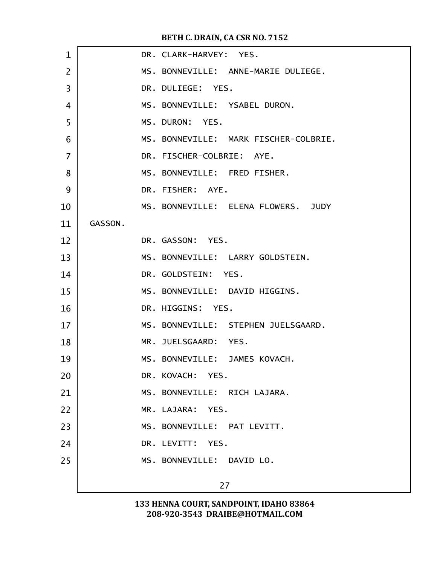| $\mathbf 1$    |         | DR. CLARK-HARVEY: YES.                |
|----------------|---------|---------------------------------------|
| $\overline{2}$ |         | MS. BONNEVILLE: ANNE-MARIE DULIEGE.   |
| 3              |         | DR. DULIEGE: YES.                     |
| 4              |         | MS. BONNEVILLE: YSABEL DURON.         |
| 5              |         | MS. DURON: YES.                       |
| 6              |         | MS. BONNEVILLE: MARK FISCHER-COLBRIE. |
| $\overline{7}$ |         | DR. FISCHER-COLBRIE: AYE.             |
| 8              |         | MS. BONNEVILLE: FRED FISHER.          |
| 9              |         | DR. FISHER: AYE.                      |
| 10             |         | MS. BONNEVILLE: ELENA FLOWERS. JUDY   |
| 11             | GASSON. |                                       |
| 12             |         | DR. GASSON: YES.                      |
| 13             |         | MS. BONNEVILLE: LARRY GOLDSTEIN.      |
| 14             |         | DR. GOLDSTEIN: YES.                   |
| 15             |         | MS. BONNEVILLE: DAVID HIGGINS.        |
| 16             |         | DR. HIGGINS: YES.                     |
| 17             |         | MS. BONNEVILLE: STEPHEN JUELSGAARD.   |
| 18             |         | MR. JUELSGAARD: YES.                  |
| 19             |         | MS. BONNEVILLE: JAMES KOVACH.         |
| 20             |         | DR. KOVACH: YES.                      |
| 21             |         | MS. BONNEVILLE: RICH LAJARA.          |
| 22             |         | MR. LAJARA: YES.                      |
| 23             |         | MS. BONNEVILLE: PAT LEVITT.           |
| 24             |         | DR. LEVITT: YES.                      |
| 25             |         | MS. BONNEVILLE: DAVID LO.             |
|                |         | 27                                    |
|                |         |                                       |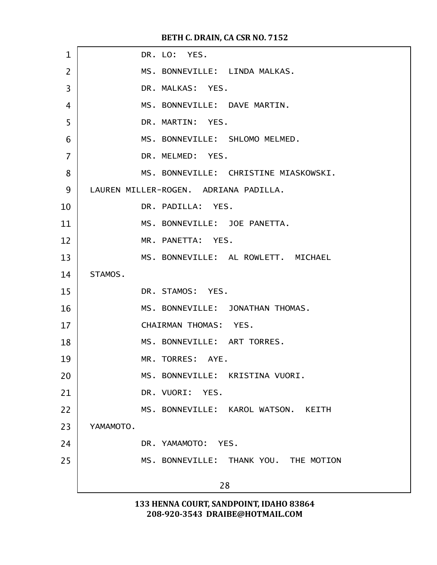| $\mathbf 1$    | DR. LO: YES.                          |
|----------------|---------------------------------------|
| $\overline{2}$ | MS. BONNEVILLE: LINDA MALKAS.         |
| 3              | DR. MALKAS: YES.                      |
| 4              | MS. BONNEVILLE: DAVE MARTIN.          |
| 5              | DR. MARTIN: YES.                      |
| 6              | MS. BONNEVILLE: SHLOMO MELMED.        |
| 7              | DR. MELMED: YES.                      |
| 8              | MS. BONNEVILLE: CHRISTINE MIASKOWSKI. |
| 9              | LAUREN MILLER-ROGEN. ADRIANA PADILLA. |
| 10             | DR. PADILLA: YES.                     |
| 11             | MS. BONNEVILLE: JOE PANETTA.          |
| 12             | MR. PANETTA: YES.                     |
| 13             | MS. BONNEVILLE: AL ROWLETT. MICHAEL   |
| 14             | STAMOS.                               |
| 15             | DR. STAMOS: YES.                      |
| 16             | MS. BONNEVILLE: JONATHAN THOMAS.      |
| 17             | CHAIRMAN THOMAS: YES.                 |
| 18             | MS. BONNEVILLE: ART TORRES.           |
| 19             | MR. TORRES: AYE.                      |
| 20             | MS. BONNEVILLE: KRISTINA VUORI.       |
| 21             | DR. VUORI: YES.                       |
| 22             | MS. BONNEVILLE: KAROL WATSON. KEITH   |
| 23             | YAMAMOTO.                             |
| 24             | DR. YAMAMOTO: YES.                    |
| 25             | MS. BONNEVILLE: THANK YOU. THE MOTION |
|                | 28                                    |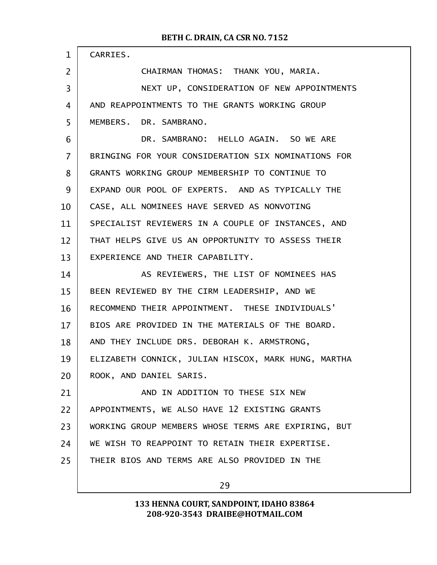| $\mathbf{1}$   | CARRIES.                                            |
|----------------|-----------------------------------------------------|
| 2              | CHAIRMAN THOMAS: THANK YOU, MARIA.                  |
| 3              | NEXT UP, CONSIDERATION OF NEW APPOINTMENTS          |
| 4              | AND REAPPOINTMENTS TO THE GRANTS WORKING GROUP      |
| 5              | MEMBERS. DR. SAMBRANO.                              |
| 6              | DR. SAMBRANO: HELLO AGAIN. SO WE ARE                |
| $\overline{7}$ | BRINGING FOR YOUR CONSIDERATION SIX NOMINATIONS FOR |
| 8              | GRANTS WORKING GROUP MEMBERSHIP TO CONTINUE TO      |
| 9              | EXPAND OUR POOL OF EXPERTS. AND AS TYPICALLY THE    |
| 10             | CASE, ALL NOMINEES HAVE SERVED AS NONVOTING         |
| 11             | SPECIALIST REVIEWERS IN A COUPLE OF INSTANCES, AND  |
| 12             | THAT HELPS GIVE US AN OPPORTUNITY TO ASSESS THEIR   |
| 13             | EXPERIENCE AND THEIR CAPABILITY.                    |
| 14             | AS REVIEWERS, THE LIST OF NOMINEES HAS              |
| 15             | BEEN REVIEWED BY THE CIRM LEADERSHIP, AND WE        |
| 16             | RECOMMEND THEIR APPOINTMENT. THESE INDIVIDUALS'     |
| 17             | BIOS ARE PROVIDED IN THE MATERIALS OF THE BOARD.    |
| 18             | AND THEY INCLUDE DRS. DEBORAH K. ARMSTRONG,         |
| 19             | ELIZABETH CONNICK, JULIAN HISCOX, MARK HUNG, MARTHA |
| 20             | ROOK, AND DANIEL SARIS.                             |
| 21             | AND IN ADDITION TO THESE SIX NEW                    |
| 22             | APPOINTMENTS, WE ALSO HAVE 12 EXISTING GRANTS       |
| 23             | WORKING GROUP MEMBERS WHOSE TERMS ARE EXPIRING, BUT |
| 24             | WE WISH TO REAPPOINT TO RETAIN THEIR EXPERTISE.     |
| 25             | THEIR BIOS AND TERMS ARE ALSO PROVIDED IN THE       |
|                |                                                     |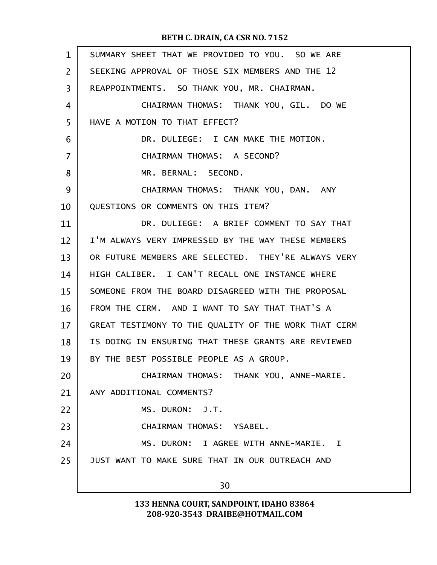| $\mathbf{1}$   | SUMMARY SHEET THAT WE PROVIDED TO YOU. SO WE ARE     |
|----------------|------------------------------------------------------|
| $\overline{2}$ | SEEKING APPROVAL OF THOSE SIX MEMBERS AND THE 12     |
| $\overline{3}$ | REAPPOINTMENTS. SO THANK YOU, MR. CHAIRMAN.          |
| 4              | CHAIRMAN THOMAS: THANK YOU, GIL. DO WE               |
| 5              | HAVE A MOTION TO THAT EFFECT?                        |
| 6              | DR. DULIEGE: I CAN MAKE THE MOTION.                  |
| $\overline{7}$ | CHAIRMAN THOMAS: A SECOND?                           |
| 8              | MR. BERNAL: SECOND.                                  |
| 9              | CHAIRMAN THOMAS: THANK YOU, DAN. ANY                 |
| 10             | QUESTIONS OR COMMENTS ON THIS ITEM?                  |
| 11             | DR. DULIEGE: A BRIEF COMMENT TO SAY THAT             |
| 12             | I'M ALWAYS VERY IMPRESSED BY THE WAY THESE MEMBERS   |
| 13             | OR FUTURE MEMBERS ARE SELECTED. THEY'RE ALWAYS VERY  |
| 14             | HIGH CALIBER. I CAN'T RECALL ONE INSTANCE WHERE      |
| 15             | SOMEONE FROM THE BOARD DISAGREED WITH THE PROPOSAL   |
| 16             | FROM THE CIRM. AND I WANT TO SAY THAT THAT'S A       |
| 17             | GREAT TESTIMONY TO THE QUALITY OF THE WORK THAT CIRM |
| 18             | IS DOING IN ENSURING THAT THESE GRANTS ARE REVIEWED  |
| 19             | BY THE BEST POSSIBLE PEOPLE AS A GROUP.              |
| 20             | CHAIRMAN THOMAS: THANK YOU, ANNE-MARIE.              |
| 21             | ANY ADDITIONAL COMMENTS?                             |
| 22             | MS. DURON: J.T.                                      |
| 23             | CHAIRMAN THOMAS: YSABEL.                             |
| 24             | MS. DURON: I AGREE WITH ANNE-MARIE. I                |
| 25             | JUST WANT TO MAKE SURE THAT IN OUR OUTREACH AND      |
|                | 30                                                   |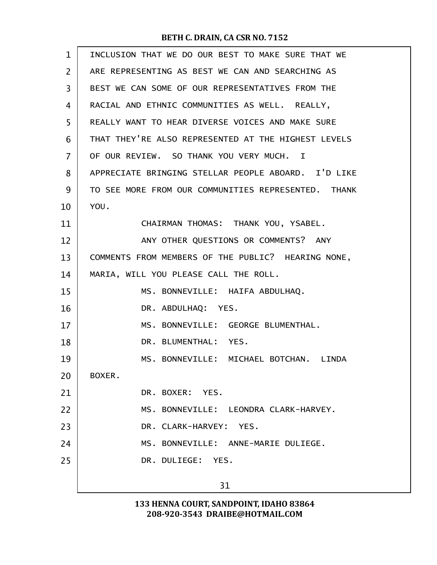| $\mathbf{1}$   | INCLUSION THAT WE DO OUR BEST TO MAKE SURE THAT WE  |
|----------------|-----------------------------------------------------|
| $\overline{2}$ | ARE REPRESENTING AS BEST WE CAN AND SEARCHING AS    |
| 3              | BEST WE CAN SOME OF OUR REPRESENTATIVES FROM THE    |
| 4              | RACIAL AND ETHNIC COMMUNITIES AS WELL. REALLY,      |
| 5              | REALLY WANT TO HEAR DIVERSE VOICES AND MAKE SURE    |
| 6              | THAT THEY'RE ALSO REPRESENTED AT THE HIGHEST LEVELS |
| 7              | OF OUR REVIEW. SO THANK YOU VERY MUCH. I            |
| 8              | APPRECIATE BRINGING STELLAR PEOPLE ABOARD. I'D LIKE |
| 9              | TO SEE MORE FROM OUR COMMUNITIES REPRESENTED. THANK |
| 10             | YOU.                                                |
| 11             | CHAIRMAN THOMAS: THANK YOU, YSABEL.                 |
| 12             | ANY OTHER QUESTIONS OR COMMENTS? ANY                |
| 13             | COMMENTS FROM MEMBERS OF THE PUBLIC? HEARING NONE,  |
| 14             | MARIA, WILL YOU PLEASE CALL THE ROLL.               |
| 15             | MS. BONNEVILLE: HAIFA ABDULHAQ.                     |
| 16             | DR. ABDULHAQ: YES.                                  |
| 17             | MS. BONNEVILLE: GEORGE BLUMENTHAL.                  |
| 18             | DR. BLUMENTHAL: YES.                                |
| 19             | MS. BONNEVILLE: MICHAEL BOTCHAN. LINDA              |
| 20             | BOXER.                                              |
| 21             | DR. BOXER: YES.                                     |
| 22             | MS. BONNEVILLE: LEONDRA CLARK-HARVEY.               |
| 23             | DR. CLARK-HARVEY: YES.                              |
| 24             | MS. BONNEVILLE: ANNE-MARIE DULIEGE.                 |
| 25             | DR. DULIEGE: YES.                                   |
|                | 31                                                  |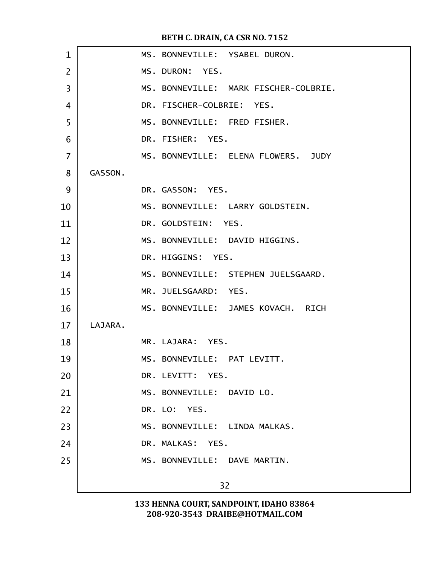| $\mathbf{1}$   |         | MS. BONNEVILLE: YSABEL DURON.         |
|----------------|---------|---------------------------------------|
| $\overline{2}$ |         | MS. DURON: YES.                       |
| $\overline{3}$ |         | MS. BONNEVILLE: MARK FISCHER-COLBRIE. |
| 4              |         | DR. FISCHER-COLBRIE: YES.             |
| 5              |         | MS. BONNEVILLE: FRED FISHER.          |
| 6              |         | DR. FISHER: YES.                      |
| $\overline{7}$ |         | MS. BONNEVILLE: ELENA FLOWERS. JUDY   |
| 8              | GASSON. |                                       |
| 9              |         | DR. GASSON: YES.                      |
| 10             |         | MS. BONNEVILLE: LARRY GOLDSTEIN.      |
| 11             |         | DR. GOLDSTEIN: YES.                   |
| 12             |         | MS. BONNEVILLE: DAVID HIGGINS.        |
| 13             |         | DR. HIGGINS: YES.                     |
| 14             |         | MS. BONNEVILLE: STEPHEN JUELSGAARD.   |
| 15             |         | MR. JUELSGAARD: YES.                  |
| 16             |         | MS. BONNEVILLE: JAMES KOVACH. RICH    |
| 17             | LAJARA. |                                       |
| 18             |         | MR. LAJARA: YES.                      |
| 19             |         | MS. BONNEVILLE: PAT LEVITT.           |
| 20             |         | DR. LEVITT: YES.                      |
| 21             |         | MS. BONNEVILLE: DAVID LO.             |
| 22             |         | DR. LO: YES.                          |
| 23             |         | MS. BONNEVILLE: LINDA MALKAS.         |
| 24             |         | DR. MALKAS: YES.                      |
| 25             |         | MS. BONNEVILLE: DAVE MARTIN.          |
|                |         | 32                                    |
|                |         |                                       |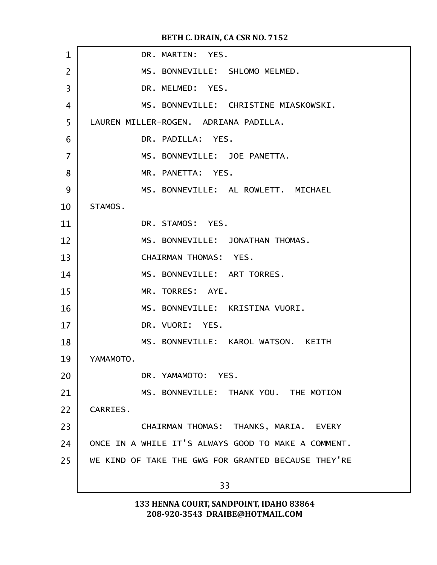| $\mathbf{1}$ | DR. MARTIN: YES.                                    |
|--------------|-----------------------------------------------------|
| 2            | MS. BONNEVILLE: SHLOMO MELMED.                      |
| 3            | DR. MELMED: YES.                                    |
| 4            | MS. BONNEVILLE: CHRISTINE MIASKOWSKI.               |
| 5            | LAUREN MILLER-ROGEN. ADRIANA PADILLA.               |
| 6            | DR. PADILLA: YES.                                   |
| 7            | MS. BONNEVILLE: JOE PANETTA.                        |
| 8            | MR. PANETTA: YES.                                   |
| 9            | MS. BONNEVILLE: AL ROWLETT. MICHAEL                 |
| 10           | STAMOS.                                             |
| 11           | DR. STAMOS: YES.                                    |
| 12           | MS. BONNEVILLE: JONATHAN THOMAS.                    |
| 13           | CHAIRMAN THOMAS: YES.                               |
| 14           | MS. BONNEVILLE: ART TORRES.                         |
| 15           | MR. TORRES: AYE.                                    |
| 16           | MS. BONNEVILLE: KRISTINA VUORI.                     |
| 17           | DR. VUORI: YES.                                     |
| 18           | MS. BONNEVILLE: KAROL WATSON. KEITH                 |
| 19           | YAMAMOTO.                                           |
| 20           | DR. YAMAMOTO: YES.                                  |
| 21           | MS. BONNEVILLE: THANK YOU. THE MOTION               |
| 22           | CARRIES.                                            |
| 23           | CHAIRMAN THOMAS: THANKS, MARIA. EVERY               |
| 24           | ONCE IN A WHILE IT'S ALWAYS GOOD TO MAKE A COMMENT. |
| 25           | WE KIND OF TAKE THE GWG FOR GRANTED BECAUSE THEY'RE |
|              | 33                                                  |
|              |                                                     |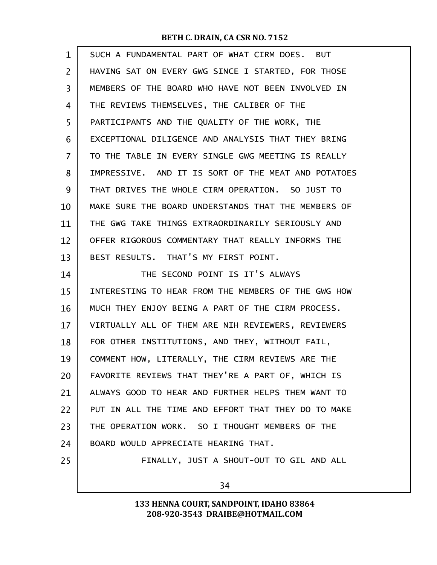| $\mathbf{1}$   | SUCH A FUNDAMENTAL PART OF WHAT CIRM DOES. BUT      |
|----------------|-----------------------------------------------------|
| $\overline{2}$ | HAVING SAT ON EVERY GWG SINCE I STARTED, FOR THOSE  |
| 3              | MEMBERS OF THE BOARD WHO HAVE NOT BEEN INVOLVED IN  |
| 4              | THE REVIEWS THEMSELVES, THE CALIBER OF THE          |
| 5              | PARTICIPANTS AND THE QUALITY OF THE WORK, THE       |
| 6              | EXCEPTIONAL DILIGENCE AND ANALYSIS THAT THEY BRING  |
| $\overline{7}$ | TO THE TABLE IN EVERY SINGLE GWG MEETING IS REALLY  |
| 8              | IMPRESSIVE. AND IT IS SORT OF THE MEAT AND POTATOES |
| 9              | THAT DRIVES THE WHOLE CIRM OPERATION. SO JUST TO    |
| 10             | MAKE SURE THE BOARD UNDERSTANDS THAT THE MEMBERS OF |
| 11             | THE GWG TAKE THINGS EXTRAORDINARILY SERIOUSLY AND   |
| 12             | OFFER RIGOROUS COMMENTARY THAT REALLY INFORMS THE   |
| 13             | BEST RESULTS. THAT'S MY FIRST POINT.                |
| 14             | THE SECOND POINT IS IT'S ALWAYS                     |
| 15             | INTERESTING TO HEAR FROM THE MEMBERS OF THE GWG HOW |
| 16             | MUCH THEY ENJOY BEING A PART OF THE CIRM PROCESS.   |
| 17             | VIRTUALLY ALL OF THEM ARE NIH REVIEWERS, REVIEWERS  |
| 18             | FOR OTHER INSTITUTIONS, AND THEY, WITHOUT FAIL,     |
| 19             | COMMENT HOW, LITERALLY, THE CIRM REVIEWS ARE THE    |
| 20             | FAVORITE REVIEWS THAT THEY'RE A PART OF, WHICH IS   |
| 21             | ALWAYS GOOD TO HEAR AND FURTHER HELPS THEM WANT TO  |
| 22             | PUT IN ALL THE TIME AND EFFORT THAT THEY DO TO MAKE |
| 23             | THE OPERATION WORK. SO I THOUGHT MEMBERS OF THE     |
| 24             | BOARD WOULD APPRECIATE HEARING THAT.                |
| 25             | FINALLY, JUST A SHOUT-OUT TO GIL AND ALL            |
|                | 34                                                  |
|                |                                                     |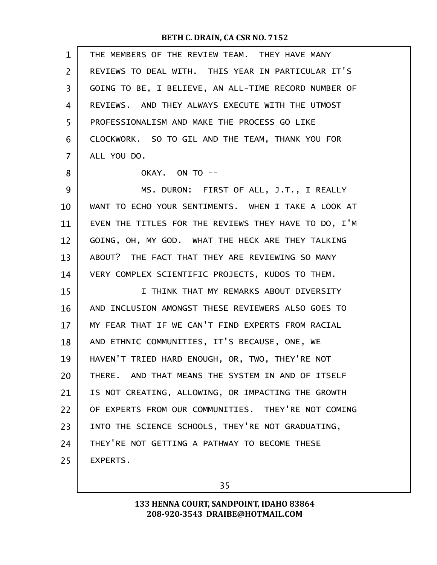| $\mathbf{1}$ | THE MEMBERS OF THE REVIEW TEAM. THEY HAVE MANY       |
|--------------|------------------------------------------------------|
| 2            | REVIEWS TO DEAL WITH. THIS YEAR IN PARTICULAR IT'S   |
| 3            | GOING TO BE, I BELIEVE, AN ALL-TIME RECORD NUMBER OF |
| 4            | REVIEWS. AND THEY ALWAYS EXECUTE WITH THE UTMOST     |
| 5            | PROFESSIONALISM AND MAKE THE PROCESS GO LIKE         |
| 6            | CLOCKWORK. SO TO GIL AND THE TEAM, THANK YOU FOR     |
| 7            | ALL YOU DO.                                          |
| 8            | OKAY. ON TO --                                       |
| 9            | MS. DURON: FIRST OF ALL, J.T., I REALLY              |
| 10           | WANT TO ECHO YOUR SENTIMENTS. WHEN I TAKE A LOOK AT  |
| 11           | EVEN THE TITLES FOR THE REVIEWS THEY HAVE TO DO, I'M |
| 12           | GOING, OH, MY GOD. WHAT THE HECK ARE THEY TALKING    |
| 13           | ABOUT? THE FACT THAT THEY ARE REVIEWING SO MANY      |
| 14           | VERY COMPLEX SCIENTIFIC PROJECTS, KUDOS TO THEM.     |
| 15           | I THINK THAT MY REMARKS ABOUT DIVERSITY              |
| 16           | AND INCLUSION AMONGST THESE REVIEWERS ALSO GOES TO   |
| 17           | MY FEAR THAT IF WE CAN'T FIND EXPERTS FROM RACIAL    |
| 18           | AND ETHNIC COMMUNITIES, IT'S BECAUSE, ONE, WE        |
| 19           | HAVEN'T TRIED HARD ENOUGH, OR, TWO, THEY'RE NOT      |
| 20           | THERE. AND THAT MEANS THE SYSTEM IN AND OF ITSELF    |
| 21           | IS NOT CREATING, ALLOWING, OR IMPACTING THE GROWTH   |
| 22           | OF EXPERTS FROM OUR COMMUNITIES. THEY'RE NOT COMING  |
| 23           | INTO THE SCIENCE SCHOOLS, THEY'RE NOT GRADUATING,    |
| 24           | THEY'RE NOT GETTING A PATHWAY TO BECOME THESE        |
| 25           | EXPERTS.                                             |
|              |                                                      |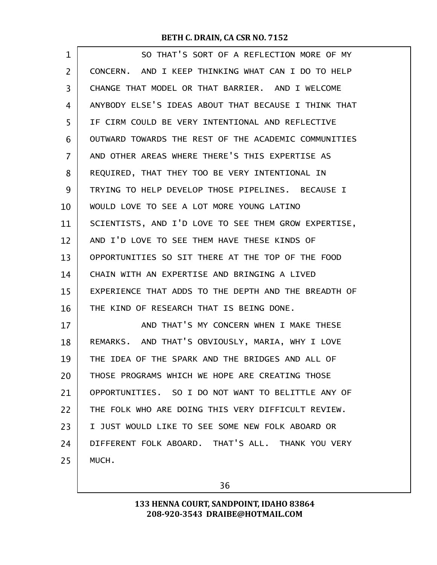| $\mathbf 1$    | SO THAT'S SORT OF A REFLECTION MORE OF MY            |
|----------------|------------------------------------------------------|
| $\overline{2}$ | CONCERN. AND I KEEP THINKING WHAT CAN I DO TO HELP   |
| 3              | CHANGE THAT MODEL OR THAT BARRIER. AND I WELCOME     |
| 4              | ANYBODY ELSE'S IDEAS ABOUT THAT BECAUSE I THINK THAT |
| 5              | IF CIRM COULD BE VERY INTENTIONAL AND REFLECTIVE     |
| 6              | OUTWARD TOWARDS THE REST OF THE ACADEMIC COMMUNITIES |
| 7              | AND OTHER AREAS WHERE THERE'S THIS EXPERTISE AS      |
| 8              | REQUIRED, THAT THEY TOO BE VERY INTENTIONAL IN       |
| 9              | TRYING TO HELP DEVELOP THOSE PIPELINES. BECAUSE I    |
| 10             | WOULD LOVE TO SEE A LOT MORE YOUNG LATINO            |
| 11             | SCIENTISTS, AND I'D LOVE TO SEE THEM GROW EXPERTISE, |
| 12             | AND I'D LOVE TO SEE THEM HAVE THESE KINDS OF         |
| 13             | OPPORTUNITIES SO SIT THERE AT THE TOP OF THE FOOD    |
| 14             | CHAIN WITH AN EXPERTISE AND BRINGING A LIVED         |
| 15             | EXPERIENCE THAT ADDS TO THE DEPTH AND THE BREADTH OF |
| 16             | THE KIND OF RESEARCH THAT IS BEING DONE.             |
| 17             | AND THAT'S MY CONCERN WHEN I MAKE THESE              |
| 18             | REMARKS. AND THAT'S OBVIOUSLY, MARIA, WHY I LOVE     |
| 19             | THE IDEA OF THE SPARK AND THE BRIDGES AND ALL OF     |
| 20             | THOSE PROGRAMS WHICH WE HOPE ARE CREATING THOSE      |
| 21             | OPPORTUNITIES. SO I DO NOT WANT TO BELITTLE ANY OF   |
| 22             | THE FOLK WHO ARE DOING THIS VERY DIFFICULT REVIEW.   |
| 23             | I JUST WOULD LIKE TO SEE SOME NEW FOLK ABOARD OR     |
| 24             | DIFFERENT FOLK ABOARD. THAT'S ALL. THANK YOU VERY    |
| 25             | MUCH.                                                |

36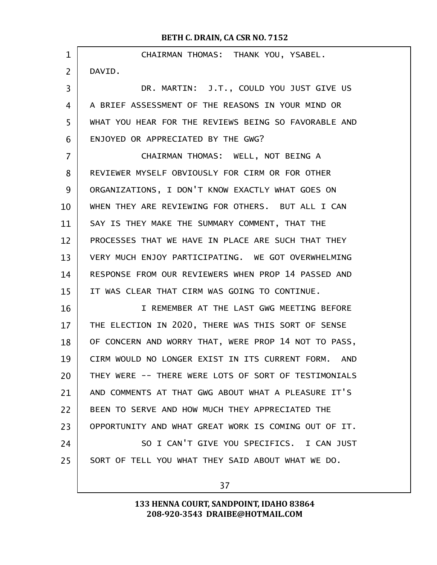CHAIRMAN THOMAS: THANK YOU, YSABEL. DAVID. DR. MARTIN: J.T., COULD YOU JUST GIVE US A BRIEF ASSESSMENT OF THE REASONS IN YOUR MIND OR WHAT YOU HEAR FOR THE REVIEWS BEING SO FAVORABLE AND ENJOYED OR APPRECIATED BY THE GWG? CHAIRMAN THOMAS: WELL, NOT BEING A REVIEWER MYSELF OBVIOUSLY FOR CIRM OR FOR OTHER ORGANIZATIONS, I DON'T KNOW EXACTLY WHAT GOES ON WHEN THEY ARE REVIEWING FOR OTHERS. BUT ALL I CAN SAY IS THEY MAKE THE SUMMARY COMMENT, THAT THE PROCESSES THAT WE HAVE IN PLACE ARE SUCH THAT THEY VERY MUCH ENJOY PARTICIPATING. WE GOT OVERWHELMING RESPONSE FROM OUR REVIEWERS WHEN PROP 14 PASSED AND IT WAS CLEAR THAT CIRM WAS GOING TO CONTINUE. I REMEMBER AT THE LAST GWG MEETING BEFORE THE ELECTION IN 2020, THERE WAS THIS SORT OF SENSE OF CONCERN AND WORRY THAT, WERE PROP 14 NOT TO PASS, CIRM WOULD NO LONGER EXIST IN ITS CURRENT FORM. AND THEY WERE -- THERE WERE LOTS OF SORT OF TESTIMONIALS AND COMMENTS AT THAT GWG ABOUT WHAT A PLEASURE IT'S BEEN TO SERVE AND HOW MUCH THEY APPRECIATED THE OPPORTUNITY AND WHAT GREAT WORK IS COMING OUT OF IT. SO I CAN'T GIVE YOU SPECIFICS. I CAN JUST SORT OF TELL YOU WHAT THEY SAID ABOUT WHAT WE DO. 1 2 3 4 5 6 7 8  $\mathbf{q}$ 10 11 12 13 14 15 16 17 18 19 20 21 22 23 24 25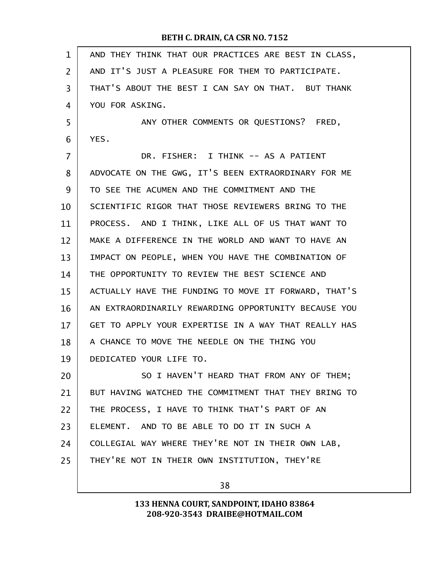| $\mathbf{1}$   | AND THEY THINK THAT OUR PRACTICES ARE BEST IN CLASS, |
|----------------|------------------------------------------------------|
| $\overline{2}$ | AND IT'S JUST A PLEASURE FOR THEM TO PARTICIPATE.    |
| 3              | THAT'S ABOUT THE BEST I CAN SAY ON THAT. BUT THANK   |
| 4              | YOU FOR ASKING.                                      |
| 5              | ANY OTHER COMMENTS OR QUESTIONS? FRED,               |
| 6              | YES.                                                 |
| 7              | DR. FISHER: I THINK -- AS A PATIENT                  |
| 8              | ADVOCATE ON THE GWG, IT'S BEEN EXTRAORDINARY FOR ME  |
| 9              | TO SEE THE ACUMEN AND THE COMMITMENT AND THE         |
| 10             | SCIENTIFIC RIGOR THAT THOSE REVIEWERS BRING TO THE   |
| 11             | PROCESS. AND I THINK, LIKE ALL OF US THAT WANT TO    |
| 12             | MAKE A DIFFERENCE IN THE WORLD AND WANT TO HAVE AN   |
| 13             | IMPACT ON PEOPLE, WHEN YOU HAVE THE COMBINATION OF   |
| 14             | THE OPPORTUNITY TO REVIEW THE BEST SCIENCE AND       |
| 15             | ACTUALLY HAVE THE FUNDING TO MOVE IT FORWARD, THAT'S |
| 16             | AN EXTRAORDINARILY REWARDING OPPORTUNITY BECAUSE YOU |
| 17             | GET TO APPLY YOUR EXPERTISE IN A WAY THAT REALLY HAS |
| 18             | A CHANCE TO MOVE THE NEEDLE ON THE THING YOU         |
| 19             | DEDICATED YOUR LIFE TO.                              |
| 20             | SO I HAVEN'T HEARD THAT FROM ANY OF THEM;            |
| 21             | BUT HAVING WATCHED THE COMMITMENT THAT THEY BRING TO |
| 22             | THE PROCESS, I HAVE TO THINK THAT'S PART OF AN       |
| 23             | ELEMENT. AND TO BE ABLE TO DO IT IN SUCH A           |
| 24             | COLLEGIAL WAY WHERE THEY'RE NOT IN THEIR OWN LAB,    |
| 25             | THEY'RE NOT IN THEIR OWN INSTITUTION, THEY'RE        |
|                |                                                      |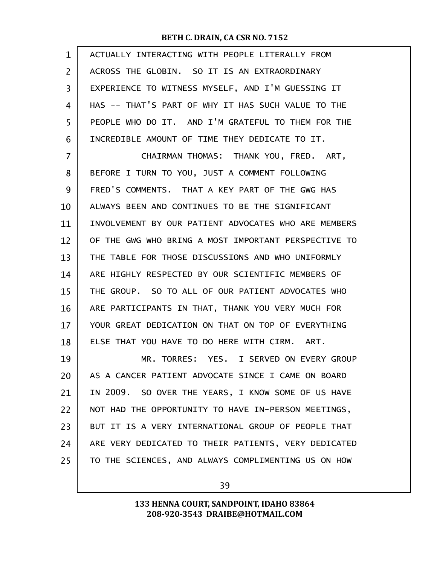| $\mathbf 1$ | ACTUALLY INTERACTING WITH PEOPLE LITERALLY FROM      |
|-------------|------------------------------------------------------|
| 2           | ACROSS THE GLOBIN. SO IT IS AN EXTRAORDINARY         |
| 3           | EXPERIENCE TO WITNESS MYSELF, AND I'M GUESSING IT    |
| 4           | HAS -- THAT'S PART OF WHY IT HAS SUCH VALUE TO THE   |
| 5           | PEOPLE WHO DO IT. AND I'M GRATEFUL TO THEM FOR THE   |
| 6           | INCREDIBLE AMOUNT OF TIME THEY DEDICATE TO IT.       |
| 7           | CHAIRMAN THOMAS: THANK YOU, FRED. ART,               |
| 8           | BEFORE I TURN TO YOU, JUST A COMMENT FOLLOWING       |
| 9           | FRED'S COMMENTS. THAT A KEY PART OF THE GWG HAS      |
| 10          | ALWAYS BEEN AND CONTINUES TO BE THE SIGNIFICANT      |
| 11          | INVOLVEMENT BY OUR PATIENT ADVOCATES WHO ARE MEMBERS |
| 12          | OF THE GWG WHO BRING A MOST IMPORTANT PERSPECTIVE TO |
| 13          | THE TABLE FOR THOSE DISCUSSIONS AND WHO UNIFORMLY    |
| 14          | ARE HIGHLY RESPECTED BY OUR SCIENTIFIC MEMBERS OF    |
| 15          | THE GROUP. SO TO ALL OF OUR PATIENT ADVOCATES WHO    |
| 16          | ARE PARTICIPANTS IN THAT, THANK YOU VERY MUCH FOR    |
| 17          | YOUR GREAT DEDICATION ON THAT ON TOP OF EVERYTHING   |
| 18          | ELSE THAT YOU HAVE TO DO HERE WITH CIRM. ART.        |
| 19          | MR. TORRES: YES. I SERVED ON EVERY GROUP             |
| 20          | AS A CANCER PATIENT ADVOCATE SINCE I CAME ON BOARD   |
| 21          | IN 2009. SO OVER THE YEARS, I KNOW SOME OF US HAVE   |
| 22          | NOT HAD THE OPPORTUNITY TO HAVE IN-PERSON MEETINGS,  |
| 23          | BUT IT IS A VERY INTERNATIONAL GROUP OF PEOPLE THAT  |
| 24          | ARE VERY DEDICATED TO THEIR PATIENTS, VERY DEDICATED |
| 25          | TO THE SCIENCES, AND ALWAYS COMPLIMENTING US ON HOW  |
|             |                                                      |

39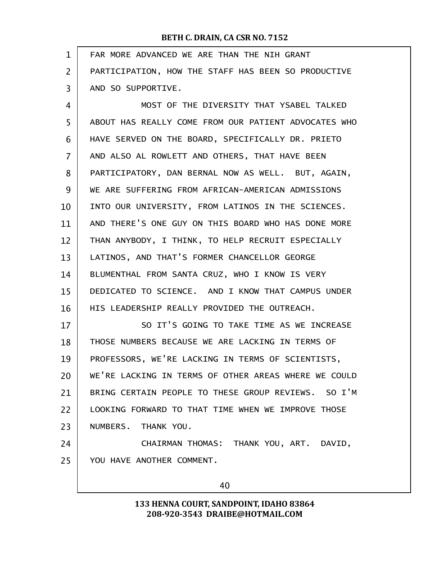| PARTICIPATION, HOW THE STAFF HAS BEEN SO PRODUCTIVE<br>MOST OF THE DIVERSITY THAT YSABEL TALKED |
|-------------------------------------------------------------------------------------------------|
|                                                                                                 |
|                                                                                                 |
|                                                                                                 |
| ABOUT HAS REALLY COME FROM OUR PATIENT ADVOCATES WHO                                            |
| HAVE SERVED ON THE BOARD, SPECIFICALLY DR. PRIETO                                               |
| AND ALSO AL ROWLETT AND OTHERS, THAT HAVE BEEN                                                  |
| PARTICIPATORY, DAN BERNAL NOW AS WELL. BUT, AGAIN,                                              |
| WE ARE SUFFERING FROM AFRICAN-AMERICAN ADMISSIONS                                               |
| INTO OUR UNIVERSITY, FROM LATINOS IN THE SCIENCES.                                              |
| AND THERE'S ONE GUY ON THIS BOARD WHO HAS DONE MORE                                             |
| THAN ANYBODY, I THINK, TO HELP RECRUIT ESPECIALLY                                               |
|                                                                                                 |
| BLUMENTHAL FROM SANTA CRUZ, WHO I KNOW IS VERY                                                  |
| DEDICATED TO SCIENCE. AND I KNOW THAT CAMPUS UNDER                                              |
|                                                                                                 |
| SO IT'S GOING TO TAKE TIME AS WE INCREASE                                                       |
| THOSE NUMBERS BECAUSE WE ARE LACKING IN TERMS OF                                                |
| PROFESSORS, WE'RE LACKING IN TERMS OF SCIENTISTS,                                               |
| WE'RE LACKING IN TERMS OF OTHER AREAS WHERE WE COULD                                            |
| BRING CERTAIN PEOPLE TO THESE GROUP REVIEWS. SO I'M                                             |
| LOOKING FORWARD TO THAT TIME WHEN WE IMPROVE THOSE                                              |
|                                                                                                 |
| CHAIRMAN THOMAS: THANK YOU, ART. DAVID,                                                         |
|                                                                                                 |
|                                                                                                 |
|                                                                                                 |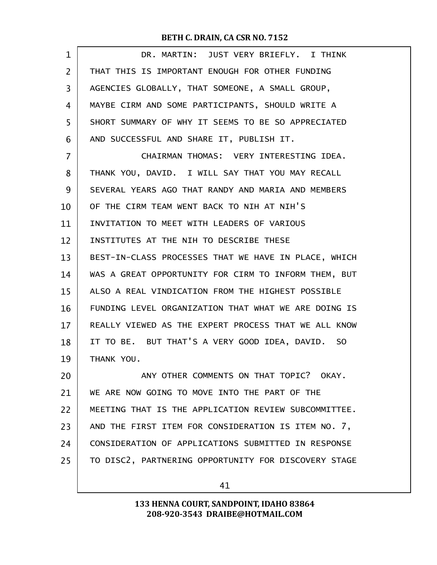| 1              | DR. MARTIN: JUST VERY BRIEFLY. I THINK               |
|----------------|------------------------------------------------------|
| $\overline{2}$ | THAT THIS IS IMPORTANT ENOUGH FOR OTHER FUNDING      |
| 3              | AGENCIES GLOBALLY, THAT SOMEONE, A SMALL GROUP,      |
| 4              | MAYBE CIRM AND SOME PARTICIPANTS, SHOULD WRITE A     |
| 5              | SHORT SUMMARY OF WHY IT SEEMS TO BE SO APPRECIATED   |
| 6              | AND SUCCESSFUL AND SHARE IT, PUBLISH IT.             |
| 7              | CHAIRMAN THOMAS: VERY INTERESTING IDEA.              |
| 8              | THANK YOU, DAVID. I WILL SAY THAT YOU MAY RECALL     |
| 9              | SEVERAL YEARS AGO THAT RANDY AND MARIA AND MEMBERS   |
| 10             | OF THE CIRM TEAM WENT BACK TO NIH AT NIH'S           |
| 11             | INVITATION TO MEET WITH LEADERS OF VARIOUS           |
| 12             | INSTITUTES AT THE NIH TO DESCRIBE THESE              |
| 13             | BEST-IN-CLASS PROCESSES THAT WE HAVE IN PLACE, WHICH |
| 14             | WAS A GREAT OPPORTUNITY FOR CIRM TO INFORM THEM, BUT |
| 15             | ALSO A REAL VINDICATION FROM THE HIGHEST POSSIBLE    |
| 16             | FUNDING LEVEL ORGANIZATION THAT WHAT WE ARE DOING IS |
| 17             | REALLY VIEWED AS THE EXPERT PROCESS THAT WE ALL KNOW |
| 18             | IT TO BE. BUT THAT'S A VERY GOOD IDEA, DAVID. SO     |
| 19             | THANK YOU.                                           |
| 20             | ANY OTHER COMMENTS ON THAT TOPIC? OKAY.              |
| 21             | WE ARE NOW GOING TO MOVE INTO THE PART OF THE        |
| 22             | MEETING THAT IS THE APPLICATION REVIEW SUBCOMMITTEE. |
| 23             | AND THE FIRST ITEM FOR CONSIDERATION IS ITEM NO. 7,  |
| 24             | CONSIDERATION OF APPLICATIONS SUBMITTED IN RESPONSE  |
| 25             | TO DISC2, PARTNERING OPPORTUNITY FOR DISCOVERY STAGE |
|                | 41                                                   |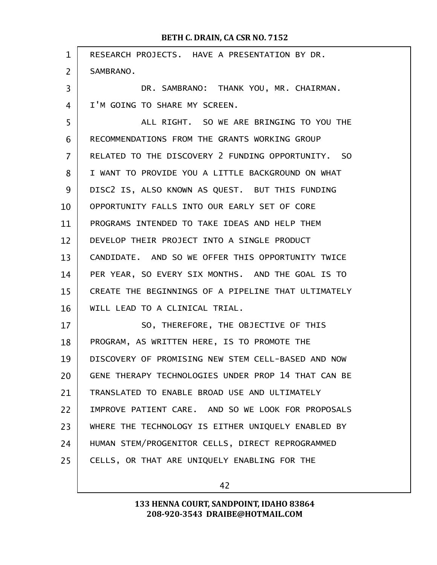| $\mathbf{1}$   | RESEARCH PROJECTS. HAVE A PRESENTATION BY DR.       |
|----------------|-----------------------------------------------------|
| $\overline{2}$ | SAMBRANO.                                           |
| 3              | DR. SAMBRANO: THANK YOU, MR. CHAIRMAN.              |
| 4              | I'M GOING TO SHARE MY SCREEN.                       |
| 5              | ALL RIGHT. SO WE ARE BRINGING TO YOU THE            |
| 6              | RECOMMENDATIONS FROM THE GRANTS WORKING GROUP       |
| $\overline{7}$ | RELATED TO THE DISCOVERY 2 FUNDING OPPORTUNITY. SO  |
| 8              | I WANT TO PROVIDE YOU A LITTLE BACKGROUND ON WHAT   |
| 9              | DISC2 IS, ALSO KNOWN AS QUEST. BUT THIS FUNDING     |
| 10             | OPPORTUNITY FALLS INTO OUR EARLY SET OF CORE        |
| 11             | PROGRAMS INTENDED TO TAKE IDEAS AND HELP THEM       |
| 12             | DEVELOP THEIR PROJECT INTO A SINGLE PRODUCT         |
| 13             | CANDIDATE. AND SO WE OFFER THIS OPPORTUNITY TWICE   |
| 14             | PER YEAR, SO EVERY SIX MONTHS. AND THE GOAL IS TO   |
| 15             | CREATE THE BEGINNINGS OF A PIPELINE THAT ULTIMATELY |
| 16             | WILL LEAD TO A CLINICAL TRIAL.                      |
| 17             | SO, THEREFORE, THE OBJECTIVE OF THIS                |
| 18             | PROGRAM, AS WRITTEN HERE, IS TO PROMOTE THE         |
| 19             | DISCOVERY OF PROMISING NEW STEM CELL-BASED AND NOW  |
| 20             | GENE THERAPY TECHNOLOGIES UNDER PROP 14 THAT CAN BE |
| 21             | TRANSLATED TO ENABLE BROAD USE AND ULTIMATELY       |
| 22             | IMPROVE PATIENT CARE. AND SO WE LOOK FOR PROPOSALS  |
| 23             | WHERE THE TECHNOLOGY IS EITHER UNIQUELY ENABLED BY  |
| 24             | HUMAN STEM/PROGENITOR CELLS, DIRECT REPROGRAMMED    |
| 25             | CELLS, OR THAT ARE UNIQUELY ENABLING FOR THE        |
|                |                                                     |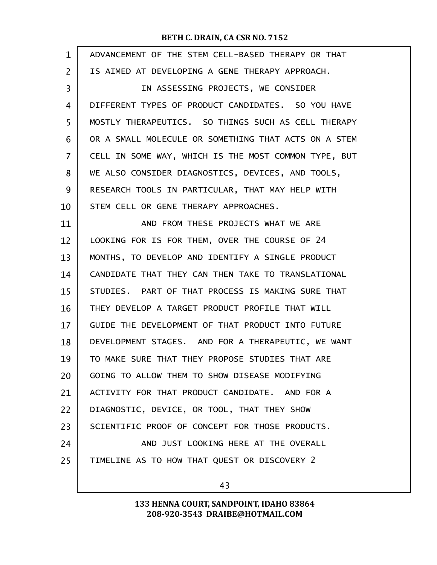| $\mathbf{1}$   | ADVANCEMENT OF THE STEM CELL-BASED THERAPY OR THAT   |
|----------------|------------------------------------------------------|
| $\overline{2}$ | IS AIMED AT DEVELOPING A GENE THERAPY APPROACH.      |
| 3              | IN ASSESSING PROJECTS, WE CONSIDER                   |
| 4              | DIFFERENT TYPES OF PRODUCT CANDIDATES. SO YOU HAVE   |
| 5              | MOSTLY THERAPEUTICS. SO THINGS SUCH AS CELL THERAPY  |
| 6              | OR A SMALL MOLECULE OR SOMETHING THAT ACTS ON A STEM |
| $\overline{7}$ | CELL IN SOME WAY, WHICH IS THE MOST COMMON TYPE, BUT |
| 8              | WE ALSO CONSIDER DIAGNOSTICS, DEVICES, AND TOOLS,    |
| 9              | RESEARCH TOOLS IN PARTICULAR, THAT MAY HELP WITH     |
| 10             | STEM CELL OR GENE THERAPY APPROACHES.                |
| 11             | AND FROM THESE PROJECTS WHAT WE ARE                  |
| 12             | LOOKING FOR IS FOR THEM, OVER THE COURSE OF 24       |
| 13             | MONTHS, TO DEVELOP AND IDENTIFY A SINGLE PRODUCT     |
| 14             | CANDIDATE THAT THEY CAN THEN TAKE TO TRANSLATIONAL   |
| 15             | STUDIES. PART OF THAT PROCESS IS MAKING SURE THAT    |
| 16             | THEY DEVELOP A TARGET PRODUCT PROFILE THAT WILL      |
| 17             | GUIDE THE DEVELOPMENT OF THAT PRODUCT INTO FUTURE    |
| 18             | DEVELOPMENT STAGES. AND FOR A THERAPEUTIC, WE WANT   |
| 19             | TO MAKE SURE THAT THEY PROPOSE STUDIES THAT ARE      |
| 20             | GOING TO ALLOW THEM TO SHOW DISEASE MODIFYING        |
| 21             | ACTIVITY FOR THAT PRODUCT CANDIDATE. AND FOR A       |
| 22             | DIAGNOSTIC, DEVICE, OR TOOL, THAT THEY SHOW          |
| 23             | SCIENTIFIC PROOF OF CONCEPT FOR THOSE PRODUCTS.      |
| 24             | AND JUST LOOKING HERE AT THE OVERALL                 |
| 25             | TIMELINE AS TO HOW THAT QUEST OR DISCOVERY 2         |
|                |                                                      |

43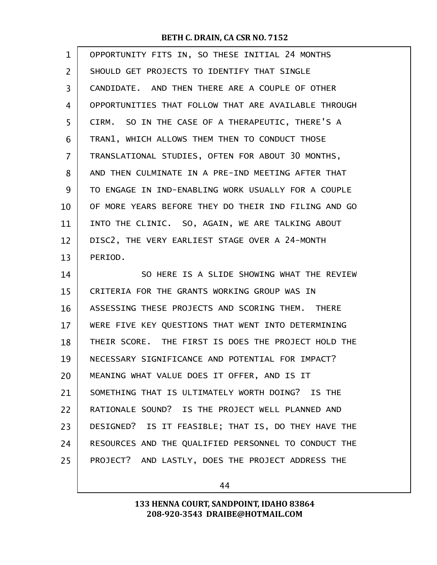| 1              | OPPORTUNITY FITS IN, SO THESE INITIAL 24 MONTHS      |
|----------------|------------------------------------------------------|
| 2              | SHOULD GET PROJECTS TO IDENTIFY THAT SINGLE          |
| 3              | CANDIDATE. AND THEN THERE ARE A COUPLE OF OTHER      |
| 4              | OPPORTUNITIES THAT FOLLOW THAT ARE AVAILABLE THROUGH |
| 5              | CIRM. SO IN THE CASE OF A THERAPEUTIC, THERE'S A     |
| 6              | TRAN1, WHICH ALLOWS THEM THEN TO CONDUCT THOSE       |
| $\overline{7}$ | TRANSLATIONAL STUDIES, OFTEN FOR ABOUT 30 MONTHS,    |
| 8              | AND THEN CULMINATE IN A PRE-IND MEETING AFTER THAT   |
| 9              | TO ENGAGE IN IND-ENABLING WORK USUALLY FOR A COUPLE  |
| 10             | OF MORE YEARS BEFORE THEY DO THEIR IND FILING AND GO |
| 11             | INTO THE CLINIC. SO, AGAIN, WE ARE TALKING ABOUT     |
| 12             | DISC2, THE VERY EARLIEST STAGE OVER A 24-MONTH       |
| 13             | PERIOD.                                              |
| 14             | SO HERE IS A SLIDE SHOWING WHAT THE REVIEW           |
| 15             | CRITERIA FOR THE GRANTS WORKING GROUP WAS IN         |
| 16             | ASSESSING THESE PROJECTS AND SCORING THEM. THERE     |
| 17             | WERE FIVE KEY QUESTIONS THAT WENT INTO DETERMINING   |
| 18             | THEIR SCORE. THE FIRST IS DOES THE PROJECT HOLD THE  |
| 19             | NECESSARY SIGNIFICANCE AND POTENTIAL FOR IMPACT?     |
| 20             |                                                      |
|                | MEANING WHAT VALUE DOES IT OFFER, AND IS IT          |
| 21             | SOMETHING THAT IS ULTIMATELY WORTH DOING? IS THE     |
| 22             | RATIONALE SOUND? IS THE PROJECT WELL PLANNED AND     |
| 23             | DESIGNED? IS IT FEASIBLE; THAT IS, DO THEY HAVE THE  |
| 24             | RESOURCES AND THE QUALIFIED PERSONNEL TO CONDUCT THE |
| 25             | PROJECT? AND LASTLY, DOES THE PROJECT ADDRESS THE    |

44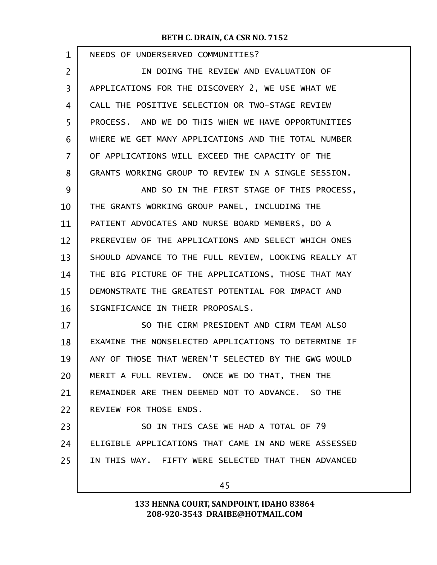| $\mathbf{1}$ | NEEDS OF UNDERSERVED COMMUNITIES?                    |
|--------------|------------------------------------------------------|
| 2            | IN DOING THE REVIEW AND EVALUATION OF                |
| 3            | APPLICATIONS FOR THE DISCOVERY 2, WE USE WHAT WE     |
| 4            | CALL THE POSITIVE SELECTION OR TWO-STAGE REVIEW      |
| 5            | PROCESS. AND WE DO THIS WHEN WE HAVE OPPORTUNITIES   |
| 6            | WHERE WE GET MANY APPLICATIONS AND THE TOTAL NUMBER  |
| 7            | OF APPLICATIONS WILL EXCEED THE CAPACITY OF THE      |
| 8            | GRANTS WORKING GROUP TO REVIEW IN A SINGLE SESSION.  |
| 9            | AND SO IN THE FIRST STAGE OF THIS PROCESS,           |
| 10           | THE GRANTS WORKING GROUP PANEL, INCLUDING THE        |
| 11           | PATIENT ADVOCATES AND NURSE BOARD MEMBERS, DO A      |
| 12           | PREREVIEW OF THE APPLICATIONS AND SELECT WHICH ONES  |
| 13           | SHOULD ADVANCE TO THE FULL REVIEW, LOOKING REALLY AT |
| 14           | THE BIG PICTURE OF THE APPLICATIONS, THOSE THAT MAY  |
| 15           | DEMONSTRATE THE GREATEST POTENTIAL FOR IMPACT AND    |
| 16           | SIGNIFICANCE IN THEIR PROPOSALS.                     |
| 17           | SO THE CIRM PRESIDENT AND CIRM TEAM ALSO             |
| 18           | EXAMINE THE NONSELECTED APPLICATIONS TO DETERMINE IF |
| 19           | ANY OF THOSE THAT WEREN'T SELECTED BY THE GWG WOULD  |
| 20           | MERIT A FULL REVIEW. ONCE WE DO THAT, THEN THE       |
| 21           | REMAINDER ARE THEN DEEMED NOT TO ADVANCE. SO THE     |
| 22           | REVIEW FOR THOSE ENDS.                               |
| 23           | SO IN THIS CASE WE HAD A TOTAL OF 79                 |
| 24           | ELIGIBLE APPLICATIONS THAT CAME IN AND WERE ASSESSED |
| 25           | IN THIS WAY. FIFTY WERE SELECTED THAT THEN ADVANCED  |
|              | 45                                                   |
|              |                                                      |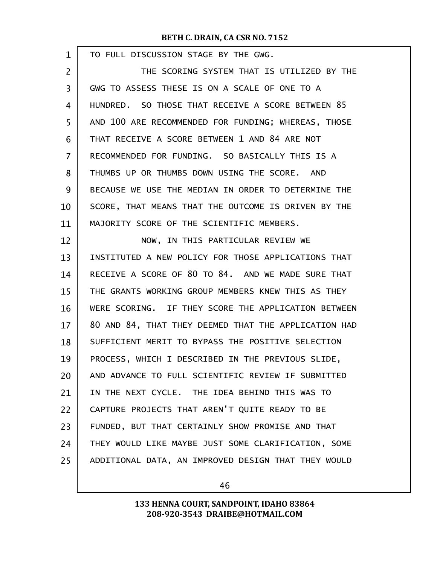| TO FULL DISCUSSION STAGE BY THE GWG.                 |
|------------------------------------------------------|
| THE SCORING SYSTEM THAT IS UTILIZED BY THE           |
| GWG TO ASSESS THESE IS ON A SCALE OF ONE TO A        |
| HUNDRED. SO THOSE THAT RECEIVE A SCORE BETWEEN 85    |
| AND 100 ARE RECOMMENDED FOR FUNDING; WHEREAS, THOSE  |
| THAT RECEIVE A SCORE BETWEEN 1 AND 84 ARE NOT        |
| RECOMMENDED FOR FUNDING. SO BASICALLY THIS IS A      |
| THUMBS UP OR THUMBS DOWN USING THE SCORE. AND        |
| BECAUSE WE USE THE MEDIAN IN ORDER TO DETERMINE THE  |
| SCORE, THAT MEANS THAT THE OUTCOME IS DRIVEN BY THE  |
| MAJORITY SCORE OF THE SCIENTIFIC MEMBERS.            |
| NOW, IN THIS PARTICULAR REVIEW WE                    |
| INSTITUTED A NEW POLICY FOR THOSE APPLICATIONS THAT  |
| RECEIVE A SCORE OF 80 TO 84. AND WE MADE SURE THAT   |
| THE GRANTS WORKING GROUP MEMBERS KNEW THIS AS THEY   |
| WERE SCORING. IF THEY SCORE THE APPLICATION BETWEEN  |
| 80 AND 84, THAT THEY DEEMED THAT THE APPLICATION HAD |
| SUFFICIENT MERIT TO BYPASS THE POSITIVE SELECTION    |
| PROCESS, WHICH I DESCRIBED IN THE PREVIOUS SLIDE,    |
| AND ADVANCE TO FULL SCIENTIFIC REVIEW IF SUBMITTED   |
| IN THE NEXT CYCLE. THE IDEA BEHIND THIS WAS TO       |
| CAPTURE PROJECTS THAT AREN'T QUITE READY TO BE       |
| FUNDED, BUT THAT CERTAINLY SHOW PROMISE AND THAT     |
| THEY WOULD LIKE MAYBE JUST SOME CLARIFICATION, SOME  |
| ADDITIONAL DATA, AN IMPROVED DESIGN THAT THEY WOULD  |
|                                                      |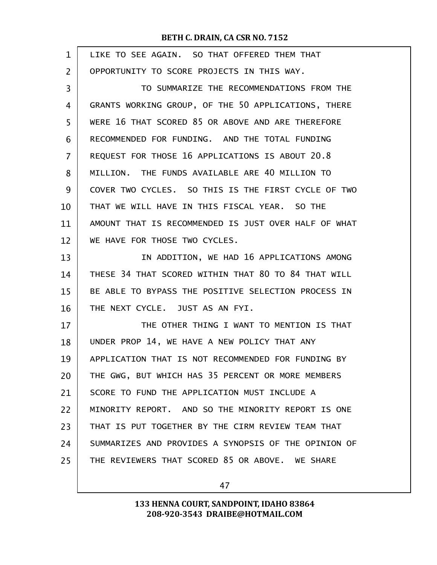| $\mathbf{1}$   | LIKE TO SEE AGAIN. SO THAT OFFERED THEM THAT         |
|----------------|------------------------------------------------------|
| $\overline{2}$ | OPPORTUNITY TO SCORE PROJECTS IN THIS WAY.           |
| 3              | TO SUMMARIZE THE RECOMMENDATIONS FROM THE            |
| 4              | GRANTS WORKING GROUP, OF THE 50 APPLICATIONS, THERE  |
| 5              | WERE 16 THAT SCORED 85 OR ABOVE AND ARE THEREFORE    |
| 6              | RECOMMENDED FOR FUNDING. AND THE TOTAL FUNDING       |
| $\overline{7}$ | REQUEST FOR THOSE 16 APPLICATIONS IS ABOUT 20.8      |
| 8              | MILLION. THE FUNDS AVAILABLE ARE 40 MILLION TO       |
| 9              | COVER TWO CYCLES. SO THIS IS THE FIRST CYCLE OF TWO  |
| 10             | THAT WE WILL HAVE IN THIS FISCAL YEAR. SO THE        |
| 11             | AMOUNT THAT IS RECOMMENDED IS JUST OVER HALF OF WHAT |
| 12             | WE HAVE FOR THOSE TWO CYCLES.                        |
| 13             | IN ADDITION, WE HAD 16 APPLICATIONS AMONG            |
| 14             | THESE 34 THAT SCORED WITHIN THAT 80 TO 84 THAT WILL  |
| 15             | BE ABLE TO BYPASS THE POSITIVE SELECTION PROCESS IN  |
| 16             | THE NEXT CYCLE. JUST AS AN FYI.                      |
| 17             | THE OTHER THING I WANT TO MENTION IS THAT            |
| 18             | UNDER PROP 14, WE HAVE A NEW POLICY THAT ANY         |
| 19             | APPLICATION THAT IS NOT RECOMMENDED FOR FUNDING BY   |
| 20             | THE GWG, BUT WHICH HAS 35 PERCENT OR MORE MEMBERS    |
| 21             | SCORE TO FUND THE APPLICATION MUST INCLUDE A         |
| 22             | MINORITY REPORT. AND SO THE MINORITY REPORT IS ONE   |
| 23             | THAT IS PUT TOGETHER BY THE CIRM REVIEW TEAM THAT    |
| 24             | SUMMARIZES AND PROVIDES A SYNOPSIS OF THE OPINION OF |
| 25             | THE REVIEWERS THAT SCORED 85 OR ABOVE. WE SHARE      |
|                |                                                      |

47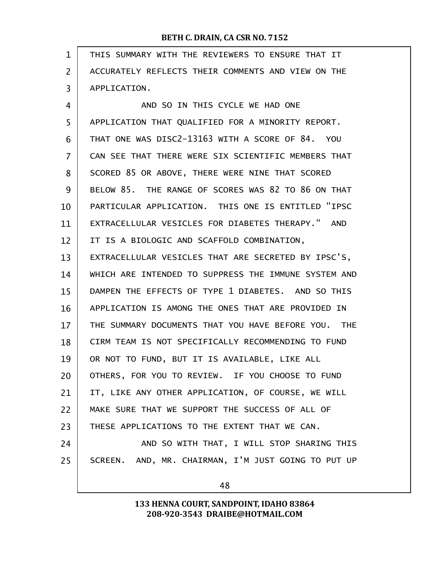| $\mathbf{1}$ | THIS SUMMARY WITH THE REVIEWERS TO ENSURE THAT IT    |
|--------------|------------------------------------------------------|
| 2            | ACCURATELY REFLECTS THEIR COMMENTS AND VIEW ON THE   |
| 3            | APPLICATION.                                         |
| 4            | AND SO IN THIS CYCLE WE HAD ONE                      |
| 5            | APPLICATION THAT QUALIFIED FOR A MINORITY REPORT.    |
| 6            | THAT ONE WAS DISC2-13163 WITH A SCORE OF 84. YOU     |
| 7            | CAN SEE THAT THERE WERE SIX SCIENTIFIC MEMBERS THAT  |
| 8            | SCORED 85 OR ABOVE, THERE WERE NINE THAT SCORED      |
| 9            | BELOW 85. THE RANGE OF SCORES WAS 82 TO 86 ON THAT   |
| 10           | PARTICULAR APPLICATION. THIS ONE IS ENTITLED "IPSC   |
| 11           | EXTRACELLULAR VESICLES FOR DIABETES THERAPY." AND    |
| 12           | IT IS A BIOLOGIC AND SCAFFOLD COMBINATION,           |
| 13           | EXTRACELLULAR VESICLES THAT ARE SECRETED BY IPSC'S,  |
| 14           | WHICH ARE INTENDED TO SUPPRESS THE IMMUNE SYSTEM AND |
| 15           | DAMPEN THE EFFECTS OF TYPE 1 DIABETES. AND SO THIS   |
| 16           | APPLICATION IS AMONG THE ONES THAT ARE PROVIDED IN   |
| 17           | THE SUMMARY DOCUMENTS THAT YOU HAVE BEFORE YOU. THE  |
| 18           | CIRM TEAM IS NOT SPECIFICALLY RECOMMENDING TO FUND   |
| 19           | OR NOT TO FUND, BUT IT IS AVAILABLE, LIKE ALL        |
| 20           | OTHERS, FOR YOU TO REVIEW. IF YOU CHOOSE TO FUND     |
| 21           | IT, LIKE ANY OTHER APPLICATION, OF COURSE, WE WILL   |
| 22           | MAKE SURE THAT WE SUPPORT THE SUCCESS OF ALL OF      |
| 23           | THESE APPLICATIONS TO THE EXTENT THAT WE CAN.        |
| 24           | AND SO WITH THAT, I WILL STOP SHARING THIS           |
| 25           | SCREEN. AND, MR. CHAIRMAN, I'M JUST GOING TO PUT UP  |
|              | 48                                                   |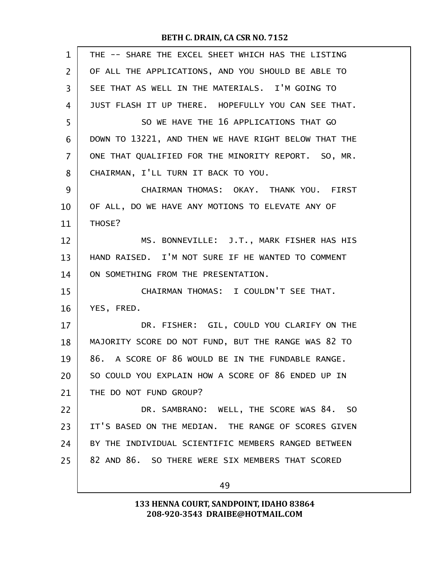| $\mathbf{1}$   | THE -- SHARE THE EXCEL SHEET WHICH HAS THE LISTING   |
|----------------|------------------------------------------------------|
| $\overline{2}$ | OF ALL THE APPLICATIONS, AND YOU SHOULD BE ABLE TO   |
| 3              | SEE THAT AS WELL IN THE MATERIALS. I'M GOING TO      |
| 4              | JUST FLASH IT UP THERE. HOPEFULLY YOU CAN SEE THAT.  |
| 5              | SO WE HAVE THE 16 APPLICATIONS THAT GO               |
| 6              | DOWN TO 13221, AND THEN WE HAVE RIGHT BELOW THAT THE |
| 7              | ONE THAT QUALIFIED FOR THE MINORITY REPORT. SO, MR.  |
| 8              | CHAIRMAN, I'LL TURN IT BACK TO YOU.                  |
| 9              | CHAIRMAN THOMAS: OKAY. THANK YOU. FIRST              |
| 10             | OF ALL, DO WE HAVE ANY MOTIONS TO ELEVATE ANY OF     |
| 11             | THOSE?                                               |
| 12             | MS. BONNEVILLE: J.T., MARK FISHER HAS HIS            |
| 13             | HAND RAISED. I'M NOT SURE IF HE WANTED TO COMMENT    |
| 14             | ON SOMETHING FROM THE PRESENTATION.                  |
| 15             | CHAIRMAN THOMAS: I COULDN'T SEE THAT.                |
| 16             | YES, FRED.                                           |
| 17             | DR. FISHER: GIL, COULD YOU CLARIFY ON THE            |
| 18             | MAJORITY SCORE DO NOT FUND, BUT THE RANGE WAS 82 TO  |
| 19             | 86. A SCORE OF 86 WOULD BE IN THE FUNDABLE RANGE.    |
| 20             | SO COULD YOU EXPLAIN HOW A SCORE OF 86 ENDED UP IN   |
| 21             | THE DO NOT FUND GROUP?                               |
| 22             | DR. SAMBRANO: WELL, THE SCORE WAS 84. SO             |
| 23             | IT'S BASED ON THE MEDIAN. THE RANGE OF SCORES GIVEN  |
| 24             | BY THE INDIVIDUAL SCIENTIFIC MEMBERS RANGED BETWEEN  |
| 25             | 82 AND 86. SO THERE WERE SIX MEMBERS THAT SCORED     |
|                | 49                                                   |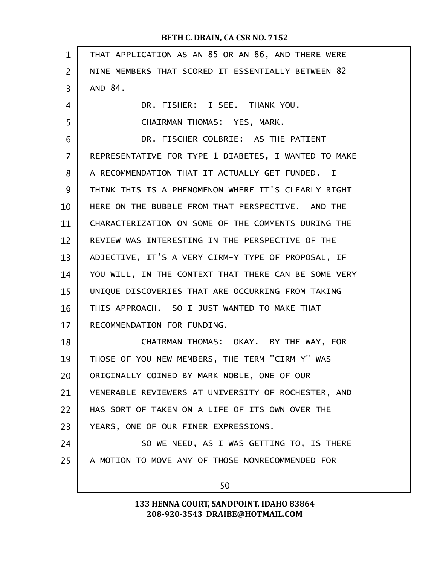| THAT APPLICATION AS AN 85 OR AN 86, AND THERE WERE   |
|------------------------------------------------------|
| NINE MEMBERS THAT SCORED IT ESSENTIALLY BETWEEN 82   |
| AND 84.                                              |
| DR. FISHER: I SEE. THANK YOU.                        |
| CHAIRMAN THOMAS: YES, MARK.                          |
| DR. FISCHER-COLBRIE: AS THE PATIENT                  |
| REPRESENTATIVE FOR TYPE 1 DIABETES, I WANTED TO MAKE |
| A RECOMMENDATION THAT IT ACTUALLY GET FUNDED. I      |
| THINK THIS IS A PHENOMENON WHERE IT'S CLEARLY RIGHT  |
| HERE ON THE BUBBLE FROM THAT PERSPECTIVE. AND THE    |
| CHARACTERIZATION ON SOME OF THE COMMENTS DURING THE  |
| REVIEW WAS INTERESTING IN THE PERSPECTIVE OF THE     |
| ADJECTIVE, IT'S A VERY CIRM-Y TYPE OF PROPOSAL, IF   |
| YOU WILL, IN THE CONTEXT THAT THERE CAN BE SOME VERY |
| UNIQUE DISCOVERIES THAT ARE OCCURRING FROM TAKING    |
| THIS APPROACH. SO I JUST WANTED TO MAKE THAT         |
| RECOMMENDATION FOR FUNDING.                          |
| CHAIRMAN THOMAS: OKAY. BY THE WAY, FOR               |
| THOSE OF YOU NEW MEMBERS, THE TERM "CIRM-Y" WAS      |
| ORIGINALLY COINED BY MARK NOBLE, ONE OF OUR          |
| VENERABLE REVIEWERS AT UNIVERSITY OF ROCHESTER, AND  |
| HAS SORT OF TAKEN ON A LIFE OF ITS OWN OVER THE      |
| YEARS, ONE OF OUR FINER EXPRESSIONS.                 |
| SO WE NEED, AS I WAS GETTING TO, IS THERE            |
| A MOTION TO MOVE ANY OF THOSE NONRECOMMENDED FOR     |
| 50                                                   |
|                                                      |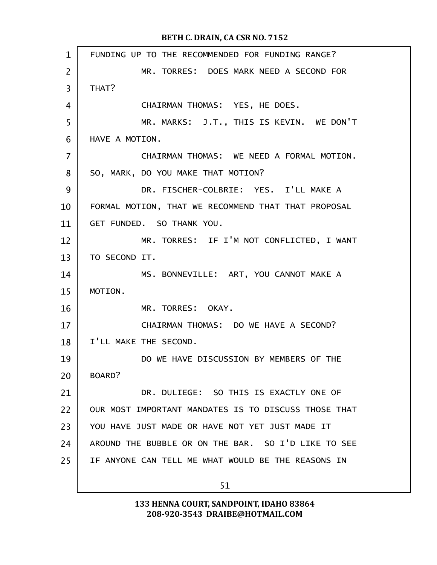| $\mathbf{1}$   | FUNDING UP TO THE RECOMMENDED FOR FUNDING RANGE?     |
|----------------|------------------------------------------------------|
| $\overline{2}$ | MR. TORRES: DOES MARK NEED A SECOND FOR              |
| 3              | THAT?                                                |
| 4              | CHAIRMAN THOMAS: YES, HE DOES.                       |
| 5              | MR. MARKS: J.T., THIS IS KEVIN. WE DON'T             |
| 6              | HAVE A MOTION.                                       |
| 7              | CHAIRMAN THOMAS: WE NEED A FORMAL MOTION.            |
| 8              | SO, MARK, DO YOU MAKE THAT MOTION?                   |
| 9              | DR. FISCHER-COLBRIE: YES. I'LL MAKE A                |
| 10             | FORMAL MOTION, THAT WE RECOMMEND THAT THAT PROPOSAL  |
| 11             | GET FUNDED. SO THANK YOU.                            |
| 12             | MR. TORRES: IF I'M NOT CONFLICTED, I WANT            |
| 13             | TO SECOND IT.                                        |
| 14             | MS. BONNEVILLE: ART, YOU CANNOT MAKE A               |
| 15             | MOTION.                                              |
| 16             | MR. TORRES: OKAY.                                    |
| 17             | CHAIRMAN THOMAS: DO WE HAVE A SECOND?                |
| 18             | I'LL MAKE THE SECOND.                                |
| 19             | DO WE HAVE DISCUSSION BY MEMBERS OF THE              |
| 20             | BOARD?                                               |
| 21             | DR. DULIEGE: SO THIS IS EXACTLY ONE OF               |
| 22             | OUR MOST IMPORTANT MANDATES IS TO DISCUSS THOSE THAT |
| 23             | YOU HAVE JUST MADE OR HAVE NOT YET JUST MADE IT      |
| 24             | AROUND THE BUBBLE OR ON THE BAR. SO I'D LIKE TO SEE  |
| 25             | IF ANYONE CAN TELL ME WHAT WOULD BE THE REASONS IN   |
|                | 51                                                   |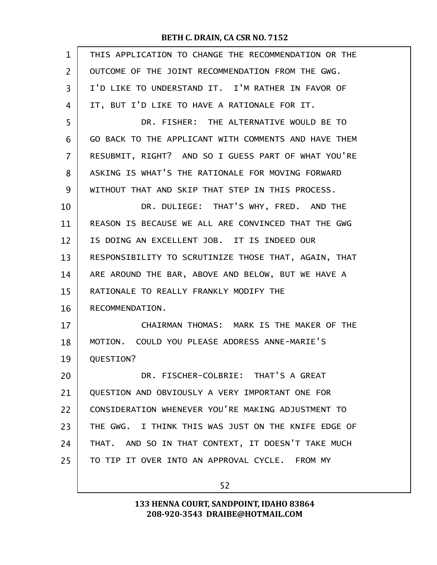| $\mathbf{1}$   | THIS APPLICATION TO CHANGE THE RECOMMENDATION OR THE |
|----------------|------------------------------------------------------|
| $\overline{2}$ | OUTCOME OF THE JOINT RECOMMENDATION FROM THE GWG.    |
| 3              | I'D LIKE TO UNDERSTAND IT. I'M RATHER IN FAVOR OF    |
| 4              | IT, BUT I'D LIKE TO HAVE A RATIONALE FOR IT.         |
| 5              | DR. FISHER: THE ALTERNATIVE WOULD BE TO              |
| 6              | GO BACK TO THE APPLICANT WITH COMMENTS AND HAVE THEM |
| 7              | RESUBMIT, RIGHT? AND SO I GUESS PART OF WHAT YOU'RE  |
| 8              | ASKING IS WHAT'S THE RATIONALE FOR MOVING FORWARD    |
| 9              | WITHOUT THAT AND SKIP THAT STEP IN THIS PROCESS.     |
| 10             | DR. DULIEGE: THAT'S WHY, FRED. AND THE               |
| 11             | REASON IS BECAUSE WE ALL ARE CONVINCED THAT THE GWG  |
| 12             | IS DOING AN EXCELLENT JOB. IT IS INDEED OUR          |
| 13             | RESPONSIBILITY TO SCRUTINIZE THOSE THAT, AGAIN, THAT |
| 14             | ARE AROUND THE BAR, ABOVE AND BELOW, BUT WE HAVE A   |
| 15             | RATIONALE TO REALLY FRANKLY MODIFY THE               |
| 16             | RECOMMENDATION.                                      |
| 17             | CHAIRMAN THOMAS: MARK IS THE MAKER OF THE            |
| 18             | MOTION. COULD YOU PLEASE ADDRESS ANNE-MARIE'S        |
| 19             | QUESTION?                                            |
| 20             | DR. FISCHER-COLBRIE: THAT'S A GREAT                  |
| 21             | QUESTION AND OBVIOUSLY A VERY IMPORTANT ONE FOR      |
| 22             | CONSIDERATION WHENEVER YOU'RE MAKING ADJUSTMENT TO   |
| 23             | THE GWG. I THINK THIS WAS JUST ON THE KNIFE EDGE OF  |
| 24             | THAT. AND SO IN THAT CONTEXT, IT DOESN'T TAKE MUCH   |
| 25             | TO TIP IT OVER INTO AN APPROVAL CYCLE. FROM MY       |
|                |                                                      |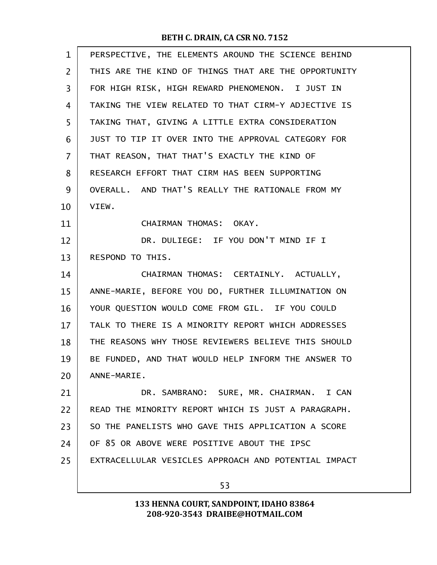| $\mathbf{1}$   | PERSPECTIVE, THE ELEMENTS AROUND THE SCIENCE BEHIND  |
|----------------|------------------------------------------------------|
| $\overline{2}$ | THIS ARE THE KIND OF THINGS THAT ARE THE OPPORTUNITY |
| 3              | FOR HIGH RISK, HIGH REWARD PHENOMENON. I JUST IN     |
| 4              | TAKING THE VIEW RELATED TO THAT CIRM-Y ADJECTIVE IS  |
| 5              | TAKING THAT, GIVING A LITTLE EXTRA CONSIDERATION     |
| 6              | JUST TO TIP IT OVER INTO THE APPROVAL CATEGORY FOR   |
| 7              | THAT REASON, THAT THAT'S EXACTLY THE KIND OF         |
| 8              | RESEARCH EFFORT THAT CIRM HAS BEEN SUPPORTING        |
| 9              | OVERALL. AND THAT'S REALLY THE RATIONALE FROM MY     |
| 10             | VIEW.                                                |
| 11             | CHAIRMAN THOMAS: OKAY.                               |
| 12             | DR. DULIEGE: IF YOU DON'T MIND IF I                  |
| 13             | RESPOND TO THIS.                                     |
| 14             | CHAIRMAN THOMAS: CERTAINLY. ACTUALLY,                |
| 15             | ANNE-MARIE, BEFORE YOU DO, FURTHER ILLUMINATION ON   |
| 16             | YOUR QUESTION WOULD COME FROM GIL. IF YOU COULD      |
| 17             | TALK TO THERE IS A MINORITY REPORT WHICH ADDRESSES   |
| 18             | THE REASONS WHY THOSE REVIEWERS BELIEVE THIS SHOULD  |
| 19             | BE FUNDED, AND THAT WOULD HELP INFORM THE ANSWER TO  |
| 20             | ANNE-MARIE.                                          |
| 21             | DR. SAMBRANO: SURE, MR. CHAIRMAN. I CAN              |
| 22             | READ THE MINORITY REPORT WHICH IS JUST A PARAGRAPH.  |
| 23             | SO THE PANELISTS WHO GAVE THIS APPLICATION A SCORE   |
| 24             | OF 85 OR ABOVE WERE POSITIVE ABOUT THE IPSC          |
| 25             | EXTRACELLULAR VESICLES APPROACH AND POTENTIAL IMPACT |
|                | 53                                                   |
|                |                                                      |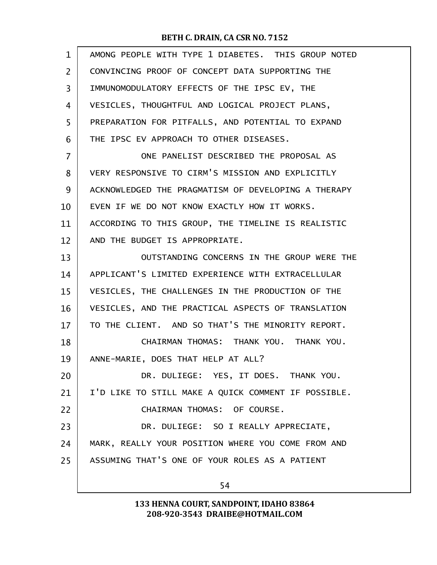| CONVINCING PROOF OF CONCEPT DATA SUPPORTING THE<br>IMMUNOMODULATORY EFFECTS OF THE IPSC EV, THE<br>VESICLES, THOUGHTFUL AND LOGICAL PROJECT PLANS,<br>PREPARATION FOR PITFALLS, AND POTENTIAL TO EXPAND<br>THE IPSC EV APPROACH TO OTHER DISEASES.<br>ONE PANELIST DESCRIBED THE PROPOSAL AS<br>VERY RESPONSIVE TO CIRM'S MISSION AND EXPLICITLY<br>ACKNOWLEDGED THE PRAGMATISM OF DEVELOPING A THERAPY<br>EVEN IF WE DO NOT KNOW EXACTLY HOW IT WORKS.<br>ACCORDING TO THIS GROUP, THE TIMELINE IS REALISTIC<br>AND THE BUDGET IS APPROPRIATE.<br>OUTSTANDING CONCERNS IN THE GROUP WERE THE<br>APPLICANT'S LIMITED EXPERIENCE WITH EXTRACELLULAR<br>VESICLES, THE CHALLENGES IN THE PRODUCTION OF THE |
|---------------------------------------------------------------------------------------------------------------------------------------------------------------------------------------------------------------------------------------------------------------------------------------------------------------------------------------------------------------------------------------------------------------------------------------------------------------------------------------------------------------------------------------------------------------------------------------------------------------------------------------------------------------------------------------------------------|
|                                                                                                                                                                                                                                                                                                                                                                                                                                                                                                                                                                                                                                                                                                         |
|                                                                                                                                                                                                                                                                                                                                                                                                                                                                                                                                                                                                                                                                                                         |
|                                                                                                                                                                                                                                                                                                                                                                                                                                                                                                                                                                                                                                                                                                         |
|                                                                                                                                                                                                                                                                                                                                                                                                                                                                                                                                                                                                                                                                                                         |
|                                                                                                                                                                                                                                                                                                                                                                                                                                                                                                                                                                                                                                                                                                         |
|                                                                                                                                                                                                                                                                                                                                                                                                                                                                                                                                                                                                                                                                                                         |
|                                                                                                                                                                                                                                                                                                                                                                                                                                                                                                                                                                                                                                                                                                         |
|                                                                                                                                                                                                                                                                                                                                                                                                                                                                                                                                                                                                                                                                                                         |
|                                                                                                                                                                                                                                                                                                                                                                                                                                                                                                                                                                                                                                                                                                         |
|                                                                                                                                                                                                                                                                                                                                                                                                                                                                                                                                                                                                                                                                                                         |
|                                                                                                                                                                                                                                                                                                                                                                                                                                                                                                                                                                                                                                                                                                         |
|                                                                                                                                                                                                                                                                                                                                                                                                                                                                                                                                                                                                                                                                                                         |
|                                                                                                                                                                                                                                                                                                                                                                                                                                                                                                                                                                                                                                                                                                         |
|                                                                                                                                                                                                                                                                                                                                                                                                                                                                                                                                                                                                                                                                                                         |
| VESICLES, AND THE PRACTICAL ASPECTS OF TRANSLATION                                                                                                                                                                                                                                                                                                                                                                                                                                                                                                                                                                                                                                                      |
| TO THE CLIENT. AND SO THAT'S THE MINORITY REPORT.                                                                                                                                                                                                                                                                                                                                                                                                                                                                                                                                                                                                                                                       |
| CHAIRMAN THOMAS: THANK YOU. THANK YOU.                                                                                                                                                                                                                                                                                                                                                                                                                                                                                                                                                                                                                                                                  |
| ANNE-MARIE, DOES THAT HELP AT ALL?                                                                                                                                                                                                                                                                                                                                                                                                                                                                                                                                                                                                                                                                      |
| DR. DULIEGE: YES, IT DOES. THANK YOU.                                                                                                                                                                                                                                                                                                                                                                                                                                                                                                                                                                                                                                                                   |
| I'D LIKE TO STILL MAKE A QUICK COMMENT IF POSSIBLE.                                                                                                                                                                                                                                                                                                                                                                                                                                                                                                                                                                                                                                                     |
| CHAIRMAN THOMAS: OF COURSE.                                                                                                                                                                                                                                                                                                                                                                                                                                                                                                                                                                                                                                                                             |
| DR. DULIEGE: SO I REALLY APPRECIATE,                                                                                                                                                                                                                                                                                                                                                                                                                                                                                                                                                                                                                                                                    |
| MARK, REALLY YOUR POSITION WHERE YOU COME FROM AND                                                                                                                                                                                                                                                                                                                                                                                                                                                                                                                                                                                                                                                      |
| ASSUMING THAT'S ONE OF YOUR ROLES AS A PATIENT                                                                                                                                                                                                                                                                                                                                                                                                                                                                                                                                                                                                                                                          |
| 54                                                                                                                                                                                                                                                                                                                                                                                                                                                                                                                                                                                                                                                                                                      |
|                                                                                                                                                                                                                                                                                                                                                                                                                                                                                                                                                                                                                                                                                                         |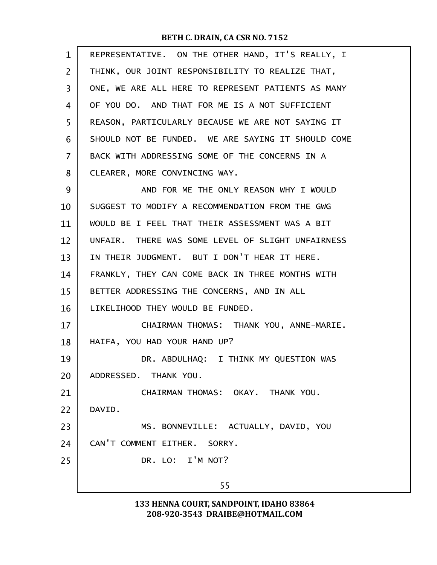| $\mathbf{1}$   | REPRESENTATIVE. ON THE OTHER HAND, IT'S REALLY, I  |
|----------------|----------------------------------------------------|
| $\overline{2}$ | THINK, OUR JOINT RESPONSIBILITY TO REALIZE THAT,   |
| 3              | ONE, WE ARE ALL HERE TO REPRESENT PATIENTS AS MANY |
| 4              | OF YOU DO. AND THAT FOR ME IS A NOT SUFFICIENT     |
| 5              | REASON, PARTICULARLY BECAUSE WE ARE NOT SAYING IT  |
| 6              | SHOULD NOT BE FUNDED. WE ARE SAYING IT SHOULD COME |
| 7              | BACK WITH ADDRESSING SOME OF THE CONCERNS IN A     |
| 8              | CLEARER, MORE CONVINCING WAY.                      |
| 9              | AND FOR ME THE ONLY REASON WHY I WOULD             |
| 10             | SUGGEST TO MODIFY A RECOMMENDATION FROM THE GWG    |
| 11             | WOULD BE I FEEL THAT THEIR ASSESSMENT WAS A BIT    |
| 12             | UNFAIR. THERE WAS SOME LEVEL OF SLIGHT UNFAIRNESS  |
| 13             | IN THEIR JUDGMENT. BUT I DON'T HEAR IT HERE.       |
| 14             | FRANKLY, THEY CAN COME BACK IN THREE MONTHS WITH   |
| 15             | BETTER ADDRESSING THE CONCERNS, AND IN ALL         |
| 16             | LIKELIHOOD THEY WOULD BE FUNDED.                   |
| 17             | CHAIRMAN THOMAS: THANK YOU, ANNE-MARIE.            |
| 18             | HAIFA, YOU HAD YOUR HAND UP?                       |
| 19             | DR. ABDULHAQ: I THINK MY QUESTION WAS              |
| 20             | ADDRESSED. THANK YOU.                              |
| 21             | CHAIRMAN THOMAS: OKAY. THANK YOU.                  |
| 22             | DAVID.                                             |
| 23             | MS. BONNEVILLE: ACTUALLY, DAVID, YOU               |
| 24             | CAN'T COMMENT EITHER. SORRY.                       |
| 25             | DR. LO: I'M NOT?                                   |
|                | 55                                                 |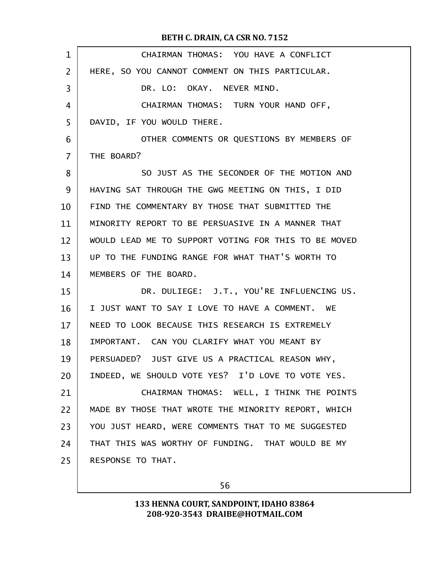| 1              | CHAIRMAN THOMAS: YOU HAVE A CONFLICT                 |
|----------------|------------------------------------------------------|
| $\overline{2}$ | HERE, SO YOU CANNOT COMMENT ON THIS PARTICULAR.      |
| 3              | DR. LO: OKAY. NEVER MIND.                            |
| 4              | CHAIRMAN THOMAS: TURN YOUR HAND OFF,                 |
| 5              | DAVID, IF YOU WOULD THERE.                           |
| 6              | OTHER COMMENTS OR QUESTIONS BY MEMBERS OF            |
| $\overline{7}$ | THE BOARD?                                           |
| 8              | SO JUST AS THE SECONDER OF THE MOTION AND            |
| 9              | HAVING SAT THROUGH THE GWG MEETING ON THIS, I DID    |
| 10             | FIND THE COMMENTARY BY THOSE THAT SUBMITTED THE      |
| 11             | MINORITY REPORT TO BE PERSUASIVE IN A MANNER THAT    |
| 12             | WOULD LEAD ME TO SUPPORT VOTING FOR THIS TO BE MOVED |
| 13             | UP TO THE FUNDING RANGE FOR WHAT THAT'S WORTH TO     |
| 14             | MEMBERS OF THE BOARD.                                |
| 15             | DR. DULIEGE: J.T., YOU'RE INFLUENCING US.            |
| 16             | I JUST WANT TO SAY I LOVE TO HAVE A COMMENT. WE      |
| 17             | NEED TO LOOK BECAUSE THIS RESEARCH IS EXTREMELY      |
| 18             | IMPORTANT. CAN YOU CLARIFY WHAT YOU MEANT BY         |
| 19             | PERSUADED? JUST GIVE US A PRACTICAL REASON WHY,      |
| 20             | INDEED, WE SHOULD VOTE YES? I'D LOVE TO VOTE YES.    |
| 21             | CHAIRMAN THOMAS: WELL, I THINK THE POINTS            |
| 22             | MADE BY THOSE THAT WROTE THE MINORITY REPORT, WHICH  |
| 23             | YOU JUST HEARD, WERE COMMENTS THAT TO ME SUGGESTED   |
| 24             | THAT THIS WAS WORTHY OF FUNDING. THAT WOULD BE MY    |
| 25             | RESPONSE TO THAT.                                    |
|                |                                                      |

56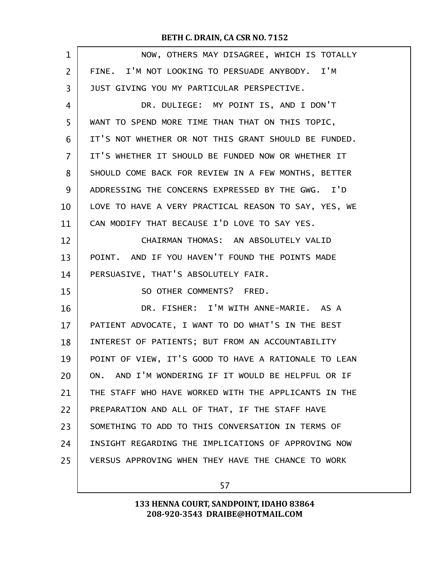| $\mathbf 1$    | NOW, OTHERS MAY DISAGREE, WHICH IS TOTALLY           |
|----------------|------------------------------------------------------|
| $\overline{2}$ | FINE. I'M NOT LOOKING TO PERSUADE ANYBODY. I'M       |
| 3              | JUST GIVING YOU MY PARTICULAR PERSPECTIVE.           |
| 4              | DR. DULIEGE: MY POINT IS, AND I DON'T                |
| 5              | WANT TO SPEND MORE TIME THAN THAT ON THIS TOPIC,     |
| 6              | IT'S NOT WHETHER OR NOT THIS GRANT SHOULD BE FUNDED. |
| $\overline{7}$ | IT'S WHETHER IT SHOULD BE FUNDED NOW OR WHETHER IT   |
| 8              | SHOULD COME BACK FOR REVIEW IN A FEW MONTHS, BETTER  |
| 9              | ADDRESSING THE CONCERNS EXPRESSED BY THE GWG. I'D    |
| 10             | LOVE TO HAVE A VERY PRACTICAL REASON TO SAY, YES, WE |
| 11             | CAN MODIFY THAT BECAUSE I'D LOVE TO SAY YES.         |
| 12             | CHAIRMAN THOMAS: AN ABSOLUTELY VALID                 |
| 13             | POINT. AND IF YOU HAVEN'T FOUND THE POINTS MADE      |
| 14             | PERSUASIVE, THAT'S ABSOLUTELY FAIR.                  |
| 15             | SO OTHER COMMENTS? FRED.                             |
| 16             | DR. FISHER: I'M WITH ANNE-MARIE. AS A                |
| 17             | PATIENT ADVOCATE, I WANT TO DO WHAT'S IN THE BEST    |
| 18             | INTEREST OF PATIENTS; BUT FROM AN ACCOUNTABILITY     |
| 19             | POINT OF VIEW, IT'S GOOD TO HAVE A RATIONALE TO LEAN |
| 20             | ON. AND I'M WONDERING IF IT WOULD BE HELPFUL OR IF   |
| 21             | THE STAFF WHO HAVE WORKED WITH THE APPLICANTS IN THE |
| 22             | PREPARATION AND ALL OF THAT, IF THE STAFF HAVE       |
| 23             | SOMETHING TO ADD TO THIS CONVERSATION IN TERMS OF    |
| 24             | INSIGHT REGARDING THE IMPLICATIONS OF APPROVING NOW  |
| 25             | VERSUS APPROVING WHEN THEY HAVE THE CHANCE TO WORK   |
|                |                                                      |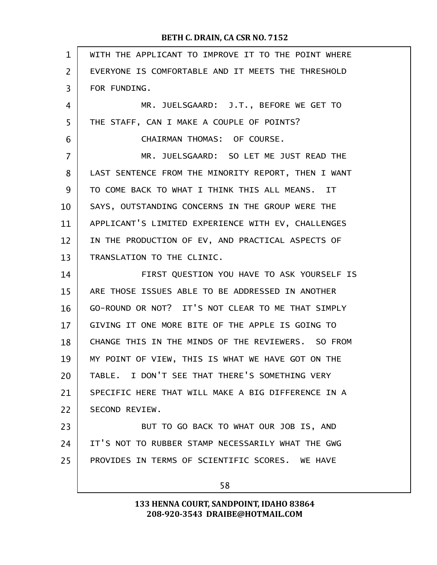| $\mathbf{1}$   | WITH THE APPLICANT TO IMPROVE IT TO THE POINT WHERE |
|----------------|-----------------------------------------------------|
| $\overline{2}$ | EVERYONE IS COMFORTABLE AND IT MEETS THE THRESHOLD  |
| 3              | FOR FUNDING.                                        |
| 4              | MR. JUELSGAARD: J.T., BEFORE WE GET TO              |
| 5              | THE STAFF, CAN I MAKE A COUPLE OF POINTS?           |
| 6              | CHAIRMAN THOMAS: OF COURSE.                         |
| $\overline{7}$ | MR. JUELSGAARD: SO LET ME JUST READ THE             |
| 8              | LAST SENTENCE FROM THE MINORITY REPORT, THEN I WANT |
| 9              | TO COME BACK TO WHAT I THINK THIS ALL MEANS. IT     |
| 10             | SAYS, OUTSTANDING CONCERNS IN THE GROUP WERE THE    |
| 11             | APPLICANT'S LIMITED EXPERIENCE WITH EV, CHALLENGES  |
| 12             | IN THE PRODUCTION OF EV, AND PRACTICAL ASPECTS OF   |
| 13             | TRANSLATION TO THE CLINIC.                          |
| 14             | FIRST QUESTION YOU HAVE TO ASK YOURSELF IS          |
| 15             | ARE THOSE ISSUES ABLE TO BE ADDRESSED IN ANOTHER    |
| 16             | GO-ROUND OR NOT? IT'S NOT CLEAR TO ME THAT SIMPLY   |
| 17             | GIVING IT ONE MORE BITE OF THE APPLE IS GOING TO    |
| 18             | CHANGE THIS IN THE MINDS OF THE REVIEWERS. SO FROM  |
| 19             | MY POINT OF VIEW, THIS IS WHAT WE HAVE GOT ON THE   |
| 20             | TABLE. I DON'T SEE THAT THERE'S SOMETHING VERY      |
| 21             | SPECIFIC HERE THAT WILL MAKE A BIG DIFFERENCE IN A  |
| 22             | SECOND REVIEW.                                      |
| 23             | BUT TO GO BACK TO WHAT OUR JOB IS, AND              |
| 24             | IT'S NOT TO RUBBER STAMP NECESSARILY WHAT THE GWG   |
| 25             | PROVIDES IN TERMS OF SCIENTIFIC SCORES. WE HAVE     |
|                | 58                                                  |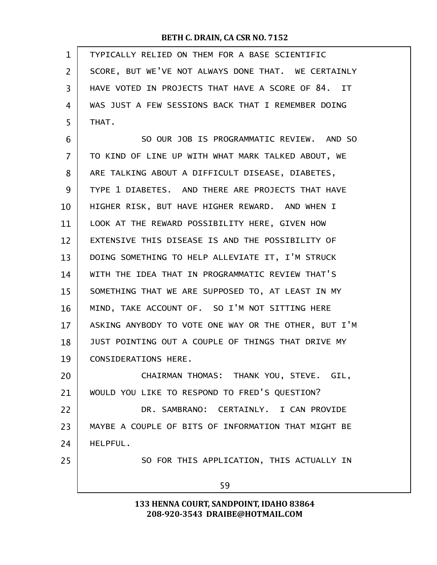| $\mathbf{1}$ | TYPICALLY RELIED ON THEM FOR A BASE SCIENTIFIC       |
|--------------|------------------------------------------------------|
| 2            | SCORE, BUT WE'VE NOT ALWAYS DONE THAT. WE CERTAINLY  |
| 3            | HAVE VOTED IN PROJECTS THAT HAVE A SCORE OF 84. IT   |
| 4            | WAS JUST A FEW SESSIONS BACK THAT I REMEMBER DOING   |
| 5            | THAT.                                                |
| 6            | SO OUR JOB IS PROGRAMMATIC REVIEW. AND SO            |
| 7            | TO KIND OF LINE UP WITH WHAT MARK TALKED ABOUT, WE   |
| 8            | ARE TALKING ABOUT A DIFFICULT DISEASE, DIABETES,     |
| 9            | TYPE 1 DIABETES. AND THERE ARE PROJECTS THAT HAVE    |
| 10           | HIGHER RISK, BUT HAVE HIGHER REWARD. AND WHEN I      |
| 11           | LOOK AT THE REWARD POSSIBILITY HERE, GIVEN HOW       |
| 12           | EXTENSIVE THIS DISEASE IS AND THE POSSIBILITY OF     |
| 13           | DOING SOMETHING TO HELP ALLEVIATE IT, I'M STRUCK     |
| 14           | WITH THE IDEA THAT IN PROGRAMMATIC REVIEW THAT'S     |
| 15           | SOMETHING THAT WE ARE SUPPOSED TO, AT LEAST IN MY    |
| 16           | MIND, TAKE ACCOUNT OF. SO I'M NOT SITTING HERE       |
| 17           | ASKING ANYBODY TO VOTE ONE WAY OR THE OTHER, BUT I'M |
| 18           | JUST POINTING OUT A COUPLE OF THINGS THAT DRIVE MY   |
| 19           | CONSIDERATIONS HERE.                                 |
| 20           | CHAIRMAN THOMAS: THANK YOU, STEVE. GIL,              |
| 21           | WOULD YOU LIKE TO RESPOND TO FRED'S QUESTION?        |
| 22           | DR. SAMBRANO: CERTAINLY. I CAN PROVIDE               |
| 23           | MAYBE A COUPLE OF BITS OF INFORMATION THAT MIGHT BE  |
| 24           | HELPFUL.                                             |
| 25           | SO FOR THIS APPLICATION, THIS ACTUALLY IN            |
|              | 59                                                   |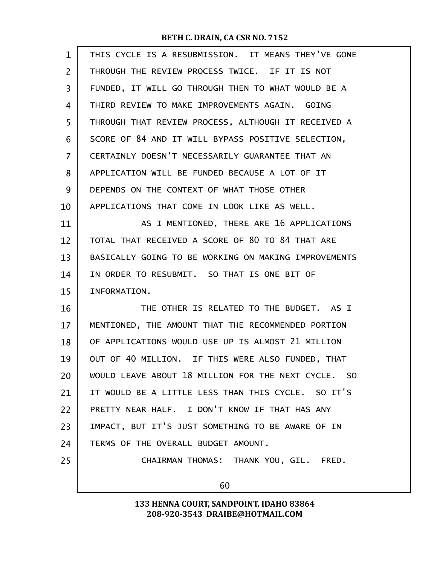| $\mathbf{1}$   | THIS CYCLE IS A RESUBMISSION. IT MEANS THEY'VE GONE  |
|----------------|------------------------------------------------------|
| $\overline{2}$ | THROUGH THE REVIEW PROCESS TWICE. IF IT IS NOT       |
| 3              | FUNDED, IT WILL GO THROUGH THEN TO WHAT WOULD BE A   |
| 4              | THIRD REVIEW TO MAKE IMPROVEMENTS AGAIN. GOING       |
| 5              | THROUGH THAT REVIEW PROCESS, ALTHOUGH IT RECEIVED A  |
| 6              | SCORE OF 84 AND IT WILL BYPASS POSITIVE SELECTION,   |
| $\overline{7}$ | CERTAINLY DOESN'T NECESSARILY GUARANTEE THAT AN      |
| 8              | APPLICATION WILL BE FUNDED BECAUSE A LOT OF IT       |
| 9              | DEPENDS ON THE CONTEXT OF WHAT THOSE OTHER           |
| 10             | APPLICATIONS THAT COME IN LOOK LIKE AS WELL.         |
| 11             | AS I MENTIONED, THERE ARE 16 APPLICATIONS            |
| 12             | TOTAL THAT RECEIVED A SCORE OF 80 TO 84 THAT ARE     |
| 13             | BASICALLY GOING TO BE WORKING ON MAKING IMPROVEMENTS |
| 14             | IN ORDER TO RESUBMIT. SO THAT IS ONE BIT OF          |
| 15             | INFORMATION.                                         |
| 16             | THE OTHER IS RELATED TO THE BUDGET. AS I             |
| 17             | MENTIONED, THE AMOUNT THAT THE RECOMMENDED PORTION   |
| 18             | OF APPLICATIONS WOULD USE UP IS ALMOST 21 MILLION    |
| 19             | OUT OF 40 MILLION. IF THIS WERE ALSO FUNDED, THAT    |
| 20             | WOULD LEAVE ABOUT 18 MILLION FOR THE NEXT CYCLE. SO  |
| 21             | IT WOULD BE A LITTLE LESS THAN THIS CYCLE. SO IT'S   |
| 22             | PRETTY NEAR HALF. I DON'T KNOW IF THAT HAS ANY       |
| 23             | IMPACT, BUT IT'S JUST SOMETHING TO BE AWARE OF IN    |
| 24             | TERMS OF THE OVERALL BUDGET AMOUNT.                  |
| 25             | CHAIRMAN THOMAS: THANK YOU, GIL. FRED.               |
|                | 60                                                   |
|                |                                                      |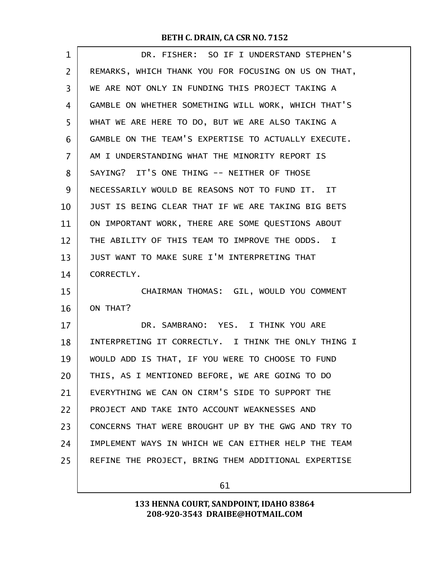| $\mathbf 1$    | DR. FISHER: SO IF I UNDERSTAND STEPHEN'S             |
|----------------|------------------------------------------------------|
| $\overline{2}$ | REMARKS, WHICH THANK YOU FOR FOCUSING ON US ON THAT, |
| 3              | WE ARE NOT ONLY IN FUNDING THIS PROJECT TAKING A     |
| 4              | GAMBLE ON WHETHER SOMETHING WILL WORK, WHICH THAT'S  |
| 5              | WHAT WE ARE HERE TO DO, BUT WE ARE ALSO TAKING A     |
| 6              | GAMBLE ON THE TEAM'S EXPERTISE TO ACTUALLY EXECUTE.  |
| 7              | AM I UNDERSTANDING WHAT THE MINORITY REPORT IS       |
| 8              | SAYING? IT'S ONE THING -- NEITHER OF THOSE           |
| 9              | NECESSARILY WOULD BE REASONS NOT TO FUND IT. IT      |
| 10             | JUST IS BEING CLEAR THAT IF WE ARE TAKING BIG BETS   |
| 11             | ON IMPORTANT WORK, THERE ARE SOME QUESTIONS ABOUT    |
| 12             | THE ABILITY OF THIS TEAM TO IMPROVE THE ODDS. I      |
| 13             | JUST WANT TO MAKE SURE I'M INTERPRETING THAT         |
| 14             | CORRECTLY.                                           |
| 15             | CHAIRMAN THOMAS: GIL, WOULD YOU COMMENT              |
| 16             | ON THAT?                                             |
| 17             | DR. SAMBRANO: YES. I THINK YOU ARE                   |
| 18             | INTERPRETING IT CORRECTLY. I THINK THE ONLY THING I  |
| 19             | WOULD ADD IS THAT, IF YOU WERE TO CHOOSE TO FUND     |
| 20             | THIS, AS I MENTIONED BEFORE, WE ARE GOING TO DO      |
| 21             | EVERYTHING WE CAN ON CIRM'S SIDE TO SUPPORT THE      |
| 22             | PROJECT AND TAKE INTO ACCOUNT WEAKNESSES AND         |
| 23             | CONCERNS THAT WERE BROUGHT UP BY THE GWG AND TRY TO  |
| 24             | IMPLEMENT WAYS IN WHICH WE CAN EITHER HELP THE TEAM  |
| 25             | REFINE THE PROJECT, BRING THEM ADDITIONAL EXPERTISE  |
|                |                                                      |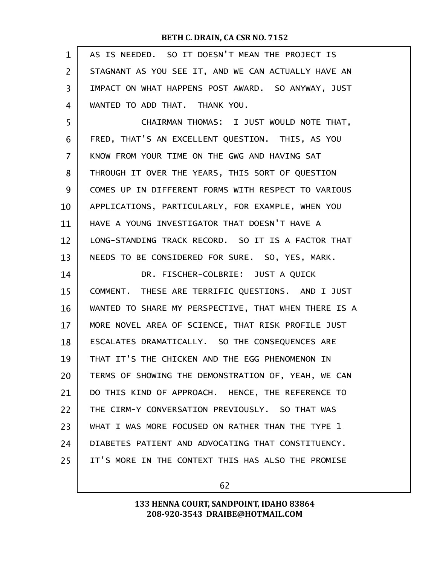| $\mathbf{1}$   | AS IS NEEDED. SO IT DOESN'T MEAN THE PROJECT IS      |
|----------------|------------------------------------------------------|
| $\overline{2}$ | STAGNANT AS YOU SEE IT, AND WE CAN ACTUALLY HAVE AN  |
| 3              | IMPACT ON WHAT HAPPENS POST AWARD. SO ANYWAY, JUST   |
| 4              | WANTED TO ADD THAT. THANK YOU.                       |
| 5              | CHAIRMAN THOMAS: I JUST WOULD NOTE THAT,             |
| 6              | FRED, THAT'S AN EXCELLENT QUESTION. THIS, AS YOU     |
| 7              | KNOW FROM YOUR TIME ON THE GWG AND HAVING SAT        |
| 8              | THROUGH IT OVER THE YEARS, THIS SORT OF QUESTION     |
| 9              | COMES UP IN DIFFERENT FORMS WITH RESPECT TO VARIOUS  |
| 10             | APPLICATIONS, PARTICULARLY, FOR EXAMPLE, WHEN YOU    |
| 11             | HAVE A YOUNG INVESTIGATOR THAT DOESN'T HAVE A        |
| 12             | LONG-STANDING TRACK RECORD. SO IT IS A FACTOR THAT   |
| 13             | NEEDS TO BE CONSIDERED FOR SURE. SO, YES, MARK.      |
| 14             | DR. FISCHER-COLBRIE: JUST A QUICK                    |
| 15             |                                                      |
|                | COMMENT. THESE ARE TERRIFIC QUESTIONS. AND I JUST    |
| 16             | WANTED TO SHARE MY PERSPECTIVE, THAT WHEN THERE IS A |
| 17             | MORE NOVEL AREA OF SCIENCE, THAT RISK PROFILE JUST   |
| 18             | ESCALATES DRAMATICALLY. SO THE CONSEQUENCES ARE      |
| 19             | THAT IT'S THE CHICKEN AND THE EGG PHENOMENON IN      |
| 20             | TERMS OF SHOWING THE DEMONSTRATION OF, YEAH, WE CAN  |
| 21             | DO THIS KIND OF APPROACH. HENCE, THE REFERENCE TO    |
| 22             | THE CIRM-Y CONVERSATION PREVIOUSLY. SO THAT WAS      |
| 23             | WHAT I WAS MORE FOCUSED ON RATHER THAN THE TYPE 1    |
| 24             | DIABETES PATIENT AND ADVOCATING THAT CONSTITUENCY.   |
| 25             | IT'S MORE IN THE CONTEXT THIS HAS ALSO THE PROMISE   |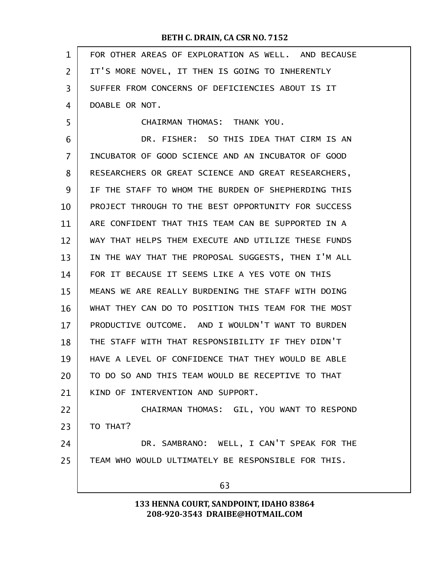| $\mathbf 1$    | FOR OTHER AREAS OF EXPLORATION AS WELL. AND BECAUSE |
|----------------|-----------------------------------------------------|
| $\overline{2}$ | IT'S MORE NOVEL, IT THEN IS GOING TO INHERENTLY     |
| 3              | SUFFER FROM CONCERNS OF DEFICIENCIES ABOUT IS IT    |
| 4              | DOABLE OR NOT.                                      |
| 5              | CHAIRMAN THOMAS: THANK YOU.                         |
| 6              | DR. FISHER: SO THIS IDEA THAT CIRM IS AN            |
| 7              | INCUBATOR OF GOOD SCIENCE AND AN INCUBATOR OF GOOD  |
| 8              | RESEARCHERS OR GREAT SCIENCE AND GREAT RESEARCHERS, |
| 9              | IF THE STAFF TO WHOM THE BURDEN OF SHEPHERDING THIS |
| 10             | PROJECT THROUGH TO THE BEST OPPORTUNITY FOR SUCCESS |
| 11             | ARE CONFIDENT THAT THIS TEAM CAN BE SUPPORTED IN A  |
| 12             | WAY THAT HELPS THEM EXECUTE AND UTILIZE THESE FUNDS |
| 13             | IN THE WAY THAT THE PROPOSAL SUGGESTS, THEN I'M ALL |
| 14             | FOR IT BECAUSE IT SEEMS LIKE A YES VOTE ON THIS     |
| 15             | MEANS WE ARE REALLY BURDENING THE STAFF WITH DOING  |
| 16             | WHAT THEY CAN DO TO POSITION THIS TEAM FOR THE MOST |
| 17             | PRODUCTIVE OUTCOME. AND I WOULDN'T WANT TO BURDEN   |
| 18             | THE STAFF WITH THAT RESPONSIBILITY IF THEY DIDN'T   |
| 19             | HAVE A LEVEL OF CONFIDENCE THAT THEY WOULD BE ABLE  |
| 20             | TO DO SO AND THIS TEAM WOULD BE RECEPTIVE TO THAT   |
| 21             | KIND OF INTERVENTION AND SUPPORT.                   |
| 22             | CHAIRMAN THOMAS: GIL, YOU WANT TO RESPOND           |
| 23             | TO THAT?                                            |
| 24             | DR. SAMBRANO: WELL, I CAN'T SPEAK FOR THE           |
| 25             | TEAM WHO WOULD ULTIMATELY BE RESPONSIBLE FOR THIS.  |
|                | 63                                                  |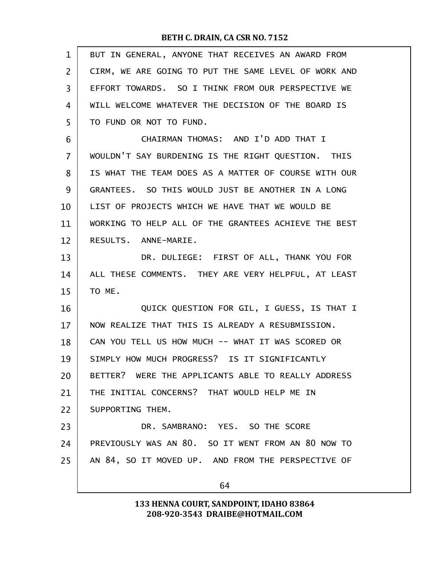| $\mathbf{1}$   | BUT IN GENERAL, ANYONE THAT RECEIVES AN AWARD FROM   |
|----------------|------------------------------------------------------|
| $\overline{2}$ | CIRM, WE ARE GOING TO PUT THE SAME LEVEL OF WORK AND |
| 3              | EFFORT TOWARDS. SO I THINK FROM OUR PERSPECTIVE WE   |
| 4              | WILL WELCOME WHATEVER THE DECISION OF THE BOARD IS   |
| 5              | TO FUND OR NOT TO FUND.                              |
| 6              | CHAIRMAN THOMAS: AND I'D ADD THAT I                  |
| $\overline{7}$ | WOULDN'T SAY BURDENING IS THE RIGHT QUESTION. THIS   |
| 8              | IS WHAT THE TEAM DOES AS A MATTER OF COURSE WITH OUR |
| 9              | GRANTEES. SO THIS WOULD JUST BE ANOTHER IN A LONG    |
| 10             | LIST OF PROJECTS WHICH WE HAVE THAT WE WOULD BE      |
| 11             | WORKING TO HELP ALL OF THE GRANTEES ACHIEVE THE BEST |
| 12             | RESULTS. ANNE-MARIE.                                 |
| 13             | DR. DULIEGE: FIRST OF ALL, THANK YOU FOR             |
| 14             | ALL THESE COMMENTS. THEY ARE VERY HELPFUL, AT LEAST  |
| 15             | TO ME.                                               |
| 16             | QUICK QUESTION FOR GIL, I GUESS, IS THAT I           |
| 17             | NOW REALIZE THAT THIS IS ALREADY A RESUBMISSION.     |
| 18             | CAN YOU TELL US HOW MUCH -- WHAT IT WAS SCORED OR    |
| 19             | SIMPLY HOW MUCH PROGRESS? IS IT SIGNIFICANTLY        |
| 20             | BETTER? WERE THE APPLICANTS ABLE TO REALLY ADDRESS   |
| 21             | THE INITIAL CONCERNS? THAT WOULD HELP ME IN          |
| 22             | SUPPORTING THEM.                                     |
| 23             | DR. SAMBRANO: YES. SO THE SCORE                      |
| 24             | PREVIOUSLY WAS AN 80. SO IT WENT FROM AN 80 NOW TO   |
| 25             | AN 84, SO IT MOVED UP. AND FROM THE PERSPECTIVE OF   |
|                | 64                                                   |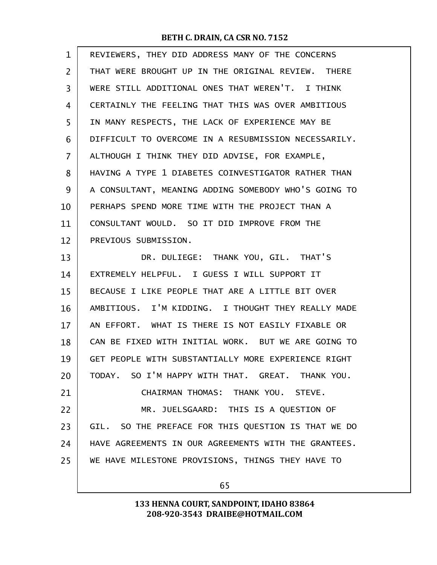| $\mathbf 1$    | REVIEWERS, THEY DID ADDRESS MANY OF THE CONCERNS     |
|----------------|------------------------------------------------------|
| $\overline{2}$ | THAT WERE BROUGHT UP IN THE ORIGINAL REVIEW. THERE   |
| 3              | WERE STILL ADDITIONAL ONES THAT WEREN'T. I THINK     |
| 4              | CERTAINLY THE FEELING THAT THIS WAS OVER AMBITIOUS   |
| 5              | IN MANY RESPECTS, THE LACK OF EXPERIENCE MAY BE      |
| 6              | DIFFICULT TO OVERCOME IN A RESUBMISSION NECESSARILY. |
| 7              | ALTHOUGH I THINK THEY DID ADVISE, FOR EXAMPLE,       |
| 8              | HAVING A TYPE 1 DIABETES COINVESTIGATOR RATHER THAN  |
| 9              | A CONSULTANT, MEANING ADDING SOMEBODY WHO'S GOING TO |
| 10             | PERHAPS SPEND MORE TIME WITH THE PROJECT THAN A      |
| 11             | CONSULTANT WOULD. SO IT DID IMPROVE FROM THE         |
| 12             | PREVIOUS SUBMISSION.                                 |
| 13             | DR. DULIEGE: THANK YOU, GIL. THAT'S                  |
| 14             | EXTREMELY HELPFUL. I GUESS I WILL SUPPORT IT         |
| 15             | BECAUSE I LIKE PEOPLE THAT ARE A LITTLE BIT OVER     |
| 16             | AMBITIOUS. I'M KIDDING. I THOUGHT THEY REALLY MADE   |
| 17             | AN EFFORT. WHAT IS THERE IS NOT EASILY FIXABLE OR    |
| 18             | CAN BE FIXED WITH INITIAL WORK. BUT WE ARE GOING TO  |
| 19             | GET PEOPLE WITH SUBSTANTIALLY MORE EXPERIENCE RIGHT  |
| 20             | TODAY. SO I'M HAPPY WITH THAT. GREAT. THANK YOU.     |
| 21             | CHAIRMAN THOMAS: THANK YOU. STEVE.                   |
| 22             | MR. JUELSGAARD: THIS IS A QUESTION OF                |
| 23             | GIL. SO THE PREFACE FOR THIS QUESTION IS THAT WE DO  |
| 24             | HAVE AGREEMENTS IN OUR AGREEMENTS WITH THE GRANTEES. |
| 25             | WE HAVE MILESTONE PROVISIONS, THINGS THEY HAVE TO    |
|                |                                                      |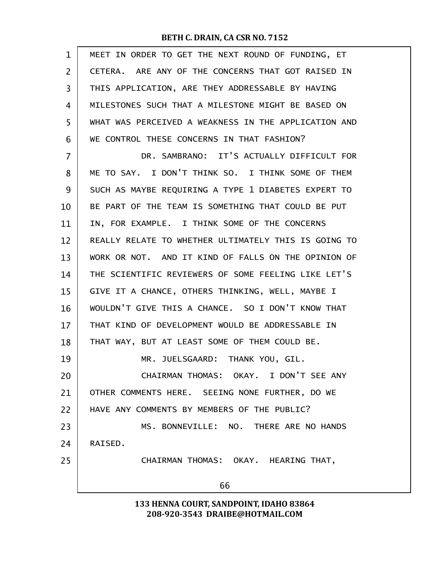| 1  | MEET IN ORDER TO GET THE NEXT ROUND OF FUNDING, ET   |
|----|------------------------------------------------------|
| 2  | CETERA. ARE ANY OF THE CONCERNS THAT GOT RAISED IN   |
| 3  | THIS APPLICATION, ARE THEY ADDRESSABLE BY HAVING     |
| 4  | MILESTONES SUCH THAT A MILESTONE MIGHT BE BASED ON   |
| 5  | WHAT WAS PERCEIVED A WEAKNESS IN THE APPLICATION AND |
| 6  | WE CONTROL THESE CONCERNS IN THAT FASHION?           |
| 7  | DR. SAMBRANO: IT'S ACTUALLY DIFFICULT FOR            |
| 8  | ME TO SAY. I DON'T THINK SO. I THINK SOME OF THEM    |
| 9  | SUCH AS MAYBE REQUIRING A TYPE 1 DIABETES EXPERT TO  |
| 10 | BE PART OF THE TEAM IS SOMETHING THAT COULD BE PUT   |
| 11 | IN, FOR EXAMPLE. I THINK SOME OF THE CONCERNS        |
| 12 | REALLY RELATE TO WHETHER ULTIMATELY THIS IS GOING TO |
| 13 | WORK OR NOT. AND IT KIND OF FALLS ON THE OPINION OF  |
| 14 | THE SCIENTIFIC REVIEWERS OF SOME FEELING LIKE LET'S  |
| 15 | GIVE IT A CHANCE, OTHERS THINKING, WELL, MAYBE I     |
| 16 | WOULDN'T GIVE THIS A CHANCE. SO I DON'T KNOW THAT    |
| 17 | THAT KIND OF DEVELOPMENT WOULD BE ADDRESSABLE IN     |
| 18 | THAT WAY, BUT AT LEAST SOME OF THEM COULD BE.        |
| 19 | MR. JUELSGAARD: THANK YOU, GIL.                      |
| 20 | CHAIRMAN THOMAS: OKAY. I DON'T SEE ANY               |
| 21 | OTHER COMMENTS HERE. SEEING NONE FURTHER, DO WE      |
| 22 | HAVE ANY COMMENTS BY MEMBERS OF THE PUBLIC?          |
| 23 | MS. BONNEVILLE: NO. THERE ARE NO HANDS               |
| 24 | RAISED.                                              |
| 25 | CHAIRMAN THOMAS: OKAY. HEARING THAT,                 |
|    | 66                                                   |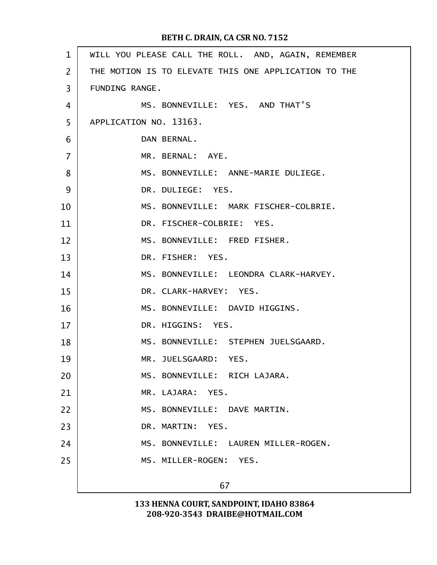| $\mathbf{1}$   | WILL YOU PLEASE CALL THE ROLL. AND, AGAIN, REMEMBER  |
|----------------|------------------------------------------------------|
| $\overline{2}$ | THE MOTION IS TO ELEVATE THIS ONE APPLICATION TO THE |
| 3              | FUNDING RANGE.                                       |
| $\overline{4}$ | MS. BONNEVILLE: YES. AND THAT'S                      |
| 5              | APPLICATION NO. 13163.                               |
| 6              | DAN BERNAL.                                          |
| $\overline{7}$ | MR. BERNAL: AYE.                                     |
| 8              | MS. BONNEVILLE: ANNE-MARIE DULIEGE.                  |
| 9              | DR. DULIEGE: YES.                                    |
| 10             | MS. BONNEVILLE: MARK FISCHER-COLBRIE.                |
| 11             | DR. FISCHER-COLBRIE: YES.                            |
| 12             | MS. BONNEVILLE: FRED FISHER.                         |
| 13             | DR. FISHER: YES.                                     |
| 14             | MS. BONNEVILLE: LEONDRA CLARK-HARVEY.                |
| 15             | DR. CLARK-HARVEY: YES.                               |
| 16             | MS. BONNEVILLE: DAVID HIGGINS.                       |
| 17             | DR. HIGGINS: YES.                                    |
| 18             | MS. BONNEVILLE: STEPHEN JUELSGAARD.                  |
| 19             | MR. JUELSGAARD: YES.                                 |
| 20             | MS. BONNEVILLE: RICH LAJARA.                         |
| 21             | MR. LAJARA: YES.                                     |
| 22             | MS. BONNEVILLE: DAVE MARTIN.                         |
| 23             | DR. MARTIN: YES.                                     |
| 24             | MS. BONNEVILLE: LAUREN MILLER-ROGEN.                 |
| 25             | MS. MILLER-ROGEN: YES.                               |
|                | 67                                                   |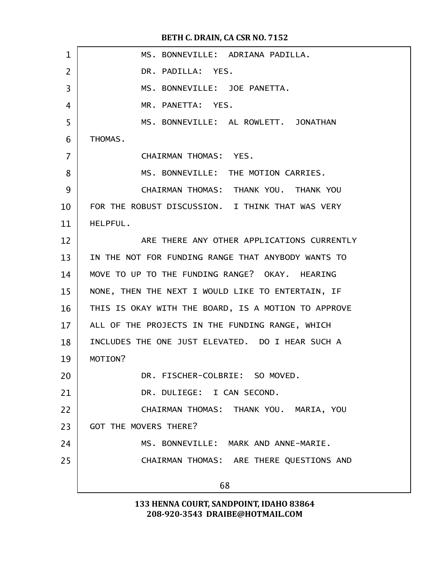| $\mathbf 1$    | MS. BONNEVILLE: ADRIANA PADILLA.                    |
|----------------|-----------------------------------------------------|
| $\overline{2}$ | DR. PADILLA: YES.                                   |
| 3              | MS. BONNEVILLE: JOE PANETTA.                        |
| 4              | MR. PANETTA: YES.                                   |
| 5              | MS. BONNEVILLE: AL ROWLETT. JONATHAN                |
| 6              | THOMAS.                                             |
| $\overline{7}$ | CHAIRMAN THOMAS: YES.                               |
| 8              | MS. BONNEVILLE: THE MOTION CARRIES.                 |
| 9              | CHAIRMAN THOMAS: THANK YOU. THANK YOU               |
| 10             | FOR THE ROBUST DISCUSSION. I THINK THAT WAS VERY    |
| 11             | HELPFUL.                                            |
| 12             | ARE THERE ANY OTHER APPLICATIONS CURRENTLY          |
| 13             | IN THE NOT FOR FUNDING RANGE THAT ANYBODY WANTS TO  |
| 14             | MOVE TO UP TO THE FUNDING RANGE? OKAY. HEARING      |
| 15             | NONE, THEN THE NEXT I WOULD LIKE TO ENTERTAIN, IF   |
| 16             | THIS IS OKAY WITH THE BOARD, IS A MOTION TO APPROVE |
| 17             | ALL OF THE PROJECTS IN THE FUNDING RANGE, WHICH     |
| 18             | INCLUDES THE ONE JUST ELEVATED. DO I HEAR SUCH A    |
| 19             | MOTION?                                             |
| 20             | DR. FISCHER-COLBRIE: SO MOVED.                      |
| 21             | DR. DULIEGE: I CAN SECOND.                          |
| 22             | CHAIRMAN THOMAS: THANK YOU. MARIA, YOU              |
| 23             | <b>GOT THE MOVERS THERE?</b>                        |
| 24             | MS. BONNEVILLE: MARK AND ANNE-MARIE.                |
| 25             | CHAIRMAN THOMAS: ARE THERE QUESTIONS AND            |
|                | 68                                                  |
|                |                                                     |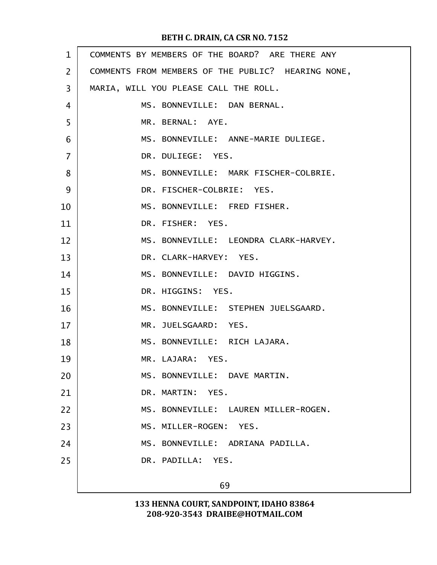| $\mathbf{1}$   | COMMENTS BY MEMBERS OF THE BOARD? ARE THERE ANY    |
|----------------|----------------------------------------------------|
| $\overline{2}$ | COMMENTS FROM MEMBERS OF THE PUBLIC? HEARING NONE, |
| 3              | MARIA, WILL YOU PLEASE CALL THE ROLL.              |
| 4              | MS. BONNEVILLE: DAN BERNAL.                        |
| 5              | MR. BERNAL: AYE.                                   |
| 6              | MS. BONNEVILLE: ANNE-MARIE DULIEGE.                |
| $\overline{7}$ | DR. DULIEGE: YES.                                  |
| 8              | MS. BONNEVILLE: MARK FISCHER-COLBRIE.              |
| 9              | DR. FISCHER-COLBRIE: YES.                          |
| 10             | MS. BONNEVILLE: FRED FISHER.                       |
| 11             | DR. FISHER: YES.                                   |
| 12             | MS. BONNEVILLE: LEONDRA CLARK-HARVEY.              |
| 13             | DR. CLARK-HARVEY: YES.                             |
| 14             | MS. BONNEVILLE: DAVID HIGGINS.                     |
| 15             | DR. HIGGINS: YES.                                  |
| 16             | MS. BONNEVILLE: STEPHEN JUELSGAARD.                |
| 17             | MR. JUELSGAARD: YES.                               |
| 18             | MS. BONNEVILLE: RICH LAJARA.                       |
| 19             | MR. LAJARA: YES.                                   |
| 20             | MS. BONNEVILLE: DAVE MARTIN.                       |
| 21             | DR. MARTIN: YES.                                   |
| 22             | MS. BONNEVILLE: LAUREN MILLER-ROGEN.               |
| 23             | MS. MILLER-ROGEN: YES.                             |
| 24             | MS. BONNEVILLE: ADRIANA PADILLA.                   |
| 25             | DR. PADILLA: YES.                                  |
|                | 69                                                 |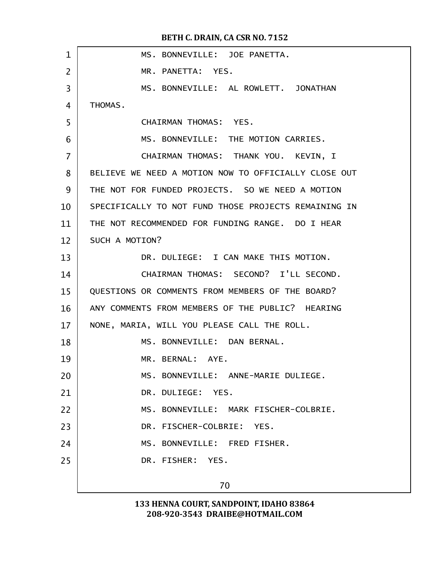| 1              | MS. BONNEVILLE: JOE PANETTA.                         |
|----------------|------------------------------------------------------|
| $\overline{2}$ | MR. PANETTA: YES.                                    |
| 3              | MS. BONNEVILLE: AL ROWLETT. JONATHAN                 |
| 4              | THOMAS.                                              |
| 5              | CHAIRMAN THOMAS: YES.                                |
| 6              | MS. BONNEVILLE: THE MOTION CARRIES.                  |
| $\overline{7}$ | CHAIRMAN THOMAS: THANK YOU. KEVIN, I                 |
| 8              | BELIEVE WE NEED A MOTION NOW TO OFFICIALLY CLOSE OUT |
| 9              | THE NOT FOR FUNDED PROJECTS. SO WE NEED A MOTION     |
| 10             | SPECIFICALLY TO NOT FUND THOSE PROJECTS REMAINING IN |
| 11             | THE NOT RECOMMENDED FOR FUNDING RANGE. DO I HEAR     |
| 12             | SUCH A MOTION?                                       |
| 13             | DR. DULIEGE: I CAN MAKE THIS MOTION.                 |
| 14             | CHAIRMAN THOMAS: SECOND? I'LL SECOND.                |
| 15             | QUESTIONS OR COMMENTS FROM MEMBERS OF THE BOARD?     |
| 16             | ANY COMMENTS FROM MEMBERS OF THE PUBLIC? HEARING     |
| 17             | NONE, MARIA, WILL YOU PLEASE CALL THE ROLL.          |
| 18             | MS. BONNEVILLE: DAN BERNAL.                          |
| 19             | MR. BERNAL: AYE.                                     |
| 20             | MS. BONNEVILLE: ANNE-MARIE DULIEGE.                  |
| 21             | DR. DULIEGE: YES.                                    |
| 22             | MS. BONNEVILLE: MARK FISCHER-COLBRIE.                |
| 23             | DR. FISCHER-COLBRIE: YES.                            |
| 24             | MS. BONNEVILLE: FRED FISHER.                         |
| 25             | DR. FISHER: YES.                                     |
|                |                                                      |
|                | 70                                                   |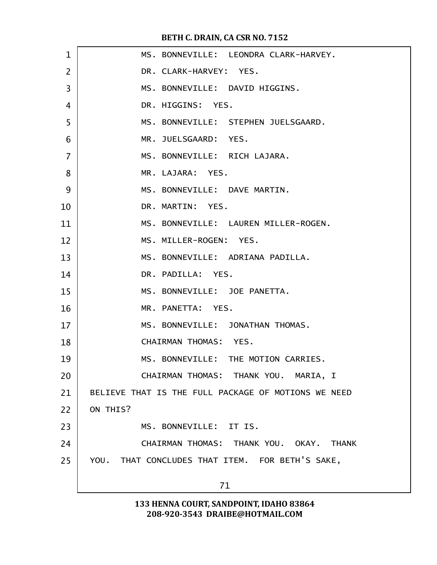| $\mathbf{1}$   | MS. BONNEVILLE: LEONDRA CLARK-HARVEY.               |
|----------------|-----------------------------------------------------|
| $\overline{2}$ | DR. CLARK-HARVEY: YES.                              |
| 3              | MS. BONNEVILLE: DAVID HIGGINS.                      |
| 4              | DR. HIGGINS: YES.                                   |
| 5              | MS. BONNEVILLE: STEPHEN JUELSGAARD.                 |
| 6              | MR. JUELSGAARD: YES.                                |
| $\overline{7}$ | MS. BONNEVILLE: RICH LAJARA.                        |
| 8              | MR. LAJARA: YES.                                    |
| 9              | MS. BONNEVILLE: DAVE MARTIN.                        |
| 10             | DR. MARTIN: YES.                                    |
| 11             | MS. BONNEVILLE: LAUREN MILLER-ROGEN.                |
| 12             | MS. MILLER-ROGEN: YES.                              |
| 13             | MS. BONNEVILLE: ADRIANA PADILLA.                    |
| 14             | DR. PADILLA: YES.                                   |
| 15             | MS. BONNEVILLE: JOE PANETTA.                        |
| 16             | MR. PANETTA: YES.                                   |
| 17             | MS. BONNEVILLE: JONATHAN THOMAS.                    |
| 18             | CHAIRMAN THOMAS: YES.                               |
| 19             | MS. BONNEVILLE: THE MOTION CARRIES.                 |
| 20             | CHAIRMAN THOMAS: THANK YOU. MARIA, I                |
| 21             | BELIEVE THAT IS THE FULL PACKAGE OF MOTIONS WE NEED |
| 22             | ON THIS?                                            |
| 23             | MS. BONNEVILLE: IT IS.                              |
| 24             | CHAIRMAN THOMAS: THANK YOU. OKAY. THANK             |
| 25             | YOU. THAT CONCLUDES THAT ITEM. FOR BETH'S SAKE,     |
|                | 71                                                  |
|                |                                                     |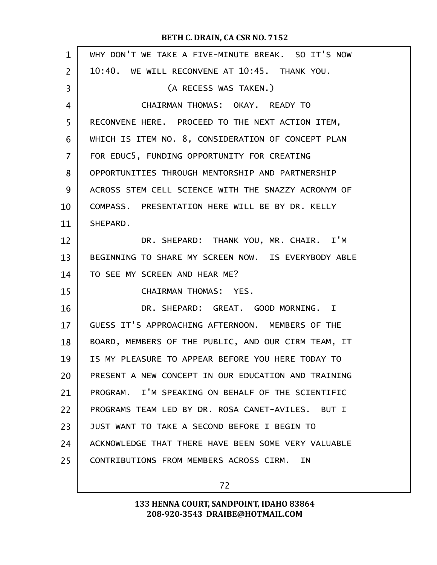| $\mathbf{1}$   | WHY DON'T WE TAKE A FIVE-MINUTE BREAK. SO IT'S NOW  |
|----------------|-----------------------------------------------------|
| $\overline{2}$ | 10:40. WE WILL RECONVENE AT 10:45. THANK YOU.       |
| 3              | (A RECESS WAS TAKEN.)                               |
| 4              | CHAIRMAN THOMAS: OKAY. READY TO                     |
| 5              | RECONVENE HERE. PROCEED TO THE NEXT ACTION ITEM,    |
| 6              | WHICH IS ITEM NO. 8, CONSIDERATION OF CONCEPT PLAN  |
| 7              | FOR EDUC5, FUNDING OPPORTUNITY FOR CREATING         |
| 8              | OPPORTUNITIES THROUGH MENTORSHIP AND PARTNERSHIP    |
| 9              | ACROSS STEM CELL SCIENCE WITH THE SNAZZY ACRONYM OF |
| 10             | COMPASS. PRESENTATION HERE WILL BE BY DR. KELLY     |
| 11             | SHEPARD.                                            |
| 12             | DR. SHEPARD: THANK YOU, MR. CHAIR. I'M              |
| 13             | BEGINNING TO SHARE MY SCREEN NOW. IS EVERYBODY ABLE |
| 14             | TO SEE MY SCREEN AND HEAR ME?                       |
| 15             | CHAIRMAN THOMAS: YES.                               |
| 16             | DR. SHEPARD: GREAT. GOOD MORNING. I                 |
| 17             | GUESS IT'S APPROACHING AFTERNOON. MEMBERS OF THE    |
| 18             | BOARD, MEMBERS OF THE PUBLIC, AND OUR CIRM TEAM, IT |
| 19             | IS MY PLEASURE TO APPEAR BEFORE YOU HERE TODAY TO   |
| 20             | PRESENT A NEW CONCEPT IN OUR EDUCATION AND TRAINING |
| 21             | PROGRAM. I'M SPEAKING ON BEHALF OF THE SCIENTIFIC   |
| 22             | PROGRAMS TEAM LED BY DR. ROSA CANET-AVILES. BUT I   |
| 23             | JUST WANT TO TAKE A SECOND BEFORE I BEGIN TO        |
| 24             | ACKNOWLEDGE THAT THERE HAVE BEEN SOME VERY VALUABLE |
| 25             | CONTRIBUTIONS FROM MEMBERS ACROSS CIRM.<br>ΙN.      |
|                |                                                     |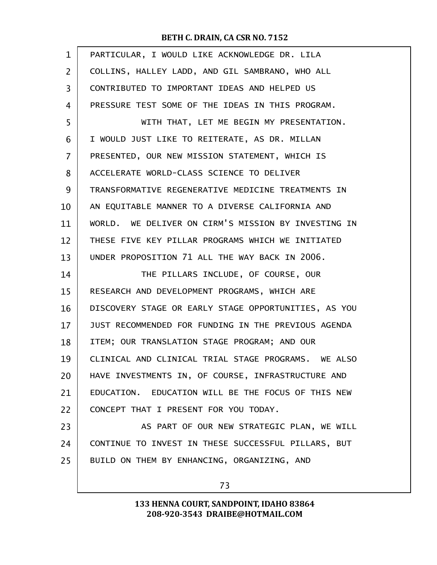| $\mathbf{1}$   | PARTICULAR, I WOULD LIKE ACKNOWLEDGE DR. LILA        |
|----------------|------------------------------------------------------|
| $\overline{2}$ | COLLINS, HALLEY LADD, AND GIL SAMBRANO, WHO ALL      |
| 3              | CONTRIBUTED TO IMPORTANT IDEAS AND HELPED US         |
| 4              | PRESSURE TEST SOME OF THE IDEAS IN THIS PROGRAM.     |
| 5              | WITH THAT, LET ME BEGIN MY PRESENTATION.             |
| 6              | I WOULD JUST LIKE TO REITERATE, AS DR. MILLAN        |
| $\overline{7}$ | PRESENTED, OUR NEW MISSION STATEMENT, WHICH IS       |
| 8              | ACCELERATE WORLD-CLASS SCIENCE TO DELIVER            |
| 9              | TRANSFORMATIVE REGENERATIVE MEDICINE TREATMENTS IN   |
| 10             | AN EQUITABLE MANNER TO A DIVERSE CALIFORNIA AND      |
| 11             | WORLD. WE DELIVER ON CIRM'S MISSION BY INVESTING IN  |
| 12             | THESE FIVE KEY PILLAR PROGRAMS WHICH WE INITIATED    |
| 13             | UNDER PROPOSITION 71 ALL THE WAY BACK IN 2006.       |
| 14             | THE PILLARS INCLUDE, OF COURSE, OUR                  |
| 15             | RESEARCH AND DEVELOPMENT PROGRAMS, WHICH ARE         |
| 16             | DISCOVERY STAGE OR EARLY STAGE OPPORTUNITIES, AS YOU |
| 17             | JUST RECOMMENDED FOR FUNDING IN THE PREVIOUS AGENDA  |
| 18             | ITEM; OUR TRANSLATION STAGE PROGRAM; AND OUR         |
| 19             | CLINICAL AND CLINICAL TRIAL STAGE PROGRAMS. WE ALSO  |
| 20             | HAVE INVESTMENTS IN, OF COURSE, INFRASTRUCTURE AND   |
| 21             | EDUCATION. EDUCATION WILL BE THE FOCUS OF THIS NEW   |
| 22             | CONCEPT THAT I PRESENT FOR YOU TODAY.                |
| 23             | AS PART OF OUR NEW STRATEGIC PLAN, WE WILL           |
| 24             | CONTINUE TO INVEST IN THESE SUCCESSFUL PILLARS, BUT  |
| 25             | BUILD ON THEM BY ENHANCING, ORGANIZING, AND          |
|                | 73                                                   |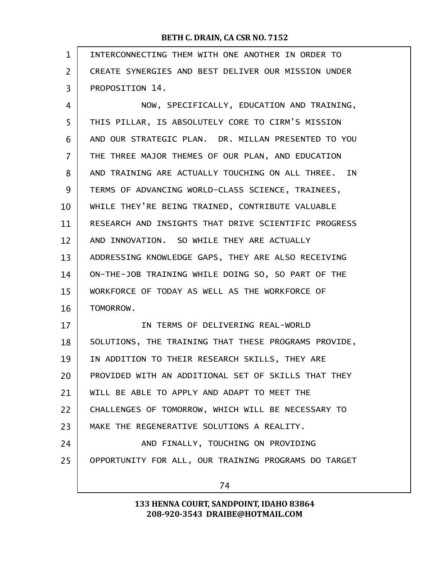| $\mathbf{1}$   | INTERCONNECTING THEM WITH ONE ANOTHER IN ORDER TO    |
|----------------|------------------------------------------------------|
| $\overline{2}$ | CREATE SYNERGIES AND BEST DELIVER OUR MISSION UNDER  |
| 3              | PROPOSITION 14.                                      |
| 4              | NOW, SPECIFICALLY, EDUCATION AND TRAINING,           |
| 5              | THIS PILLAR, IS ABSOLUTELY CORE TO CIRM'S MISSION    |
| 6              | AND OUR STRATEGIC PLAN. DR. MILLAN PRESENTED TO YOU  |
| 7              | THE THREE MAJOR THEMES OF OUR PLAN, AND EDUCATION    |
| 8              | AND TRAINING ARE ACTUALLY TOUCHING ON ALL THREE. IN  |
| 9              | TERMS OF ADVANCING WORLD-CLASS SCIENCE, TRAINEES,    |
| 10             | WHILE THEY'RE BEING TRAINED, CONTRIBUTE VALUABLE     |
| 11             | RESEARCH AND INSIGHTS THAT DRIVE SCIENTIFIC PROGRESS |
| 12             | AND INNOVATION. SO WHILE THEY ARE ACTUALLY           |
| 13             | ADDRESSING KNOWLEDGE GAPS, THEY ARE ALSO RECEIVING   |
| 14             | ON-THE-JOB TRAINING WHILE DOING SO, SO PART OF THE   |
| 15             | WORKFORCE OF TODAY AS WELL AS THE WORKFORCE OF       |
| 16             | TOMORROW.                                            |
| 17             | IN TERMS OF DELIVERING REAL-WORLD                    |
| 18             | SOLUTIONS, THE TRAINING THAT THESE PROGRAMS PROVIDE, |
| 19             | IN ADDITION TO THEIR RESEARCH SKILLS, THEY ARE       |
| 20             | PROVIDED WITH AN ADDITIONAL SET OF SKILLS THAT THEY  |
| 21             | WILL BE ABLE TO APPLY AND ADAPT TO MEET THE          |
| 22             | CHALLENGES OF TOMORROW, WHICH WILL BE NECESSARY TO   |
| 23             | MAKE THE REGENERATIVE SOLUTIONS A REALITY.           |
| 24             | AND FINALLY, TOUCHING ON PROVIDING                   |
| 25             | OPPORTUNITY FOR ALL, OUR TRAINING PROGRAMS DO TARGET |
|                | 74                                                   |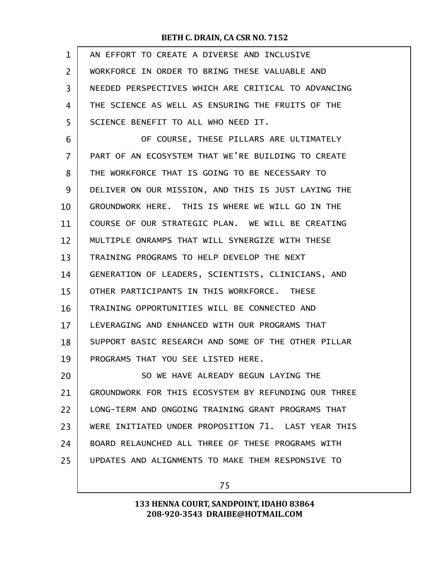| $\mathbf{1}$ | AN EFFORT TO CREATE A DIVERSE AND INCLUSIVE          |
|--------------|------------------------------------------------------|
| 2            | WORKFORCE IN ORDER TO BRING THESE VALUABLE AND       |
| 3            | NEEDED PERSPECTIVES WHICH ARE CRITICAL TO ADVANCING  |
| 4            | THE SCIENCE AS WELL AS ENSURING THE FRUITS OF THE    |
| 5            | SCIENCE BENEFIT TO ALL WHO NEED IT.                  |
| 6            | OF COURSE, THESE PILLARS ARE ULTIMATELY              |
| 7            | PART OF AN ECOSYSTEM THAT WE'RE BUILDING TO CREATE   |
| 8            | THE WORKFORCE THAT IS GOING TO BE NECESSARY TO       |
| 9            | DELIVER ON OUR MISSION, AND THIS IS JUST LAYING THE  |
| 10           | GROUNDWORK HERE. THIS IS WHERE WE WILL GO IN THE     |
| 11           | COURSE OF OUR STRATEGIC PLAN. WE WILL BE CREATING    |
| 12           | MULTIPLE ONRAMPS THAT WILL SYNERGIZE WITH THESE      |
| 13           | TRAINING PROGRAMS TO HELP DEVELOP THE NEXT           |
| 14           | GENERATION OF LEADERS, SCIENTISTS, CLINICIANS, AND   |
| 15           | OTHER PARTICIPANTS IN THIS WORKFORCE. THESE          |
| 16           | TRAINING OPPORTUNITIES WILL BE CONNECTED AND         |
| 17           | LEVERAGING AND ENHANCED WITH OUR PROGRAMS THAT       |
| 18           | SUPPORT BASIC RESEARCH AND SOME OF THE OTHER PILLAR  |
| 19           | PROGRAMS THAT YOU SEE LISTED HERE.                   |
| 20           | SO WE HAVE ALREADY BEGUN LAYING THE                  |
| 21           | GROUNDWORK FOR THIS ECOSYSTEM BY REFUNDING OUR THREE |
| 22           | LONG-TERM AND ONGOING TRAINING GRANT PROGRAMS THAT   |
| 23           | WERE INITIATED UNDER PROPOSITION 71. LAST YEAR THIS  |
| 24           | BOARD RELAUNCHED ALL THREE OF THESE PROGRAMS WITH    |
| 25           | UPDATES AND ALIGNMENTS TO MAKE THEM RESPONSIVE TO    |
|              |                                                      |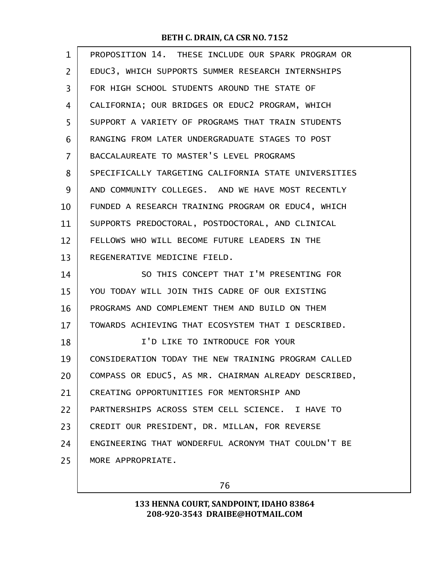| EDUC3, WHICH SUPPORTS SUMMER RESEARCH INTERNSHIPS<br>2<br>3<br>FOR HIGH SCHOOL STUDENTS AROUND THE STATE OF<br>CALIFORNIA; OUR BRIDGES OR EDUC2 PROGRAM, WHICH<br>4<br>5<br>SUPPORT A VARIETY OF PROGRAMS THAT TRAIN STUDENTS<br>RANGING FROM LATER UNDERGRADUATE STAGES TO POST<br>6<br>BACCALAUREATE TO MASTER'S LEVEL PROGRAMS<br>7<br>8<br>AND COMMUNITY COLLEGES. AND WE HAVE MOST RECENTLY<br>9<br>FUNDED A RESEARCH TRAINING PROGRAM OR EDUC4, WHICH<br>10<br>SUPPORTS PREDOCTORAL, POSTDOCTORAL, AND CLINICAL<br>11<br>FELLOWS WHO WILL BECOME FUTURE LEADERS IN THE<br>12<br>REGENERATIVE MEDICINE FIELD.<br>13<br>SO THIS CONCEPT THAT I'M PRESENTING FOR<br>14<br>15<br>YOU TODAY WILL JOIN THIS CADRE OF OUR EXISTING<br>PROGRAMS AND COMPLEMENT THEM AND BUILD ON THEM<br>16<br>TOWARDS ACHIEVING THAT ECOSYSTEM THAT I DESCRIBED.<br>17<br>I'D LIKE TO INTRODUCE FOR YOUR<br>18<br>19<br>20<br>CREATING OPPORTUNITIES FOR MENTORSHIP AND<br>21<br>PARTNERSHIPS ACROSS STEM CELL SCIENCE. I HAVE TO<br>22<br>23<br>CREDIT OUR PRESIDENT, DR. MILLAN, FOR REVERSE | $\mathbf{1}$ | PROPOSITION 14. THESE INCLUDE OUR SPARK PROGRAM OR   |
|-------------------------------------------------------------------------------------------------------------------------------------------------------------------------------------------------------------------------------------------------------------------------------------------------------------------------------------------------------------------------------------------------------------------------------------------------------------------------------------------------------------------------------------------------------------------------------------------------------------------------------------------------------------------------------------------------------------------------------------------------------------------------------------------------------------------------------------------------------------------------------------------------------------------------------------------------------------------------------------------------------------------------------------------------------------------------------|--------------|------------------------------------------------------|
|                                                                                                                                                                                                                                                                                                                                                                                                                                                                                                                                                                                                                                                                                                                                                                                                                                                                                                                                                                                                                                                                               |              |                                                      |
|                                                                                                                                                                                                                                                                                                                                                                                                                                                                                                                                                                                                                                                                                                                                                                                                                                                                                                                                                                                                                                                                               |              |                                                      |
|                                                                                                                                                                                                                                                                                                                                                                                                                                                                                                                                                                                                                                                                                                                                                                                                                                                                                                                                                                                                                                                                               |              |                                                      |
|                                                                                                                                                                                                                                                                                                                                                                                                                                                                                                                                                                                                                                                                                                                                                                                                                                                                                                                                                                                                                                                                               |              |                                                      |
|                                                                                                                                                                                                                                                                                                                                                                                                                                                                                                                                                                                                                                                                                                                                                                                                                                                                                                                                                                                                                                                                               |              |                                                      |
|                                                                                                                                                                                                                                                                                                                                                                                                                                                                                                                                                                                                                                                                                                                                                                                                                                                                                                                                                                                                                                                                               |              |                                                      |
|                                                                                                                                                                                                                                                                                                                                                                                                                                                                                                                                                                                                                                                                                                                                                                                                                                                                                                                                                                                                                                                                               |              | SPECIFICALLY TARGETING CALIFORNIA STATE UNIVERSITIES |
|                                                                                                                                                                                                                                                                                                                                                                                                                                                                                                                                                                                                                                                                                                                                                                                                                                                                                                                                                                                                                                                                               |              |                                                      |
|                                                                                                                                                                                                                                                                                                                                                                                                                                                                                                                                                                                                                                                                                                                                                                                                                                                                                                                                                                                                                                                                               |              |                                                      |
|                                                                                                                                                                                                                                                                                                                                                                                                                                                                                                                                                                                                                                                                                                                                                                                                                                                                                                                                                                                                                                                                               |              |                                                      |
|                                                                                                                                                                                                                                                                                                                                                                                                                                                                                                                                                                                                                                                                                                                                                                                                                                                                                                                                                                                                                                                                               |              |                                                      |
|                                                                                                                                                                                                                                                                                                                                                                                                                                                                                                                                                                                                                                                                                                                                                                                                                                                                                                                                                                                                                                                                               |              |                                                      |
|                                                                                                                                                                                                                                                                                                                                                                                                                                                                                                                                                                                                                                                                                                                                                                                                                                                                                                                                                                                                                                                                               |              |                                                      |
|                                                                                                                                                                                                                                                                                                                                                                                                                                                                                                                                                                                                                                                                                                                                                                                                                                                                                                                                                                                                                                                                               |              |                                                      |
|                                                                                                                                                                                                                                                                                                                                                                                                                                                                                                                                                                                                                                                                                                                                                                                                                                                                                                                                                                                                                                                                               |              |                                                      |
|                                                                                                                                                                                                                                                                                                                                                                                                                                                                                                                                                                                                                                                                                                                                                                                                                                                                                                                                                                                                                                                                               |              |                                                      |
|                                                                                                                                                                                                                                                                                                                                                                                                                                                                                                                                                                                                                                                                                                                                                                                                                                                                                                                                                                                                                                                                               |              |                                                      |
|                                                                                                                                                                                                                                                                                                                                                                                                                                                                                                                                                                                                                                                                                                                                                                                                                                                                                                                                                                                                                                                                               |              | CONSIDERATION TODAY THE NEW TRAINING PROGRAM CALLED  |
|                                                                                                                                                                                                                                                                                                                                                                                                                                                                                                                                                                                                                                                                                                                                                                                                                                                                                                                                                                                                                                                                               |              | COMPASS OR EDUC5, AS MR. CHAIRMAN ALREADY DESCRIBED, |
|                                                                                                                                                                                                                                                                                                                                                                                                                                                                                                                                                                                                                                                                                                                                                                                                                                                                                                                                                                                                                                                                               |              |                                                      |
|                                                                                                                                                                                                                                                                                                                                                                                                                                                                                                                                                                                                                                                                                                                                                                                                                                                                                                                                                                                                                                                                               |              |                                                      |
|                                                                                                                                                                                                                                                                                                                                                                                                                                                                                                                                                                                                                                                                                                                                                                                                                                                                                                                                                                                                                                                                               |              |                                                      |
|                                                                                                                                                                                                                                                                                                                                                                                                                                                                                                                                                                                                                                                                                                                                                                                                                                                                                                                                                                                                                                                                               | 24           | ENGINEERING THAT WONDERFUL ACRONYM THAT COULDN'T BE  |
| 25<br>MORE APPROPRIATE.                                                                                                                                                                                                                                                                                                                                                                                                                                                                                                                                                                                                                                                                                                                                                                                                                                                                                                                                                                                                                                                       |              |                                                      |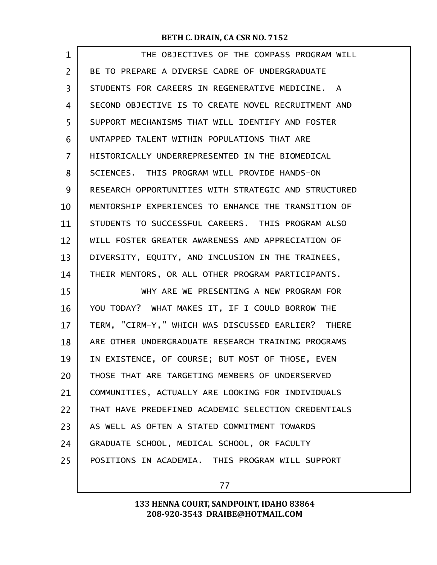| $\mathbf{1}$   | THE OBJECTIVES OF THE COMPASS PROGRAM WILL           |
|----------------|------------------------------------------------------|
| $\overline{2}$ | BE TO PREPARE A DIVERSE CADRE OF UNDERGRADUATE       |
| 3              | STUDENTS FOR CAREERS IN REGENERATIVE MEDICINE. A     |
| 4              | SECOND OBJECTIVE IS TO CREATE NOVEL RECRUITMENT AND  |
| 5              | SUPPORT MECHANISMS THAT WILL IDENTIFY AND FOSTER     |
| 6              | UNTAPPED TALENT WITHIN POPULATIONS THAT ARE          |
| 7              | HISTORICALLY UNDERREPRESENTED IN THE BIOMEDICAL      |
| 8              | SCIENCES. THIS PROGRAM WILL PROVIDE HANDS-ON         |
| 9              | RESEARCH OPPORTUNITIES WITH STRATEGIC AND STRUCTURED |
| 10             | MENTORSHIP EXPERIENCES TO ENHANCE THE TRANSITION OF  |
| 11             | STUDENTS TO SUCCESSFUL CAREERS. THIS PROGRAM ALSO    |
| 12             | WILL FOSTER GREATER AWARENESS AND APPRECIATION OF    |
| 13             | DIVERSITY, EQUITY, AND INCLUSION IN THE TRAINEES,    |
| 14             | THEIR MENTORS, OR ALL OTHER PROGRAM PARTICIPANTS.    |
| 15             | WHY ARE WE PRESENTING A NEW PROGRAM FOR              |
| 16             | YOU TODAY? WHAT MAKES IT, IF I COULD BORROW THE      |
| 17             | TERM, "CIRM-Y," WHICH WAS DISCUSSED EARLIER? THERE   |
| 18             | ARE OTHER UNDERGRADUATE RESEARCH TRAINING PROGRAMS   |
| 19             | IN EXISTENCE, OF COURSE; BUT MOST OF THOSE, EVEN     |
| 20             | THOSE THAT ARE TARGETING MEMBERS OF UNDERSERVED      |
| 21             | COMMUNITIES, ACTUALLY ARE LOOKING FOR INDIVIDUALS    |
| 22             | THAT HAVE PREDEFINED ACADEMIC SELECTION CREDENTIALS  |
| 23             | AS WELL AS OFTEN A STATED COMMITMENT TOWARDS         |
| 24             | GRADUATE SCHOOL, MEDICAL SCHOOL, OR FACULTY          |
| 25             | POSITIONS IN ACADEMIA. THIS PROGRAM WILL SUPPORT     |
|                |                                                      |

77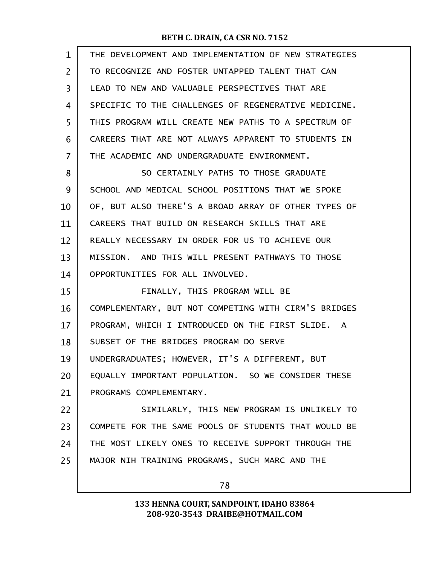| $\mathbf{1}$ | THE DEVELOPMENT AND IMPLEMENTATION OF NEW STRATEGIES |
|--------------|------------------------------------------------------|
| 2            | TO RECOGNIZE AND FOSTER UNTAPPED TALENT THAT CAN     |
| 3            | LEAD TO NEW AND VALUABLE PERSPECTIVES THAT ARE       |
| 4            | SPECIFIC TO THE CHALLENGES OF REGENERATIVE MEDICINE. |
| 5            | THIS PROGRAM WILL CREATE NEW PATHS TO A SPECTRUM OF  |
| 6            | CAREERS THAT ARE NOT ALWAYS APPARENT TO STUDENTS IN  |
| 7            | THE ACADEMIC AND UNDERGRADUATE ENVIRONMENT.          |
| 8            | SO CERTAINLY PATHS TO THOSE GRADUATE                 |
| 9            | SCHOOL AND MEDICAL SCHOOL POSITIONS THAT WE SPOKE    |
| 10           | OF, BUT ALSO THERE'S A BROAD ARRAY OF OTHER TYPES OF |
| 11           | CAREERS THAT BUILD ON RESEARCH SKILLS THAT ARE       |
| 12           | REALLY NECESSARY IN ORDER FOR US TO ACHIEVE OUR      |
| 13           | MISSION. AND THIS WILL PRESENT PATHWAYS TO THOSE     |
| 14           | OPPORTUNITIES FOR ALL INVOLVED.                      |
| 15           | FINALLY, THIS PROGRAM WILL BE                        |
| 16           | COMPLEMENTARY, BUT NOT COMPETING WITH CIRM'S BRIDGES |
| 17           | PROGRAM, WHICH I INTRODUCED ON THE FIRST SLIDE. A    |
| 18           | SUBSET OF THE BRIDGES PROGRAM DO SERVE               |
| 19           | UNDERGRADUATES; HOWEVER, IT'S A DIFFERENT, BUT       |
| 20           | EQUALLY IMPORTANT POPULATION. SO WE CONSIDER THESE   |
| 21           | PROGRAMS COMPLEMENTARY.                              |
| 22           | SIMILARLY, THIS NEW PROGRAM IS UNLIKELY TO           |
| 23           | COMPETE FOR THE SAME POOLS OF STUDENTS THAT WOULD BE |
| 24           | THE MOST LIKELY ONES TO RECEIVE SUPPORT THROUGH THE  |
|              |                                                      |
| 25           | MAJOR NIH TRAINING PROGRAMS, SUCH MARC AND THE       |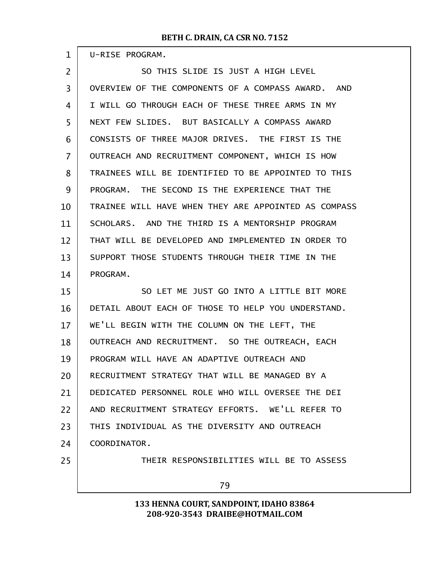| $\mathbf 1$    | U-RISE PROGRAM.                                      |
|----------------|------------------------------------------------------|
| $\overline{2}$ | SO THIS SLIDE IS JUST A HIGH LEVEL                   |
| 3              | OVERVIEW OF THE COMPONENTS OF A COMPASS AWARD. AND   |
| $\overline{4}$ | I WILL GO THROUGH EACH OF THESE THREE ARMS IN MY     |
| 5              | NEXT FEW SLIDES. BUT BASICALLY A COMPASS AWARD       |
| 6              | CONSISTS OF THREE MAJOR DRIVES. THE FIRST IS THE     |
| $\overline{7}$ | OUTREACH AND RECRUITMENT COMPONENT, WHICH IS HOW     |
| 8              | TRAINEES WILL BE IDENTIFIED TO BE APPOINTED TO THIS  |
| 9              | PROGRAM. THE SECOND IS THE EXPERIENCE THAT THE       |
| 10             | TRAINEE WILL HAVE WHEN THEY ARE APPOINTED AS COMPASS |
| 11             | SCHOLARS. AND THE THIRD IS A MENTORSHIP PROGRAM      |
| 12             | THAT WILL BE DEVELOPED AND IMPLEMENTED IN ORDER TO   |
| 13             | SUPPORT THOSE STUDENTS THROUGH THEIR TIME IN THE     |
| 14             | PROGRAM.                                             |
| 15             | SO LET ME JUST GO INTO A LITTLE BIT MORE             |
| 16             | DETAIL ABOUT EACH OF THOSE TO HELP YOU UNDERSTAND.   |
| 17             | WE'LL BEGIN WITH THE COLUMN ON THE LEFT, THE         |
| 18             | OUTREACH AND RECRUITMENT. SO THE OUTREACH, EACH      |
| 19             | PROGRAM WILL HAVE AN ADAPTIVE OUTREACH AND           |
| 20             | RECRUITMENT STRATEGY THAT WILL BE MANAGED BY A       |
| 21             | DEDICATED PERSONNEL ROLE WHO WILL OVERSEE THE DEI    |
| 22             | AND RECRUITMENT STRATEGY EFFORTS. WE'LL REFER TO     |
| 23             | THIS INDIVIDUAL AS THE DIVERSITY AND OUTREACH        |
| 24             | COORDINATOR.                                         |
| 25             | THEIR RESPONSIBILITIES WILL BE TO ASSESS             |
|                | 79                                                   |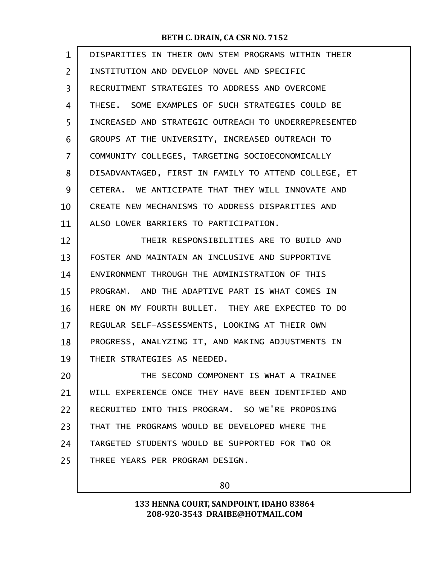| $\mathbf{1}$   | DISPARITIES IN THEIR OWN STEM PROGRAMS WITHIN THEIR  |
|----------------|------------------------------------------------------|
| $\overline{2}$ | INSTITUTION AND DEVELOP NOVEL AND SPECIFIC           |
| 3              | RECRUITMENT STRATEGIES TO ADDRESS AND OVERCOME       |
| 4              | THESE. SOME EXAMPLES OF SUCH STRATEGIES COULD BE     |
| 5              | INCREASED AND STRATEGIC OUTREACH TO UNDERREPRESENTED |
| 6              | GROUPS AT THE UNIVERSITY, INCREASED OUTREACH TO      |
| 7              | COMMUNITY COLLEGES, TARGETING SOCIOECONOMICALLY      |
| 8              | DISADVANTAGED, FIRST IN FAMILY TO ATTEND COLLEGE, ET |
| 9              | CETERA. WE ANTICIPATE THAT THEY WILL INNOVATE AND    |
| 10             | CREATE NEW MECHANISMS TO ADDRESS DISPARITIES AND     |
| 11             | ALSO LOWER BARRIERS TO PARTICIPATION.                |
| 12             | THEIR RESPONSIBILITIES ARE TO BUILD AND              |
| 13             | FOSTER AND MAINTAIN AN INCLUSIVE AND SUPPORTIVE      |
| 14             | ENVIRONMENT THROUGH THE ADMINISTRATION OF THIS       |
| 15             | PROGRAM. AND THE ADAPTIVE PART IS WHAT COMES IN      |
| 16             | HERE ON MY FOURTH BULLET. THEY ARE EXPECTED TO DO    |
| 17             | REGULAR SELF-ASSESSMENTS, LOOKING AT THEIR OWN       |
| 18             | PROGRESS, ANALYZING IT, AND MAKING ADJUSTMENTS IN    |
| 19             | THEIR STRATEGIES AS NEEDED.                          |
| 20             | THE SECOND COMPONENT IS WHAT A TRAINEE               |
| 21             | WILL EXPERIENCE ONCE THEY HAVE BEEN IDENTIFIED AND   |
| 22             | RECRUITED INTO THIS PROGRAM. SO WE'RE PROPOSING      |
| 23             | THAT THE PROGRAMS WOULD BE DEVELOPED WHERE THE       |
| 24             | TARGETED STUDENTS WOULD BE SUPPORTED FOR TWO OR      |
| 25             | THREE YEARS PER PROGRAM DESIGN.                      |
|                |                                                      |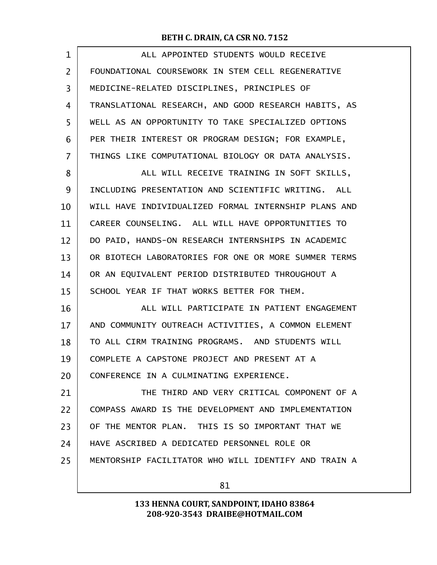| $\mathbf 1$ | ALL APPOINTED STUDENTS WOULD RECEIVE                 |
|-------------|------------------------------------------------------|
| 2           | FOUNDATIONAL COURSEWORK IN STEM CELL REGENERATIVE    |
| 3           | MEDICINE-RELATED DISCIPLINES, PRINCIPLES OF          |
| 4           | TRANSLATIONAL RESEARCH, AND GOOD RESEARCH HABITS, AS |
| 5           | WELL AS AN OPPORTUNITY TO TAKE SPECIALIZED OPTIONS   |
| 6           | PER THEIR INTEREST OR PROGRAM DESIGN; FOR EXAMPLE,   |
| 7           | THINGS LIKE COMPUTATIONAL BIOLOGY OR DATA ANALYSIS.  |
| 8           | ALL WILL RECEIVE TRAINING IN SOFT SKILLS,            |
| 9           | INCLUDING PRESENTATION AND SCIENTIFIC WRITING. ALL   |
| 10          | WILL HAVE INDIVIDUALIZED FORMAL INTERNSHIP PLANS AND |
| 11          | CAREER COUNSELING. ALL WILL HAVE OPPORTUNITIES TO    |
| 12          | DO PAID, HANDS-ON RESEARCH INTERNSHIPS IN ACADEMIC   |
| 13          | OR BIOTECH LABORATORIES FOR ONE OR MORE SUMMER TERMS |
| 14          | OR AN EQUIVALENT PERIOD DISTRIBUTED THROUGHOUT A     |
| 15          | SCHOOL YEAR IF THAT WORKS BETTER FOR THEM.           |
| 16          | ALL WILL PARTICIPATE IN PATIENT ENGAGEMENT           |
| 17          | AND COMMUNITY OUTREACH ACTIVITIES, A COMMON ELEMENT  |
| 18          | TO ALL CIRM TRAINING PROGRAMS. AND STUDENTS WILL     |
| 19          | COMPLETE A CAPSTONE PROJECT AND PRESENT AT A         |
| 20          | CONFERENCE IN A CULMINATING EXPERIENCE.              |
| 21          | THE THIRD AND VERY CRITICAL COMPONENT OF A           |
| 22          | COMPASS AWARD IS THE DEVELOPMENT AND IMPLEMENTATION  |
| 23          | OF THE MENTOR PLAN. THIS IS SO IMPORTANT THAT WE     |
| 24          | HAVE ASCRIBED A DEDICATED PERSONNEL ROLE OR          |
| 25          | MENTORSHIP FACILITATOR WHO WILL IDENTIFY AND TRAIN A |
|             |                                                      |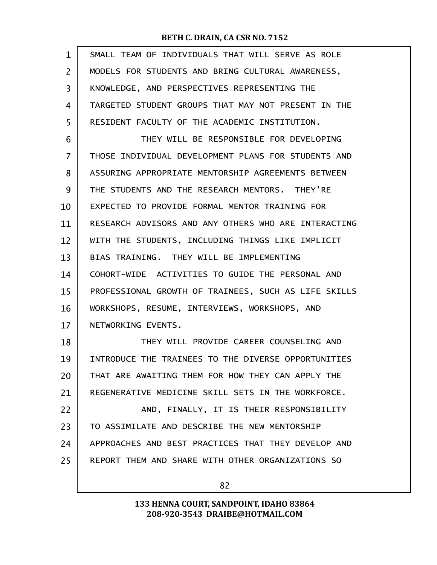| $\mathbf{1}$ | SMALL TEAM OF INDIVIDUALS THAT WILL SERVE AS ROLE    |
|--------------|------------------------------------------------------|
| 2            | MODELS FOR STUDENTS AND BRING CULTURAL AWARENESS,    |
| 3            | KNOWLEDGE, AND PERSPECTIVES REPRESENTING THE         |
| 4            | TARGETED STUDENT GROUPS THAT MAY NOT PRESENT IN THE  |
| 5            | RESIDENT FACULTY OF THE ACADEMIC INSTITUTION.        |
| 6            | THEY WILL BE RESPONSIBLE FOR DEVELOPING              |
| 7            | THOSE INDIVIDUAL DEVELOPMENT PLANS FOR STUDENTS AND  |
| 8            | ASSURING APPROPRIATE MENTORSHIP AGREEMENTS BETWEEN   |
| 9            | THE STUDENTS AND THE RESEARCH MENTORS. THEY'RE       |
| 10           | EXPECTED TO PROVIDE FORMAL MENTOR TRAINING FOR       |
| 11           | RESEARCH ADVISORS AND ANY OTHERS WHO ARE INTERACTING |
| 12           | WITH THE STUDENTS, INCLUDING THINGS LIKE IMPLICIT    |
| 13           | BIAS TRAINING. THEY WILL BE IMPLEMENTING             |
| 14           | COHORT-WIDE ACTIVITIES TO GUIDE THE PERSONAL AND     |
| 15           | PROFESSIONAL GROWTH OF TRAINEES, SUCH AS LIFE SKILLS |
| 16           | WORKSHOPS, RESUME, INTERVIEWS, WORKSHOPS, AND        |
| 17           | NETWORKING EVENTS.                                   |
| 18           | THEY WILL PROVIDE CAREER COUNSELING AND              |
| 19           | INTRODUCE THE TRAINEES TO THE DIVERSE OPPORTUNITIES  |
| 20           | THAT ARE AWAITING THEM FOR HOW THEY CAN APPLY THE    |
| 21           | REGENERATIVE MEDICINE SKILL SETS IN THE WORKFORCE.   |
| 22           | AND, FINALLY, IT IS THEIR RESPONSIBILITY             |
| 23           | TO ASSIMILATE AND DESCRIBE THE NEW MENTORSHIP        |
| 24           | APPROACHES AND BEST PRACTICES THAT THEY DEVELOP AND  |
| 25           | REPORT THEM AND SHARE WITH OTHER ORGANIZATIONS SO    |
|              |                                                      |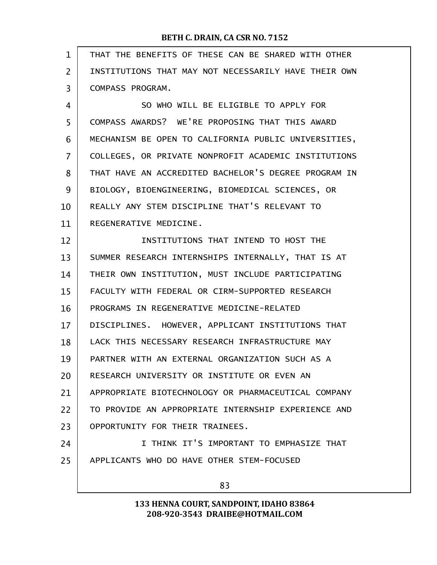| $\mathbf 1$    | THAT THE BENEFITS OF THESE CAN BE SHARED WITH OTHER  |
|----------------|------------------------------------------------------|
| $\overline{2}$ | INSTITUTIONS THAT MAY NOT NECESSARILY HAVE THEIR OWN |
| 3              | COMPASS PROGRAM.                                     |
| 4              | SO WHO WILL BE ELIGIBLE TO APPLY FOR                 |
| 5              | COMPASS AWARDS? WE'RE PROPOSING THAT THIS AWARD      |
| 6              | MECHANISM BE OPEN TO CALIFORNIA PUBLIC UNIVERSITIES, |
| $\overline{7}$ | COLLEGES, OR PRIVATE NONPROFIT ACADEMIC INSTITUTIONS |
| 8              | THAT HAVE AN ACCREDITED BACHELOR'S DEGREE PROGRAM IN |
| 9              | BIOLOGY, BIOENGINEERING, BIOMEDICAL SCIENCES, OR     |
| 10             | REALLY ANY STEM DISCIPLINE THAT'S RELEVANT TO        |
| 11             | REGENERATIVE MEDICINE.                               |
| 12             | INSTITUTIONS THAT INTEND TO HOST THE                 |
| 13             | SUMMER RESEARCH INTERNSHIPS INTERNALLY, THAT IS AT   |
| 14             | THEIR OWN INSTITUTION, MUST INCLUDE PARTICIPATING    |
| 15             | FACULTY WITH FEDERAL OR CIRM-SUPPORTED RESEARCH      |
| 16             | PROGRAMS IN REGENERATIVE MEDICINE-RELATED            |
| 17             | DISCIPLINES. HOWEVER, APPLICANT INSTITUTIONS THAT    |
| 18             | LACK THIS NECESSARY RESEARCH INFRASTRUCTURE MAY      |
| 19             | PARTNER WITH AN EXTERNAL ORGANIZATION SUCH AS A      |
| 20             | RESEARCH UNIVERSITY OR INSTITUTE OR EVEN AN          |
| 21             | APPROPRIATE BIOTECHNOLOGY OR PHARMACEUTICAL COMPANY  |
| 22             | TO PROVIDE AN APPROPRIATE INTERNSHIP EXPERIENCE AND  |
| 23             | OPPORTUNITY FOR THEIR TRAINEES.                      |
| 24             | I THINK IT'S IMPORTANT TO EMPHASIZE THAT             |
| 25             | APPLICANTS WHO DO HAVE OTHER STEM-FOCUSED            |
|                | 83                                                   |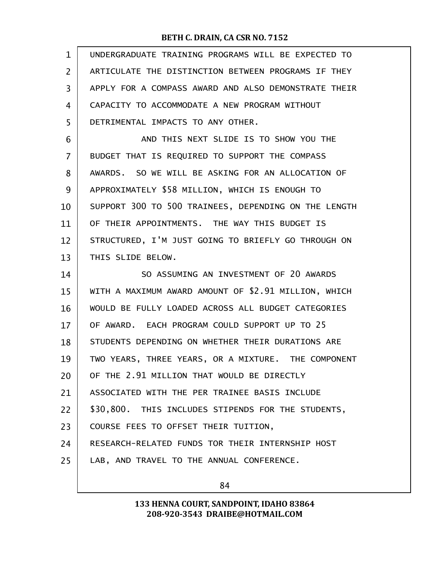| $\mathbf{1}$   | UNDERGRADUATE TRAINING PROGRAMS WILL BE EXPECTED TO  |
|----------------|------------------------------------------------------|
| $\overline{2}$ | ARTICULATE THE DISTINCTION BETWEEN PROGRAMS IF THEY  |
| 3              | APPLY FOR A COMPASS AWARD AND ALSO DEMONSTRATE THEIR |
| 4              | CAPACITY TO ACCOMMODATE A NEW PROGRAM WITHOUT        |
| 5              | DETRIMENTAL IMPACTS TO ANY OTHER.                    |
| 6              | AND THIS NEXT SLIDE IS TO SHOW YOU THE               |
| $\overline{7}$ | BUDGET THAT IS REQUIRED TO SUPPORT THE COMPASS       |
| 8              | AWARDS. SO WE WILL BE ASKING FOR AN ALLOCATION OF    |
| 9              | APPROXIMATELY \$58 MILLION, WHICH IS ENOUGH TO       |
| 10             | SUPPORT 300 TO 500 TRAINEES, DEPENDING ON THE LENGTH |
| 11             | OF THEIR APPOINTMENTS. THE WAY THIS BUDGET IS        |
| 12             | STRUCTURED, I'M JUST GOING TO BRIEFLY GO THROUGH ON  |
| 13             | THIS SLIDE BELOW.                                    |
|                |                                                      |
| 14             | SO ASSUMING AN INVESTMENT OF 20 AWARDS               |
| 15             | WITH A MAXIMUM AWARD AMOUNT OF \$2.91 MILLION, WHICH |
| 16             | WOULD BE FULLY LOADED ACROSS ALL BUDGET CATEGORIES   |
| 17             | OF AWARD. EACH PROGRAM COULD SUPPORT UP TO 25        |
| 18             | STUDENTS DEPENDING ON WHETHER THEIR DURATIONS ARE    |
| 19             | TWO YEARS, THREE YEARS, OR A MIXTURE. THE COMPONENT  |
| 20             | OF THE 2.91 MILLION THAT WOULD BE DIRECTLY           |
| 21             | ASSOCIATED WITH THE PER TRAINEE BASIS INCLUDE        |
| 22             | \$30,800. THIS INCLUDES STIPENDS FOR THE STUDENTS,   |
| 23             | COURSE FEES TO OFFSET THEIR TUITION,                 |
| 24             | RESEARCH-RELATED FUNDS TOR THEIR INTERNSHIP HOST     |
| 25             | LAB, AND TRAVEL TO THE ANNUAL CONFERENCE.            |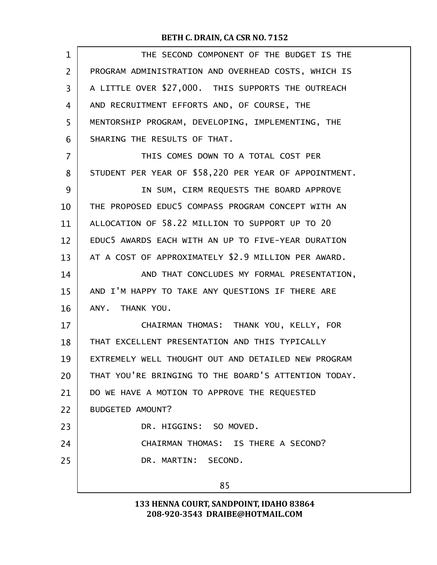| $\mathbf{1}$   | THE SECOND COMPONENT OF THE BUDGET IS THE             |
|----------------|-------------------------------------------------------|
| $\overline{2}$ | PROGRAM ADMINISTRATION AND OVERHEAD COSTS, WHICH IS   |
| 3              | A LITTLE OVER \$27,000. THIS SUPPORTS THE OUTREACH    |
| 4              | AND RECRUITMENT EFFORTS AND, OF COURSE, THE           |
| 5              | MENTORSHIP PROGRAM, DEVELOPING, IMPLEMENTING, THE     |
| 6              | SHARING THE RESULTS OF THAT.                          |
| $\overline{7}$ | THIS COMES DOWN TO A TOTAL COST PER                   |
| 8              | STUDENT PER YEAR OF \$58,220 PER YEAR OF APPOINTMENT. |
| 9              | IN SUM, CIRM REQUESTS THE BOARD APPROVE               |
| 10             | THE PROPOSED EDUC5 COMPASS PROGRAM CONCEPT WITH AN    |
| 11             | ALLOCATION OF 58.22 MILLION TO SUPPORT UP TO 20       |
| 12             | EDUC5 AWARDS EACH WITH AN UP TO FIVE-YEAR DURATION    |
| 13             | AT A COST OF APPROXIMATELY \$2.9 MILLION PER AWARD.   |
| 14             | AND THAT CONCLUDES MY FORMAL PRESENTATION,            |
| 15             | AND I'M HAPPY TO TAKE ANY QUESTIONS IF THERE ARE      |
| 16             | ANY. THANK YOU.                                       |
| 17             | CHAIRMAN THOMAS: THANK YOU, KELLY, FOR                |
| 18             | THAT EXCELLENT PRESENTATION AND THIS TYPICALLY        |
| 19             | EXTREMELY WELL THOUGHT OUT AND DETAILED NEW PROGRAM   |
| 20             | THAT YOU'RE BRINGING TO THE BOARD'S ATTENTION TODAY.  |
| 21             | DO WE HAVE A MOTION TO APPROVE THE REQUESTED          |
| 22             | BUDGETED AMOUNT?                                      |
| 23             | DR. HIGGINS: SO MOVED.                                |
| 24             | CHAIRMAN THOMAS: IS THERE A SECOND?                   |
| 25             | DR. MARTIN: SECOND.                                   |
|                | 85                                                    |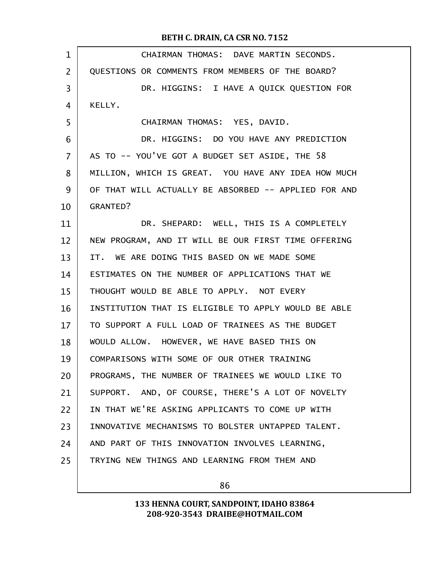| $\mathbf 1$       | CHAIRMAN THOMAS: DAVE MARTIN SECONDS.                |
|-------------------|------------------------------------------------------|
| $\overline{2}$    | QUESTIONS OR COMMENTS FROM MEMBERS OF THE BOARD?     |
| 3                 | DR. HIGGINS: I HAVE A QUICK QUESTION FOR             |
| 4                 | KELLY.                                               |
| 5                 | CHAIRMAN THOMAS: YES, DAVID.                         |
| 6                 | DR. HIGGINS: DO YOU HAVE ANY PREDICTION              |
| $\overline{7}$    | AS TO -- YOU'VE GOT A BUDGET SET ASIDE, THE 58       |
| 8                 | MILLION, WHICH IS GREAT. YOU HAVE ANY IDEA HOW MUCH  |
| 9                 | OF THAT WILL ACTUALLY BE ABSORBED -- APPLIED FOR AND |
| 10                | <b>GRANTED?</b>                                      |
| 11                | DR. SHEPARD: WELL, THIS IS A COMPLETELY              |
| $12 \overline{ }$ | NEW PROGRAM, AND IT WILL BE OUR FIRST TIME OFFERING  |
| 13                | IT. WE ARE DOING THIS BASED ON WE MADE SOME          |
| 14                | ESTIMATES ON THE NUMBER OF APPLICATIONS THAT WE      |
| 15                | THOUGHT WOULD BE ABLE TO APPLY. NOT EVERY            |
| 16                | INSTITUTION THAT IS ELIGIBLE TO APPLY WOULD BE ABLE  |
| 17                | TO SUPPORT A FULL LOAD OF TRAINEES AS THE BUDGET     |
| 18                | WOULD ALLOW. HOWEVER, WE HAVE BASED THIS ON          |
| 19                | COMPARISONS WITH SOME OF OUR OTHER TRAINING          |
| 20                | PROGRAMS, THE NUMBER OF TRAINEES WE WOULD LIKE TO    |
| 21                | SUPPORT. AND, OF COURSE, THERE'S A LOT OF NOVELTY    |
| 22                | IN THAT WE'RE ASKING APPLICANTS TO COME UP WITH      |
| 23                | INNOVATIVE MECHANISMS TO BOLSTER UNTAPPED TALENT.    |
| 24                | AND PART OF THIS INNOVATION INVOLVES LEARNING,       |
| 25                | TRYING NEW THINGS AND LEARNING FROM THEM AND         |
|                   |                                                      |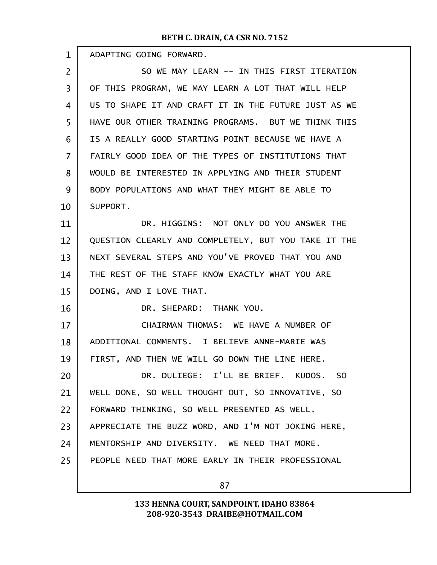| 1              | ADAPTING GOING FORWARD.                              |
|----------------|------------------------------------------------------|
| $\overline{2}$ | SO WE MAY LEARN -- IN THIS FIRST ITERATION           |
| 3              | OF THIS PROGRAM, WE MAY LEARN A LOT THAT WILL HELP   |
| 4              | US TO SHAPE IT AND CRAFT IT IN THE FUTURE JUST AS WE |
| 5              | HAVE OUR OTHER TRAINING PROGRAMS. BUT WE THINK THIS  |
| 6              | IS A REALLY GOOD STARTING POINT BECAUSE WE HAVE A    |
| $\overline{7}$ | FAIRLY GOOD IDEA OF THE TYPES OF INSTITUTIONS THAT   |
| 8              | WOULD BE INTERESTED IN APPLYING AND THEIR STUDENT    |
| 9              | BODY POPULATIONS AND WHAT THEY MIGHT BE ABLE TO      |
| 10             | SUPPORT.                                             |
| 11             | DR. HIGGINS: NOT ONLY DO YOU ANSWER THE              |
| 12             | QUESTION CLEARLY AND COMPLETELY, BUT YOU TAKE IT THE |
| 13             | NEXT SEVERAL STEPS AND YOU'VE PROVED THAT YOU AND    |
| 14             | THE REST OF THE STAFF KNOW EXACTLY WHAT YOU ARE      |
| 15             | DOING, AND I LOVE THAT.                              |
| 16             | DR. SHEPARD: THANK YOU.                              |
| 17             | CHAIRMAN THOMAS: WE HAVE A NUMBER OF                 |
| 18             | ADDITIONAL COMMENTS. I BELIEVE ANNE-MARIE WAS        |
| 19             | FIRST, AND THEN WE WILL GO DOWN THE LINE HERE.       |
| 20             | DR. DULIEGE: I'LL BE BRIEF. KUDOS.<br>S <sub>0</sub> |
| 21             | WELL DONE, SO WELL THOUGHT OUT, SO INNOVATIVE, SO    |
| 22             | FORWARD THINKING, SO WELL PRESENTED AS WELL.         |
| 23             | APPRECIATE THE BUZZ WORD, AND I'M NOT JOKING HERE,   |
| 24             | MENTORSHIP AND DIVERSITY. WE NEED THAT MORE.         |
| 25             | PEOPLE NEED THAT MORE EARLY IN THEIR PROFESSIONAL    |
|                |                                                      |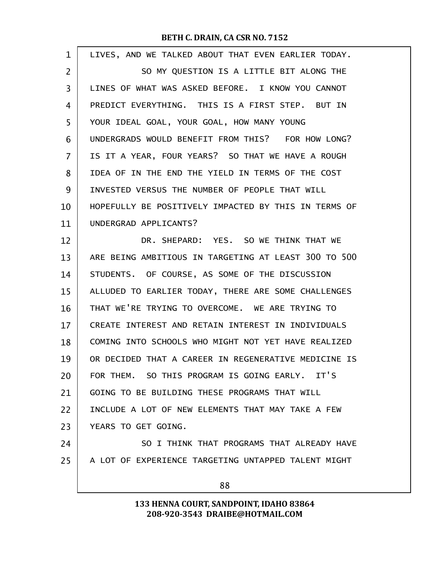| $\mathbf 1$ | LIVES, AND WE TALKED ABOUT THAT EVEN EARLIER TODAY.  |
|-------------|------------------------------------------------------|
| 2           | SO MY QUESTION IS A LITTLE BIT ALONG THE             |
| 3           | LINES OF WHAT WAS ASKED BEFORE. I KNOW YOU CANNOT    |
| 4           | PREDICT EVERYTHING. THIS IS A FIRST STEP. BUT IN     |
| 5           | YOUR IDEAL GOAL, YOUR GOAL, HOW MANY YOUNG           |
| 6           | UNDERGRADS WOULD BENEFIT FROM THIS? FOR HOW LONG?    |
| 7           | IS IT A YEAR, FOUR YEARS? SO THAT WE HAVE A ROUGH    |
| 8           | IDEA OF IN THE END THE YIELD IN TERMS OF THE COST    |
| 9           | INVESTED VERSUS THE NUMBER OF PEOPLE THAT WILL       |
| 10          | HOPEFULLY BE POSITIVELY IMPACTED BY THIS IN TERMS OF |
| 11          | UNDERGRAD APPLICANTS?                                |
| 12          | DR. SHEPARD: YES. SO WE THINK THAT WE                |
| 13          | ARE BEING AMBITIOUS IN TARGETING AT LEAST 300 TO 500 |
| 14          | STUDENTS. OF COURSE, AS SOME OF THE DISCUSSION       |
| 15          | ALLUDED TO EARLIER TODAY, THERE ARE SOME CHALLENGES  |
| 16          | THAT WE'RE TRYING TO OVERCOME. WE ARE TRYING TO      |
| 17          | CREATE INTEREST AND RETAIN INTEREST IN INDIVIDUALS   |
| 18          | COMING INTO SCHOOLS WHO MIGHT NOT YET HAVE REALIZED  |
| 19          | OR DECIDED THAT A CAREER IN REGENERATIVE MEDICINE IS |
| 20          | FOR THEM. SO THIS PROGRAM IS GOING EARLY. IT'S       |
| 21          | GOING TO BE BUILDING THESE PROGRAMS THAT WILL        |
| 22          | INCLUDE A LOT OF NEW ELEMENTS THAT MAY TAKE A FEW    |
| 23          | YEARS TO GET GOING.                                  |
| 24          | SO I THINK THAT PROGRAMS THAT ALREADY HAVE           |
| 25          | A LOT OF EXPERIENCE TARGETING UNTAPPED TALENT MIGHT  |
|             | 88                                                   |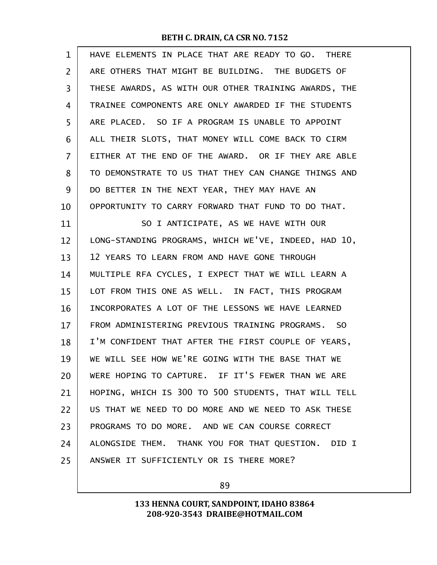| $\mathbf 1$ | HAVE ELEMENTS IN PLACE THAT ARE READY TO GO. THERE   |
|-------------|------------------------------------------------------|
| 2           | ARE OTHERS THAT MIGHT BE BUILDING. THE BUDGETS OF    |
| 3           | THESE AWARDS, AS WITH OUR OTHER TRAINING AWARDS, THE |
| 4           | TRAINEE COMPONENTS ARE ONLY AWARDED IF THE STUDENTS  |
| 5           | ARE PLACED. SO IF A PROGRAM IS UNABLE TO APPOINT     |
| 6           | ALL THEIR SLOTS, THAT MONEY WILL COME BACK TO CIRM   |
| 7           | EITHER AT THE END OF THE AWARD. OR IF THEY ARE ABLE  |
| 8           | TO DEMONSTRATE TO US THAT THEY CAN CHANGE THINGS AND |
| 9           | DO BETTER IN THE NEXT YEAR, THEY MAY HAVE AN         |
| 10          | OPPORTUNITY TO CARRY FORWARD THAT FUND TO DO THAT.   |
| 11          | SO I ANTICIPATE, AS WE HAVE WITH OUR                 |
| 12          | LONG-STANDING PROGRAMS, WHICH WE'VE, INDEED, HAD 10, |
| 13          | 12 YEARS TO LEARN FROM AND HAVE GONE THROUGH         |
| 14          | MULTIPLE RFA CYCLES, I EXPECT THAT WE WILL LEARN A   |
| 15          | LOT FROM THIS ONE AS WELL. IN FACT, THIS PROGRAM     |
| 16          | INCORPORATES A LOT OF THE LESSONS WE HAVE LEARNED    |
| 17          | FROM ADMINISTERING PREVIOUS TRAINING PROGRAMS. SO    |
| 18          | I'M CONFIDENT THAT AFTER THE FIRST COUPLE OF YEARS,  |
| 19          | WE WILL SEE HOW WE'RE GOING WITH THE BASE THAT WE    |
| 20          | WERE HOPING TO CAPTURE. IF IT'S FEWER THAN WE ARE    |
| 21          | HOPING, WHICH IS 300 TO 500 STUDENTS, THAT WILL TELL |
| 22          | US THAT WE NEED TO DO MORE AND WE NEED TO ASK THESE  |
| 23          | PROGRAMS TO DO MORE. AND WE CAN COURSE CORRECT       |
| 24          | ALONGSIDE THEM. THANK YOU FOR THAT QUESTION. DID I   |
| 25          | ANSWER IT SUFFICIENTLY OR IS THERE MORE?             |

89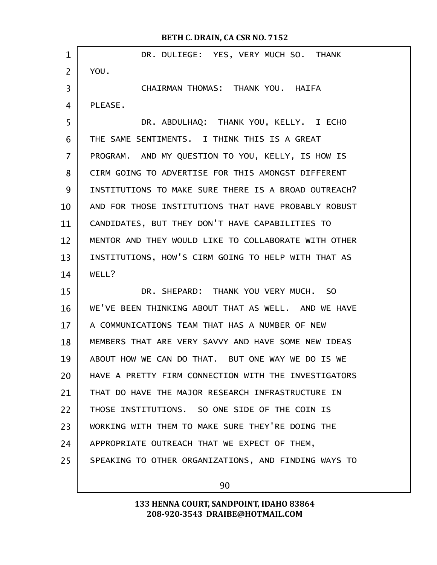| $\mathbf 1$    | DR. DULIEGE: YES, VERY MUCH SO. THANK                |
|----------------|------------------------------------------------------|
| $\overline{2}$ | YOU.                                                 |
| 3              | CHAIRMAN THOMAS: THANK YOU. HAIFA                    |
| 4              | PLEASE.                                              |
| 5              | DR. ABDULHAQ: THANK YOU, KELLY. I ECHO               |
| 6              | THE SAME SENTIMENTS. I THINK THIS IS A GREAT         |
| $\overline{7}$ | PROGRAM. AND MY QUESTION TO YOU, KELLY, IS HOW IS    |
| 8              | CIRM GOING TO ADVERTISE FOR THIS AMONGST DIFFERENT   |
| 9              | INSTITUTIONS TO MAKE SURE THERE IS A BROAD OUTREACH? |
| 10             | AND FOR THOSE INSTITUTIONS THAT HAVE PROBABLY ROBUST |
| 11             | CANDIDATES, BUT THEY DON'T HAVE CAPABILITIES TO      |
| 12             | MENTOR AND THEY WOULD LIKE TO COLLABORATE WITH OTHER |
| 13             | INSTITUTIONS, HOW'S CIRM GOING TO HELP WITH THAT AS  |
| 14             | WELL?                                                |
| 15             | DR. SHEPARD: THANK YOU VERY MUCH. SO                 |
| 16             | WE'VE BEEN THINKING ABOUT THAT AS WELL. AND WE HAVE  |
| 17             | A COMMUNICATIONS TEAM THAT HAS A NUMBER OF NEW       |
| 18             | MEMBERS THAT ARE VERY SAVVY AND HAVE SOME NEW IDEAS  |
| 19             | ABOUT HOW WE CAN DO THAT. BUT ONE WAY WE DO IS WE    |
| 20             | HAVE A PRETTY FIRM CONNECTION WITH THE INVESTIGATORS |
| 21             | THAT DO HAVE THE MAJOR RESEARCH INFRASTRUCTURE IN    |
| 22             | THOSE INSTITUTIONS. SO ONE SIDE OF THE COIN IS       |
| 23             | WORKING WITH THEM TO MAKE SURE THEY'RE DOING THE     |
| 24             | APPROPRIATE OUTREACH THAT WE EXPECT OF THEM,         |
| 25             | SPEAKING TO OTHER ORGANIZATIONS, AND FINDING WAYS TO |
|                |                                                      |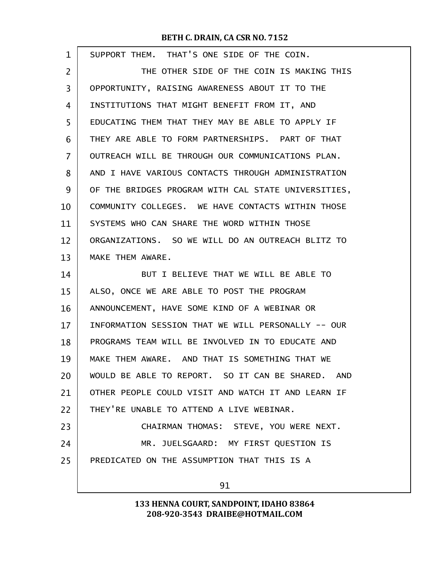| $\mathbf 1$ | SUPPORT THEM. THAT'S ONE SIDE OF THE COIN.          |
|-------------|-----------------------------------------------------|
| 2           | THE OTHER SIDE OF THE COIN IS MAKING THIS           |
| 3           | OPPORTUNITY, RAISING AWARENESS ABOUT IT TO THE      |
| 4           | INSTITUTIONS THAT MIGHT BENEFIT FROM IT, AND        |
| 5           | EDUCATING THEM THAT THEY MAY BE ABLE TO APPLY IF    |
| 6           | THEY ARE ABLE TO FORM PARTNERSHIPS. PART OF THAT    |
| 7           | OUTREACH WILL BE THROUGH OUR COMMUNICATIONS PLAN.   |
| 8           | AND I HAVE VARIOUS CONTACTS THROUGH ADMINISTRATION  |
| 9           | OF THE BRIDGES PROGRAM WITH CAL STATE UNIVERSITIES, |
| 10          | COMMUNITY COLLEGES. WE HAVE CONTACTS WITHIN THOSE   |
| 11          | SYSTEMS WHO CAN SHARE THE WORD WITHIN THOSE         |
| 12          | ORGANIZATIONS. SO WE WILL DO AN OUTREACH BLITZ TO   |
| 13          | MAKE THEM AWARE.                                    |
| 14          | BUT I BELIEVE THAT WE WILL BE ABLE TO               |
| 15          | ALSO, ONCE WE ARE ABLE TO POST THE PROGRAM          |
| 16          | ANNOUNCEMENT, HAVE SOME KIND OF A WEBINAR OR        |
| 17          | INFORMATION SESSION THAT WE WILL PERSONALLY -- OUR  |
| 18          | PROGRAMS TEAM WILL BE INVOLVED IN TO EDUCATE AND    |
| 19          | MAKE THEM AWARE. AND THAT IS SOMETHING THAT WE      |
| 20          | WOULD BE ABLE TO REPORT. SO IT CAN BE SHARED. AND   |
| 21          | OTHER PEOPLE COULD VISIT AND WATCH IT AND LEARN IF  |
| 22          | THEY'RE UNABLE TO ATTEND A LIVE WEBINAR.            |
| 23          | CHAIRMAN THOMAS: STEVE, YOU WERE NEXT.              |
| 24          | MR. JUELSGAARD: MY FIRST QUESTION IS                |
| 25          | PREDICATED ON THE ASSUMPTION THAT THIS IS A         |
|             | 91                                                  |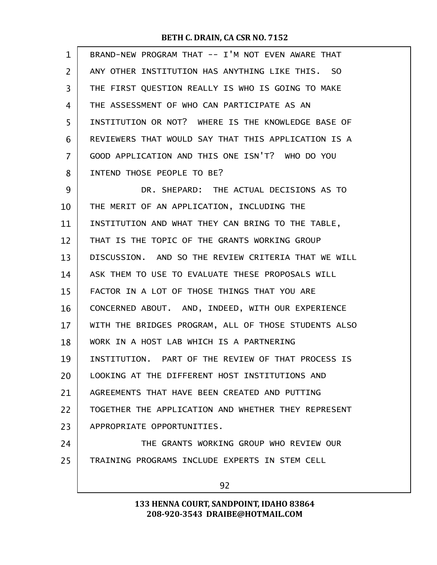| $\mathbf{1}$   | BRAND-NEW PROGRAM THAT -- I'M NOT EVEN AWARE THAT    |
|----------------|------------------------------------------------------|
| $\overline{2}$ | ANY OTHER INSTITUTION HAS ANYTHING LIKE THIS. SO     |
| 3              | THE FIRST QUESTION REALLY IS WHO IS GOING TO MAKE    |
| 4              | THE ASSESSMENT OF WHO CAN PARTICIPATE AS AN          |
| 5              | INSTITUTION OR NOT? WHERE IS THE KNOWLEDGE BASE OF   |
| 6              | REVIEWERS THAT WOULD SAY THAT THIS APPLICATION IS A  |
| 7              | GOOD APPLICATION AND THIS ONE ISN'T? WHO DO YOU      |
| 8              | INTEND THOSE PEOPLE TO BE?                           |
| 9              | DR. SHEPARD: THE ACTUAL DECISIONS AS TO              |
| 10             | THE MERIT OF AN APPLICATION, INCLUDING THE           |
| 11             | INSTITUTION AND WHAT THEY CAN BRING TO THE TABLE,    |
| 12             | THAT IS THE TOPIC OF THE GRANTS WORKING GROUP        |
| 13             | DISCUSSION. AND SO THE REVIEW CRITERIA THAT WE WILL  |
| 14             | ASK THEM TO USE TO EVALUATE THESE PROPOSALS WILL     |
| 15             | FACTOR IN A LOT OF THOSE THINGS THAT YOU ARE         |
| 16             | CONCERNED ABOUT. AND, INDEED, WITH OUR EXPERIENCE    |
| 17             | WITH THE BRIDGES PROGRAM, ALL OF THOSE STUDENTS ALSO |
| 18             | WORK IN A HOST LAB WHICH IS A PARTNERING             |
| 19             | INSTITUTION. PART OF THE REVIEW OF THAT PROCESS IS   |
| 20             | LOOKING AT THE DIFFERENT HOST INSTITUTIONS AND       |
| 21             | AGREEMENTS THAT HAVE BEEN CREATED AND PUTTING        |
| 22             | TOGETHER THE APPLICATION AND WHETHER THEY REPRESENT  |
| 23             | APPROPRIATE OPPORTUNITIES.                           |
| 24             | THE GRANTS WORKING GROUP WHO REVIEW OUR              |
| 25             | TRAINING PROGRAMS INCLUDE EXPERTS IN STEM CELL       |
|                | 92                                                   |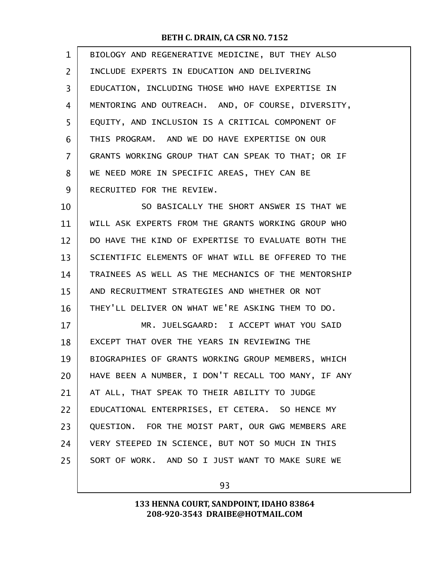| 1  | BIOLOGY AND REGENERATIVE MEDICINE, BUT THEY ALSO    |
|----|-----------------------------------------------------|
| 2  | INCLUDE EXPERTS IN EDUCATION AND DELIVERING         |
| 3  | EDUCATION, INCLUDING THOSE WHO HAVE EXPERTISE IN    |
| 4  | MENTORING AND OUTREACH. AND, OF COURSE, DIVERSITY,  |
| 5  | EQUITY, AND INCLUSION IS A CRITICAL COMPONENT OF    |
| 6  | THIS PROGRAM. AND WE DO HAVE EXPERTISE ON OUR       |
| 7  | GRANTS WORKING GROUP THAT CAN SPEAK TO THAT; OR IF  |
| 8  | WE NEED MORE IN SPECIFIC AREAS, THEY CAN BE         |
| 9  | RECRUITED FOR THE REVIEW.                           |
| 10 | SO BASICALLY THE SHORT ANSWER IS THAT WE            |
| 11 | WILL ASK EXPERTS FROM THE GRANTS WORKING GROUP WHO  |
| 12 | DO HAVE THE KIND OF EXPERTISE TO EVALUATE BOTH THE  |
| 13 | SCIENTIFIC ELEMENTS OF WHAT WILL BE OFFERED TO THE  |
| 14 | TRAINEES AS WELL AS THE MECHANICS OF THE MENTORSHIP |
| 15 | AND RECRUITMENT STRATEGIES AND WHETHER OR NOT       |
| 16 | THEY'LL DELIVER ON WHAT WE'RE ASKING THEM TO DO.    |
| 17 | MR. JUELSGAARD: I ACCEPT WHAT YOU SAID              |
| 18 | EXCEPT THAT OVER THE YEARS IN REVIEWING THE         |
| 19 | BIOGRAPHIES OF GRANTS WORKING GROUP MEMBERS, WHICH  |
| 20 | HAVE BEEN A NUMBER, I DON'T RECALL TOO MANY, IF ANY |
| 21 | AT ALL, THAT SPEAK TO THEIR ABILITY TO JUDGE        |
| 22 | EDUCATIONAL ENTERPRISES, ET CETERA. SO HENCE MY     |
| 23 | QUESTION. FOR THE MOIST PART, OUR GWG MEMBERS ARE   |
| 24 | VERY STEEPED IN SCIENCE, BUT NOT SO MUCH IN THIS    |
| 25 | SORT OF WORK. AND SO I JUST WANT TO MAKE SURE WE    |
|    |                                                     |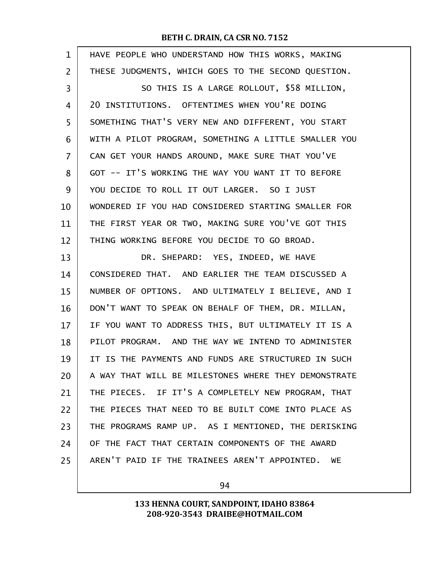| $\mathbf{1}$   | HAVE PEOPLE WHO UNDERSTAND HOW THIS WORKS, MAKING    |
|----------------|------------------------------------------------------|
| $\overline{2}$ | THESE JUDGMENTS, WHICH GOES TO THE SECOND QUESTION.  |
| 3              | SO THIS IS A LARGE ROLLOUT, \$58 MILLION,            |
| 4              | 20 INSTITUTIONS. OFTENTIMES WHEN YOU'RE DOING        |
| 5              | SOMETHING THAT'S VERY NEW AND DIFFERENT, YOU START   |
| 6              | WITH A PILOT PROGRAM, SOMETHING A LITTLE SMALLER YOU |
| 7              | CAN GET YOUR HANDS AROUND, MAKE SURE THAT YOU'VE     |
| 8              | GOT -- IT'S WORKING THE WAY YOU WANT IT TO BEFORE    |
| 9              | YOU DECIDE TO ROLL IT OUT LARGER. SO I JUST          |
| 10             | WONDERED IF YOU HAD CONSIDERED STARTING SMALLER FOR  |
| 11             | THE FIRST YEAR OR TWO, MAKING SURE YOU'VE GOT THIS   |
| 12             | THING WORKING BEFORE YOU DECIDE TO GO BROAD.         |
| 13             | DR. SHEPARD: YES, INDEED, WE HAVE                    |
| 14             | CONSIDERED THAT. AND EARLIER THE TEAM DISCUSSED A    |
| 15             | NUMBER OF OPTIONS. AND ULTIMATELY I BELIEVE, AND I   |
| 16             | DON'T WANT TO SPEAK ON BEHALF OF THEM, DR. MILLAN,   |
| 17             | IF YOU WANT TO ADDRESS THIS, BUT ULTIMATELY IT IS A  |
| 18             | PILOT PROGRAM. AND THE WAY WE INTEND TO ADMINISTER   |
| 19             | IT IS THE PAYMENTS AND FUNDS ARE STRUCTURED IN SUCH  |
| 20             | A WAY THAT WILL BE MILESTONES WHERE THEY DEMONSTRATE |
| 21             | THE PIECES. IF IT'S A COMPLETELY NEW PROGRAM, THAT   |
| 22             | THE PIECES THAT NEED TO BE BUILT COME INTO PLACE AS  |
| 23             | THE PROGRAMS RAMP UP. AS I MENTIONED, THE DERISKING  |
| 24             | OF THE FACT THAT CERTAIN COMPONENTS OF THE AWARD     |
| 25             | AREN'T PAID IF THE TRAINEES AREN'T APPOINTED. WE     |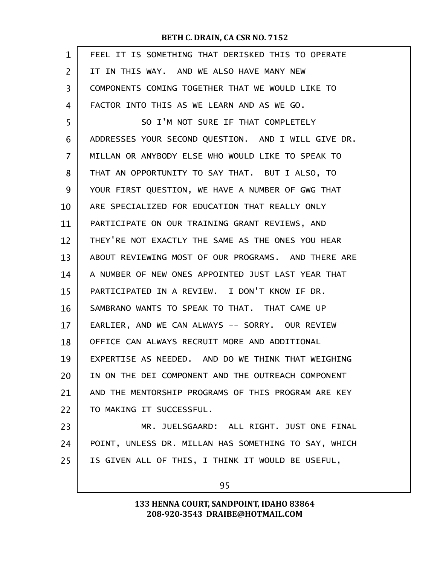| $\mathbf{1}$ | FEEL IT IS SOMETHING THAT DERISKED THIS TO OPERATE   |
|--------------|------------------------------------------------------|
| 2            | IT IN THIS WAY. AND WE ALSO HAVE MANY NEW            |
| 3            | COMPONENTS COMING TOGETHER THAT WE WOULD LIKE TO     |
| 4            | FACTOR INTO THIS AS WE LEARN AND AS WE GO.           |
| 5            | SO I'M NOT SURE IF THAT COMPLETELY                   |
| 6            | ADDRESSES YOUR SECOND QUESTION. AND I WILL GIVE DR.  |
| 7            | MILLAN OR ANYBODY ELSE WHO WOULD LIKE TO SPEAK TO    |
| 8            | THAT AN OPPORTUNITY TO SAY THAT. BUT I ALSO, TO      |
| 9            | YOUR FIRST QUESTION, WE HAVE A NUMBER OF GWG THAT    |
| 10           | ARE SPECIALIZED FOR EDUCATION THAT REALLY ONLY       |
| 11           | PARTICIPATE ON OUR TRAINING GRANT REVIEWS, AND       |
| 12           | THEY'RE NOT EXACTLY THE SAME AS THE ONES YOU HEAR    |
| 13           | ABOUT REVIEWING MOST OF OUR PROGRAMS. AND THERE ARE  |
| 14           | A NUMBER OF NEW ONES APPOINTED JUST LAST YEAR THAT   |
| 15           | PARTICIPATED IN A REVIEW. I DON'T KNOW IF DR.        |
| 16           | SAMBRANO WANTS TO SPEAK TO THAT. THAT CAME UP        |
| 17           | EARLIER, AND WE CAN ALWAYS -- SORRY. OUR REVIEW      |
| 18           | OFFICE CAN ALWAYS RECRUIT MORE AND ADDITIONAL        |
| 19           | EXPERTISE AS NEEDED. AND DO WE THINK THAT WEIGHING   |
| 20           | IN ON THE DEI COMPONENT AND THE OUTREACH COMPONENT   |
| 21           | AND THE MENTORSHIP PROGRAMS OF THIS PROGRAM ARE KEY  |
| 22           | TO MAKING IT SUCCESSFUL.                             |
| 23           | MR. JUELSGAARD: ALL RIGHT. JUST ONE FINAL            |
| 24           | POINT, UNLESS DR. MILLAN HAS SOMETHING TO SAY, WHICH |
| 25           | IS GIVEN ALL OF THIS, I THINK IT WOULD BE USEFUL,    |
|              | ⌒ー                                                   |

95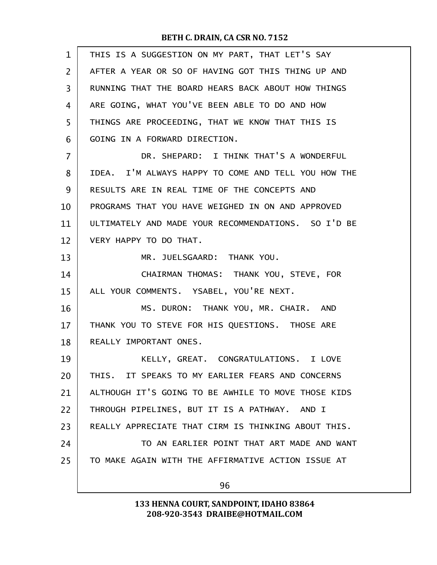| THIS IS A SUGGESTION ON MY PART, THAT LET'S SAY     |
|-----------------------------------------------------|
| AFTER A YEAR OR SO OF HAVING GOT THIS THING UP AND  |
| RUNNING THAT THE BOARD HEARS BACK ABOUT HOW THINGS  |
| ARE GOING, WHAT YOU'VE BEEN ABLE TO DO AND HOW      |
| THINGS ARE PROCEEDING, THAT WE KNOW THAT THIS IS    |
| GOING IN A FORWARD DIRECTION.                       |
| DR. SHEPARD: I THINK THAT'S A WONDERFUL             |
| IDEA. I'M ALWAYS HAPPY TO COME AND TELL YOU HOW THE |
| RESULTS ARE IN REAL TIME OF THE CONCEPTS AND        |
| PROGRAMS THAT YOU HAVE WEIGHED IN ON AND APPROVED   |
| ULTIMATELY AND MADE YOUR RECOMMENDATIONS. SO I'D BE |
| VERY HAPPY TO DO THAT.                              |
| MR. JUELSGAARD: THANK YOU.                          |
| CHAIRMAN THOMAS: THANK YOU, STEVE, FOR              |
| ALL YOUR COMMENTS. YSABEL, YOU'RE NEXT.             |
| MS. DURON: THANK YOU, MR. CHAIR. AND                |
| THANK YOU TO STEVE FOR HIS QUESTIONS. THOSE ARE     |
| REALLY IMPORTANT ONES.                              |
| KELLY, GREAT. CONGRATULATIONS. I LOVE               |
| THIS. IT SPEAKS TO MY EARLIER FEARS AND CONCERNS    |
| ALTHOUGH IT'S GOING TO BE AWHILE TO MOVE THOSE KIDS |
| THROUGH PIPELINES, BUT IT IS A PATHWAY. AND I       |
| REALLY APPRECIATE THAT CIRM IS THINKING ABOUT THIS. |
| TO AN EARLIER POINT THAT ART MADE AND WANT          |
| TO MAKE AGAIN WITH THE AFFIRMATIVE ACTION ISSUE AT  |
| 96                                                  |
|                                                     |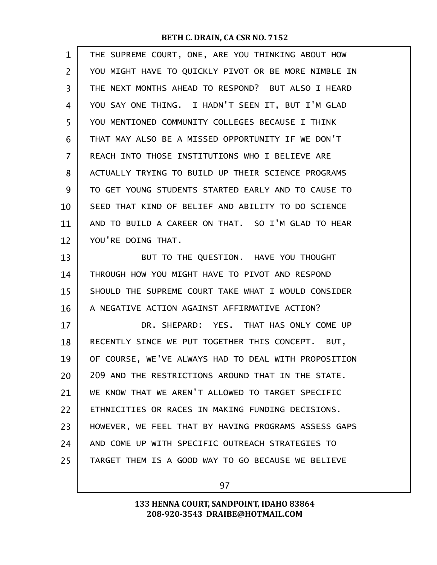| 1  | THE SUPREME COURT, ONE, ARE YOU THINKING ABOUT HOW   |
|----|------------------------------------------------------|
| 2  | YOU MIGHT HAVE TO QUICKLY PIVOT OR BE MORE NIMBLE IN |
| 3  | THE NEXT MONTHS AHEAD TO RESPOND? BUT ALSO I HEARD   |
| 4  | YOU SAY ONE THING. I HADN'T SEEN IT, BUT I'M GLAD    |
| 5  | YOU MENTIONED COMMUNITY COLLEGES BECAUSE I THINK     |
| 6  | THAT MAY ALSO BE A MISSED OPPORTUNITY IF WE DON'T    |
| 7  | REACH INTO THOSE INSTITUTIONS WHO I BELIEVE ARE      |
| 8  | ACTUALLY TRYING TO BUILD UP THEIR SCIENCE PROGRAMS   |
| 9  | TO GET YOUNG STUDENTS STARTED EARLY AND TO CAUSE TO  |
| 10 | SEED THAT KIND OF BELIEF AND ABILITY TO DO SCIENCE   |
| 11 | AND TO BUILD A CAREER ON THAT. SO I'M GLAD TO HEAR   |
| 12 | YOU'RE DOING THAT.                                   |
| 13 | BUT TO THE QUESTION. HAVE YOU THOUGHT                |
| 14 | THROUGH HOW YOU MIGHT HAVE TO PIVOT AND RESPOND      |
| 15 | SHOULD THE SUPREME COURT TAKE WHAT I WOULD CONSIDER  |
| 16 | A NEGATIVE ACTION AGAINST AFFIRMATIVE ACTION?        |
| 17 | DR. SHEPARD: YES. THAT HAS ONLY COME UP              |
| 18 | RECENTLY SINCE WE PUT TOGETHER THIS CONCEPT.<br>BUT. |
| 19 | OF COURSE, WE'VE ALWAYS HAD TO DEAL WITH PROPOSITION |
| 20 | 209 AND THE RESTRICTIONS AROUND THAT IN THE STATE.   |
| 21 | WE KNOW THAT WE AREN'T ALLOWED TO TARGET SPECIFIC    |
| 22 | ETHNICITIES OR RACES IN MAKING FUNDING DECISIONS.    |
| 23 | HOWEVER, WE FEEL THAT BY HAVING PROGRAMS ASSESS GAPS |
| 24 | AND COME UP WITH SPECIFIC OUTREACH STRATEGIES TO     |
| 25 | TARGET THEM IS A GOOD WAY TO GO BECAUSE WE BELIEVE   |
|    |                                                      |

97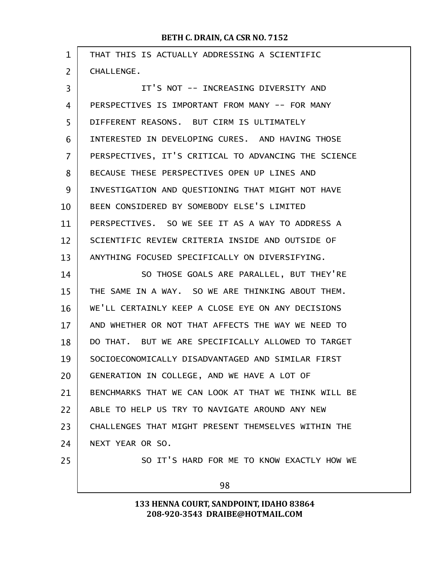| $\mathbf{1}$ | THAT THIS IS ACTUALLY ADDRESSING A SCIENTIFIC        |  |  |  |
|--------------|------------------------------------------------------|--|--|--|
| 2            | CHALLENGE.                                           |  |  |  |
| 3            | IT'S NOT -- INCREASING DIVERSITY AND                 |  |  |  |
| 4            | PERSPECTIVES IS IMPORTANT FROM MANY -- FOR MANY      |  |  |  |
| 5            | DIFFERENT REASONS. BUT CIRM IS ULTIMATELY            |  |  |  |
| 6            | INTERESTED IN DEVELOPING CURES. AND HAVING THOSE     |  |  |  |
| 7            | PERSPECTIVES, IT'S CRITICAL TO ADVANCING THE SCIENCE |  |  |  |
| 8            | BECAUSE THESE PERSPECTIVES OPEN UP LINES AND         |  |  |  |
| 9            | INVESTIGATION AND QUESTIONING THAT MIGHT NOT HAVE    |  |  |  |
| 10           | BEEN CONSIDERED BY SOMEBODY ELSE'S LIMITED           |  |  |  |
| 11           | PERSPECTIVES. SO WE SEE IT AS A WAY TO ADDRESS A     |  |  |  |
| 12           | SCIENTIFIC REVIEW CRITERIA INSIDE AND OUTSIDE OF     |  |  |  |
| 13           | ANYTHING FOCUSED SPECIFICALLY ON DIVERSIFYING.       |  |  |  |
| 14           | SO THOSE GOALS ARE PARALLEL, BUT THEY'RE             |  |  |  |
| 15           | THE SAME IN A WAY. SO WE ARE THINKING ABOUT THEM.    |  |  |  |
| 16           | WE'LL CERTAINLY KEEP A CLOSE EYE ON ANY DECISIONS    |  |  |  |
| 17           | AND WHETHER OR NOT THAT AFFECTS THE WAY WE NEED TO   |  |  |  |
| 18           | DO THAT. BUT WE ARE SPECIFICALLY ALLOWED TO TARGET   |  |  |  |
| 19           | SOCIOECONOMICALLY DISADVANTAGED AND SIMILAR FIRST    |  |  |  |
| 20           | GENERATION IN COLLEGE, AND WE HAVE A LOT OF          |  |  |  |
| 21           | BENCHMARKS THAT WE CAN LOOK AT THAT WE THINK WILL BE |  |  |  |
| 22           | ABLE TO HELP US TRY TO NAVIGATE AROUND ANY NEW       |  |  |  |
| 23           | CHALLENGES THAT MIGHT PRESENT THEMSELVES WITHIN THE  |  |  |  |
| 24           | NEXT YEAR OR SO.                                     |  |  |  |
| 25           | SO IT'S HARD FOR ME TO KNOW EXACTLY HOW WE           |  |  |  |
|              | 98                                                   |  |  |  |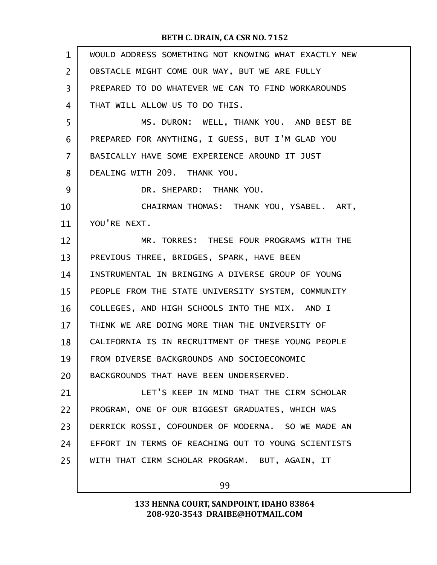| $\mathbf{1}$ | WOULD ADDRESS SOMETHING NOT KNOWING WHAT EXACTLY NEW |
|--------------|------------------------------------------------------|
| 2            | OBSTACLE MIGHT COME OUR WAY, BUT WE ARE FULLY        |
| 3            | PREPARED TO DO WHATEVER WE CAN TO FIND WORKAROUNDS   |
| 4            | THAT WILL ALLOW US TO DO THIS.                       |
| 5            | MS. DURON: WELL, THANK YOU. AND BEST BE              |
| 6            | PREPARED FOR ANYTHING, I GUESS, BUT I'M GLAD YOU     |
| 7            | BASICALLY HAVE SOME EXPERIENCE AROUND IT JUST        |
| 8            | DEALING WITH 209. THANK YOU.                         |
| 9            | DR. SHEPARD: THANK YOU.                              |
| 10           | CHAIRMAN THOMAS: THANK YOU, YSABEL. ART,             |
| 11           | YOU'RE NEXT.                                         |
| 12           | MR. TORRES: THESE FOUR PROGRAMS WITH THE             |
| 13           | PREVIOUS THREE, BRIDGES, SPARK, HAVE BEEN            |
| 14           | INSTRUMENTAL IN BRINGING A DIVERSE GROUP OF YOUNG    |
| 15           | PEOPLE FROM THE STATE UNIVERSITY SYSTEM, COMMUNITY   |
| 16           | COLLEGES, AND HIGH SCHOOLS INTO THE MIX. AND I       |
| 17           | THINK WE ARE DOING MORE THAN THE UNIVERSITY OF       |
| 18           | CALIFORNIA IS IN RECRUITMENT OF THESE YOUNG PEOPLE   |
| 19           | FROM DIVERSE BACKGROUNDS AND SOCIOECONOMIC           |
| 20           | BACKGROUNDS THAT HAVE BEEN UNDERSERVED.              |
| 21           | LET'S KEEP IN MIND THAT THE CIRM SCHOLAR             |
| 22           | PROGRAM, ONE OF OUR BIGGEST GRADUATES, WHICH WAS     |
| 23           | DERRICK ROSSI, COFOUNDER OF MODERNA. SO WE MADE AN   |
| 24           | EFFORT IN TERMS OF REACHING OUT TO YOUNG SCIENTISTS  |
| 25           | WITH THAT CIRM SCHOLAR PROGRAM. BUT, AGAIN, IT       |
|              |                                                      |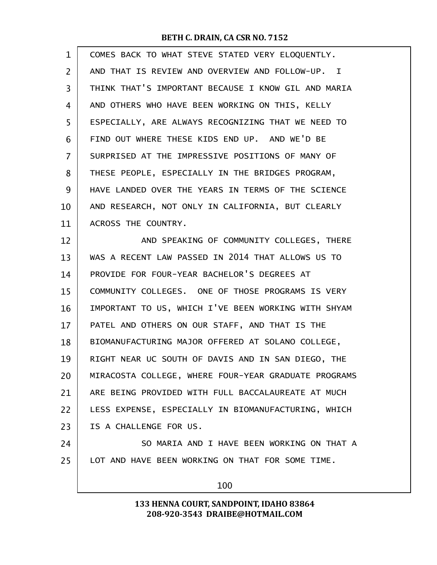| $\mathbf 1$    | COMES BACK TO WHAT STEVE STATED VERY ELOQUENTLY.     |  |  |  |
|----------------|------------------------------------------------------|--|--|--|
| $\overline{2}$ | AND THAT IS REVIEW AND OVERVIEW AND FOLLOW-UP. I     |  |  |  |
| 3              | THINK THAT'S IMPORTANT BECAUSE I KNOW GIL AND MARIA  |  |  |  |
| 4              | AND OTHERS WHO HAVE BEEN WORKING ON THIS, KELLY      |  |  |  |
| 5              | ESPECIALLY, ARE ALWAYS RECOGNIZING THAT WE NEED TO   |  |  |  |
| 6              | FIND OUT WHERE THESE KIDS END UP. AND WE'D BE        |  |  |  |
| 7              | SURPRISED AT THE IMPRESSIVE POSITIONS OF MANY OF     |  |  |  |
| 8              | THESE PEOPLE, ESPECIALLY IN THE BRIDGES PROGRAM,     |  |  |  |
| 9              | HAVE LANDED OVER THE YEARS IN TERMS OF THE SCIENCE   |  |  |  |
| 10             | AND RESEARCH, NOT ONLY IN CALIFORNIA, BUT CLEARLY    |  |  |  |
| 11             | ACROSS THE COUNTRY.                                  |  |  |  |
| 12             | AND SPEAKING OF COMMUNITY COLLEGES, THERE            |  |  |  |
| 13             | WAS A RECENT LAW PASSED IN 2014 THAT ALLOWS US TO    |  |  |  |
| 14             | PROVIDE FOR FOUR-YEAR BACHELOR'S DEGREES AT          |  |  |  |
| 15             | COMMUNITY COLLEGES. ONE OF THOSE PROGRAMS IS VERY    |  |  |  |
| 16             | IMPORTANT TO US, WHICH I'VE BEEN WORKING WITH SHYAM  |  |  |  |
| 17             | PATEL AND OTHERS ON OUR STAFF, AND THAT IS THE       |  |  |  |
| 18             | BIOMANUFACTURING MAJOR OFFERED AT SOLANO COLLEGE,    |  |  |  |
| 19             | RIGHT NEAR UC SOUTH OF DAVIS AND IN SAN DIEGO, THE   |  |  |  |
| 20             | MIRACOSTA COLLEGE, WHERE FOUR-YEAR GRADUATE PROGRAMS |  |  |  |
| 21             | ARE BEING PROVIDED WITH FULL BACCALAUREATE AT MUCH   |  |  |  |
| 22             | LESS EXPENSE, ESPECIALLY IN BIOMANUFACTURING, WHICH  |  |  |  |
| 23             | IS A CHALLENGE FOR US.                               |  |  |  |
| 24             | SO MARIA AND I HAVE BEEN WORKING ON THAT A           |  |  |  |
| 25             | LOT AND HAVE BEEN WORKING ON THAT FOR SOME TIME.     |  |  |  |
|                | 100                                                  |  |  |  |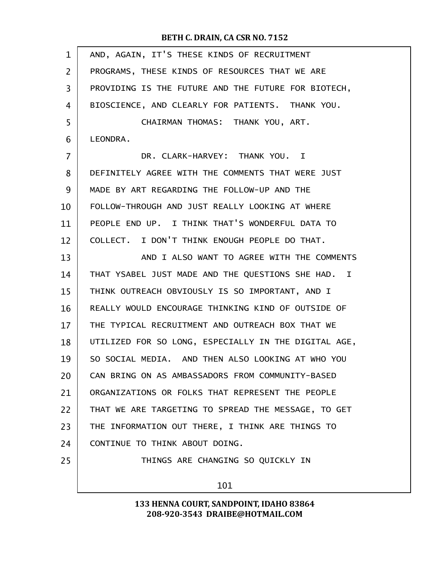| 1              | AND, AGAIN, IT'S THESE KINDS OF RECRUITMENT          |  |  |  |
|----------------|------------------------------------------------------|--|--|--|
| $\overline{2}$ | PROGRAMS, THESE KINDS OF RESOURCES THAT WE ARE       |  |  |  |
| 3              | PROVIDING IS THE FUTURE AND THE FUTURE FOR BIOTECH,  |  |  |  |
| 4              | BIOSCIENCE, AND CLEARLY FOR PATIENTS. THANK YOU.     |  |  |  |
| 5              | CHAIRMAN THOMAS: THANK YOU, ART.                     |  |  |  |
| 6              | LEONDRA.                                             |  |  |  |
| $\overline{7}$ | DR. CLARK-HARVEY: THANK YOU. I                       |  |  |  |
| 8              | DEFINITELY AGREE WITH THE COMMENTS THAT WERE JUST    |  |  |  |
| 9              | MADE BY ART REGARDING THE FOLLOW-UP AND THE          |  |  |  |
| 10             | FOLLOW-THROUGH AND JUST REALLY LOOKING AT WHERE      |  |  |  |
| 11             | PEOPLE END UP. I THINK THAT'S WONDERFUL DATA TO      |  |  |  |
| 12             | COLLECT. I DON'T THINK ENOUGH PEOPLE DO THAT.        |  |  |  |
| 13             | AND I ALSO WANT TO AGREE WITH THE COMMENTS           |  |  |  |
| 14             | THAT YSABEL JUST MADE AND THE QUESTIONS SHE HAD. I   |  |  |  |
| 15             | THINK OUTREACH OBVIOUSLY IS SO IMPORTANT, AND I      |  |  |  |
| 16             | REALLY WOULD ENCOURAGE THINKING KIND OF OUTSIDE OF   |  |  |  |
| 17             | THE TYPICAL RECRUITMENT AND OUTREACH BOX THAT WE     |  |  |  |
| 18             | UTILIZED FOR SO LONG, ESPECIALLY IN THE DIGITAL AGE, |  |  |  |
| 19             | SO SOCIAL MEDIA. AND THEN ALSO LOOKING AT WHO YOU    |  |  |  |
| 20             | CAN BRING ON AS AMBASSADORS FROM COMMUNITY-BASED     |  |  |  |
| 21             | ORGANIZATIONS OR FOLKS THAT REPRESENT THE PEOPLE     |  |  |  |
| 22             | THAT WE ARE TARGETING TO SPREAD THE MESSAGE, TO GET  |  |  |  |
| 23             | THE INFORMATION OUT THERE, I THINK ARE THINGS TO     |  |  |  |
| 24             | CONTINUE TO THINK ABOUT DOING.                       |  |  |  |
| 25             | THINGS ARE CHANGING SO QUICKLY IN                    |  |  |  |
|                | 101                                                  |  |  |  |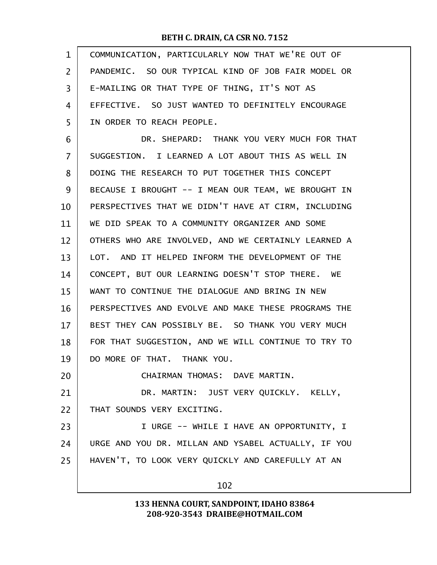| COMMUNICATION, PARTICULARLY NOW THAT WE'RE OUT OF   |  |  |  |
|-----------------------------------------------------|--|--|--|
| PANDEMIC. SO OUR TYPICAL KIND OF JOB FAIR MODEL OR  |  |  |  |
| E-MAILING OR THAT TYPE OF THING, IT'S NOT AS        |  |  |  |
| EFFECTIVE. SO JUST WANTED TO DEFINITELY ENCOURAGE   |  |  |  |
| IN ORDER TO REACH PEOPLE.                           |  |  |  |
| DR. SHEPARD: THANK YOU VERY MUCH FOR THAT           |  |  |  |
| SUGGESTION. I LEARNED A LOT ABOUT THIS AS WELL IN   |  |  |  |
| DOING THE RESEARCH TO PUT TOGETHER THIS CONCEPT     |  |  |  |
| BECAUSE I BROUGHT -- I MEAN OUR TEAM, WE BROUGHT IN |  |  |  |
| PERSPECTIVES THAT WE DIDN'T HAVE AT CIRM, INCLUDING |  |  |  |
| WE DID SPEAK TO A COMMUNITY ORGANIZER AND SOME      |  |  |  |
| OTHERS WHO ARE INVOLVED, AND WE CERTAINLY LEARNED A |  |  |  |
| LOT. AND IT HELPED INFORM THE DEVELOPMENT OF THE    |  |  |  |
| CONCEPT, BUT OUR LEARNING DOESN'T STOP THERE. WE    |  |  |  |
| WANT TO CONTINUE THE DIALOGUE AND BRING IN NEW      |  |  |  |
| PERSPECTIVES AND EVOLVE AND MAKE THESE PROGRAMS THE |  |  |  |
| BEST THEY CAN POSSIBLY BE. SO THANK YOU VERY MUCH   |  |  |  |
| FOR THAT SUGGESTION, AND WE WILL CONTINUE TO TRY TO |  |  |  |
| DO MORE OF THAT. THANK YOU.                         |  |  |  |
| CHAIRMAN THOMAS: DAVE MARTIN.                       |  |  |  |
| DR. MARTIN: JUST VERY QUICKLY. KELLY,               |  |  |  |
| THAT SOUNDS VERY EXCITING.                          |  |  |  |
| I URGE -- WHILE I HAVE AN OPPORTUNITY, I            |  |  |  |
| URGE AND YOU DR. MILLAN AND YSABEL ACTUALLY, IF YOU |  |  |  |
| HAVEN'T, TO LOOK VERY QUICKLY AND CAREFULLY AT AN   |  |  |  |
| 102                                                 |  |  |  |
|                                                     |  |  |  |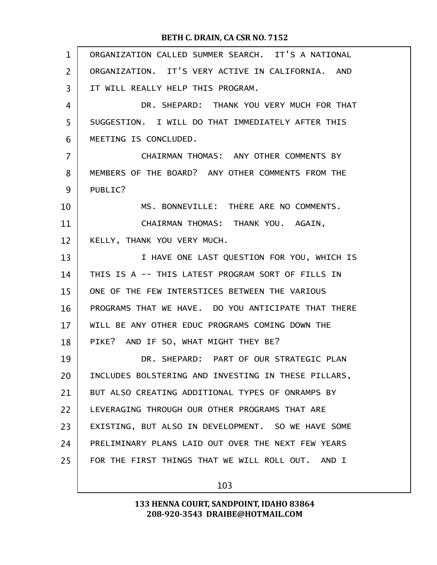| $\mathbf{1}$   | ORGANIZATION CALLED SUMMER SEARCH. IT'S A NATIONAL  |
|----------------|-----------------------------------------------------|
| $\overline{2}$ | ORGANIZATION. IT'S VERY ACTIVE IN CALIFORNIA. AND   |
| 3              | IT WILL REALLY HELP THIS PROGRAM.                   |
| 4              | DR. SHEPARD: THANK YOU VERY MUCH FOR THAT           |
| 5              | SUGGESTION. I WILL DO THAT IMMEDIATELY AFTER THIS   |
| 6              | MEETING IS CONCLUDED.                               |
| 7              | CHAIRMAN THOMAS: ANY OTHER COMMENTS BY              |
| 8              | MEMBERS OF THE BOARD? ANY OTHER COMMENTS FROM THE   |
| 9              | PUBLIC?                                             |
| 10             | MS. BONNEVILLE: THERE ARE NO COMMENTS.              |
| 11             | CHAIRMAN THOMAS: THANK YOU. AGAIN,                  |
| 12             | KELLY, THANK YOU VERY MUCH.                         |
| 13             | I HAVE ONE LAST QUESTION FOR YOU, WHICH IS          |
| 14             | THIS IS A -- THIS LATEST PROGRAM SORT OF FILLS IN   |
| 15             | ONE OF THE FEW INTERSTICES BETWEEN THE VARIOUS      |
| 16             | PROGRAMS THAT WE HAVE. DO YOU ANTICIPATE THAT THERE |
| 17             | WILL BE ANY OTHER EDUC PROGRAMS COMING DOWN THE     |
| 18             | PIKE? AND IF SO, WHAT MIGHT THEY BE?                |
| 19             | DR. SHEPARD: PART OF OUR STRATEGIC PLAN             |
| 20             | INCLUDES BOLSTERING AND INVESTING IN THESE PILLARS, |
| 21             | BUT ALSO CREATING ADDITIONAL TYPES OF ONRAMPS BY    |
| 22             | LEVERAGING THROUGH OUR OTHER PROGRAMS THAT ARE      |
| 23             | EXISTING, BUT ALSO IN DEVELOPMENT. SO WE HAVE SOME  |
| 24             | PRELIMINARY PLANS LAID OUT OVER THE NEXT FEW YEARS  |
| 25             | FOR THE FIRST THINGS THAT WE WILL ROLL OUT. AND I   |
|                |                                                     |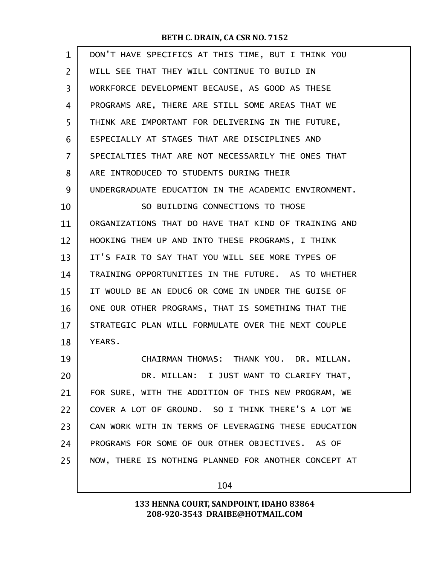| $\mathbf{1}$ | DON'T HAVE SPECIFICS AT THIS TIME, BUT I THINK YOU   |
|--------------|------------------------------------------------------|
| 2            | WILL SEE THAT THEY WILL CONTINUE TO BUILD IN         |
| 3            | WORKFORCE DEVELOPMENT BECAUSE, AS GOOD AS THESE      |
| 4            | PROGRAMS ARE, THERE ARE STILL SOME AREAS THAT WE     |
| 5            | THINK ARE IMPORTANT FOR DELIVERING IN THE FUTURE,    |
| 6            | ESPECIALLY AT STAGES THAT ARE DISCIPLINES AND        |
| 7            | SPECIALTIES THAT ARE NOT NECESSARILY THE ONES THAT   |
| 8            | ARE INTRODUCED TO STUDENTS DURING THEIR              |
| 9            | UNDERGRADUATE EDUCATION IN THE ACADEMIC ENVIRONMENT. |
| 10           | SO BUILDING CONNECTIONS TO THOSE                     |
| 11           | ORGANIZATIONS THAT DO HAVE THAT KIND OF TRAINING AND |
| 12           | HOOKING THEM UP AND INTO THESE PROGRAMS, I THINK     |
| 13           | IT'S FAIR TO SAY THAT YOU WILL SEE MORE TYPES OF     |
| 14           | TRAINING OPPORTUNITIES IN THE FUTURE. AS TO WHETHER  |
| 15           | IT WOULD BE AN EDUC6 OR COME IN UNDER THE GUISE OF   |
| 16           | ONE OUR OTHER PROGRAMS, THAT IS SOMETHING THAT THE   |
| 17           | STRATEGIC PLAN WILL FORMULATE OVER THE NEXT COUPLE   |
| 18           | YEARS.                                               |
| 19           | CHAIRMAN THOMAS: THANK YOU. DR. MILLAN.              |
| 20           | DR. MILLAN: I JUST WANT TO CLARIFY THAT,             |
| 21           | FOR SURE, WITH THE ADDITION OF THIS NEW PROGRAM, WE  |
| 22           | COVER A LOT OF GROUND. SO I THINK THERE'S A LOT WE   |
| 23           | CAN WORK WITH IN TERMS OF LEVERAGING THESE EDUCATION |
| 24           | PROGRAMS FOR SOME OF OUR OTHER OBJECTIVES. AS OF     |
| 25           | NOW, THERE IS NOTHING PLANNED FOR ANOTHER CONCEPT AT |
|              |                                                      |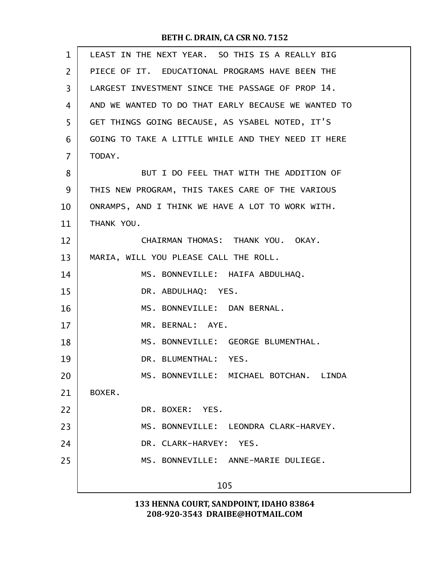| LEAST IN THE NEXT YEAR. SO THIS IS A REALLY BIG     |
|-----------------------------------------------------|
| PIECE OF IT. EDUCATIONAL PROGRAMS HAVE BEEN THE     |
| LARGEST INVESTMENT SINCE THE PASSAGE OF PROP 14.    |
| AND WE WANTED TO DO THAT EARLY BECAUSE WE WANTED TO |
| GET THINGS GOING BECAUSE, AS YSABEL NOTED, IT'S     |
| GOING TO TAKE A LITTLE WHILE AND THEY NEED IT HERE  |
| TODAY.                                              |
| BUT I DO FEEL THAT WITH THE ADDITION OF             |
| THIS NEW PROGRAM, THIS TAKES CARE OF THE VARIOUS    |
| ONRAMPS, AND I THINK WE HAVE A LOT TO WORK WITH.    |
| THANK YOU.                                          |
| CHAIRMAN THOMAS: THANK YOU. OKAY.                   |
| MARIA, WILL YOU PLEASE CALL THE ROLL.               |
| MS. BONNEVILLE: HAIFA ABDULHAQ.                     |
| DR. ABDULHAQ: YES.                                  |
| MS. BONNEVILLE: DAN BERNAL.                         |
| MR. BERNAL: AYE.                                    |
| MS. BONNEVILLE: GEORGE BLUMENTHAL.                  |
| DR. BLUMENTHAL: YES.                                |
| MS. BONNEVILLE: MICHAEL BOTCHAN. LINDA              |
| BOXER.                                              |
| DR. BOXER: YES.                                     |
| MS. BONNEVILLE: LEONDRA CLARK-HARVEY.               |
| DR. CLARK-HARVEY: YES.                              |
| MS. BONNEVILLE: ANNE-MARIE DULIEGE.                 |
| 105                                                 |
|                                                     |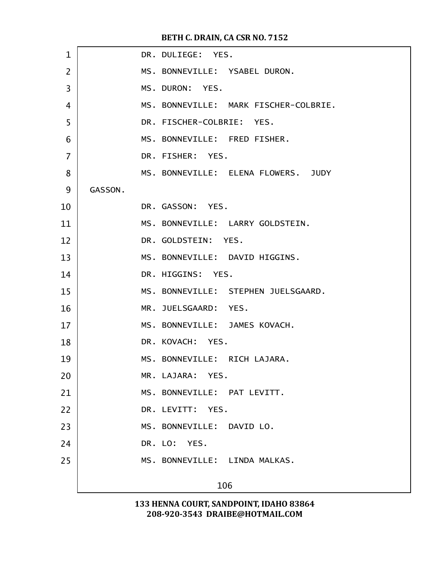| $\mathbf{1}$   |         | DR. DULIEGE: YES.                     |
|----------------|---------|---------------------------------------|
| $\overline{2}$ |         | MS. BONNEVILLE: YSABEL DURON.         |
| 3              |         | MS. DURON: YES.                       |
| 4              |         | MS. BONNEVILLE: MARK FISCHER-COLBRIE. |
| 5              |         | DR. FISCHER-COLBRIE: YES.             |
| 6              |         | MS. BONNEVILLE: FRED FISHER.          |
| 7              |         | DR. FISHER: YES.                      |
| 8              |         | MS. BONNEVILLE: ELENA FLOWERS. JUDY   |
| 9              | GASSON. |                                       |
| 10             |         | DR. GASSON: YES.                      |
| 11             |         | MS. BONNEVILLE: LARRY GOLDSTEIN.      |
| 12             |         | DR. GOLDSTEIN: YES.                   |
| 13             |         | MS. BONNEVILLE: DAVID HIGGINS.        |
| 14             |         | DR. HIGGINS: YES.                     |
| 15             |         | MS. BONNEVILLE: STEPHEN JUELSGAARD.   |
| 16             |         | MR. JUELSGAARD: YES.                  |
| 17             |         | MS. BONNEVILLE: JAMES KOVACH.         |
| 18             |         | DR. KOVACH: YES.                      |
| 19             |         | MS. BONNEVILLE: RICH LAJARA.          |
| 20             |         | MR. LAJARA: YES.                      |
| 21             |         | MS. BONNEVILLE: PAT LEVITT.           |
| 22             |         | DR. LEVITT: YES.                      |
| 23             |         | MS. BONNEVILLE: DAVID LO.             |
| 24             |         | DR. LO: YES.                          |
| 25             |         | MS. BONNEVILLE: LINDA MALKAS.         |
|                |         | 106                                   |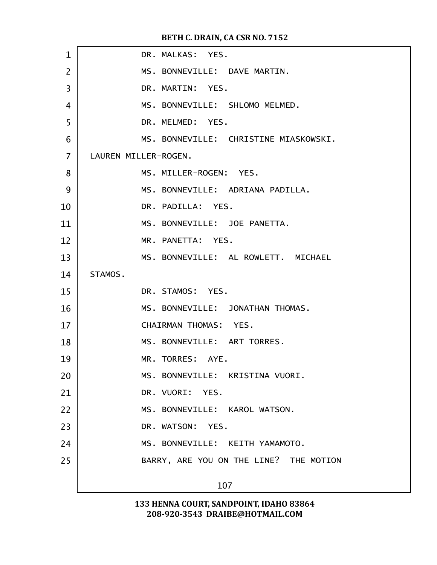| $\mathbf{1}$   | DR. MALKAS: YES.                       |
|----------------|----------------------------------------|
| $\overline{2}$ | MS. BONNEVILLE: DAVE MARTIN.           |
| $\overline{3}$ | DR. MARTIN: YES.                       |
| $\overline{4}$ | MS. BONNEVILLE: SHLOMO MELMED.         |
| 5              | DR. MELMED: YES.                       |
| 6              | MS. BONNEVILLE: CHRISTINE MIASKOWSKI.  |
| $\overline{7}$ | LAUREN MILLER-ROGEN.                   |
| 8              | MS. MILLER-ROGEN: YES.                 |
| 9              | MS. BONNEVILLE: ADRIANA PADILLA.       |
| 10             | DR. PADILLA: YES.                      |
| 11             | MS. BONNEVILLE: JOE PANETTA.           |
| 12             | MR. PANETTA: YES.                      |
| 13             | MS. BONNEVILLE: AL ROWLETT. MICHAEL    |
| 14             | STAMOS.                                |
| 15             | DR. STAMOS: YES.                       |
| 16             | MS. BONNEVILLE: JONATHAN THOMAS.       |
| 17             | CHAIRMAN THOMAS: YES.                  |
| 18             | MS. BONNEVILLE: ART TORRES.            |
| 19             | MR. TORRES: AYE.                       |
| 20             | MS. BONNEVILLE: KRISTINA VUORI.        |
| 21             | DR. VUORI: YES.                        |
| 22             | MS. BONNEVILLE: KAROL WATSON.          |
| 23             | DR. WATSON: YES.                       |
| 24             | MS. BONNEVILLE: KEITH YAMAMOTO.        |
| 25             | BARRY, ARE YOU ON THE LINE? THE MOTION |
|                | 107                                    |
|                |                                        |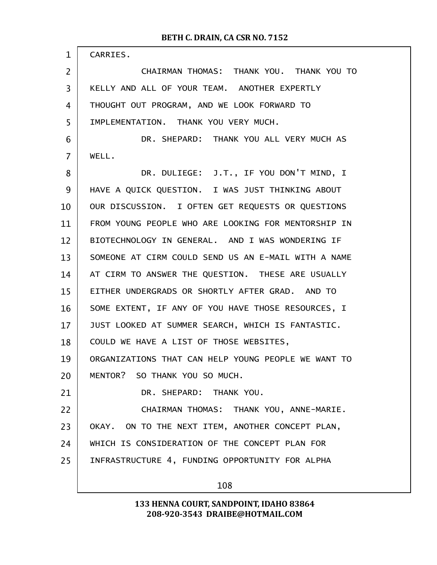| $\mathbf 1$    | CARRIES.                                            |
|----------------|-----------------------------------------------------|
| 2              | CHAIRMAN THOMAS: THANK YOU. THANK YOU TO            |
| 3              | KELLY AND ALL OF YOUR TEAM. ANOTHER EXPERTLY        |
| 4              | THOUGHT OUT PROGRAM, AND WE LOOK FORWARD TO         |
| 5              | IMPLEMENTATION. THANK YOU VERY MUCH.                |
| 6              | DR. SHEPARD: THANK YOU ALL VERY MUCH AS             |
| $\overline{7}$ | WELL.                                               |
| 8              | DR. DULIEGE: J.T., IF YOU DON'T MIND, I             |
| 9              | HAVE A QUICK QUESTION. I WAS JUST THINKING ABOUT    |
| 10             | OUR DISCUSSION. I OFTEN GET REQUESTS OR QUESTIONS   |
| 11             | FROM YOUNG PEOPLE WHO ARE LOOKING FOR MENTORSHIP IN |
| 12             | BIOTECHNOLOGY IN GENERAL. AND I WAS WONDERING IF    |
| 13             | SOMEONE AT CIRM COULD SEND US AN E-MAIL WITH A NAME |
| 14             | AT CIRM TO ANSWER THE QUESTION. THESE ARE USUALLY   |
| 15             | EITHER UNDERGRADS OR SHORTLY AFTER GRAD. AND TO     |
| 16             | SOME EXTENT, IF ANY OF YOU HAVE THOSE RESOURCES, I  |
| 17             | JUST LOOKED AT SUMMER SEARCH, WHICH IS FANTASTIC.   |
| 18             | COULD WE HAVE A LIST OF THOSE WEBSITES,             |
| 19             | ORGANIZATIONS THAT CAN HELP YOUNG PEOPLE WE WANT TO |
| 20             | MENTOR? SO THANK YOU SO MUCH.                       |
| 21             | DR. SHEPARD: THANK YOU.                             |
| 22             | CHAIRMAN THOMAS: THANK YOU, ANNE-MARIE.             |
| 23             | OKAY. ON TO THE NEXT ITEM, ANOTHER CONCEPT PLAN,    |
| 24             | WHICH IS CONSIDERATION OF THE CONCEPT PLAN FOR      |
| 25             | INFRASTRUCTURE 4, FUNDING OPPORTUNITY FOR ALPHA     |
|                | 108                                                 |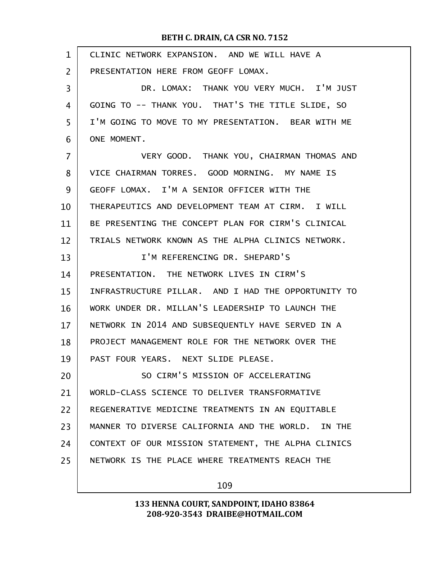| $\mathbf{1}$   | CLINIC NETWORK EXPANSION. AND WE WILL HAVE A        |
|----------------|-----------------------------------------------------|
| $\overline{2}$ | PRESENTATION HERE FROM GEOFF LOMAX.                 |
| 3              | DR. LOMAX: THANK YOU VERY MUCH. I'M JUST            |
| 4              | GOING TO -- THANK YOU. THAT'S THE TITLE SLIDE, SO   |
| 5              | I'M GOING TO MOVE TO MY PRESENTATION. BEAR WITH ME  |
| 6              | ONE MOMENT.                                         |
| 7              | VERY GOOD. THANK YOU, CHAIRMAN THOMAS AND           |
| 8              | VICE CHAIRMAN TORRES. GOOD MORNING. MY NAME IS      |
| 9              | GEOFF LOMAX. I'M A SENIOR OFFICER WITH THE          |
| 10             | THERAPEUTICS AND DEVELOPMENT TEAM AT CIRM. I WILL   |
| 11             | BE PRESENTING THE CONCEPT PLAN FOR CIRM'S CLINICAL  |
| 12             | TRIALS NETWORK KNOWN AS THE ALPHA CLINICS NETWORK.  |
| 13             | I'M REFERENCING DR. SHEPARD'S                       |
| 14             | PRESENTATION. THE NETWORK LIVES IN CIRM'S           |
| 15             | INFRASTRUCTURE PILLAR. AND I HAD THE OPPORTUNITY TO |
| 16             | WORK UNDER DR. MILLAN'S LEADERSHIP TO LAUNCH THE    |
| 17             | NETWORK IN 2014 AND SUBSEQUENTLY HAVE SERVED IN A   |
| 18             | PROJECT MANAGEMENT ROLE FOR THE NETWORK OVER THE    |
| 19             | PAST FOUR YEARS. NEXT SLIDE PLEASE.                 |
| 20             | SO CIRM'S MISSION OF ACCELERATING                   |
| 21             | WORLD-CLASS SCIENCE TO DELIVER TRANSFORMATIVE       |
| 22             | REGENERATIVE MEDICINE TREATMENTS IN AN EQUITABLE    |
| 23             | MANNER TO DIVERSE CALIFORNIA AND THE WORLD. IN THE  |
| 24             | CONTEXT OF OUR MISSION STATEMENT, THE ALPHA CLINICS |
| 25             | NETWORK IS THE PLACE WHERE TREATMENTS REACH THE     |
|                |                                                     |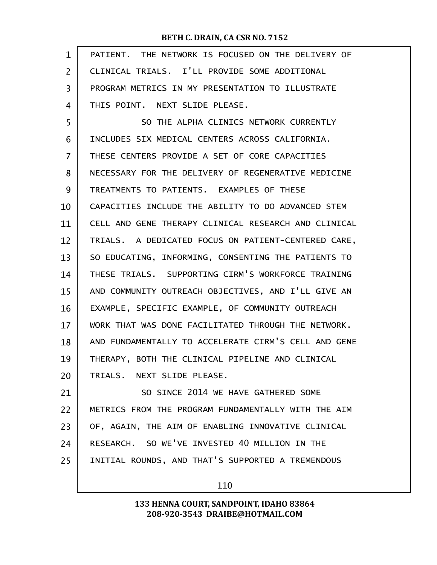| $\mathbf{1}$ | PATIENT. THE NETWORK IS FOCUSED ON THE DELIVERY OF   |
|--------------|------------------------------------------------------|
| 2            | CLINICAL TRIALS. I'LL PROVIDE SOME ADDITIONAL        |
| 3            | PROGRAM METRICS IN MY PRESENTATION TO ILLUSTRATE     |
| 4            | THIS POINT. NEXT SLIDE PLEASE.                       |
| 5            | SO THE ALPHA CLINICS NETWORK CURRENTLY               |
| 6            | INCLUDES SIX MEDICAL CENTERS ACROSS CALIFORNIA.      |
| 7            | THESE CENTERS PROVIDE A SET OF CORE CAPACITIES       |
| 8            | NECESSARY FOR THE DELIVERY OF REGENERATIVE MEDICINE  |
| 9            | TREATMENTS TO PATIENTS. EXAMPLES OF THESE            |
| 10           | CAPACITIES INCLUDE THE ABILITY TO DO ADVANCED STEM   |
| 11           | CELL AND GENE THERAPY CLINICAL RESEARCH AND CLINICAL |
| 12           | TRIALS. A DEDICATED FOCUS ON PATIENT-CENTERED CARE,  |
| 13           | SO EDUCATING, INFORMING, CONSENTING THE PATIENTS TO  |
| 14           | THESE TRIALS. SUPPORTING CIRM'S WORKFORCE TRAINING   |
| 15           | AND COMMUNITY OUTREACH OBJECTIVES, AND I'LL GIVE AN  |
| 16           | EXAMPLE, SPECIFIC EXAMPLE, OF COMMUNITY OUTREACH     |
| 17           | WORK THAT WAS DONE FACILITATED THROUGH THE NETWORK.  |
| 18           | AND FUNDAMENTALLY TO ACCELERATE CIRM'S CELL AND GENE |
| 19           | THERAPY, BOTH THE CLINICAL PIPELINE AND CLINICAL     |
| 20           | TRIALS. NEXT SLIDE PLEASE.                           |
| 21           | SO SINCE 2014 WE HAVE GATHERED SOME                  |
| 22           | METRICS FROM THE PROGRAM FUNDAMENTALLY WITH THE AIM  |
| 23           | OF, AGAIN, THE AIM OF ENABLING INNOVATIVE CLINICAL   |
| 24           | RESEARCH. SO WE'VE INVESTED 40 MILLION IN THE        |
| 25           | INITIAL ROUNDS, AND THAT'S SUPPORTED A TREMENDOUS    |
|              | 110                                                  |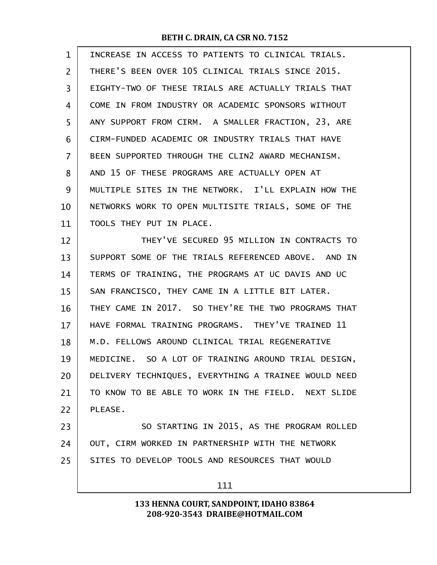| 1  | INCREASE IN ACCESS TO PATIENTS TO CLINICAL TRIALS.   |
|----|------------------------------------------------------|
| 2  | THERE'S BEEN OVER 105 CLINICAL TRIALS SINCE 2015.    |
| 3  | EIGHTY-TWO OF THESE TRIALS ARE ACTUALLY TRIALS THAT  |
| 4  | COME IN FROM INDUSTRY OR ACADEMIC SPONSORS WITHOUT   |
| 5  | ANY SUPPORT FROM CIRM. A SMALLER FRACTION, 23, ARE   |
| 6  | CIRM-FUNDED ACADEMIC OR INDUSTRY TRIALS THAT HAVE    |
| 7  | BEEN SUPPORTED THROUGH THE CLIN2 AWARD MECHANISM.    |
| 8  | AND 15 OF THESE PROGRAMS ARE ACTUALLY OPEN AT        |
| 9  | MULTIPLE SITES IN THE NETWORK. I'LL EXPLAIN HOW THE  |
| 10 | NETWORKS WORK TO OPEN MULTISITE TRIALS, SOME OF THE  |
| 11 | TOOLS THEY PUT IN PLACE.                             |
| 12 | THEY'VE SECURED 95 MILLION IN CONTRACTS TO           |
| 13 | SUPPORT SOME OF THE TRIALS REFERENCED ABOVE. AND IN  |
| 14 | TERMS OF TRAINING, THE PROGRAMS AT UC DAVIS AND UC   |
| 15 | SAN FRANCISCO, THEY CAME IN A LITTLE BIT LATER.      |
| 16 | THEY CAME IN 2017. SO THEY'RE THE TWO PROGRAMS THAT  |
| 17 | HAVE FORMAL TRAINING PROGRAMS. THEY'VE TRAINED 11    |
| 18 | M.D. FELLOWS AROUND CLINICAL TRIAL REGENERATIVE      |
| 19 | MEDICINE. SO A LOT OF TRAINING AROUND TRIAL DESIGN,  |
| 20 | DELIVERY TECHNIQUES, EVERYTHING A TRAINEE WOULD NEED |
| 21 | TO KNOW TO BE ABLE TO WORK IN THE FIELD. NEXT SLIDE  |
| 22 | PLEASE.                                              |
| 23 | SO STARTING IN 2015, AS THE PROGRAM ROLLED           |
| 24 | OUT, CIRM WORKED IN PARTNERSHIP WITH THE NETWORK     |
| 25 | SITES TO DEVELOP TOOLS AND RESOURCES THAT WOULD      |
|    | 111                                                  |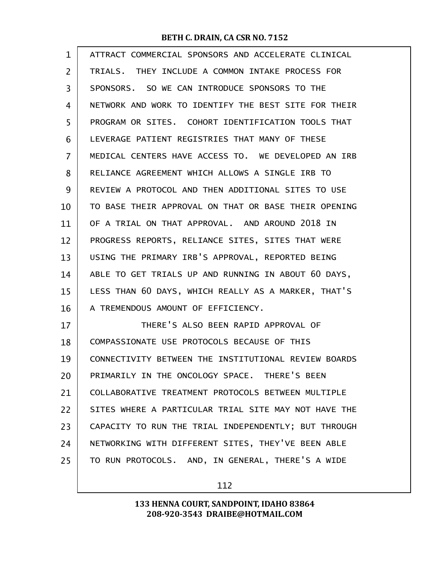| $\mathbf{1}$ | ATTRACT COMMERCIAL SPONSORS AND ACCELERATE CLINICAL  |
|--------------|------------------------------------------------------|
| 2            | TRIALS. THEY INCLUDE A COMMON INTAKE PROCESS FOR     |
| 3            | SPONSORS. SO WE CAN INTRODUCE SPONSORS TO THE        |
| 4            | NETWORK AND WORK TO IDENTIFY THE BEST SITE FOR THEIR |
| 5            | PROGRAM OR SITES. COHORT IDENTIFICATION TOOLS THAT   |
| 6            | LEVERAGE PATIENT REGISTRIES THAT MANY OF THESE       |
| 7            | MEDICAL CENTERS HAVE ACCESS TO. WE DEVELOPED AN IRB  |
| 8            | RELIANCE AGREEMENT WHICH ALLOWS A SINGLE IRB TO      |
| 9            | REVIEW A PROTOCOL AND THEN ADDITIONAL SITES TO USE   |
| 10           | TO BASE THEIR APPROVAL ON THAT OR BASE THEIR OPENING |
| 11           | OF A TRIAL ON THAT APPROVAL, AND AROUND 2018 IN      |
| 12           | PROGRESS REPORTS, RELIANCE SITES, SITES THAT WERE    |
| 13           | USING THE PRIMARY IRB'S APPROVAL, REPORTED BEING     |
| 14           | ABLE TO GET TRIALS UP AND RUNNING IN ABOUT 60 DAYS,  |
| 15           | LESS THAN 60 DAYS, WHICH REALLY AS A MARKER, THAT'S  |
| 16           | A TREMENDOUS AMOUNT OF EFFICIENCY.                   |
| 17           | THERE'S ALSO BEEN RAPID APPROVAL OF                  |
| 18           | COMPASSIONATE USE PROTOCOLS BECAUSE OF THIS          |
| 19           | CONNECTIVITY BETWEEN THE INSTITUTIONAL REVIEW BOARDS |
| 20           | PRIMARILY IN THE ONCOLOGY SPACE. THERE'S BEEN        |
| 21           | COLLABORATIVE TREATMENT PROTOCOLS BETWEEN MULTIPLE   |
| 22           | SITES WHERE A PARTICULAR TRIAL SITE MAY NOT HAVE THE |
| 23           | CAPACITY TO RUN THE TRIAL INDEPENDENTLY; BUT THROUGH |
| 24           | NETWORKING WITH DIFFERENT SITES, THEY'VE BEEN ABLE   |
| 25           | TO RUN PROTOCOLS. AND, IN GENERAL, THERE'S A WIDE    |
|              |                                                      |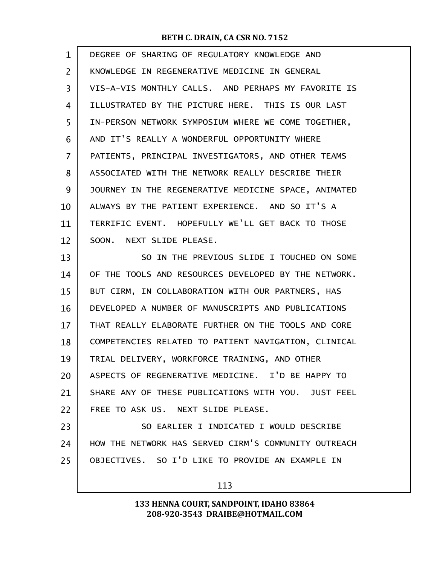| $\mathbf{1}$ | DEGREE OF SHARING OF REGULATORY KNOWLEDGE AND        |
|--------------|------------------------------------------------------|
| 2            | KNOWLEDGE IN REGENERATIVE MEDICINE IN GENERAL        |
| 3            | VIS-A-VIS MONTHLY CALLS. AND PERHAPS MY FAVORITE IS  |
| 4            | ILLUSTRATED BY THE PICTURE HERE. THIS IS OUR LAST    |
| 5            | IN-PERSON NETWORK SYMPOSIUM WHERE WE COME TOGETHER,  |
| 6            | AND IT'S REALLY A WONDERFUL OPPORTUNITY WHERE        |
| 7            | PATIENTS, PRINCIPAL INVESTIGATORS, AND OTHER TEAMS   |
| 8            | ASSOCIATED WITH THE NETWORK REALLY DESCRIBE THEIR    |
| 9            | JOURNEY IN THE REGENERATIVE MEDICINE SPACE, ANIMATED |
| 10           | ALWAYS BY THE PATIENT EXPERIENCE. AND SO IT'S A      |
| 11           | TERRIFIC EVENT. HOPEFULLY WE'LL GET BACK TO THOSE    |
| 12           | SOON. NEXT SLIDE PLEASE.                             |
| 13           | SO IN THE PREVIOUS SLIDE I TOUCHED ON SOME           |
| 14           | OF THE TOOLS AND RESOURCES DEVELOPED BY THE NETWORK. |
| 15           | BUT CIRM, IN COLLABORATION WITH OUR PARTNERS, HAS    |
| 16           | DEVELOPED A NUMBER OF MANUSCRIPTS AND PUBLICATIONS   |
| 17           | THAT REALLY ELABORATE FURTHER ON THE TOOLS AND CORE  |
| 18           | COMPETENCIES RELATED TO PATIENT NAVIGATION, CLINICAL |
| 19           | TRIAL DELIVERY, WORKFORCE TRAINING, AND OTHER        |
| 20           | ASPECTS OF REGENERATIVE MEDICINE. I'D BE HAPPY TO    |
| 21           | SHARE ANY OF THESE PUBLICATIONS WITH YOU. JUST FEEL  |
| 22           | FREE TO ASK US. NEXT SLIDE PLEASE.                   |
| 23           | SO EARLIER I INDICATED I WOULD DESCRIBE              |
| 24           | HOW THE NETWORK HAS SERVED CIRM'S COMMUNITY OUTREACH |
| 25           | OBJECTIVES. SO I'D LIKE TO PROVIDE AN EXAMPLE IN     |
|              | 113                                                  |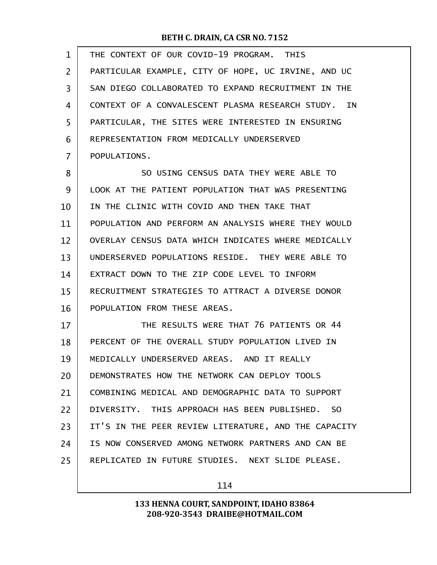| $\mathbf{1}$   | THE CONTEXT OF OUR COVID-19 PROGRAM. THIS            |
|----------------|------------------------------------------------------|
| $\overline{2}$ | PARTICULAR EXAMPLE, CITY OF HOPE, UC IRVINE, AND UC  |
| 3              | SAN DIEGO COLLABORATED TO EXPAND RECRUITMENT IN THE  |
| 4              | CONTEXT OF A CONVALESCENT PLASMA RESEARCH STUDY. IN  |
| 5              | PARTICULAR, THE SITES WERE INTERESTED IN ENSURING    |
| 6              | REPRESENTATION FROM MEDICALLY UNDERSERVED            |
| 7              | POPULATIONS.                                         |
| 8              | SO USING CENSUS DATA THEY WERE ABLE TO               |
| 9              | LOOK AT THE PATIENT POPULATION THAT WAS PRESENTING   |
| 10             | IN THE CLINIC WITH COVID AND THEN TAKE THAT          |
| 11             | POPULATION AND PERFORM AN ANALYSIS WHERE THEY WOULD  |
| 12             | OVERLAY CENSUS DATA WHICH INDICATES WHERE MEDICALLY  |
| 13             | UNDERSERVED POPULATIONS RESIDE. THEY WERE ABLE TO    |
| 14             | EXTRACT DOWN TO THE ZIP CODE LEVEL TO INFORM         |
| 15             | RECRUITMENT STRATEGIES TO ATTRACT A DIVERSE DONOR    |
| 16             | POPULATION FROM THESE AREAS.                         |
| 17             | THE RESULTS WERE THAT 76 PATIENTS OR 44              |
| 18             | PERCENT OF THE OVERALL STUDY POPULATION LIVED IN     |
| 19             | MEDICALLY UNDERSERVED AREAS. AND IT REALLY           |
| 20             | DEMONSTRATES HOW THE NETWORK CAN DEPLOY TOOLS        |
| 21             | COMBINING MEDICAL AND DEMOGRAPHIC DATA TO SUPPORT    |
| 22             | DIVERSITY. THIS APPROACH HAS BEEN PUBLISHED. SO      |
| 23             | IT'S IN THE PEER REVIEW LITERATURE, AND THE CAPACITY |
| 24             | IS NOW CONSERVED AMONG NETWORK PARTNERS AND CAN BE   |
| 25             | REPLICATED IN FUTURE STUDIES. NEXT SLIDE PLEASE.     |
|                |                                                      |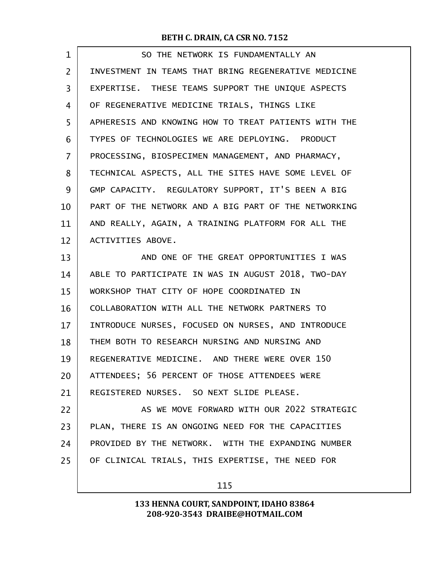| $\mathbf 1$ | SO THE NETWORK IS FUNDAMENTALLY AN                   |
|-------------|------------------------------------------------------|
| 2           | INVESTMENT IN TEAMS THAT BRING REGENERATIVE MEDICINE |
| 3           | EXPERTISE. THESE TEAMS SUPPORT THE UNIQUE ASPECTS    |
| 4           | OF REGENERATIVE MEDICINE TRIALS, THINGS LIKE         |
| 5           | APHERESIS AND KNOWING HOW TO TREAT PATIENTS WITH THE |
| 6           | TYPES OF TECHNOLOGIES WE ARE DEPLOYING. PRODUCT      |
| 7           | PROCESSING, BIOSPECIMEN MANAGEMENT, AND PHARMACY,    |
| 8           | TECHNICAL ASPECTS, ALL THE SITES HAVE SOME LEVEL OF  |
| 9           | GMP CAPACITY. REGULATORY SUPPORT, IT'S BEEN A BIG    |
| 10          | PART OF THE NETWORK AND A BIG PART OF THE NETWORKING |
| 11          | AND REALLY, AGAIN, A TRAINING PLATFORM FOR ALL THE   |
| 12          | ACTIVITIES ABOVE.                                    |
| 13          | AND ONE OF THE GREAT OPPORTUNITIES I WAS             |
| 14          | ABLE TO PARTICIPATE IN WAS IN AUGUST 2018, TWO-DAY   |
| 15          | WORKSHOP THAT CITY OF HOPE COORDINATED IN            |
| 16          | COLLABORATION WITH ALL THE NETWORK PARTNERS TO       |
| 17          | INTRODUCE NURSES, FOCUSED ON NURSES, AND INTRODUCE   |
| 18          | THEM BOTH TO RESEARCH NURSING AND NURSING AND        |
| 19          | REGENERATIVE MEDICINE. AND THERE WERE OVER 150       |
| 20          | ATTENDEES; 56 PERCENT OF THOSE ATTENDEES WERE        |
| 21          | REGISTERED NURSES. SO NEXT SLIDE PLEASE.             |
| 22          | AS WE MOVE FORWARD WITH OUR 2022 STRATEGIC           |
| 23          | PLAN, THERE IS AN ONGOING NEED FOR THE CAPACITIES    |
| 24          | PROVIDED BY THE NETWORK. WITH THE EXPANDING NUMBER   |
| 25          | OF CLINICAL TRIALS, THIS EXPERTISE, THE NEED FOR     |
|             |                                                      |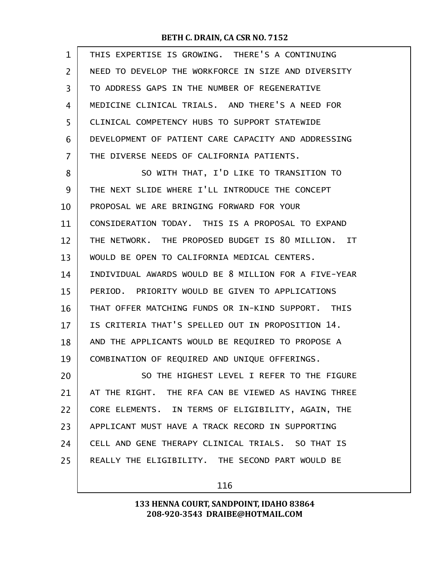| 1              | THIS EXPERTISE IS GROWING. THERE'S A CONTINUING      |
|----------------|------------------------------------------------------|
| $\overline{2}$ | NEED TO DEVELOP THE WORKFORCE IN SIZE AND DIVERSITY  |
| 3              | TO ADDRESS GAPS IN THE NUMBER OF REGENERATIVE        |
| 4              | MEDICINE CLINICAL TRIALS. AND THERE'S A NEED FOR     |
| 5              | CLINICAL COMPETENCY HUBS TO SUPPORT STATEWIDE        |
| 6              | DEVELOPMENT OF PATIENT CARE CAPACITY AND ADDRESSING  |
| $\overline{7}$ | THE DIVERSE NEEDS OF CALIFORNIA PATIENTS.            |
| 8              | SO WITH THAT, I'D LIKE TO TRANSITION TO              |
| 9              | THE NEXT SLIDE WHERE I'LL INTRODUCE THE CONCEPT      |
| 10             | PROPOSAL WE ARE BRINGING FORWARD FOR YOUR            |
| 11             | CONSIDERATION TODAY, THIS IS A PROPOSAL TO EXPAND    |
| 12             | THE NETWORK. THE PROPOSED BUDGET IS 80 MILLION. IT   |
| 13             | WOULD BE OPEN TO CALIFORNIA MEDICAL CENTERS.         |
| 14             | INDIVIDUAL AWARDS WOULD BE 8 MILLION FOR A FIVE-YEAR |
| 15             | PERIOD. PRIORITY WOULD BE GIVEN TO APPLICATIONS      |
| 16             | THAT OFFER MATCHING FUNDS OR IN-KIND SUPPORT. THIS   |
| 17             | IS CRITERIA THAT'S SPELLED OUT IN PROPOSITION 14.    |
| 18             | AND THE APPLICANTS WOULD BE REQUIRED TO PROPOSE A    |
| 19             | COMBINATION OF REQUIRED AND UNIQUE OFFERINGS.        |
| 20             | SO THE HIGHEST LEVEL I REFER TO THE FIGURE           |
| 21             | AT THE RIGHT. THE RFA CAN BE VIEWED AS HAVING THREE  |
| 22             | CORE ELEMENTS. IN TERMS OF ELIGIBILITY, AGAIN, THE   |
| 23             | APPLICANT MUST HAVE A TRACK RECORD IN SUPPORTING     |
| 24             | CELL AND GENE THERAPY CLINICAL TRIALS. SO THAT IS    |
| 25             | REALLY THE ELIGIBILITY. THE SECOND PART WOULD BE     |
|                |                                                      |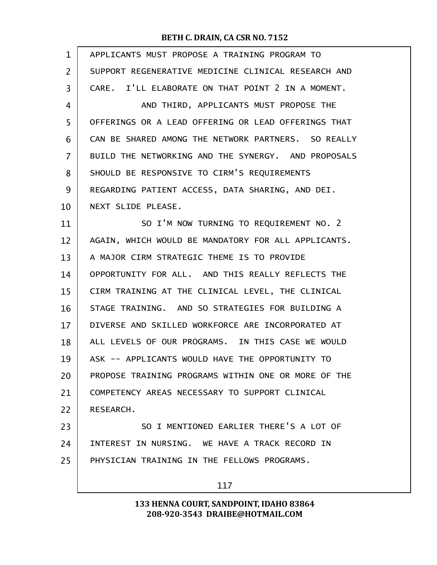| $\mathbf 1$    | APPLICANTS MUST PROPOSE A TRAINING PROGRAM TO       |
|----------------|-----------------------------------------------------|
| $\overline{2}$ | SUPPORT REGENERATIVE MEDICINE CLINICAL RESEARCH AND |
| $\overline{3}$ | CARE. I'LL ELABORATE ON THAT POINT 2 IN A MOMENT.   |
| 4              | AND THIRD, APPLICANTS MUST PROPOSE THE              |
| 5              | OFFERINGS OR A LEAD OFFERING OR LEAD OFFERINGS THAT |
| 6              | CAN BE SHARED AMONG THE NETWORK PARTNERS. SO REALLY |
| $\overline{7}$ | BUILD THE NETWORKING AND THE SYNERGY. AND PROPOSALS |
| 8              | SHOULD BE RESPONSIVE TO CIRM'S REQUIREMENTS         |
| 9              | REGARDING PATIENT ACCESS, DATA SHARING, AND DEI.    |
| 10             | NEXT SLIDE PLEASE.                                  |
| 11             | SO I'M NOW TURNING TO REQUIREMENT NO. 2             |
| 12             | AGAIN, WHICH WOULD BE MANDATORY FOR ALL APPLICANTS. |
| 13             | A MAJOR CIRM STRATEGIC THEME IS TO PROVIDE          |
| 14             | OPPORTUNITY FOR ALL. AND THIS REALLY REFLECTS THE   |
| 15             | CIRM TRAINING AT THE CLINICAL LEVEL, THE CLINICAL   |
| 16             | STAGE TRAINING. AND SO STRATEGIES FOR BUILDING A    |
| 17             | DIVERSE AND SKILLED WORKFORCE ARE INCORPORATED AT   |
| 18             | ALL LEVELS OF OUR PROGRAMS. IN THIS CASE WE WOULD   |
| 19             | ASK -- APPLICANTS WOULD HAVE THE OPPORTUNITY TO     |
| 20             | PROPOSE TRAINING PROGRAMS WITHIN ONE OR MORE OF THE |
| 21             | COMPETENCY AREAS NECESSARY TO SUPPORT CLINICAL      |
| 22             | RESEARCH.                                           |
| 23             | SO I MENTIONED EARLIER THERE'S A LOT OF             |
| 24             | INTEREST IN NURSING. WE HAVE A TRACK RECORD IN      |
| 25             | PHYSICIAN TRAINING IN THE FELLOWS PROGRAMS.         |
|                | 117                                                 |
|                |                                                     |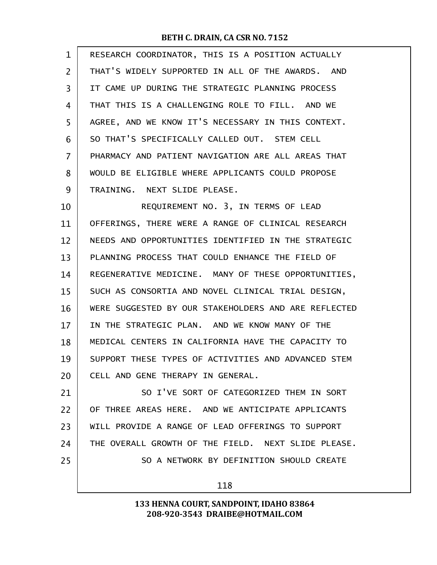| $\mathbf{1}$   | RESEARCH COORDINATOR, THIS IS A POSITION ACTUALLY    |
|----------------|------------------------------------------------------|
| $\overline{2}$ | THAT'S WIDELY SUPPORTED IN ALL OF THE AWARDS. AND    |
| 3              | IT CAME UP DURING THE STRATEGIC PLANNING PROCESS     |
| 4              | THAT THIS IS A CHALLENGING ROLE TO FILL. AND WE      |
| 5              | AGREE, AND WE KNOW IT'S NECESSARY IN THIS CONTEXT.   |
| 6              | SO THAT'S SPECIFICALLY CALLED OUT. STEM CELL         |
| 7              | PHARMACY AND PATIENT NAVIGATION ARE ALL AREAS THAT   |
| 8              | WOULD BE ELIGIBLE WHERE APPLICANTS COULD PROPOSE     |
| 9              | TRAINING. NEXT SLIDE PLEASE.                         |
| 10             | REQUIREMENT NO. 3, IN TERMS OF LEAD                  |
| 11             | OFFERINGS, THERE WERE A RANGE OF CLINICAL RESEARCH   |
| 12             | NEEDS AND OPPORTUNITIES IDENTIFIED IN THE STRATEGIC  |
| 13             | PLANNING PROCESS THAT COULD ENHANCE THE FIELD OF     |
| 14             | REGENERATIVE MEDICINE. MANY OF THESE OPPORTUNITIES,  |
| 15             | SUCH AS CONSORTIA AND NOVEL CLINICAL TRIAL DESIGN,   |
| 16             | WERE SUGGESTED BY OUR STAKEHOLDERS AND ARE REFLECTED |
| 17             | IN THE STRATEGIC PLAN. AND WE KNOW MANY OF THE       |
| 18             | MEDICAL CENTERS IN CALIFORNIA HAVE THE CAPACITY TO   |
| 19             | SUPPORT THESE TYPES OF ACTIVITIES AND ADVANCED STEM  |
| 20             | CELL AND GENE THERAPY IN GENERAL.                    |
| 21             | SO I'VE SORT OF CATEGORIZED THEM IN SORT             |
| 22             | OF THREE AREAS HERE. AND WE ANTICIPATE APPLICANTS    |
| 23             | WILL PROVIDE A RANGE OF LEAD OFFERINGS TO SUPPORT    |
| 24             | THE OVERALL GROWTH OF THE FIELD. NEXT SLIDE PLEASE.  |
| 25             | SO A NETWORK BY DEFINITION SHOULD CREATE             |
|                | 118                                                  |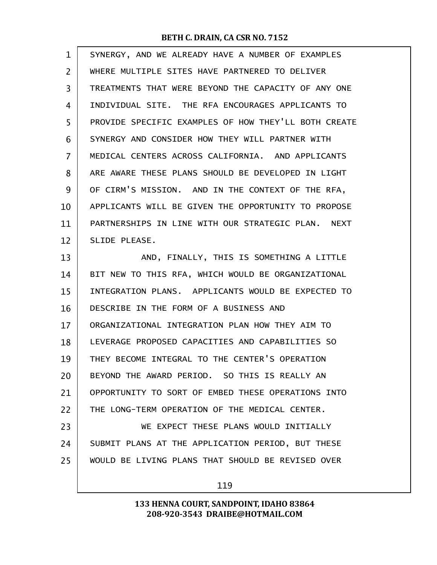| $\mathbf 1$    | SYNERGY, AND WE ALREADY HAVE A NUMBER OF EXAMPLES    |
|----------------|------------------------------------------------------|
| $\overline{2}$ | WHERE MULTIPLE SITES HAVE PARTNERED TO DELIVER       |
| 3              | TREATMENTS THAT WERE BEYOND THE CAPACITY OF ANY ONE  |
| 4              | INDIVIDUAL SITE. THE RFA ENCOURAGES APPLICANTS TO    |
| 5              | PROVIDE SPECIFIC EXAMPLES OF HOW THEY'LL BOTH CREATE |
| 6              | SYNERGY AND CONSIDER HOW THEY WILL PARTNER WITH      |
| 7              | MEDICAL CENTERS ACROSS CALIFORNIA. AND APPLICANTS    |
| 8              | ARE AWARE THESE PLANS SHOULD BE DEVELOPED IN LIGHT   |
| 9              | OF CIRM'S MISSION. AND IN THE CONTEXT OF THE RFA,    |
| 10             | APPLICANTS WILL BE GIVEN THE OPPORTUNITY TO PROPOSE  |
| 11             | PARTNERSHIPS IN LINE WITH OUR STRATEGIC PLAN. NEXT   |
| 12             | SLIDE PLEASE.                                        |
| 13             | AND, FINALLY, THIS IS SOMETHING A LITTLE             |
| 14             | BIT NEW TO THIS RFA, WHICH WOULD BE ORGANIZATIONAL   |
| 15             | INTEGRATION PLANS. APPLICANTS WOULD BE EXPECTED TO   |
| 16             | DESCRIBE IN THE FORM OF A BUSINESS AND               |
| 17             | ORGANIZATIONAL INTEGRATION PLAN HOW THEY AIM TO      |
| 18             | LEVERAGE PROPOSED CAPACITIES AND CAPABILITIES SO     |
| 19             | THEY BECOME INTEGRAL TO THE CENTER'S OPERATION       |
| 20             | BEYOND THE AWARD PERIOD. SO THIS IS REALLY AN        |
| 21             | OPPORTUNITY TO SORT OF EMBED THESE OPERATIONS INTO   |
| 22             | THE LONG-TERM OPERATION OF THE MEDICAL CENTER.       |
| 23             | WE EXPECT THESE PLANS WOULD INITIALLY                |
| 24             | SUBMIT PLANS AT THE APPLICATION PERIOD, BUT THESE    |
| 25             | WOULD BE LIVING PLANS THAT SHOULD BE REVISED OVER    |
|                |                                                      |

119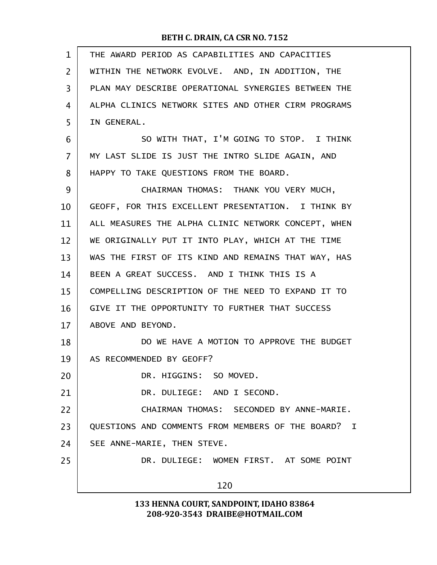| $\mathbf{1}$ | THE AWARD PERIOD AS CAPABILITIES AND CAPACITIES     |
|--------------|-----------------------------------------------------|
| 2            | WITHIN THE NETWORK EVOLVE. AND, IN ADDITION, THE    |
| 3            | PLAN MAY DESCRIBE OPERATIONAL SYNERGIES BETWEEN THE |
| 4            | ALPHA CLINICS NETWORK SITES AND OTHER CIRM PROGRAMS |
| 5            | IN GENERAL.                                         |
| 6            | SO WITH THAT, I'M GOING TO STOP. I THINK            |
| 7            | MY LAST SLIDE IS JUST THE INTRO SLIDE AGAIN, AND    |
| 8            | HAPPY TO TAKE QUESTIONS FROM THE BOARD.             |
| 9            | CHAIRMAN THOMAS: THANK YOU VERY MUCH,               |
| 10           | GEOFF, FOR THIS EXCELLENT PRESENTATION. I THINK BY  |
| 11           | ALL MEASURES THE ALPHA CLINIC NETWORK CONCEPT, WHEN |
| 12           | WE ORIGINALLY PUT IT INTO PLAY, WHICH AT THE TIME   |
| 13           | WAS THE FIRST OF ITS KIND AND REMAINS THAT WAY, HAS |
| 14           | BEEN A GREAT SUCCESS. AND I THINK THIS IS A         |
| 15           | COMPELLING DESCRIPTION OF THE NEED TO EXPAND IT TO  |
| 16           | GIVE IT THE OPPORTUNITY TO FURTHER THAT SUCCESS     |
| 17           | ABOVE AND BEYOND.                                   |
| 18           | DO WE HAVE A MOTION TO APPROVE THE BUDGET           |
| 19           | AS RECOMMENDED BY GEOFF?                            |
| 20           | DR. HIGGINS: SO MOVED.                              |
| 21           | DR. DULIEGE: AND I SECOND.                          |
| 22           | CHAIRMAN THOMAS: SECONDED BY ANNE-MARIE.            |
| 23           | QUESTIONS AND COMMENTS FROM MEMBERS OF THE BOARD? I |
| 24           | SEE ANNE-MARIE, THEN STEVE.                         |
| 25           | DR. DULIEGE: WOMEN FIRST. AT SOME POINT             |
|              | 120                                                 |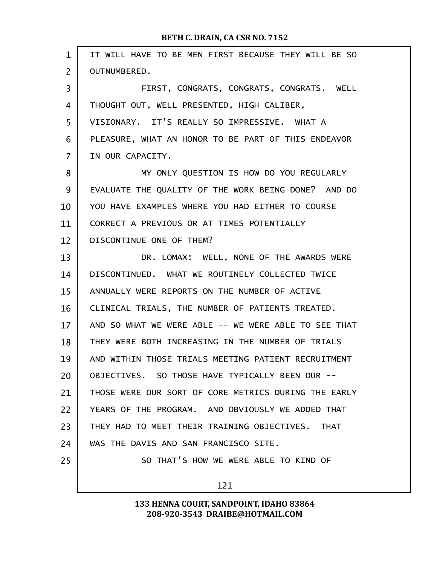| $\mathbf{1}$   | IT WILL HAVE TO BE MEN FIRST BECAUSE THEY WILL BE SO |  |  |  |
|----------------|------------------------------------------------------|--|--|--|
| $\overline{2}$ | <b>OUTNUMBERED.</b>                                  |  |  |  |
| 3              | FIRST, CONGRATS, CONGRATS, CONGRATS. WELL            |  |  |  |
| 4              | THOUGHT OUT, WELL PRESENTED, HIGH CALIBER,           |  |  |  |
| 5              | VISIONARY. IT'S REALLY SO IMPRESSIVE. WHAT A         |  |  |  |
| 6              | PLEASURE, WHAT AN HONOR TO BE PART OF THIS ENDEAVOR  |  |  |  |
| $\overline{7}$ | IN OUR CAPACITY.                                     |  |  |  |
| 8              | MY ONLY QUESTION IS HOW DO YOU REGULARLY             |  |  |  |
| 9              | EVALUATE THE QUALITY OF THE WORK BEING DONE? AND DO  |  |  |  |
| 10             | YOU HAVE EXAMPLES WHERE YOU HAD EITHER TO COURSE     |  |  |  |
| 11             | CORRECT A PREVIOUS OR AT TIMES POTENTIALLY           |  |  |  |
| 12             | DISCONTINUE ONE OF THEM?                             |  |  |  |
| 13             | DR. LOMAX: WELL, NONE OF THE AWARDS WERE             |  |  |  |
| 14             | DISCONTINUED. WHAT WE ROUTINELY COLLECTED TWICE      |  |  |  |
| 15             | ANNUALLY WERE REPORTS ON THE NUMBER OF ACTIVE        |  |  |  |
| 16             | CLINICAL TRIALS, THE NUMBER OF PATIENTS TREATED.     |  |  |  |
| 17             | AND SO WHAT WE WERE ABLE -- WE WERE ABLE TO SEE THAT |  |  |  |
| 18             | THEY WERE BOTH INCREASING IN THE NUMBER OF TRIALS    |  |  |  |
| 19             | AND WITHIN THOSE TRIALS MEETING PATIENT RECRUITMENT  |  |  |  |
| 20             | OBJECTIVES. SO THOSE HAVE TYPICALLY BEEN OUR --      |  |  |  |
| 21             | THOSE WERE OUR SORT OF CORE METRICS DURING THE EARLY |  |  |  |
| 22             | YEARS OF THE PROGRAM. AND OBVIOUSLY WE ADDED THAT    |  |  |  |
| 23             | THEY HAD TO MEET THEIR TRAINING OBJECTIVES. THAT     |  |  |  |
| 24             | WAS THE DAVIS AND SAN FRANCISCO SITE.                |  |  |  |
| 25             | SO THAT'S HOW WE WERE ABLE TO KIND OF                |  |  |  |
|                | 121                                                  |  |  |  |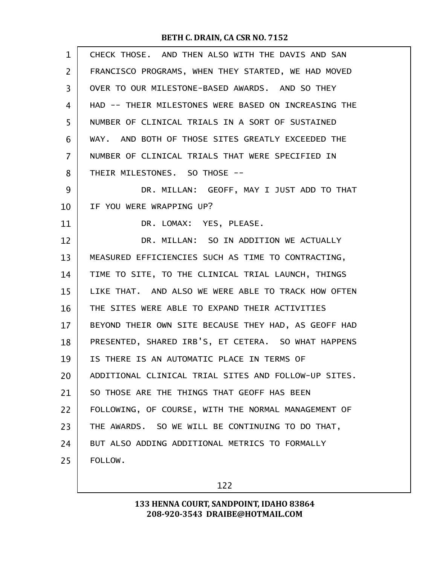| $\mathbf{1}$   | CHECK THOSE. AND THEN ALSO WITH THE DAVIS AND SAN    |
|----------------|------------------------------------------------------|
| $\overline{2}$ | FRANCISCO PROGRAMS, WHEN THEY STARTED, WE HAD MOVED  |
| 3              | OVER TO OUR MILESTONE-BASED AWARDS. AND SO THEY      |
| 4              | HAD -- THEIR MILESTONES WERE BASED ON INCREASING THE |
| 5              | NUMBER OF CLINICAL TRIALS IN A SORT OF SUSTAINED     |
| 6              | WAY. AND BOTH OF THOSE SITES GREATLY EXCEEDED THE    |
| 7              | NUMBER OF CLINICAL TRIALS THAT WERE SPECIFIED IN     |
| 8              | THEIR MILESTONES. SO THOSE --                        |
| 9              | DR. MILLAN: GEOFF, MAY I JUST ADD TO THAT            |
| 10             | IF YOU WERE WRAPPING UP?                             |
| 11             | DR. LOMAX: YES, PLEASE.                              |
| 12             | DR. MILLAN: SO IN ADDITION WE ACTUALLY               |
| 13             | MEASURED EFFICIENCIES SUCH AS TIME TO CONTRACTING,   |
| 14             | TIME TO SITE, TO THE CLINICAL TRIAL LAUNCH, THINGS   |
| 15             | LIKE THAT. AND ALSO WE WERE ABLE TO TRACK HOW OFTEN  |
| 16             | THE SITES WERE ABLE TO EXPAND THEIR ACTIVITIES       |
| 17             | BEYOND THEIR OWN SITE BECAUSE THEY HAD, AS GEOFF HAD |
| 18             | PRESENTED, SHARED IRB'S, ET CETERA. SO WHAT HAPPENS  |
| 19             | IS THERE IS AN AUTOMATIC PLACE IN TERMS OF           |
| 20             | ADDITIONAL CLINICAL TRIAL SITES AND FOLLOW-UP SITES. |
| 21             | SO THOSE ARE THE THINGS THAT GEOFF HAS BEEN          |
| 22             | FOLLOWING, OF COURSE, WITH THE NORMAL MANAGEMENT OF  |
| 23             | THE AWARDS. SO WE WILL BE CONTINUING TO DO THAT,     |
| 24             | BUT ALSO ADDING ADDITIONAL METRICS TO FORMALLY       |
| 25             | FOLLOW.                                              |
|                |                                                      |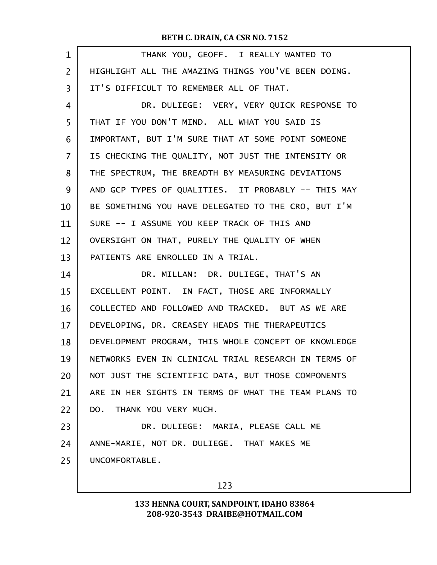| $\mathbf 1$    | THANK YOU, GEOFF. I REALLY WANTED TO                 |
|----------------|------------------------------------------------------|
| $\overline{2}$ | HIGHLIGHT ALL THE AMAZING THINGS YOU'VE BEEN DOING.  |
| 3              | IT'S DIFFICULT TO REMEMBER ALL OF THAT.              |
| 4              | DR. DULIEGE: VERY, VERY QUICK RESPONSE TO            |
| 5              | THAT IF YOU DON'T MIND. ALL WHAT YOU SAID IS         |
| 6              | IMPORTANT, BUT I'M SURE THAT AT SOME POINT SOMEONE   |
| $\overline{7}$ | IS CHECKING THE QUALITY, NOT JUST THE INTENSITY OR   |
| 8              | THE SPECTRUM, THE BREADTH BY MEASURING DEVIATIONS    |
| 9              | AND GCP TYPES OF QUALITIES. IT PROBABLY -- THIS MAY  |
| 10             | BE SOMETHING YOU HAVE DELEGATED TO THE CRO, BUT I'M  |
| 11             | SURE -- I ASSUME YOU KEEP TRACK OF THIS AND          |
| 12             | OVERSIGHT ON THAT, PURELY THE QUALITY OF WHEN        |
| 13             | PATIENTS ARE ENROLLED IN A TRIAL.                    |
| 14             | DR. MILLAN: DR. DULIEGE, THAT'S AN                   |
| 15             | EXCELLENT POINT. IN FACT, THOSE ARE INFORMALLY       |
| 16             | COLLECTED AND FOLLOWED AND TRACKED. BUT AS WE ARE    |
| 17             | DEVELOPING, DR. CREASEY HEADS THE THERAPEUTICS       |
| 18             | DEVELOPMENT PROGRAM, THIS WHOLE CONCEPT OF KNOWLEDGE |
| 19             | NETWORKS EVEN IN CLINICAL TRIAL RESEARCH IN TERMS OF |
| 20             | NOT JUST THE SCIENTIFIC DATA, BUT THOSE COMPONENTS   |
| 21             | ARE IN HER SIGHTS IN TERMS OF WHAT THE TEAM PLANS TO |
| 22             | DO. THANK YOU VERY MUCH.                             |
| 23             | DR. DULIEGE: MARIA, PLEASE CALL ME                   |
| 24             | ANNE-MARIE, NOT DR. DULIEGE. THAT MAKES ME           |
| 25             | UNCOMFORTABLE.                                       |
|                | 123                                                  |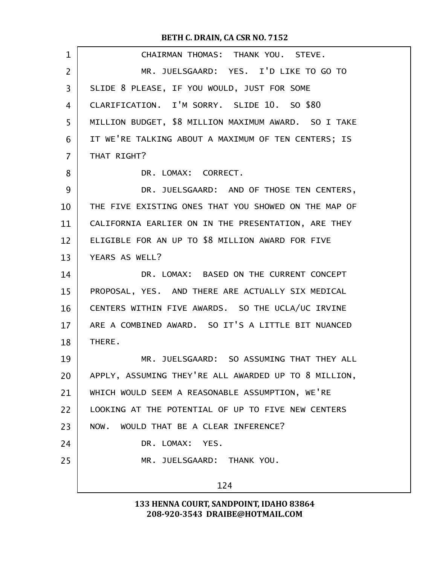| $\mathbf 1$    | CHAIRMAN THOMAS: THANK YOU. STEVE.                   |  |  |  |
|----------------|------------------------------------------------------|--|--|--|
| $\overline{2}$ | MR. JUELSGAARD: YES. I'D LIKE TO GO TO               |  |  |  |
| 3              | SLIDE 8 PLEASE, IF YOU WOULD, JUST FOR SOME          |  |  |  |
| 4              | CLARIFICATION. I'M SORRY. SLIDE 10. SO \$80          |  |  |  |
| 5              | MILLION BUDGET, \$8 MILLION MAXIMUM AWARD. SO I TAKE |  |  |  |
| 6              | IT WE'RE TALKING ABOUT A MAXIMUM OF TEN CENTERS; IS  |  |  |  |
| $\overline{7}$ | THAT RIGHT?                                          |  |  |  |
| 8              | DR. LOMAX: CORRECT.                                  |  |  |  |
| 9              | DR. JUELSGAARD: AND OF THOSE TEN CENTERS,            |  |  |  |
| 10             | THE FIVE EXISTING ONES THAT YOU SHOWED ON THE MAP OF |  |  |  |
| 11             | CALIFORNIA EARLIER ON IN THE PRESENTATION, ARE THEY  |  |  |  |
| 12             | ELIGIBLE FOR AN UP TO \$8 MILLION AWARD FOR FIVE     |  |  |  |
| 13             | YEARS AS WELL?                                       |  |  |  |
| 14             | DR. LOMAX: BASED ON THE CURRENT CONCEPT              |  |  |  |
| 15             | PROPOSAL, YES. AND THERE ARE ACTUALLY SIX MEDICAL    |  |  |  |
| 16             | CENTERS WITHIN FIVE AWARDS. SO THE UCLA/UC IRVINE    |  |  |  |
| 17             | ARE A COMBINED AWARD. SO IT'S A LITTLE BIT NUANCED   |  |  |  |
| 18             | THERE.                                               |  |  |  |
| 19             | MR. JUELSGAARD: SO ASSUMING THAT THEY ALL            |  |  |  |
| 20             | APPLY, ASSUMING THEY'RE ALL AWARDED UP TO 8 MILLION, |  |  |  |
| 21             | WHICH WOULD SEEM A REASONABLE ASSUMPTION, WE'RE      |  |  |  |
| 22             | LOOKING AT THE POTENTIAL OF UP TO FIVE NEW CENTERS   |  |  |  |
| 23             | NOW. WOULD THAT BE A CLEAR INFERENCE?                |  |  |  |
| 24             | DR. LOMAX: YES.                                      |  |  |  |
| 25             | MR. JUELSGAARD: THANK YOU.                           |  |  |  |
|                | 124                                                  |  |  |  |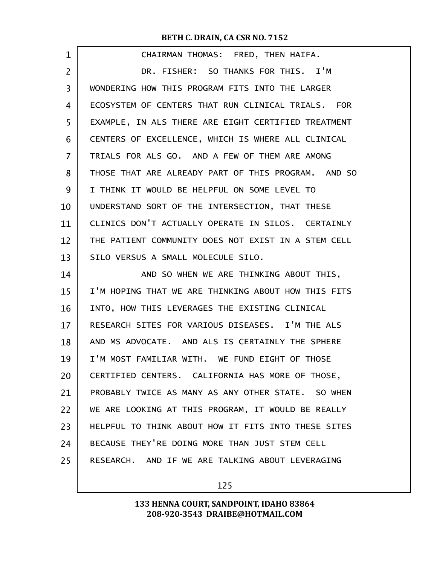| $\mathbf 1$ | CHAIRMAN THOMAS: FRED, THEN HAIFA.                  |
|-------------|-----------------------------------------------------|
| 2           | DR. FISHER: SO THANKS FOR THIS. I'M                 |
| 3           | WONDERING HOW THIS PROGRAM FITS INTO THE LARGER     |
| 4           | ECOSYSTEM OF CENTERS THAT RUN CLINICAL TRIALS. FOR  |
| 5           | EXAMPLE, IN ALS THERE ARE EIGHT CERTIFIED TREATMENT |
| 6           | CENTERS OF EXCELLENCE, WHICH IS WHERE ALL CLINICAL  |
| 7           | TRIALS FOR ALS GO. AND A FEW OF THEM ARE AMONG      |
| 8           | THOSE THAT ARE ALREADY PART OF THIS PROGRAM. AND SO |
| 9           | I THINK IT WOULD BE HELPFUL ON SOME LEVEL TO        |
| 10          | UNDERSTAND SORT OF THE INTERSECTION, THAT THESE     |
| 11          | CLINICS DON'T ACTUALLY OPERATE IN SILOS. CERTAINLY  |
| 12          | THE PATIENT COMMUNITY DOES NOT EXIST IN A STEM CELL |
| 13          | SILO VERSUS A SMALL MOLECULE SILO.                  |
| 14          | AND SO WHEN WE ARE THINKING ABOUT THIS,             |
| 15          | I'M HOPING THAT WE ARE THINKING ABOUT HOW THIS FITS |
| 16          | INTO, HOW THIS LEVERAGES THE EXISTING CLINICAL      |
| 17          | RESEARCH SITES FOR VARIOUS DISEASES. I'M THE ALS    |
| 18          | AND MS ADVOCATE. AND ALS IS CERTAINLY THE SPHERE    |
| 19          | I'M MOST FAMILIAR WITH. WE FUND EIGHT OF THOSE      |
| 20          | CERTIFIED CENTERS. CALIFORNIA HAS MORE OF THOSE,    |
| 21          | PROBABLY TWICE AS MANY AS ANY OTHER STATE. SO WHEN  |
| 22          | WE ARE LOOKING AT THIS PROGRAM, IT WOULD BE REALLY  |
| 23          | HELPFUL TO THINK ABOUT HOW IT FITS INTO THESE SITES |
| 24          | BECAUSE THEY'RE DOING MORE THAN JUST STEM CELL      |
| 25          | RESEARCH. AND IF WE ARE TALKING ABOUT LEVERAGING    |
|             |                                                     |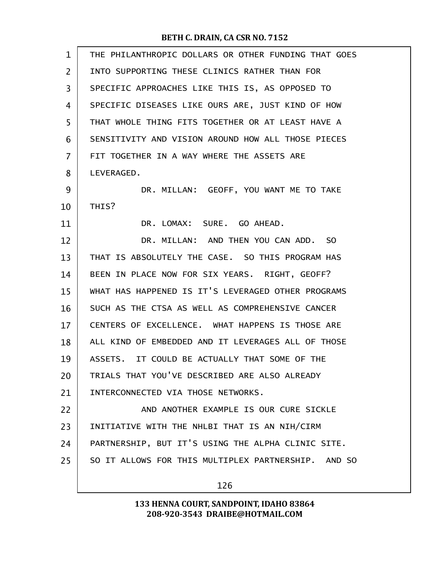| $\mathbf{1}$   | THE PHILANTHROPIC DOLLARS OR OTHER FUNDING THAT GOES |  |  |  |
|----------------|------------------------------------------------------|--|--|--|
| $\overline{2}$ | INTO SUPPORTING THESE CLINICS RATHER THAN FOR        |  |  |  |
| 3              | SPECIFIC APPROACHES LIKE THIS IS, AS OPPOSED TO      |  |  |  |
| 4              | SPECIFIC DISEASES LIKE OURS ARE, JUST KIND OF HOW    |  |  |  |
| 5              | THAT WHOLE THING FITS TOGETHER OR AT LEAST HAVE A    |  |  |  |
| 6              | SENSITIVITY AND VISION AROUND HOW ALL THOSE PIECES   |  |  |  |
| 7              | FIT TOGETHER IN A WAY WHERE THE ASSETS ARE           |  |  |  |
| 8              | LEVERAGED.                                           |  |  |  |
| 9              | DR. MILLAN: GEOFF, YOU WANT ME TO TAKE               |  |  |  |
| 10             | THIS?                                                |  |  |  |
| 11             | DR. LOMAX: SURE. GO AHEAD.                           |  |  |  |
| 12             | DR. MILLAN: AND THEN YOU CAN ADD. SO                 |  |  |  |
| 13             | THAT IS ABSOLUTELY THE CASE. SO THIS PROGRAM HAS     |  |  |  |
| 14             | BEEN IN PLACE NOW FOR SIX YEARS. RIGHT, GEOFF?       |  |  |  |
| 15             | WHAT HAS HAPPENED IS IT'S LEVERAGED OTHER PROGRAMS   |  |  |  |
| 16             | SUCH AS THE CTSA AS WELL AS COMPREHENSIVE CANCER     |  |  |  |
| 17             | CENTERS OF EXCELLENCE. WHAT HAPPENS IS THOSE ARE     |  |  |  |
| 18             | ALL KIND OF EMBEDDED AND IT LEVERAGES ALL OF THOSE   |  |  |  |
| 19             | ASSETS. IT COULD BE ACTUALLY THAT SOME OF THE        |  |  |  |
| 20             | TRIALS THAT YOU'VE DESCRIBED ARE ALSO ALREADY        |  |  |  |
| 21             | INTERCONNECTED VIA THOSE NETWORKS.                   |  |  |  |
| 22             | AND ANOTHER EXAMPLE IS OUR CURE SICKLE               |  |  |  |
| 23             | INITIATIVE WITH THE NHLBI THAT IS AN NIH/CIRM        |  |  |  |
| 24             | PARTNERSHIP, BUT IT'S USING THE ALPHA CLINIC SITE.   |  |  |  |
| 25             | SO IT ALLOWS FOR THIS MULTIPLEX PARTNERSHIP. AND SO  |  |  |  |
|                |                                                      |  |  |  |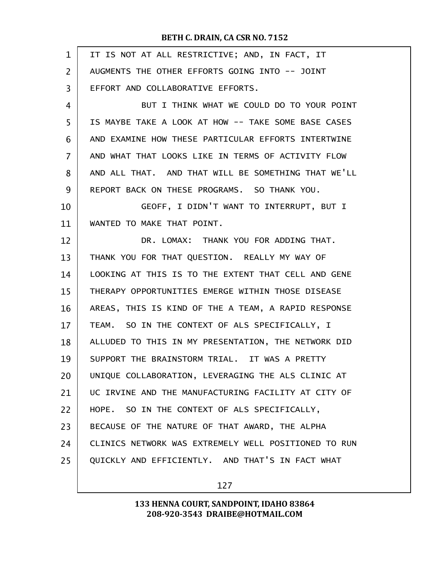| $\mathbf{1}$   | IT IS NOT AT ALL RESTRICTIVE; AND, IN FACT, IT       |
|----------------|------------------------------------------------------|
| $\overline{2}$ | AUGMENTS THE OTHER EFFORTS GOING INTO -- JOINT       |
| 3              | EFFORT AND COLLABORATIVE EFFORTS.                    |
| 4              | BUT I THINK WHAT WE COULD DO TO YOUR POINT           |
| 5              | IS MAYBE TAKE A LOOK AT HOW -- TAKE SOME BASE CASES  |
| 6              | AND EXAMINE HOW THESE PARTICULAR EFFORTS INTERTWINE  |
| $\overline{7}$ | AND WHAT THAT LOOKS LIKE IN TERMS OF ACTIVITY FLOW   |
| 8              | AND ALL THAT. AND THAT WILL BE SOMETHING THAT WE'LL  |
| 9              | REPORT BACK ON THESE PROGRAMS. SO THANK YOU.         |
| 10             | GEOFF, I DIDN'T WANT TO INTERRUPT, BUT I             |
| 11             | WANTED TO MAKE THAT POINT.                           |
| 12             | DR. LOMAX: THANK YOU FOR ADDING THAT.                |
| 13             | THANK YOU FOR THAT QUESTION. REALLY MY WAY OF        |
| 14             | LOOKING AT THIS IS TO THE EXTENT THAT CELL AND GENE  |
| 15             | THERAPY OPPORTUNITIES EMERGE WITHIN THOSE DISEASE    |
| 16             | AREAS, THIS IS KIND OF THE A TEAM, A RAPID RESPONSE  |
| 17             | TEAM. SO IN THE CONTEXT OF ALS SPECIFICALLY, I       |
| 18             | ALLUDED TO THIS IN MY PRESENTATION, THE NETWORK DID  |
| 19             | SUPPORT THE BRAINSTORM TRIAL. IT WAS A PRETTY        |
| 20             | UNIQUE COLLABORATION, LEVERAGING THE ALS CLINIC AT   |
| 21             | UC IRVINE AND THE MANUFACTURING FACILITY AT CITY OF  |
| 22             | HOPE. SO IN THE CONTEXT OF ALS SPECIFICALLY,         |
| 23             | BECAUSE OF THE NATURE OF THAT AWARD, THE ALPHA       |
| 24             | CLINICS NETWORK WAS EXTREMELY WELL POSITIONED TO RUN |
| 25             | QUICKLY AND EFFICIENTLY. AND THAT'S IN FACT WHAT     |
|                |                                                      |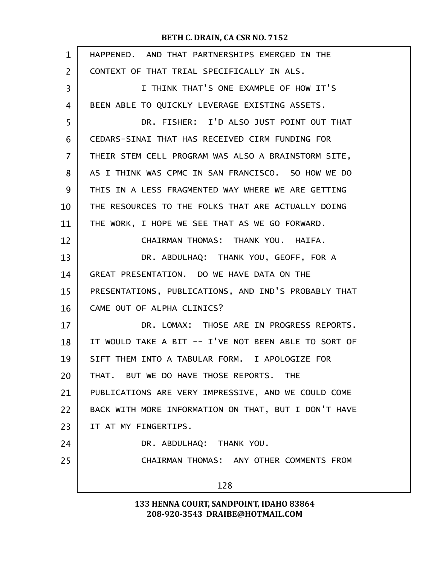| $\mathbf{1}$ | HAPPENED. AND THAT PARTNERSHIPS EMERGED IN THE       |
|--------------|------------------------------------------------------|
| 2            | CONTEXT OF THAT TRIAL SPECIFICALLY IN ALS.           |
| 3            | I THINK THAT'S ONE EXAMPLE OF HOW IT'S               |
| 4            | BEEN ABLE TO QUICKLY LEVERAGE EXISTING ASSETS.       |
| 5            | DR. FISHER: I'D ALSO JUST POINT OUT THAT             |
| 6            | CEDARS-SINAI THAT HAS RECEIVED CIRM FUNDING FOR      |
| 7            | THEIR STEM CELL PROGRAM WAS ALSO A BRAINSTORM SITE,  |
| 8            | AS I THINK WAS CPMC IN SAN FRANCISCO. SO HOW WE DO   |
| 9            | THIS IN A LESS FRAGMENTED WAY WHERE WE ARE GETTING   |
| 10           | THE RESOURCES TO THE FOLKS THAT ARE ACTUALLY DOING   |
| 11           | THE WORK, I HOPE WE SEE THAT AS WE GO FORWARD.       |
| 12           | CHAIRMAN THOMAS: THANK YOU. HAIFA.                   |
| 13           | DR. ABDULHAQ: THANK YOU, GEOFF, FOR A                |
| 14           | GREAT PRESENTATION. DO WE HAVE DATA ON THE           |
| 15           | PRESENTATIONS, PUBLICATIONS, AND IND'S PROBABLY THAT |
| 16           | CAME OUT OF ALPHA CLINICS?                           |
| 17           | DR. LOMAX: THOSE ARE IN PROGRESS REPORTS.            |
| 18           | IT WOULD TAKE A BIT -- I'VE NOT BEEN ABLE TO SORT OF |
| 19           | SIFT THEM INTO A TABULAR FORM. I APOLOGIZE FOR       |
| 20           | THAT. BUT WE DO HAVE THOSE REPORTS. THE              |
| 21           | PUBLICATIONS ARE VERY IMPRESSIVE, AND WE COULD COME  |
| 22           | BACK WITH MORE INFORMATION ON THAT, BUT I DON'T HAVE |
| 23           | IT AT MY FINGERTIPS.                                 |
| 24           | DR. ABDULHAQ: THANK YOU.                             |
| 25           | CHAIRMAN THOMAS: ANY OTHER COMMENTS FROM             |
|              | 128                                                  |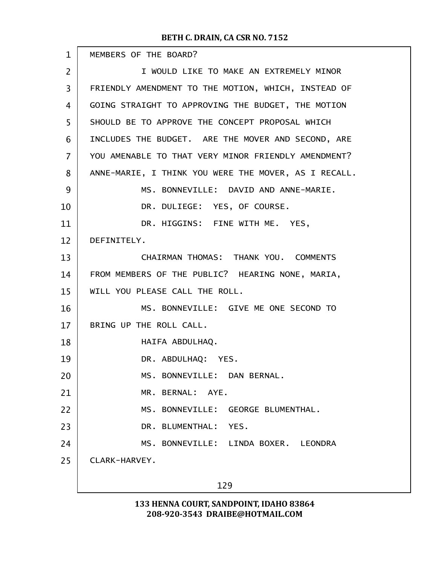| $\mathbf{1}$   | MEMBERS OF THE BOARD?                                |  |  |
|----------------|------------------------------------------------------|--|--|
| $\overline{2}$ | I WOULD LIKE TO MAKE AN EXTREMELY MINOR              |  |  |
| 3              | FRIENDLY AMENDMENT TO THE MOTION, WHICH, INSTEAD OF  |  |  |
| 4              | GOING STRAIGHT TO APPROVING THE BUDGET, THE MOTION   |  |  |
| 5              | SHOULD BE TO APPROVE THE CONCEPT PROPOSAL WHICH      |  |  |
| 6              | INCLUDES THE BUDGET. ARE THE MOVER AND SECOND, ARE   |  |  |
| $\overline{7}$ | YOU AMENABLE TO THAT VERY MINOR FRIENDLY AMENDMENT?  |  |  |
| 8              | ANNE-MARIE, I THINK YOU WERE THE MOVER, AS I RECALL. |  |  |
| 9              | MS. BONNEVILLE: DAVID AND ANNE-MARIE.                |  |  |
| 10             | DR. DULIEGE: YES, OF COURSE.                         |  |  |
| 11             | DR. HIGGINS: FINE WITH ME. YES,                      |  |  |
| 12             | DEFINITELY.                                          |  |  |
| 13             | CHAIRMAN THOMAS: THANK YOU. COMMENTS                 |  |  |
| 14             | FROM MEMBERS OF THE PUBLIC? HEARING NONE, MARIA,     |  |  |
| 15             | WILL YOU PLEASE CALL THE ROLL.                       |  |  |
| 16             | MS. BONNEVILLE: GIVE ME ONE SECOND TO                |  |  |
| 17             | BRING UP THE ROLL CALL.                              |  |  |
| 18             | HAIFA ABDULHAQ.                                      |  |  |
| 19             | DR. ABDULHAQ: YES.                                   |  |  |
| 20             | MS. BONNEVILLE: DAN BERNAL.                          |  |  |
| 21             | MR. BERNAL: AYE.                                     |  |  |
| 22             | MS. BONNEVILLE: GEORGE BLUMENTHAL.                   |  |  |
| 23             | DR. BLUMENTHAL: YES.                                 |  |  |
| 24             | MS. BONNEVILLE: LINDA BOXER. LEONDRA                 |  |  |
| 25             | CLARK-HARVEY.                                        |  |  |
|                | 129                                                  |  |  |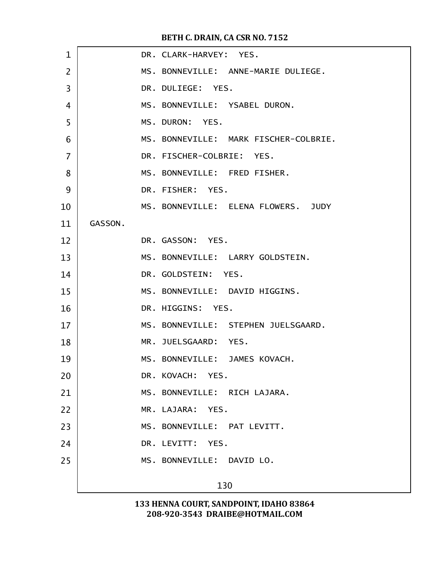| $\mathbf 1$    |         | DR. CLARK-HARVEY: YES.                |
|----------------|---------|---------------------------------------|
| $\overline{2}$ |         | MS. BONNEVILLE: ANNE-MARIE DULIEGE.   |
| 3              |         | DR. DULIEGE: YES.                     |
| 4              |         | MS. BONNEVILLE: YSABEL DURON.         |
| 5              |         | MS. DURON: YES.                       |
| 6              |         | MS. BONNEVILLE: MARK FISCHER-COLBRIE. |
| $\overline{7}$ |         | DR. FISCHER-COLBRIE: YES.             |
| 8              |         | MS. BONNEVILLE: FRED FISHER.          |
| 9              |         | DR. FISHER: YES.                      |
| 10             |         | MS. BONNEVILLE: ELENA FLOWERS. JUDY   |
| 11             | GASSON. |                                       |
| 12             |         | DR. GASSON: YES.                      |
| 13             |         | MS. BONNEVILLE: LARRY GOLDSTEIN.      |
| 14             |         | DR. GOLDSTEIN: YES.                   |
| 15             |         | MS. BONNEVILLE: DAVID HIGGINS.        |
| 16             |         | DR. HIGGINS: YES.                     |
| 17             |         | MS. BONNEVILLE: STEPHEN JUELSGAARD.   |
| 18             |         | MR. JUELSGAARD: YES.                  |
| 19             |         | MS. BONNEVILLE: JAMES KOVACH.         |
| 20             |         | DR. KOVACH: YES.                      |
| 21             |         | MS. BONNEVILLE: RICH LAJARA.          |
| 22             |         | MR. LAJARA: YES.                      |
| 23             |         | MS. BONNEVILLE: PAT LEVITT.           |
| 24             |         | DR. LEVITT: YES.                      |
| 25             |         | MS. BONNEVILLE: DAVID LO.             |
|                |         | 130                                   |
|                |         |                                       |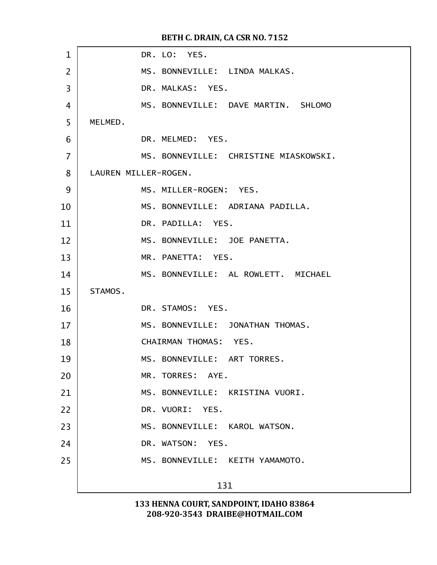| $\mathbf{1}$   | DR. LO: YES.                          |
|----------------|---------------------------------------|
| $\overline{2}$ | MS. BONNEVILLE: LINDA MALKAS.         |
| 3              | DR. MALKAS: YES.                      |
| 4              | MS. BONNEVILLE: DAVE MARTIN. SHLOMO   |
| 5              | MELMED.                               |
| 6              | DR. MELMED: YES.                      |
| 7              | MS. BONNEVILLE: CHRISTINE MIASKOWSKI. |
| 8              | LAUREN MILLER-ROGEN.                  |
| 9              | MS. MILLER-ROGEN: YES.                |
| 10             | MS. BONNEVILLE: ADRIANA PADILLA.      |
| 11             | DR. PADILLA: YES.                     |
| 12             | MS. BONNEVILLE: JOE PANETTA.          |
| 13             | MR. PANETTA: YES.                     |
| 14             | MS. BONNEVILLE: AL ROWLETT. MICHAEL   |
| 15             | STAMOS.                               |
| 16             | DR. STAMOS: YES.                      |
| 17             | MS. BONNEVILLE: JONATHAN THOMAS.      |
| 18             | CHAIRMAN THOMAS: YES.                 |
| 19             | MS. BONNEVILLE: ART TORRES.           |
| 20             | MR. TORRES: AYE.                      |
| 21             | MS. BONNEVILLE: KRISTINA VUORI.       |
| 22             | DR. VUORI: YES.                       |
| 23             | MS. BONNEVILLE: KAROL WATSON.         |
| 24             | DR. WATSON: YES.                      |
| 25             | MS. BONNEVILLE: KEITH YAMAMOTO.       |
|                | 131                                   |
|                |                                       |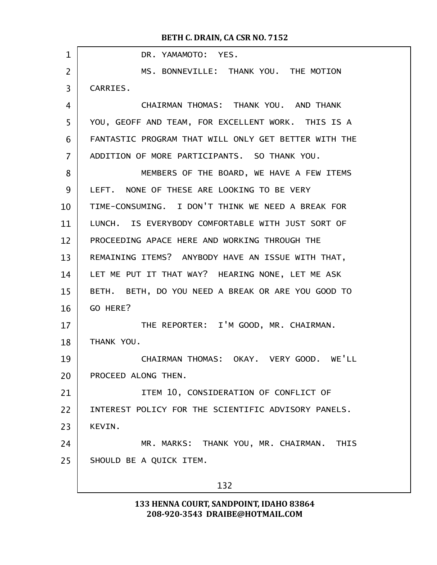| $\mathbf 1$    | DR. YAMAMOTO: YES.                                   |  |  |  |
|----------------|------------------------------------------------------|--|--|--|
| 2              | MS. BONNEVILLE: THANK YOU. THE MOTION                |  |  |  |
| 3              | CARRIES.                                             |  |  |  |
| 4              | CHAIRMAN THOMAS: THANK YOU. AND THANK                |  |  |  |
| 5              | YOU, GEOFF AND TEAM, FOR EXCELLENT WORK. THIS IS A   |  |  |  |
| 6              | FANTASTIC PROGRAM THAT WILL ONLY GET BETTER WITH THE |  |  |  |
| $\overline{7}$ | ADDITION OF MORE PARTICIPANTS. SO THANK YOU.         |  |  |  |
| 8              | MEMBERS OF THE BOARD, WE HAVE A FEW ITEMS            |  |  |  |
| 9              | LEFT. NONE OF THESE ARE LOOKING TO BE VERY           |  |  |  |
| 10             | TIME-CONSUMING. I DON'T THINK WE NEED A BREAK FOR    |  |  |  |
| 11             | LUNCH. IS EVERYBODY COMFORTABLE WITH JUST SORT OF    |  |  |  |
| 12             | PROCEEDING APACE HERE AND WORKING THROUGH THE        |  |  |  |
| 13             | REMAINING ITEMS? ANYBODY HAVE AN ISSUE WITH THAT,    |  |  |  |
| 14             | LET ME PUT IT THAT WAY? HEARING NONE, LET ME ASK     |  |  |  |
| 15             | BETH. BETH, DO YOU NEED A BREAK OR ARE YOU GOOD TO   |  |  |  |
| 16             | GO HERE?                                             |  |  |  |
| 17             | THE REPORTER: I'M GOOD, MR. CHAIRMAN.                |  |  |  |
| 18             | THANK YOU.                                           |  |  |  |
| 19             | CHAIRMAN THOMAS: OKAY. VERY GOOD. WE'LL              |  |  |  |
| 20             | PROCEED ALONG THEN.                                  |  |  |  |
| 21             | ITEM 10, CONSIDERATION OF CONFLICT OF                |  |  |  |
| 22             | INTEREST POLICY FOR THE SCIENTIFIC ADVISORY PANELS.  |  |  |  |
| 23             | KEVIN.                                               |  |  |  |
| 24             | MR. MARKS: THANK YOU, MR. CHAIRMAN. THIS             |  |  |  |
| 25             | SHOULD BE A QUICK ITEM.                              |  |  |  |
|                | 132                                                  |  |  |  |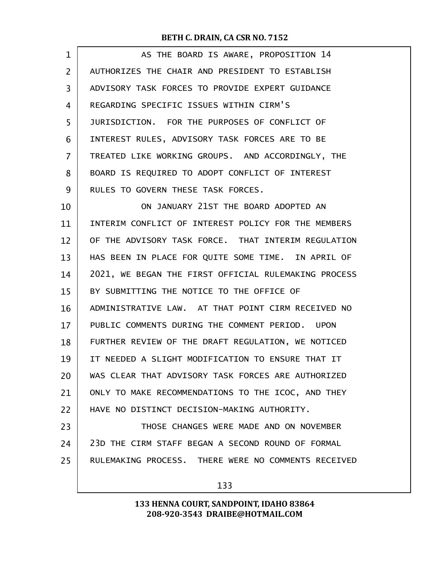| $\mathbf{1}$   | AS THE BOARD IS AWARE, PROPOSITION 14                |
|----------------|------------------------------------------------------|
| $\overline{2}$ | AUTHORIZES THE CHAIR AND PRESIDENT TO ESTABLISH      |
| 3              | ADVISORY TASK FORCES TO PROVIDE EXPERT GUIDANCE      |
| 4              | REGARDING SPECIFIC ISSUES WITHIN CIRM'S              |
| 5              | JURISDICTION. FOR THE PURPOSES OF CONFLICT OF        |
| 6              | INTEREST RULES, ADVISORY TASK FORCES ARE TO BE       |
| 7              | TREATED LIKE WORKING GROUPS. AND ACCORDINGLY, THE    |
| 8              | BOARD IS REQUIRED TO ADOPT CONFLICT OF INTEREST      |
| 9              | RULES TO GOVERN THESE TASK FORCES.                   |
| 10             | ON JANUARY 21ST THE BOARD ADOPTED AN                 |
| 11             | INTERIM CONFLICT OF INTEREST POLICY FOR THE MEMBERS  |
| 12             | OF THE ADVISORY TASK FORCE. THAT INTERIM REGULATION  |
| 13             | HAS BEEN IN PLACE FOR QUITE SOME TIME. IN APRIL OF   |
| 14             | 2021, WE BEGAN THE FIRST OFFICIAL RULEMAKING PROCESS |
| 15             | BY SUBMITTING THE NOTICE TO THE OFFICE OF            |
| 16             | ADMINISTRATIVE LAW. AT THAT POINT CIRM RECEIVED NO   |
| 17             | PUBLIC COMMENTS DURING THE COMMENT PERIOD. UPON      |
| 18             | FURTHER REVIEW OF THE DRAFT REGULATION, WE NOTICED   |
| 19             | IT NEEDED A SLIGHT MODIFICATION TO ENSURE THAT IT    |
| 20             | WAS CLEAR THAT ADVISORY TASK FORCES ARE AUTHORIZED   |
| 21             | ONLY TO MAKE RECOMMENDATIONS TO THE ICOC, AND THEY   |
| 22             | HAVE NO DISTINCT DECISION-MAKING AUTHORITY.          |
| 23             | THOSE CHANGES WERE MADE AND ON NOVEMBER              |
| 24             | 23D THE CIRM STAFF BEGAN A SECOND ROUND OF FORMAL    |
| 25             | RULEMAKING PROCESS. THERE WERE NO COMMENTS RECEIVED  |
|                |                                                      |

133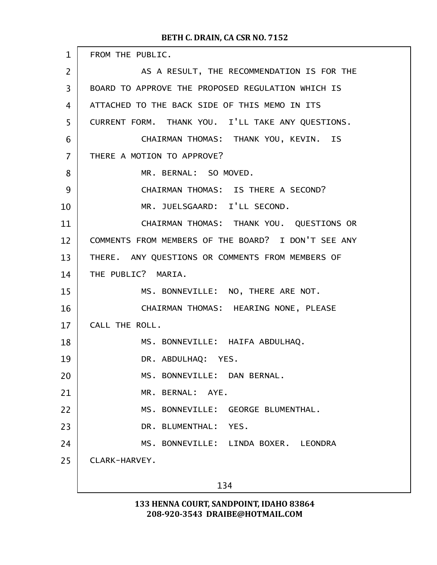| $\mathbf{1}$   | FROM THE PUBLIC.                                    |  |  |  |
|----------------|-----------------------------------------------------|--|--|--|
| $\overline{2}$ | AS A RESULT, THE RECOMMENDATION IS FOR THE          |  |  |  |
| 3              | BOARD TO APPROVE THE PROPOSED REGULATION WHICH IS   |  |  |  |
| 4              | ATTACHED TO THE BACK SIDE OF THIS MEMO IN ITS       |  |  |  |
| 5              | CURRENT FORM. THANK YOU. I'LL TAKE ANY QUESTIONS.   |  |  |  |
| 6              | CHAIRMAN THOMAS: THANK YOU, KEVIN. IS               |  |  |  |
| $\overline{7}$ | THERE A MOTION TO APPROVE?                          |  |  |  |
| 8              | MR. BERNAL: SO MOVED.                               |  |  |  |
| 9              | CHAIRMAN THOMAS: IS THERE A SECOND?                 |  |  |  |
| 10             | MR. JUELSGAARD: I'LL SECOND.                        |  |  |  |
| 11             | CHAIRMAN THOMAS: THANK YOU. QUESTIONS OR            |  |  |  |
| 12             | COMMENTS FROM MEMBERS OF THE BOARD? I DON'T SEE ANY |  |  |  |
| 13             | THERE. ANY QUESTIONS OR COMMENTS FROM MEMBERS OF    |  |  |  |
| 14             | THE PUBLIC? MARIA.                                  |  |  |  |
| 15             | MS. BONNEVILLE: NO, THERE ARE NOT.                  |  |  |  |
| 16             | CHAIRMAN THOMAS: HEARING NONE, PLEASE               |  |  |  |
| 17             | CALL THE ROLL.                                      |  |  |  |
| 18             | MS. BONNEVILLE: HAIFA ABDULHAQ.                     |  |  |  |
| 19             | DR. ABDULHAQ: YES.                                  |  |  |  |
| 20             | MS. BONNEVILLE: DAN BERNAL.                         |  |  |  |
| 21             | MR. BERNAL: AYE.                                    |  |  |  |
| 22             | MS. BONNEVILLE: GEORGE BLUMENTHAL.                  |  |  |  |
| 23             | DR. BLUMENTHAL: YES.                                |  |  |  |
| 24             | MS. BONNEVILLE: LINDA BOXER. LEONDRA                |  |  |  |
| 25             | CLARK-HARVEY.                                       |  |  |  |
|                |                                                     |  |  |  |
|                | 134                                                 |  |  |  |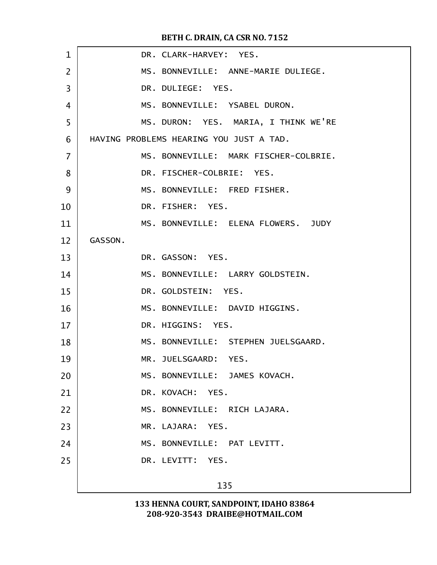| $\mathbf{1}$   | DR. CLARK-HARVEY: YES.                  |  |  |  |
|----------------|-----------------------------------------|--|--|--|
| $\overline{2}$ | MS. BONNEVILLE: ANNE-MARIE DULIEGE.     |  |  |  |
| 3              | DR. DULIEGE: YES.                       |  |  |  |
| 4              | MS. BONNEVILLE: YSABEL DURON.           |  |  |  |
| 5              | MS. DURON: YES. MARIA, I THINK WE'RE    |  |  |  |
| 6              | HAVING PROBLEMS HEARING YOU JUST A TAD. |  |  |  |
| 7              | MS. BONNEVILLE: MARK FISCHER-COLBRIE.   |  |  |  |
| 8              | DR. FISCHER-COLBRIE: YES.               |  |  |  |
| 9              | MS. BONNEVILLE: FRED FISHER.            |  |  |  |
| 10             | DR. FISHER: YES.                        |  |  |  |
| 11             | MS. BONNEVILLE: ELENA FLOWERS. JUDY     |  |  |  |
| 12             | GASSON.                                 |  |  |  |
| 13             | DR. GASSON: YES.                        |  |  |  |
| 14             | MS. BONNEVILLE: LARRY GOLDSTEIN.        |  |  |  |
| 15             | DR. GOLDSTEIN: YES.                     |  |  |  |
| 16             | MS. BONNEVILLE: DAVID HIGGINS.          |  |  |  |
| 17             | DR. HIGGINS: YES.                       |  |  |  |
| 18             | MS. BONNEVILLE: STEPHEN JUELSGAARD.     |  |  |  |
| 19             | MR. JUELSGAARD: YES.                    |  |  |  |
| 20             | MS. BONNEVILLE: JAMES KOVACH.           |  |  |  |
| 21             | DR. KOVACH: YES.                        |  |  |  |
| 22             | MS. BONNEVILLE: RICH LAJARA.            |  |  |  |
| 23             | MR. LAJARA: YES.                        |  |  |  |
| 24             | MS. BONNEVILLE: PAT LEVITT.             |  |  |  |
| 25             | DR. LEVITT: YES.                        |  |  |  |
|                | 135                                     |  |  |  |
|                |                                         |  |  |  |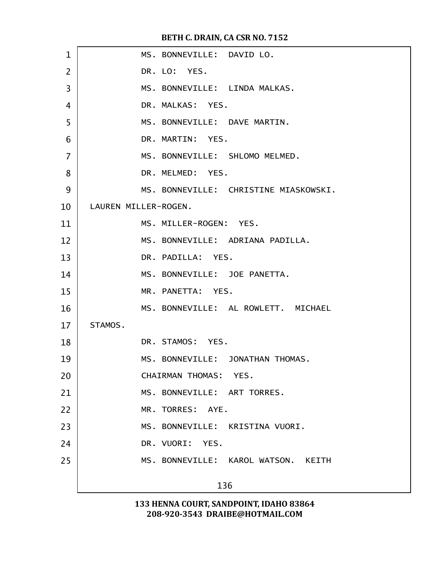| $\mathbf{1}$   | MS. BONNEVILLE: DAVID LO.             |  |  |
|----------------|---------------------------------------|--|--|
| $\overline{2}$ | DR. LO: YES.                          |  |  |
| 3              | MS. BONNEVILLE: LINDA MALKAS.         |  |  |
| 4              | DR. MALKAS: YES.                      |  |  |
| 5              | MS. BONNEVILLE: DAVE MARTIN.          |  |  |
| 6              | DR. MARTIN: YES.                      |  |  |
| $\overline{7}$ | MS. BONNEVILLE: SHLOMO MELMED.        |  |  |
| 8              | DR. MELMED: YES.                      |  |  |
| 9              | MS. BONNEVILLE: CHRISTINE MIASKOWSKI. |  |  |
| 10             | LAUREN MILLER-ROGEN.                  |  |  |
| 11             | MS. MILLER-ROGEN: YES.                |  |  |
| 12             | MS. BONNEVILLE: ADRIANA PADILLA.      |  |  |
| 13             | DR. PADILLA: YES.                     |  |  |
| 14             | MS. BONNEVILLE: JOE PANETTA.          |  |  |
| 15             | MR. PANETTA: YES.                     |  |  |
| 16             | MS. BONNEVILLE: AL ROWLETT. MICHAEL   |  |  |
| 17             | STAMOS.                               |  |  |
| 18             | DR. STAMOS: YES.                      |  |  |
| 19             | MS. BONNEVILLE: JONATHAN THOMAS.      |  |  |
| 20             | CHAIRMAN THOMAS: YES.                 |  |  |
| 21             | MS. BONNEVILLE: ART TORRES.           |  |  |
| 22             | MR. TORRES: AYE.                      |  |  |
| 23             | MS. BONNEVILLE: KRISTINA VUORI.       |  |  |
| 24             | DR. VUORI: YES.                       |  |  |
| 25             | MS. BONNEVILLE: KAROL WATSON. KEITH   |  |  |
|                | 136                                   |  |  |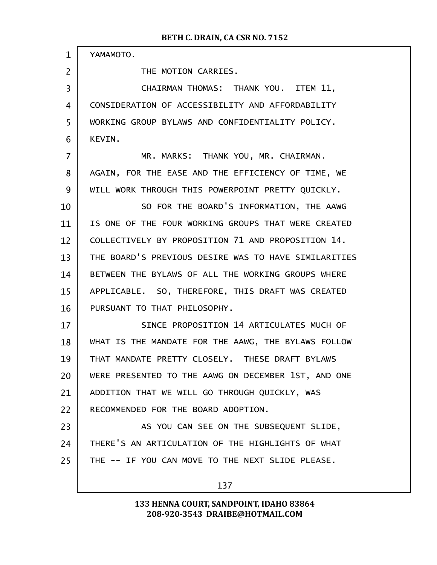| $\mathbf{1}$   | YAMAMOTO.                                            |  |  |  |  |
|----------------|------------------------------------------------------|--|--|--|--|
| $\overline{2}$ | THE MOTION CARRIES.                                  |  |  |  |  |
| 3              | CHAIRMAN THOMAS: THANK YOU. ITEM 11,                 |  |  |  |  |
| 4              | CONSIDERATION OF ACCESSIBILITY AND AFFORDABILITY     |  |  |  |  |
| 5              | WORKING GROUP BYLAWS AND CONFIDENTIALITY POLICY.     |  |  |  |  |
| 6              | KEVIN.                                               |  |  |  |  |
| $\overline{7}$ | MR. MARKS: THANK YOU, MR. CHAIRMAN.                  |  |  |  |  |
| 8              | AGAIN, FOR THE EASE AND THE EFFICIENCY OF TIME, WE   |  |  |  |  |
| 9              | WILL WORK THROUGH THIS POWERPOINT PRETTY QUICKLY.    |  |  |  |  |
| 10             | SO FOR THE BOARD'S INFORMATION, THE AAWG             |  |  |  |  |
| 11             | IS ONE OF THE FOUR WORKING GROUPS THAT WERE CREATED  |  |  |  |  |
| 12             | COLLECTIVELY BY PROPOSITION 71 AND PROPOSITION 14.   |  |  |  |  |
| 13             | THE BOARD'S PREVIOUS DESIRE WAS TO HAVE SIMILARITIES |  |  |  |  |
| 14             | BETWEEN THE BYLAWS OF ALL THE WORKING GROUPS WHERE   |  |  |  |  |
| 15             | APPLICABLE. SO, THEREFORE, THIS DRAFT WAS CREATED    |  |  |  |  |
| 16             | PURSUANT TO THAT PHILOSOPHY.                         |  |  |  |  |
| 17             | SINCE PROPOSITION 14 ARTICULATES MUCH OF             |  |  |  |  |
| 18             | WHAT IS THE MANDATE FOR THE AAWG, THE BYLAWS FOLLOW  |  |  |  |  |
| 19             | THAT MANDATE PRETTY CLOSELY. THESE DRAFT BYLAWS      |  |  |  |  |
| 20             | WERE PRESENTED TO THE AAWG ON DECEMBER 1ST, AND ONE  |  |  |  |  |
| 21             | ADDITION THAT WE WILL GO THROUGH QUICKLY, WAS        |  |  |  |  |
| 22             | RECOMMENDED FOR THE BOARD ADOPTION.                  |  |  |  |  |
| 23             | AS YOU CAN SEE ON THE SUBSEQUENT SLIDE,              |  |  |  |  |
| 24             | THERE'S AN ARTICULATION OF THE HIGHLIGHTS OF WHAT    |  |  |  |  |
| 25             | THE -- IF YOU CAN MOVE TO THE NEXT SLIDE PLEASE.     |  |  |  |  |
|                |                                                      |  |  |  |  |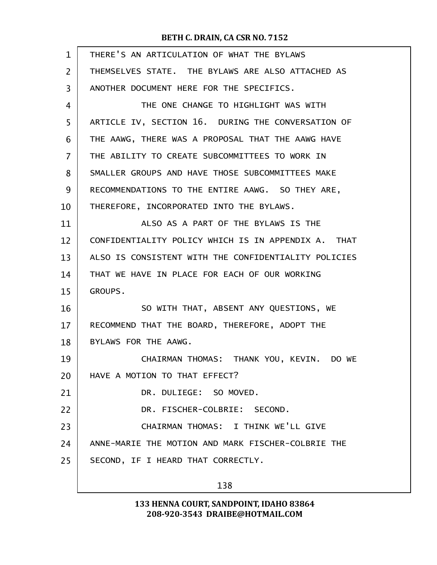| $\mathbf{1}$   | THERE'S AN ARTICULATION OF WHAT THE BYLAWS           |  |  |  |
|----------------|------------------------------------------------------|--|--|--|
| $\overline{2}$ | THEMSELVES STATE. THE BYLAWS ARE ALSO ATTACHED AS    |  |  |  |
| 3              | ANOTHER DOCUMENT HERE FOR THE SPECIFICS.             |  |  |  |
| 4              | THE ONE CHANGE TO HIGHLIGHT WAS WITH                 |  |  |  |
| 5              | ARTICLE IV, SECTION 16. DURING THE CONVERSATION OF   |  |  |  |
| 6              | THE AAWG, THERE WAS A PROPOSAL THAT THE AAWG HAVE    |  |  |  |
| $\overline{7}$ | THE ABILITY TO CREATE SUBCOMMITTEES TO WORK IN       |  |  |  |
| 8              | SMALLER GROUPS AND HAVE THOSE SUBCOMMITTEES MAKE     |  |  |  |
| 9              | RECOMMENDATIONS TO THE ENTIRE AAWG. SO THEY ARE,     |  |  |  |
| 10             | THEREFORE, INCORPORATED INTO THE BYLAWS.             |  |  |  |
| 11             | ALSO AS A PART OF THE BYLAWS IS THE                  |  |  |  |
| 12             | CONFIDENTIALITY POLICY WHICH IS IN APPENDIX A. THAT  |  |  |  |
| 13             | ALSO IS CONSISTENT WITH THE CONFIDENTIALITY POLICIES |  |  |  |
| 14             | THAT WE HAVE IN PLACE FOR EACH OF OUR WORKING        |  |  |  |
| 15             | GROUPS.                                              |  |  |  |
| 16             | SO WITH THAT, ABSENT ANY QUESTIONS, WE               |  |  |  |
| 17             | RECOMMEND THAT THE BOARD, THEREFORE, ADOPT THE       |  |  |  |
| 18             | BYLAWS FOR THE AAWG.                                 |  |  |  |
| 19             | CHAIRMAN THOMAS: THANK YOU, KEVIN. DO WE             |  |  |  |
| 20             | HAVE A MOTION TO THAT EFFECT?                        |  |  |  |
| 21             | DR. DULIEGE: SO MOVED.                               |  |  |  |
| 22             | DR. FISCHER-COLBRIE: SECOND.                         |  |  |  |
| 23             | CHAIRMAN THOMAS: I THINK WE'LL GIVE                  |  |  |  |
| 24             | ANNE-MARIE THE MOTION AND MARK FISCHER-COLBRIE THE   |  |  |  |
| 25             | SECOND, IF I HEARD THAT CORRECTLY.                   |  |  |  |
|                | 138                                                  |  |  |  |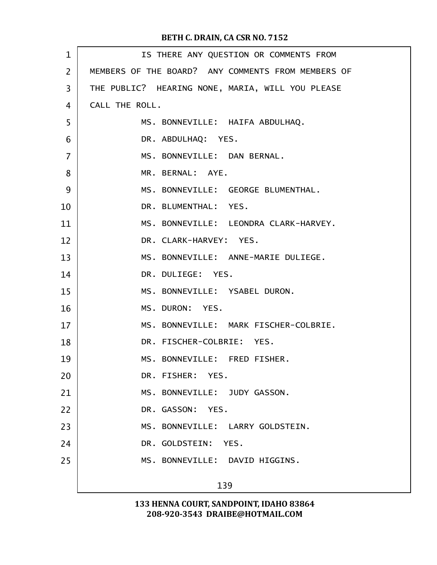| $\mathbf{1}$   | IS THERE ANY QUESTION OR COMMENTS FROM             |  |  |  |  |
|----------------|----------------------------------------------------|--|--|--|--|
| $\overline{2}$ | MEMBERS OF THE BOARD? ANY COMMENTS FROM MEMBERS OF |  |  |  |  |
| 3              | THE PUBLIC? HEARING NONE, MARIA, WILL YOU PLEASE   |  |  |  |  |
| $\overline{4}$ | CALL THE ROLL.                                     |  |  |  |  |
| 5              | MS. BONNEVILLE: HAIFA ABDULHAQ.                    |  |  |  |  |
| 6              | DR. ABDULHAQ: YES.                                 |  |  |  |  |
| $\overline{7}$ | MS. BONNEVILLE: DAN BERNAL.                        |  |  |  |  |
| 8              | MR. BERNAL: AYE.                                   |  |  |  |  |
| 9              | MS. BONNEVILLE: GEORGE BLUMENTHAL.                 |  |  |  |  |
| 10             | DR. BLUMENTHAL: YES.                               |  |  |  |  |
| 11             | MS. BONNEVILLE: LEONDRA CLARK-HARVEY.              |  |  |  |  |
| 12             | DR. CLARK-HARVEY: YES.                             |  |  |  |  |
| 13             | MS. BONNEVILLE: ANNE-MARIE DULIEGE.                |  |  |  |  |
| 14             | DR. DULIEGE: YES.                                  |  |  |  |  |
| 15             | MS. BONNEVILLE: YSABEL DURON.                      |  |  |  |  |
| 16             | MS. DURON: YES.                                    |  |  |  |  |
| 17             | MS. BONNEVILLE: MARK FISCHER-COLBRIE.              |  |  |  |  |
| 18             | DR. FISCHER-COLBRIE: YES.                          |  |  |  |  |
| 19             | MS. BONNEVILLE: FRED FISHER.                       |  |  |  |  |
| 20             | DR. FISHER: YES.                                   |  |  |  |  |
| 21             | MS. BONNEVILLE: JUDY GASSON.                       |  |  |  |  |
| 22             | DR. GASSON: YES.                                   |  |  |  |  |
| 23             | MS. BONNEVILLE: LARRY GOLDSTEIN.                   |  |  |  |  |
| 24             | DR. GOLDSTEIN: YES.                                |  |  |  |  |
| 25             | MS. BONNEVILLE: DAVID HIGGINS.                     |  |  |  |  |
|                | 139                                                |  |  |  |  |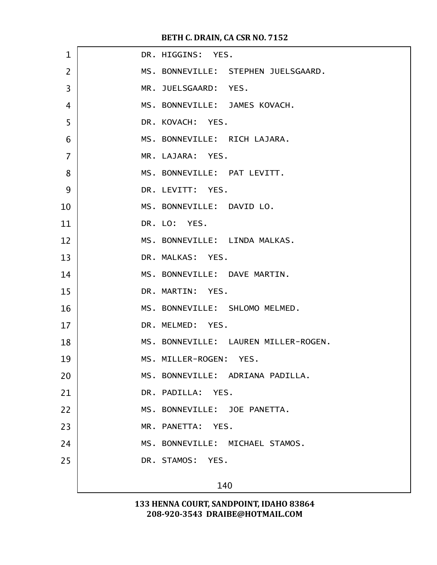| $\mathbf{1}$   | DR. HIGGINS: YES.                    |  |  |  |
|----------------|--------------------------------------|--|--|--|
| $\overline{2}$ | MS. BONNEVILLE: STEPHEN JUELSGAARD.  |  |  |  |
| 3              | MR. JUELSGAARD: YES.                 |  |  |  |
| $\overline{4}$ | MS. BONNEVILLE: JAMES KOVACH.        |  |  |  |
| 5              | DR. KOVACH: YES.                     |  |  |  |
| 6              | MS. BONNEVILLE: RICH LAJARA.         |  |  |  |
| $\overline{7}$ | MR. LAJARA: YES.                     |  |  |  |
| 8              | MS. BONNEVILLE: PAT LEVITT.          |  |  |  |
| 9              | DR. LEVITT: YES.                     |  |  |  |
| 10             | MS. BONNEVILLE: DAVID LO.            |  |  |  |
| 11             | DR. LO: YES.                         |  |  |  |
| 12             | MS. BONNEVILLE: LINDA MALKAS.        |  |  |  |
| 13             | DR. MALKAS: YES.                     |  |  |  |
| 14             | MS. BONNEVILLE: DAVE MARTIN.         |  |  |  |
| 15             | DR. MARTIN: YES.                     |  |  |  |
| 16             | MS. BONNEVILLE: SHLOMO MELMED.       |  |  |  |
| 17             | DR. MELMED: YES.                     |  |  |  |
| 18             | MS. BONNEVILLE: LAUREN MILLER-ROGEN. |  |  |  |
| 19             | MS. MILLER-ROGEN: YES.               |  |  |  |
| 20             | MS. BONNEVILLE: ADRIANA PADILLA.     |  |  |  |
| 21             | DR. PADILLA: YES.                    |  |  |  |
| 22             | MS. BONNEVILLE: JOE PANETTA.         |  |  |  |
| 23             | MR. PANETTA: YES.                    |  |  |  |
| 24             | MS. BONNEVILLE: MICHAEL STAMOS.      |  |  |  |
| 25             | DR. STAMOS: YES.                     |  |  |  |
|                | 140                                  |  |  |  |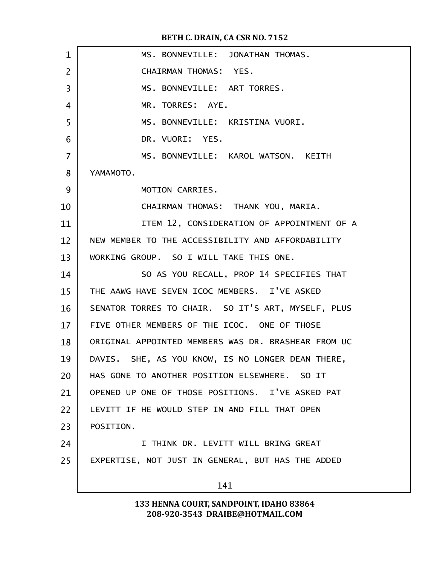| $\mathbf{1}$   | MS. BONNEVILLE: JONATHAN THOMAS.                    |  |  |  |
|----------------|-----------------------------------------------------|--|--|--|
| $\overline{2}$ | CHAIRMAN THOMAS: YES.                               |  |  |  |
| 3              | MS. BONNEVILLE: ART TORRES.                         |  |  |  |
| 4              | MR. TORRES: AYE.                                    |  |  |  |
| 5              | MS. BONNEVILLE: KRISTINA VUORI.                     |  |  |  |
| 6              | DR. VUORI: YES.                                     |  |  |  |
| $\overline{7}$ | MS. BONNEVILLE: KAROL WATSON. KEITH                 |  |  |  |
| 8              | YAMAMOTO.                                           |  |  |  |
| 9              | MOTION CARRIES.                                     |  |  |  |
| 10             | CHAIRMAN THOMAS: THANK YOU, MARIA.                  |  |  |  |
| 11             | ITEM 12, CONSIDERATION OF APPOINTMENT OF A          |  |  |  |
| 12             | NEW MEMBER TO THE ACCESSIBILITY AND AFFORDABILITY   |  |  |  |
| 13             | WORKING GROUP. SO I WILL TAKE THIS ONE.             |  |  |  |
| 14             | SO AS YOU RECALL, PROP 14 SPECIFIES THAT            |  |  |  |
| 15             | THE AAWG HAVE SEVEN ICOC MEMBERS. I'VE ASKED        |  |  |  |
| 16             | SENATOR TORRES TO CHAIR. SO IT'S ART, MYSELF, PLUS  |  |  |  |
| 17             | FIVE OTHER MEMBERS OF THE ICOC. ONE OF THOSE        |  |  |  |
| 18             | ORIGINAL APPOINTED MEMBERS WAS DR. BRASHEAR FROM UC |  |  |  |
| 19             | DAVIS. SHE, AS YOU KNOW, IS NO LONGER DEAN THERE,   |  |  |  |
| 20             | HAS GONE TO ANOTHER POSITION ELSEWHERE. SO IT       |  |  |  |
| 21             | OPENED UP ONE OF THOSE POSITIONS. I'VE ASKED PAT    |  |  |  |
| 22             | LEVITT IF HE WOULD STEP IN AND FILL THAT OPEN       |  |  |  |
| 23             | POSITION.                                           |  |  |  |
| 24             | I THINK DR. LEVITT WILL BRING GREAT                 |  |  |  |
| 25             | EXPERTISE, NOT JUST IN GENERAL, BUT HAS THE ADDED   |  |  |  |
|                | 141                                                 |  |  |  |
|                |                                                     |  |  |  |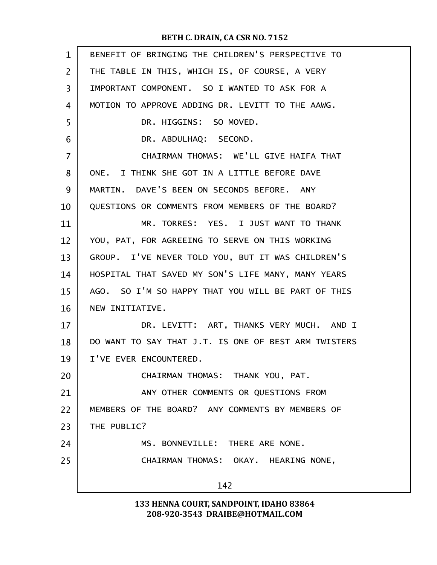| $\mathbf{1}$   | BENEFIT OF BRINGING THE CHILDREN'S PERSPECTIVE TO    |  |  |  |  |
|----------------|------------------------------------------------------|--|--|--|--|
| $\overline{2}$ | THE TABLE IN THIS, WHICH IS, OF COURSE, A VERY       |  |  |  |  |
| 3              | IMPORTANT COMPONENT. SO I WANTED TO ASK FOR A        |  |  |  |  |
| 4              | MOTION TO APPROVE ADDING DR. LEVITT TO THE AAWG.     |  |  |  |  |
| 5              | DR. HIGGINS: SO MOVED.                               |  |  |  |  |
| 6              | DR. ABDULHAQ: SECOND.                                |  |  |  |  |
| 7              | CHAIRMAN THOMAS: WE'LL GIVE HAIFA THAT               |  |  |  |  |
| 8              | ONE. I THINK SHE GOT IN A LITTLE BEFORE DAVE         |  |  |  |  |
| 9              | MARTIN. DAVE'S BEEN ON SECONDS BEFORE. ANY           |  |  |  |  |
| 10             | QUESTIONS OR COMMENTS FROM MEMBERS OF THE BOARD?     |  |  |  |  |
| 11             | MR. TORRES: YES. I JUST WANT TO THANK                |  |  |  |  |
| 12             | YOU, PAT, FOR AGREEING TO SERVE ON THIS WORKING      |  |  |  |  |
| 13             | GROUP. I'VE NEVER TOLD YOU, BUT IT WAS CHILDREN'S    |  |  |  |  |
| 14             | HOSPITAL THAT SAVED MY SON'S LIFE MANY, MANY YEARS   |  |  |  |  |
| 15             | AGO. SO I'M SO HAPPY THAT YOU WILL BE PART OF THIS   |  |  |  |  |
| 16             | NEW INITIATIVE.                                      |  |  |  |  |
| 17             | DR. LEVITT: ART, THANKS VERY MUCH. AND I             |  |  |  |  |
| 18             | DO WANT TO SAY THAT J.T. IS ONE OF BEST ARM TWISTERS |  |  |  |  |
| 19             | I'VE EVER ENCOUNTERED.                               |  |  |  |  |
| 20             | CHAIRMAN THOMAS: THANK YOU, PAT.                     |  |  |  |  |
| 21             | ANY OTHER COMMENTS OR QUESTIONS FROM                 |  |  |  |  |
| 22             | MEMBERS OF THE BOARD? ANY COMMENTS BY MEMBERS OF     |  |  |  |  |
| 23             | THE PUBLIC?                                          |  |  |  |  |
| 24             | MS. BONNEVILLE: THERE ARE NONE.                      |  |  |  |  |
| 25             | CHAIRMAN THOMAS: OKAY. HEARING NONE,                 |  |  |  |  |
|                | 142                                                  |  |  |  |  |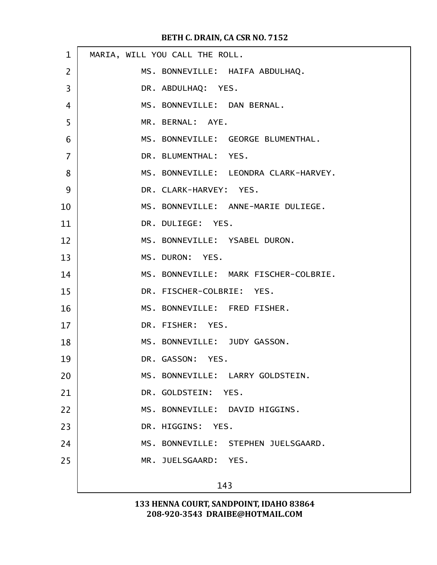| $\mathbf{1}$   | MARIA, WILL YOU CALL THE ROLL.        |  |  |  |
|----------------|---------------------------------------|--|--|--|
| $\overline{2}$ | MS. BONNEVILLE: HAIFA ABDULHAQ.       |  |  |  |
| 3              | DR. ABDULHAQ: YES.                    |  |  |  |
| $\overline{4}$ | MS. BONNEVILLE: DAN BERNAL.           |  |  |  |
| 5              | MR. BERNAL: AYE.                      |  |  |  |
| 6              | MS. BONNEVILLE: GEORGE BLUMENTHAL.    |  |  |  |
| $\overline{7}$ | DR. BLUMENTHAL: YES.                  |  |  |  |
| 8              | MS. BONNEVILLE: LEONDRA CLARK-HARVEY. |  |  |  |
| 9              | DR. CLARK-HARVEY: YES.                |  |  |  |
| 10             | MS. BONNEVILLE: ANNE-MARIE DULIEGE.   |  |  |  |
| 11             | DR. DULIEGE: YES.                     |  |  |  |
| 12             | MS. BONNEVILLE: YSABEL DURON.         |  |  |  |
| 13             | MS. DURON: YES.                       |  |  |  |
| 14             | MS. BONNEVILLE: MARK FISCHER-COLBRIE. |  |  |  |
| 15             | DR. FISCHER-COLBRIE: YES.             |  |  |  |
| 16             | MS. BONNEVILLE: FRED FISHER.          |  |  |  |
| 17             | DR. FISHER: YES.                      |  |  |  |
| 18             | MS. BONNEVILLE: JUDY GASSON.          |  |  |  |
| 19             | DR. GASSON: YES.                      |  |  |  |
| 20             | MS. BONNEVILLE: LARRY GOLDSTEIN.      |  |  |  |
| 21             | DR. GOLDSTEIN: YES.                   |  |  |  |
| 22             | MS. BONNEVILLE: DAVID HIGGINS.        |  |  |  |
| 23             | DR. HIGGINS: YES.                     |  |  |  |
| 24             | MS. BONNEVILLE: STEPHEN JUELSGAARD.   |  |  |  |
| 25             | MR. JUELSGAARD: YES.                  |  |  |  |
|                | 143                                   |  |  |  |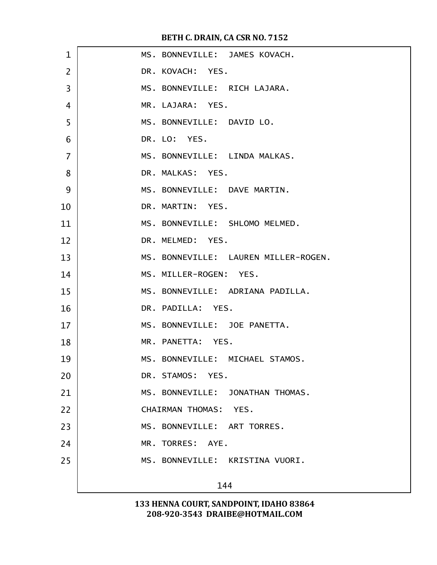| 1              |     |                              | MS. BONNEVILLE: JAMES KOVACH.        |
|----------------|-----|------------------------------|--------------------------------------|
| $\overline{2}$ |     | DR. KOVACH: YES.             |                                      |
| 3              |     | MS. BONNEVILLE: RICH LAJARA. |                                      |
| 4              |     | MR. LAJARA: YES.             |                                      |
| 5              |     | MS. BONNEVILLE: DAVID LO.    |                                      |
| 6              |     | DR. LO: YES.                 |                                      |
| $\overline{7}$ |     |                              | MS. BONNEVILLE: LINDA MALKAS.        |
| 8              |     | DR. MALKAS: YES.             |                                      |
| 9              |     | MS. BONNEVILLE: DAVE MARTIN. |                                      |
| 10             |     | DR. MARTIN: YES.             |                                      |
| 11             |     |                              | MS. BONNEVILLE: SHLOMO MELMED.       |
| 12             |     | DR. MELMED: YES.             |                                      |
| 13             |     |                              | MS. BONNEVILLE: LAUREN MILLER-ROGEN. |
| 14             |     | MS. MILLER-ROGEN: YES.       |                                      |
| 15             |     |                              | MS. BONNEVILLE: ADRIANA PADILLA.     |
| 16             |     | DR. PADILLA: YES.            |                                      |
| 17             |     | MS. BONNEVILLE: JOE PANETTA. |                                      |
| 18             |     | MR. PANETTA: YES.            |                                      |
| 19             |     |                              | MS. BONNEVILLE: MICHAEL STAMOS.      |
| 20             |     | DR. STAMOS: YES.             |                                      |
| 21             |     |                              | MS. BONNEVILLE: JONATHAN THOMAS.     |
| 22             |     | CHAIRMAN THOMAS: YES.        |                                      |
| 23             |     | MS. BONNEVILLE: ART TORRES.  |                                      |
| 24             |     | MR. TORRES: AYE.             |                                      |
| 25             |     |                              | MS. BONNEVILLE: KRISTINA VUORI.      |
|                | 144 |                              |                                      |
|                |     |                              |                                      |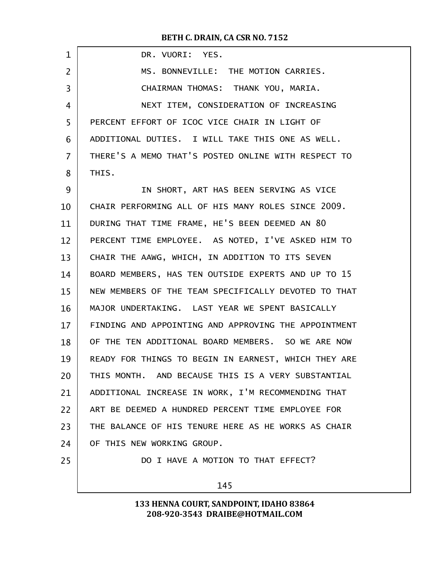BETH C. DRAIN, CA CSR NO. 7152

| $\mathbf{1}$   | DR. VUORI: YES.                                      |  |
|----------------|------------------------------------------------------|--|
| $\overline{2}$ | MS. BONNEVILLE: THE MOTION CARRIES.                  |  |
| 3              | CHAIRMAN THOMAS: THANK YOU, MARIA.                   |  |
| 4              | NEXT ITEM, CONSIDERATION OF INCREASING               |  |
| 5              | PERCENT EFFORT OF ICOC VICE CHAIR IN LIGHT OF        |  |
| 6              | ADDITIONAL DUTIES. I WILL TAKE THIS ONE AS WELL.     |  |
| $\overline{7}$ | THERE'S A MEMO THAT'S POSTED ONLINE WITH RESPECT TO  |  |
| 8              | THIS.                                                |  |
| 9              | IN SHORT, ART HAS BEEN SERVING AS VICE               |  |
| 10             | CHAIR PERFORMING ALL OF HIS MANY ROLES SINCE 2009.   |  |
| 11             | DURING THAT TIME FRAME, HE'S BEEN DEEMED AN 80       |  |
| 12             | PERCENT TIME EMPLOYEE. AS NOTED, I'VE ASKED HIM TO   |  |
| 13             | CHAIR THE AAWG, WHICH, IN ADDITION TO ITS SEVEN      |  |
| 14             | BOARD MEMBERS, HAS TEN OUTSIDE EXPERTS AND UP TO 15  |  |
| 15             | NEW MEMBERS OF THE TEAM SPECIFICALLY DEVOTED TO THAT |  |
| 16             | MAJOR UNDERTAKING. LAST YEAR WE SPENT BASICALLY      |  |
| 17             | FINDING AND APPOINTING AND APPROVING THE APPOINTMENT |  |
| 18             | OF THE TEN ADDITIONAL BOARD MEMBERS. SO WE ARE NOW   |  |
| 19             | READY FOR THINGS TO BEGIN IN EARNEST, WHICH THEY ARE |  |
| 20             | THIS MONTH. AND BECAUSE THIS IS A VERY SUBSTANTIAL   |  |
| 21             | ADDITIONAL INCREASE IN WORK, I'M RECOMMENDING THAT   |  |
| 22             | ART BE DEEMED A HUNDRED PERCENT TIME EMPLOYEE FOR    |  |
| 23             | THE BALANCE OF HIS TENURE HERE AS HE WORKS AS CHAIR  |  |
| 24             | OF THIS NEW WORKING GROUP.                           |  |
| 25             | DO I HAVE A MOTION TO THAT EFFECT?                   |  |
|                | 145                                                  |  |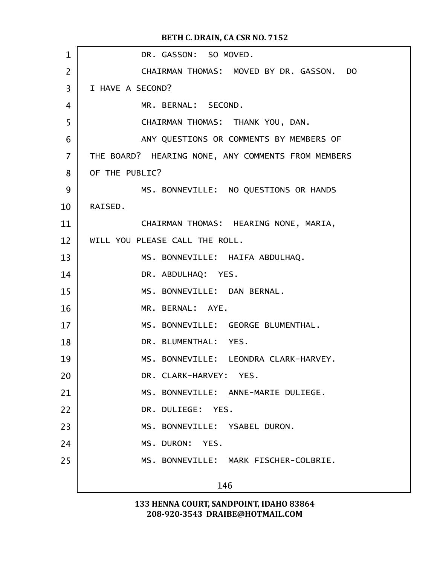| 1              | DR. GASSON: SO MOVED.                              |
|----------------|----------------------------------------------------|
| $\overline{2}$ | CHAIRMAN THOMAS: MOVED BY DR. GASSON. DO           |
| 3              | I HAVE A SECOND?                                   |
| 4              | MR. BERNAL: SECOND.                                |
| 5              | CHAIRMAN THOMAS: THANK YOU, DAN.                   |
| 6              | ANY QUESTIONS OR COMMENTS BY MEMBERS OF            |
| $\overline{7}$ | THE BOARD? HEARING NONE, ANY COMMENTS FROM MEMBERS |
| 8              | OF THE PUBLIC?                                     |
| 9              | MS. BONNEVILLE: NO QUESTIONS OR HANDS              |
| 10             | RAISED.                                            |
| 11             | CHAIRMAN THOMAS: HEARING NONE, MARIA,              |
| 12             | WILL YOU PLEASE CALL THE ROLL,                     |
| 13             | MS. BONNEVILLE: HAIFA ABDULHAQ.                    |
| 14             | DR. ABDULHAQ: YES.                                 |
| 15             | MS. BONNEVILLE: DAN BERNAL.                        |
| 16             | MR. BERNAL: AYE.                                   |
| 17             | MS. BONNEVILLE: GEORGE BLUMENTHAL.                 |
| 18             | DR. BLUMENTHAL: YES.                               |
| 19             | MS. BONNEVILLE: LEONDRA CLARK-HARVEY.              |
| 20             | DR. CLARK-HARVEY: YES.                             |
| 21             | MS. BONNEVILLE: ANNE-MARIE DULIEGE.                |
| 22             | DR. DULIEGE: YES.                                  |
| 23             | MS. BONNEVILLE: YSABEL DURON.                      |
| 24             | MS. DURON: YES.                                    |
| 25             | MS. BONNEVILLE: MARK FISCHER-COLBRIE.              |
|                | 146                                                |
|                |                                                    |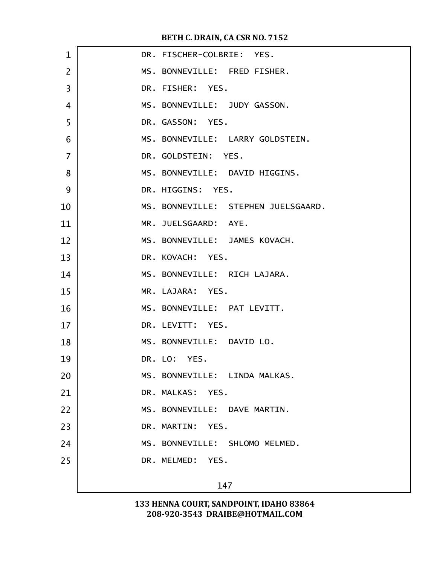| $\mathbf{1}$   | DR. FISCHER-COLBRIE: YES.           |
|----------------|-------------------------------------|
| $\overline{2}$ | MS. BONNEVILLE: FRED FISHER.        |
| 3              | DR. FISHER: YES.                    |
| $\overline{4}$ | MS. BONNEVILLE: JUDY GASSON.        |
| 5              | DR. GASSON: YES.                    |
| 6              | MS. BONNEVILLE: LARRY GOLDSTEIN.    |
| $\overline{7}$ | DR. GOLDSTEIN: YES.                 |
| 8              | MS. BONNEVILLE: DAVID HIGGINS.      |
| 9              | DR. HIGGINS: YES.                   |
| 10             | MS. BONNEVILLE: STEPHEN JUELSGAARD. |
| 11             | MR. JUELSGAARD: AYE.                |
| 12             | MS. BONNEVILLE: JAMES KOVACH.       |
| 13             | DR. KOVACH: YES.                    |
| 14             | MS. BONNEVILLE: RICH LAJARA.        |
| 15             | MR. LAJARA: YES.                    |
| 16             | MS. BONNEVILLE: PAT LEVITT.         |
| 17             | DR. LEVITT: YES.                    |
| 18             | MS. BONNEVILLE: DAVID LO.           |
| 19             | DR. LO: YES.                        |
| 20             | MS. BONNEVILLE: LINDA MALKAS.       |
| 21             | DR. MALKAS: YES.                    |
| 22             | MS. BONNEVILLE: DAVE MARTIN.        |
| 23             | DR. MARTIN: YES.                    |
| 24             | MS. BONNEVILLE: SHLOMO MELMED.      |
| 25             | DR. MELMED: YES.                    |
|                | 147                                 |
|                |                                     |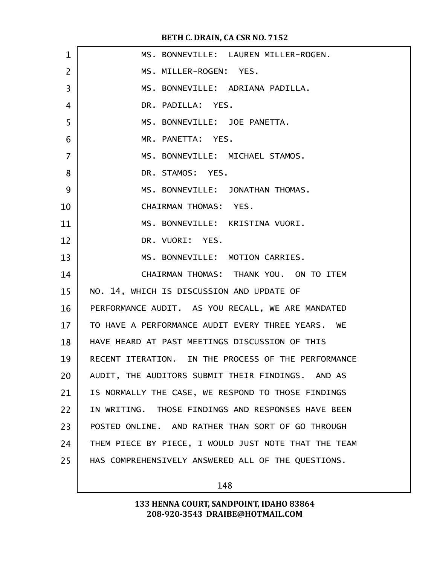| $\mathbf 1$    | MS. BONNEVILLE: LAUREN MILLER-ROGEN.                 |
|----------------|------------------------------------------------------|
| $\overline{2}$ | MS. MILLER-ROGEN: YES.                               |
| 3              | MS. BONNEVILLE: ADRIANA PADILLA.                     |
| 4              | DR. PADILLA: YES.                                    |
| 5              | MS. BONNEVILLE: JOE PANETTA.                         |
| 6              | MR. PANETTA: YES.                                    |
| $\overline{7}$ | MS. BONNEVILLE: MICHAEL STAMOS.                      |
| 8              | DR. STAMOS: YES.                                     |
| 9              | MS. BONNEVILLE: JONATHAN THOMAS.                     |
| 10             | CHAIRMAN THOMAS: YES.                                |
| 11             | MS. BONNEVILLE: KRISTINA VUORI.                      |
| 12             | DR. VUORI: YES.                                      |
| 13             | MS. BONNEVILLE: MOTION CARRIES.                      |
| 14             | CHAIRMAN THOMAS: THANK YOU. ON TO ITEM               |
| 15             | NO. 14, WHICH IS DISCUSSION AND UPDATE OF            |
| 16             | PERFORMANCE AUDIT. AS YOU RECALL, WE ARE MANDATED    |
| 17             | TO HAVE A PERFORMANCE AUDIT EVERY THREE YEARS. WE    |
| 18             | HAVE HEARD AT PAST MEETINGS DISCUSSION OF THIS       |
| 19             | RECENT ITERATION. IN THE PROCESS OF THE PERFORMANCE  |
| 20             | AUDIT, THE AUDITORS SUBMIT THEIR FINDINGS. AND AS    |
| 21             | IS NORMALLY THE CASE, WE RESPOND TO THOSE FINDINGS   |
| 22             | IN WRITING. THOSE FINDINGS AND RESPONSES HAVE BEEN   |
| 23             | POSTED ONLINE. AND RATHER THAN SORT OF GO THROUGH    |
| 24             | THEM PIECE BY PIECE, I WOULD JUST NOTE THAT THE TEAM |
| 25             | HAS COMPREHENSIVELY ANSWERED ALL OF THE QUESTIONS.   |
|                |                                                      |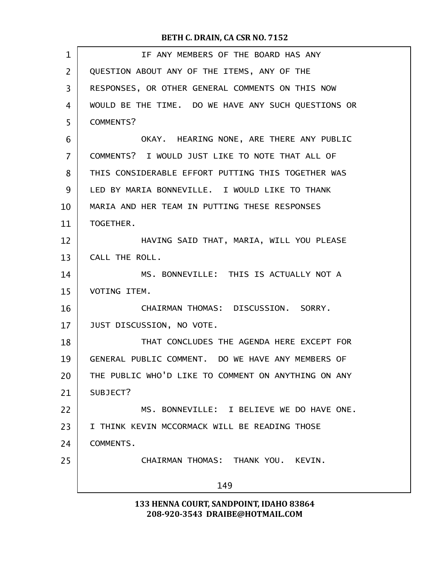| $\mathbf 1$ | IF ANY MEMBERS OF THE BOARD HAS ANY                 |  |
|-------------|-----------------------------------------------------|--|
| 2           | QUESTION ABOUT ANY OF THE ITEMS, ANY OF THE         |  |
| 3           | RESPONSES, OR OTHER GENERAL COMMENTS ON THIS NOW    |  |
| 4           | WOULD BE THE TIME. DO WE HAVE ANY SUCH QUESTIONS OR |  |
| 5           | COMMENTS?                                           |  |
| 6           | OKAY. HEARING NONE, ARE THERE ANY PUBLIC            |  |
| 7           | COMMENTS? I WOULD JUST LIKE TO NOTE THAT ALL OF     |  |
| 8           | THIS CONSIDERABLE EFFORT PUTTING THIS TOGETHER WAS  |  |
| 9           | LED BY MARIA BONNEVILLE. I WOULD LIKE TO THANK      |  |
| 10          | MARIA AND HER TEAM IN PUTTING THESE RESPONSES       |  |
| 11          | TOGETHER.                                           |  |
| 12          | HAVING SAID THAT, MARIA, WILL YOU PLEASE            |  |
| 13          | CALL THE ROLL.                                      |  |
| 14          | MS. BONNEVILLE: THIS IS ACTUALLY NOT A              |  |
| 15          | VOTING ITEM.                                        |  |
| 16          | CHAIRMAN THOMAS: DISCUSSION. SORRY.                 |  |
| 17          | JUST DISCUSSION, NO VOTE.                           |  |
| 18          | THAT CONCLUDES THE AGENDA HERE EXCEPT FOR           |  |
| 19          | GENERAL PUBLIC COMMENT. DO WE HAVE ANY MEMBERS OF   |  |
| 20          | THE PUBLIC WHO'D LIKE TO COMMENT ON ANYTHING ON ANY |  |
| 21          | SUBJECT?                                            |  |
| 22          | MS. BONNEVILLE: I BELIEVE WE DO HAVE ONE.           |  |
| 23          | I THINK KEVIN MCCORMACK WILL BE READING THOSE       |  |
| 24          | <b>COMMENTS.</b>                                    |  |
| 25          | CHAIRMAN THOMAS: THANK YOU. KEVIN.                  |  |
|             | 149                                                 |  |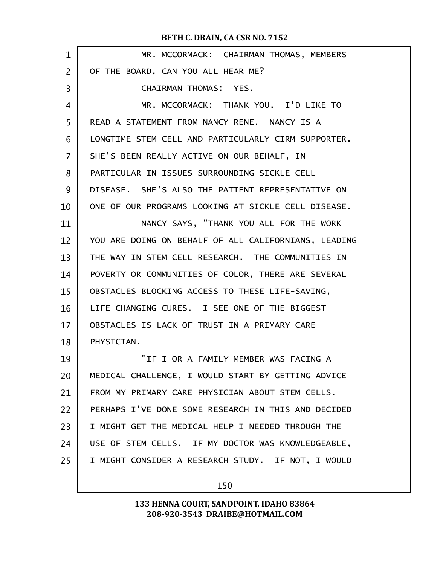| 1              | MR. MCCORMACK: CHAIRMAN THOMAS, MEMBERS              |
|----------------|------------------------------------------------------|
| $\overline{2}$ | OF THE BOARD, CAN YOU ALL HEAR ME?                   |
| 3              | CHAIRMAN THOMAS: YES.                                |
| 4              | MR. MCCORMACK: THANK YOU. I'D LIKE TO                |
| 5              | READ A STATEMENT FROM NANCY RENE. NANCY IS A         |
| 6              | LONGTIME STEM CELL AND PARTICULARLY CIRM SUPPORTER.  |
| 7              | SHE'S BEEN REALLY ACTIVE ON OUR BEHALF, IN           |
| 8              | PARTICULAR IN ISSUES SURROUNDING SICKLE CELL         |
| 9              | DISEASE. SHE'S ALSO THE PATIENT REPRESENTATIVE ON    |
| 10             | ONE OF OUR PROGRAMS LOOKING AT SICKLE CELL DISEASE.  |
| 11             | NANCY SAYS, "THANK YOU ALL FOR THE WORK              |
| 12             | YOU ARE DOING ON BEHALF OF ALL CALIFORNIANS, LEADING |
| 13             | THE WAY IN STEM CELL RESEARCH. THE COMMUNITIES IN    |
| 14             | POVERTY OR COMMUNITIES OF COLOR, THERE ARE SEVERAL   |
| 15             | OBSTACLES BLOCKING ACCESS TO THESE LIFE-SAVING,      |
| 16             | LIFE-CHANGING CURES. I SEE ONE OF THE BIGGEST        |
| 17             | OBSTACLES IS LACK OF TRUST IN A PRIMARY CARE         |
| 18             | PHYSICIAN.                                           |
| 19             | "IF I OR A FAMILY MEMBER WAS FACING A                |
| 20             | MEDICAL CHALLENGE, I WOULD START BY GETTING ADVICE   |
| 21             | FROM MY PRIMARY CARE PHYSICIAN ABOUT STEM CELLS.     |
| 22             | PERHAPS I'VE DONE SOME RESEARCH IN THIS AND DECIDED  |
| 23             | I MIGHT GET THE MEDICAL HELP I NEEDED THROUGH THE    |
| 24             | USE OF STEM CELLS. IF MY DOCTOR WAS KNOWLEDGEABLE,   |
| 25             | I MIGHT CONSIDER A RESEARCH STUDY. IF NOT, I WOULD   |
|                |                                                      |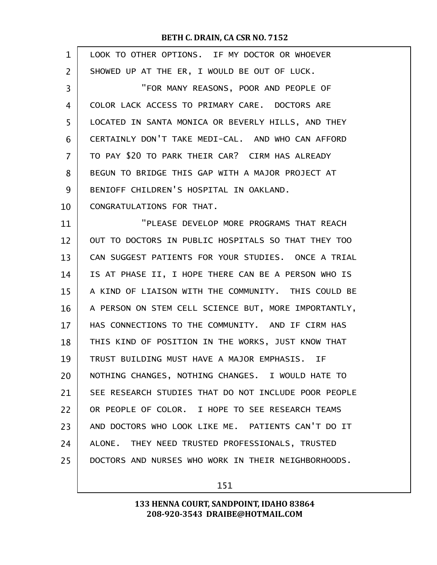| $\mathbf{1}$ | LOOK TO OTHER OPTIONS. IF MY DOCTOR OR WHOEVER       |
|--------------|------------------------------------------------------|
| 2            | SHOWED UP AT THE ER, I WOULD BE OUT OF LUCK.         |
| 3            | "FOR MANY REASONS, POOR AND PEOPLE OF                |
| 4            | COLOR LACK ACCESS TO PRIMARY CARE. DOCTORS ARE       |
| 5            | LOCATED IN SANTA MONICA OR BEVERLY HILLS, AND THEY   |
| 6            | CERTAINLY DON'T TAKE MEDI-CAL. AND WHO CAN AFFORD    |
| 7            | TO PAY \$20 TO PARK THEIR CAR? CIRM HAS ALREADY      |
| 8            | BEGUN TO BRIDGE THIS GAP WITH A MAJOR PROJECT AT     |
| 9            | BENIOFF CHILDREN'S HOSPITAL IN OAKLAND.              |
| 10           | CONGRATULATIONS FOR THAT.                            |
| 11           | "PLEASE DEVELOP MORE PROGRAMS THAT REACH             |
| 12           | OUT TO DOCTORS IN PUBLIC HOSPITALS SO THAT THEY TOO  |
| 13           | CAN SUGGEST PATIENTS FOR YOUR STUDIES. ONCE A TRIAL  |
| 14           | IS AT PHASE II, I HOPE THERE CAN BE A PERSON WHO IS  |
| 15           | A KIND OF LIAISON WITH THE COMMUNITY. THIS COULD BE  |
| 16           | A PERSON ON STEM CELL SCIENCE BUT, MORE IMPORTANTLY, |
| 17           | HAS CONNECTIONS TO THE COMMUNITY. AND IF CIRM HAS    |
| 18           | THIS KIND OF POSITION IN THE WORKS, JUST KNOW THAT   |
| 19           | TRUST BUILDING MUST HAVE A MAJOR EMPHASIS. IF        |
| 20           | NOTHING CHANGES, NOTHING CHANGES. I WOULD HATE TO    |
| 21           | SEE RESEARCH STUDIES THAT DO NOT INCLUDE POOR PEOPLE |
| 22           | OR PEOPLE OF COLOR. I HOPE TO SEE RESEARCH TEAMS     |
| 23           | AND DOCTORS WHO LOOK LIKE ME. PATIENTS CAN'T DO IT   |
| 24           | ALONE. THEY NEED TRUSTED PROFESSIONALS, TRUSTED      |
| 25           | DOCTORS AND NURSES WHO WORK IN THEIR NEIGHBORHOODS.  |
|              |                                                      |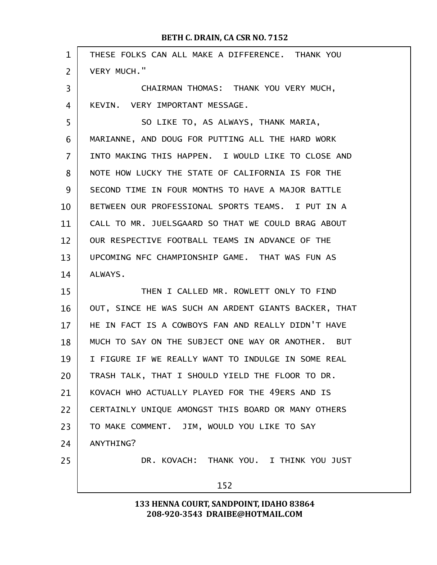| $\mathbf{1}$   | THESE FOLKS CAN ALL MAKE A DIFFERENCE. THANK YOU     |  |
|----------------|------------------------------------------------------|--|
| $\overline{2}$ | VERY MUCH."                                          |  |
| 3              | CHAIRMAN THOMAS: THANK YOU VERY MUCH,                |  |
| 4              | KEVIN. VERY IMPORTANT MESSAGE.                       |  |
| 5              | SO LIKE TO, AS ALWAYS, THANK MARIA,                  |  |
| 6              | MARIANNE, AND DOUG FOR PUTTING ALL THE HARD WORK     |  |
| 7              | INTO MAKING THIS HAPPEN. I WOULD LIKE TO CLOSE AND   |  |
| 8              | NOTE HOW LUCKY THE STATE OF CALIFORNIA IS FOR THE    |  |
| 9              | SECOND TIME IN FOUR MONTHS TO HAVE A MAJOR BATTLE    |  |
| 10             | BETWEEN OUR PROFESSIONAL SPORTS TEAMS. I PUT IN A    |  |
| 11             | CALL TO MR. JUELSGAARD SO THAT WE COULD BRAG ABOUT   |  |
| 12             | OUR RESPECTIVE FOOTBALL TEAMS IN ADVANCE OF THE      |  |
| 13             | UPCOMING NFC CHAMPIONSHIP GAME. THAT WAS FUN AS      |  |
| 14             | ALWAYS.                                              |  |
| 15             | THEN I CALLED MR. ROWLETT ONLY TO FIND               |  |
| 16             | OUT, SINCE HE WAS SUCH AN ARDENT GIANTS BACKER, THAT |  |
| 17             | HE IN FACT IS A COWBOYS FAN AND REALLY DIDN'T HAVE   |  |
| 18             | MUCH TO SAY ON THE SUBJECT ONE WAY OR ANOTHER. BUT   |  |
| 19             | I FIGURE IF WE REALLY WANT TO INDULGE IN SOME REAL   |  |
| 20             | TRASH TALK, THAT I SHOULD YIELD THE FLOOR TO DR.     |  |
| 21             | KOVACH WHO ACTUALLY PLAYED FOR THE 49ERS AND IS      |  |
| 22             | CERTAINLY UNIQUE AMONGST THIS BOARD OR MANY OTHERS   |  |
| 23             | TO MAKE COMMENT. JIM, WOULD YOU LIKE TO SAY          |  |
| 24             | ANYTHING?                                            |  |
| 25             | DR. KOVACH: THANK YOU. I THINK YOU JUST              |  |
|                | 152                                                  |  |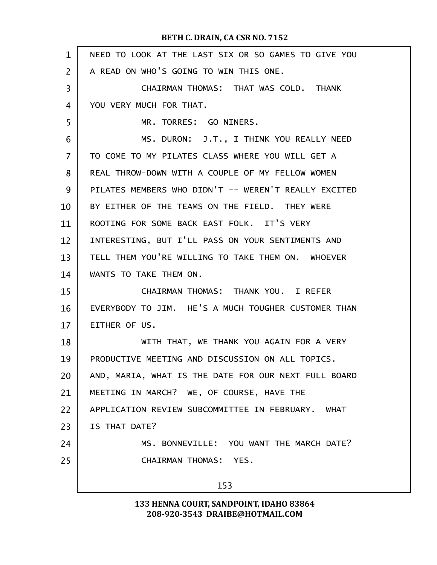| $\mathbf 1$    | NEED TO LOOK AT THE LAST SIX OR SO GAMES TO GIVE YOU |  |
|----------------|------------------------------------------------------|--|
| $\overline{2}$ | A READ ON WHO'S GOING TO WIN THIS ONE.               |  |
| 3              | CHAIRMAN THOMAS: THAT WAS COLD. THANK                |  |
| 4              | YOU VERY MUCH FOR THAT.                              |  |
| 5              | MR. TORRES: GO NINERS.                               |  |
| 6              | MS. DURON: J.T., I THINK YOU REALLY NEED             |  |
| $\overline{7}$ | TO COME TO MY PILATES CLASS WHERE YOU WILL GET A     |  |
| 8              | REAL THROW-DOWN WITH A COUPLE OF MY FELLOW WOMEN     |  |
| 9              | PILATES MEMBERS WHO DIDN'T -- WEREN'T REALLY EXCITED |  |
| 10             | BY EITHER OF THE TEAMS ON THE FIELD. THEY WERE       |  |
| 11             | ROOTING FOR SOME BACK EAST FOLK. IT'S VERY           |  |
| 12             | INTERESTING, BUT I'LL PASS ON YOUR SENTIMENTS AND    |  |
| 13             | TELL THEM YOU'RE WILLING TO TAKE THEM ON. WHOEVER    |  |
| 14             | WANTS TO TAKE THEM ON.                               |  |
| 15             | CHAIRMAN THOMAS: THANK YOU. I REFER                  |  |
| 16             | EVERYBODY TO JIM. HE'S A MUCH TOUGHER CUSTOMER THAN  |  |
| 17             | EITHER OF US.                                        |  |
| 18             | WITH THAT, WE THANK YOU AGAIN FOR A VERY             |  |
| 19             | PRODUCTIVE MEETING AND DISCUSSION ON ALL TOPICS.     |  |
| 20             | AND, MARIA, WHAT IS THE DATE FOR OUR NEXT FULL BOARD |  |
| 21             | MEETING IN MARCH? WE, OF COURSE, HAVE THE            |  |
| 22             | APPLICATION REVIEW SUBCOMMITTEE IN FEBRUARY. WHAT    |  |
| 23             | IS THAT DATE?                                        |  |
| 24             | MS. BONNEVILLE: YOU WANT THE MARCH DATE?             |  |
| 25             | CHAIRMAN THOMAS: YES.                                |  |
|                | 153                                                  |  |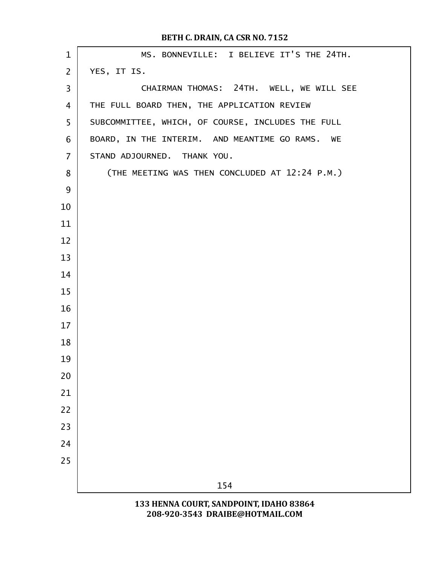| $\mathbf{1}$   | MS. BONNEVILLE: I BELIEVE IT'S THE 24TH.          |
|----------------|---------------------------------------------------|
| $\overline{2}$ | YES, IT IS.                                       |
| 3              | CHAIRMAN THOMAS: 24TH. WELL, WE WILL SEE          |
| 4              | THE FULL BOARD THEN, THE APPLICATION REVIEW       |
| 5              | SUBCOMMITTEE, WHICH, OF COURSE, INCLUDES THE FULL |
| 6              | BOARD, IN THE INTERIM. AND MEANTIME GO RAMS. WE   |
| $\overline{7}$ | STAND ADJOURNED. THANK YOU.                       |
| 8              | (THE MEETING WAS THEN CONCLUDED AT 12:24 P.M.)    |
| 9              |                                                   |
| 10             |                                                   |
| 11             |                                                   |
| 12             |                                                   |
| 13             |                                                   |
| 14             |                                                   |
| 15             |                                                   |
| 16             |                                                   |
| 17             |                                                   |
| 18             |                                                   |
| 19             |                                                   |
| 20             |                                                   |
| 21             |                                                   |
| 22             |                                                   |
| 23             |                                                   |
| 24             |                                                   |
| 25             |                                                   |
|                | 154                                               |
|                | 133 HENNA COURT, SANDPOINT, IDAHO 83864           |

208-920-3543 DRAIBE@HOTMAIL.COM